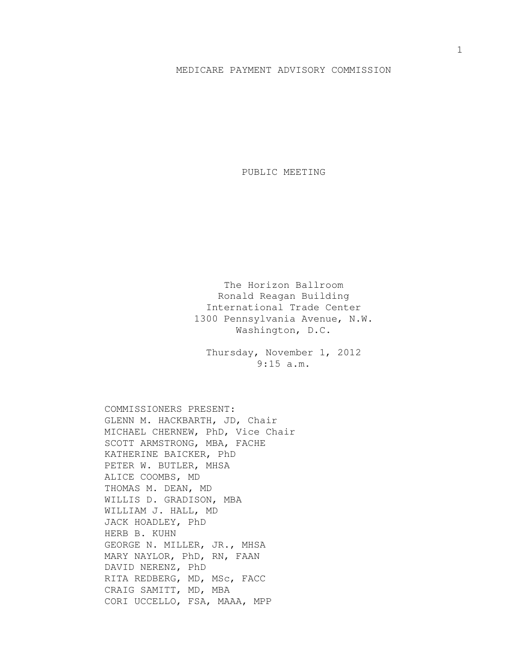## MEDICARE PAYMENT ADVISORY COMMISSION

PUBLIC MEETING

The Horizon Ballroom Ronald Reagan Building International Trade Center 1300 Pennsylvania Avenue, N.W. Washington, D.C.

Thursday, November 1, 2012 9:15 a.m.

COMMISSIONERS PRESENT: GLENN M. HACKBARTH, JD, Chair MICHAEL CHERNEW, PhD, Vice Chair SCOTT ARMSTRONG, MBA, FACHE KATHERINE BAICKER, PhD PETER W. BUTLER, MHSA ALICE COOMBS, MD THOMAS M. DEAN, MD WILLIS D. GRADISON, MBA WILLIAM J. HALL, MD JACK HOADLEY, PhD HERB B. KUHN GEORGE N. MILLER, JR., MHSA MARY NAYLOR, PhD, RN, FAAN DAVID NERENZ, PhD RITA REDBERG, MD, MSc, FACC CRAIG SAMITT, MD, MBA CORI UCCELLO, FSA, MAAA, MPP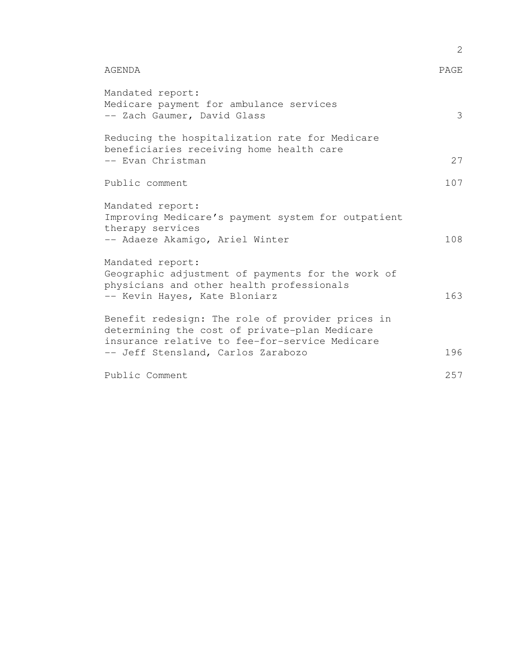| Mandated report:<br>Medicare payment for ambulance services<br>-- Zach Gaumer, David Glass                                                                                                | 3   |
|-------------------------------------------------------------------------------------------------------------------------------------------------------------------------------------------|-----|
| Reducing the hospitalization rate for Medicare<br>beneficiaries receiving home health care<br>-- Evan Christman                                                                           | 27  |
| Public comment                                                                                                                                                                            | 107 |
| Mandated report:<br>Improving Medicare's payment system for outpatient<br>therapy services<br>-- Adaeze Akamigo, Ariel Winter                                                             | 108 |
| Mandated report:<br>Geographic adjustment of payments for the work of<br>physicians and other health professionals<br>-- Kevin Hayes, Kate Bloniarz                                       | 163 |
| Benefit redesign: The role of provider prices in<br>determining the cost of private-plan Medicare<br>insurance relative to fee-for-service Medicare<br>-- Jeff Stensland, Carlos Zarabozo | 196 |
| Public Comment                                                                                                                                                                            | 257 |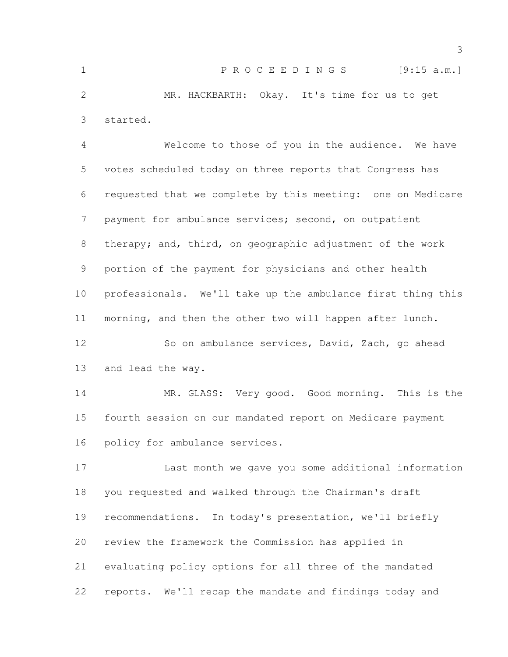| 1              | PROCEEDINGS [9:15 a.m.]                                     |
|----------------|-------------------------------------------------------------|
| 2              | MR. HACKBARTH: Okay. It's time for us to get                |
| 3              | started.                                                    |
| $\overline{4}$ | Welcome to those of you in the audience. We have            |
| 5              | votes scheduled today on three reports that Congress has    |
| 6              | requested that we complete by this meeting: one on Medicare |
| 7              | payment for ambulance services; second, on outpatient       |
| 8              | therapy; and, third, on geographic adjustment of the work   |
| 9              | portion of the payment for physicians and other health      |
|                |                                                             |

 professionals. We'll take up the ambulance first thing this morning, and then the other two will happen after lunch.

 So on ambulance services, David, Zach, go ahead and lead the way.

14 MR. GLASS: Very good. Good morning. This is the fourth session on our mandated report on Medicare payment policy for ambulance services.

 Last month we gave you some additional information you requested and walked through the Chairman's draft recommendations. In today's presentation, we'll briefly review the framework the Commission has applied in evaluating policy options for all three of the mandated reports. We'll recap the mandate and findings today and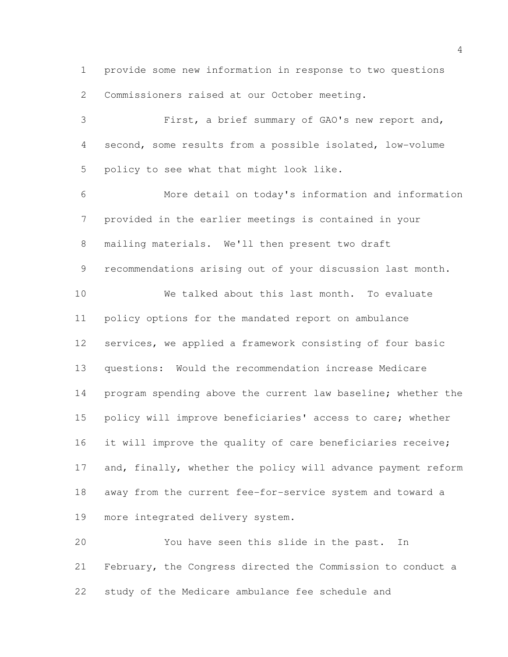provide some new information in response to two questions Commissioners raised at our October meeting.

 First, a brief summary of GAO's new report and, second, some results from a possible isolated, low-volume policy to see what that might look like. More detail on today's information and information provided in the earlier meetings is contained in your mailing materials. We'll then present two draft recommendations arising out of your discussion last month. We talked about this last month. To evaluate policy options for the mandated report on ambulance services, we applied a framework consisting of four basic questions: Would the recommendation increase Medicare 14 program spending above the current law baseline; whether the policy will improve beneficiaries' access to care; whether 16 it will improve the quality of care beneficiaries receive; 17 and, finally, whether the policy will advance payment reform away from the current fee-for-service system and toward a more integrated delivery system. You have seen this slide in the past. In

 February, the Congress directed the Commission to conduct a study of the Medicare ambulance fee schedule and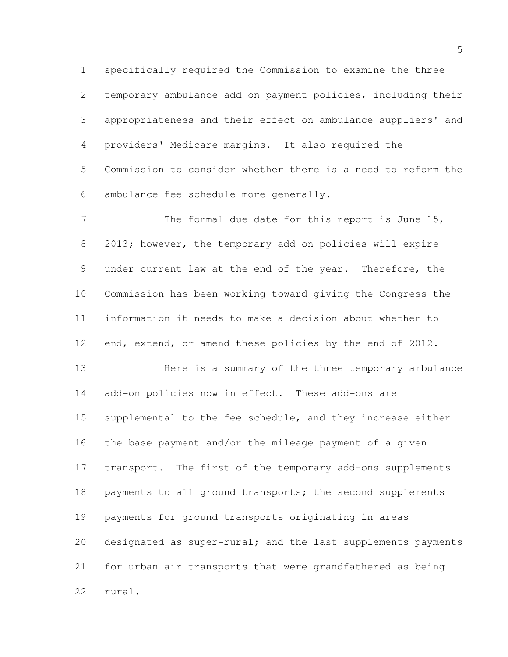specifically required the Commission to examine the three temporary ambulance add-on payment policies, including their appropriateness and their effect on ambulance suppliers' and providers' Medicare margins. It also required the Commission to consider whether there is a need to reform the ambulance fee schedule more generally.

7 The formal due date for this report is June 15, 2013; however, the temporary add-on policies will expire under current law at the end of the year. Therefore, the Commission has been working toward giving the Congress the information it needs to make a decision about whether to end, extend, or amend these policies by the end of 2012.

 Here is a summary of the three temporary ambulance add-on policies now in effect. These add-ons are 15 supplemental to the fee schedule, and they increase either the base payment and/or the mileage payment of a given transport. The first of the temporary add-ons supplements 18 payments to all ground transports; the second supplements payments for ground transports originating in areas 20 designated as super-rural; and the last supplements payments for urban air transports that were grandfathered as being rural.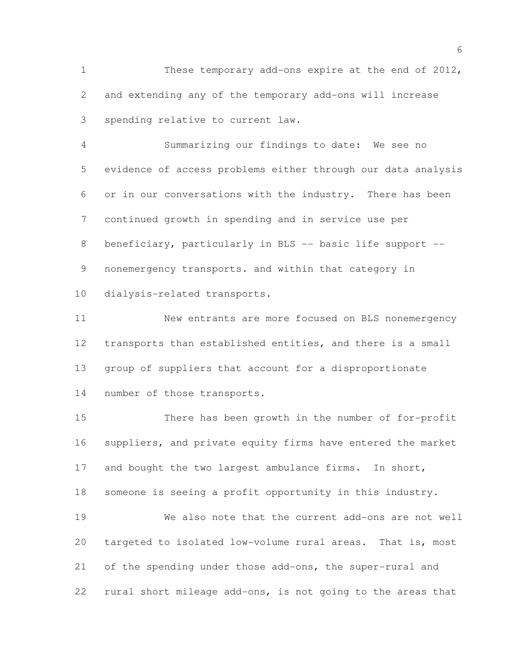These temporary add-ons expire at the end of 2012, and extending any of the temporary add-ons will increase spending relative to current law.

 Summarizing our findings to date: We see no evidence of access problems either through our data analysis or in our conversations with the industry. There has been continued growth in spending and in service use per 8 beneficiary, particularly in BLS -- basic life support -- nonemergency transports. and within that category in dialysis-related transports.

 New entrants are more focused on BLS nonemergency transports than established entities, and there is a small group of suppliers that account for a disproportionate number of those transports.

 There has been growth in the number of for-profit suppliers, and private equity firms have entered the market 17 and bought the two largest ambulance firms. In short, someone is seeing a profit opportunity in this industry.

 We also note that the current add-ons are not well targeted to isolated low-volume rural areas. That is, most of the spending under those add-ons, the super-rural and rural short mileage add-ons, is not going to the areas that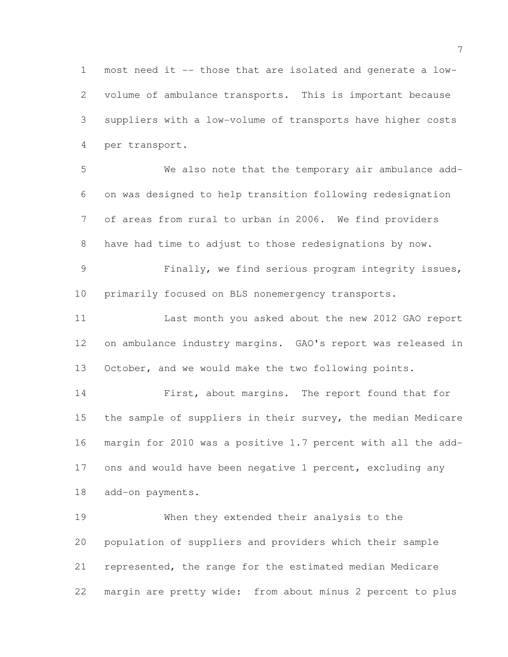most need it -- those that are isolated and generate a low- volume of ambulance transports. This is important because suppliers with a low-volume of transports have higher costs per transport.

 We also note that the temporary air ambulance add- on was designed to help transition following redesignation of areas from rural to urban in 2006. We find providers have had time to adjust to those redesignations by now.

 Finally, we find serious program integrity issues, primarily focused on BLS nonemergency transports.

 Last month you asked about the new 2012 GAO report on ambulance industry margins. GAO's report was released in October, and we would make the two following points.

 First, about margins. The report found that for the sample of suppliers in their survey, the median Medicare margin for 2010 was a positive 1.7 percent with all the add-17 ons and would have been negative 1 percent, excluding any add-on payments.

 When they extended their analysis to the population of suppliers and providers which their sample represented, the range for the estimated median Medicare margin are pretty wide: from about minus 2 percent to plus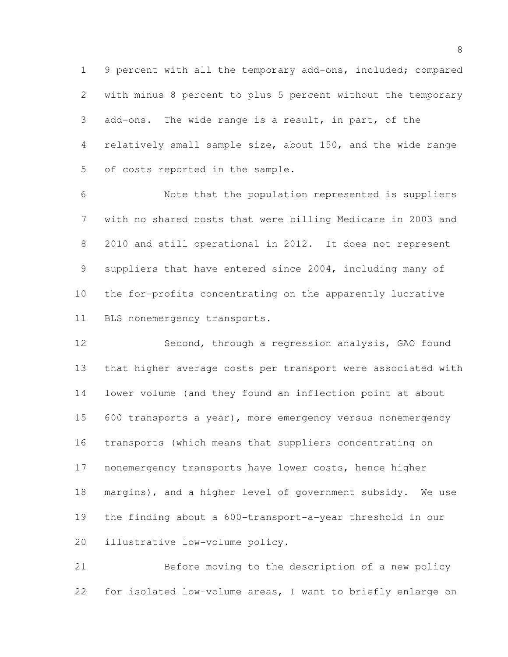9 percent with all the temporary add-ons, included; compared with minus 8 percent to plus 5 percent without the temporary add-ons. The wide range is a result, in part, of the relatively small sample size, about 150, and the wide range of costs reported in the sample.

 Note that the population represented is suppliers with no shared costs that were billing Medicare in 2003 and 2010 and still operational in 2012. It does not represent suppliers that have entered since 2004, including many of the for-profits concentrating on the apparently lucrative BLS nonemergency transports.

 Second, through a regression analysis, GAO found that higher average costs per transport were associated with lower volume (and they found an inflection point at about 15 600 transports a year), more emergency versus nonemergency transports (which means that suppliers concentrating on nonemergency transports have lower costs, hence higher margins), and a higher level of government subsidy. We use the finding about a 600-transport-a-year threshold in our illustrative low-volume policy.

 Before moving to the description of a new policy for isolated low-volume areas, I want to briefly enlarge on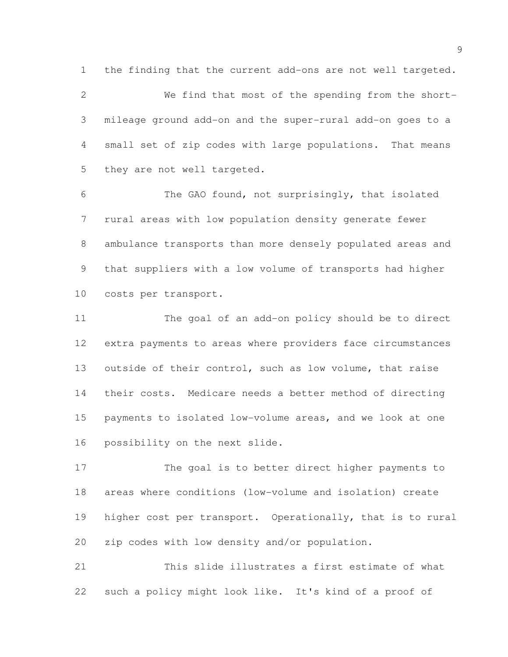the finding that the current add-ons are not well targeted.

 We find that most of the spending from the short- mileage ground add-on and the super-rural add-on goes to a small set of zip codes with large populations. That means 5 they are not well targeted.

 The GAO found, not surprisingly, that isolated rural areas with low population density generate fewer ambulance transports than more densely populated areas and that suppliers with a low volume of transports had higher costs per transport.

 The goal of an add-on policy should be to direct extra payments to areas where providers face circumstances outside of their control, such as low volume, that raise their costs. Medicare needs a better method of directing payments to isolated low-volume areas, and we look at one possibility on the next slide.

 The goal is to better direct higher payments to areas where conditions (low-volume and isolation) create higher cost per transport. Operationally, that is to rural zip codes with low density and/or population.

 This slide illustrates a first estimate of what such a policy might look like. It's kind of a proof of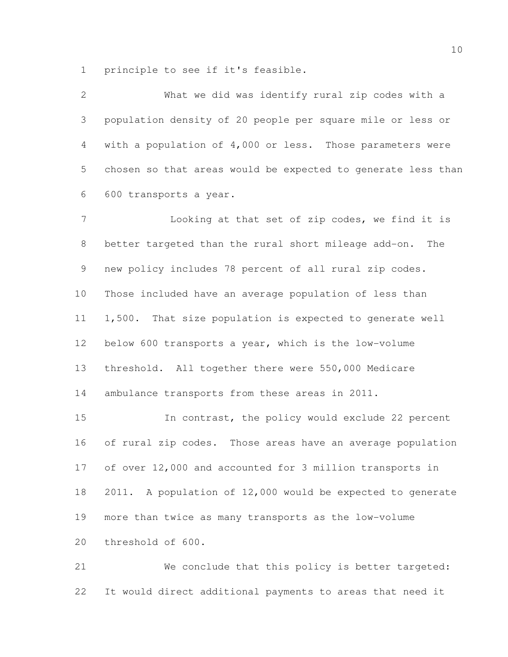principle to see if it's feasible.

 What we did was identify rural zip codes with a population density of 20 people per square mile or less or with a population of 4,000 or less. Those parameters were chosen so that areas would be expected to generate less than 600 transports a year.

7 Looking at that set of zip codes, we find it is better targeted than the rural short mileage add-on. The new policy includes 78 percent of all rural zip codes. Those included have an average population of less than 1,500. That size population is expected to generate well below 600 transports a year, which is the low-volume threshold. All together there were 550,000 Medicare ambulance transports from these areas in 2011.

 In contrast, the policy would exclude 22 percent of rural zip codes. Those areas have an average population of over 12,000 and accounted for 3 million transports in 2011. A population of 12,000 would be expected to generate more than twice as many transports as the low-volume threshold of 600.

 We conclude that this policy is better targeted: It would direct additional payments to areas that need it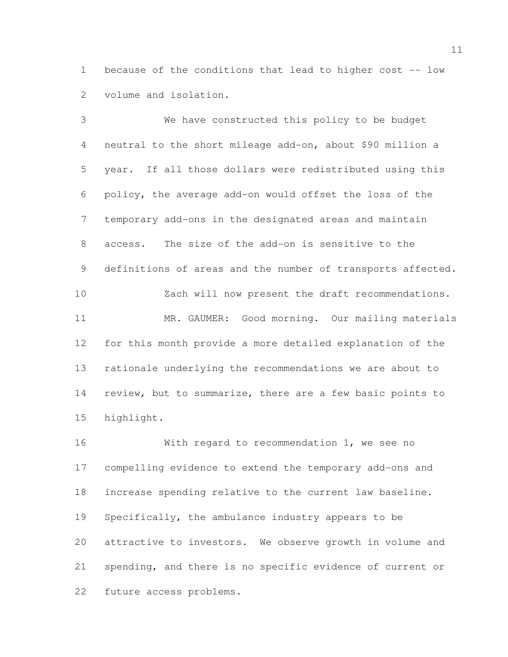because of the conditions that lead to higher cost -- low volume and isolation.

 We have constructed this policy to be budget neutral to the short mileage add-on, about \$90 million a year. If all those dollars were redistributed using this policy, the average add-on would offset the loss of the temporary add-ons in the designated areas and maintain access. The size of the add-on is sensitive to the 9 definitions of areas and the number of transports affected. Zach will now present the draft recommendations. 11 MR. GAUMER: Good morning. Our mailing materials for this month provide a more detailed explanation of the rationale underlying the recommendations we are about to review, but to summarize, there are a few basic points to highlight.

 With regard to recommendation 1, we see no compelling evidence to extend the temporary add-ons and increase spending relative to the current law baseline. Specifically, the ambulance industry appears to be attractive to investors. We observe growth in volume and spending, and there is no specific evidence of current or future access problems.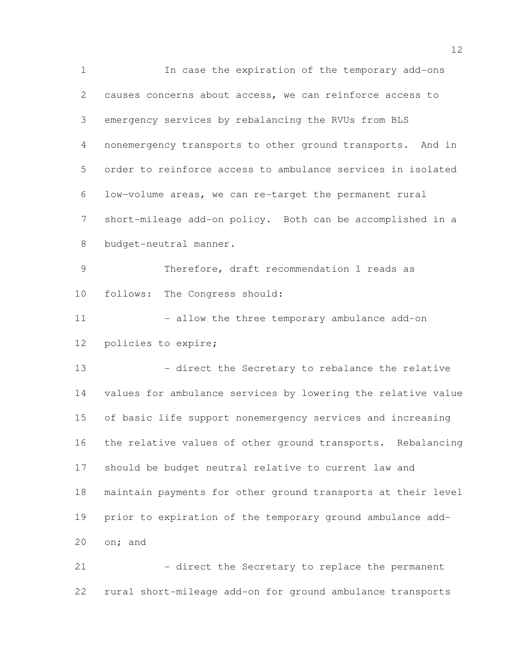In case the expiration of the temporary add-ons causes concerns about access, we can reinforce access to emergency services by rebalancing the RVUs from BLS nonemergency transports to other ground transports. And in order to reinforce access to ambulance services in isolated low-volume areas, we can re-target the permanent rural short-mileage add-on policy. Both can be accomplished in a budget-neutral manner. Therefore, draft recommendation 1 reads as follows: The Congress should: 11 - 11 - allow the three temporary ambulance add-on policies to expire; 13 - direct the Secretary to rebalance the relative values for ambulance services by lowering the relative value of basic life support nonemergency services and increasing the relative values of other ground transports. Rebalancing should be budget neutral relative to current law and maintain payments for other ground transports at their level prior to expiration of the temporary ground ambulance add- on; and 21 - direct the Secretary to replace the permanent

rural short-mileage add-on for ground ambulance transports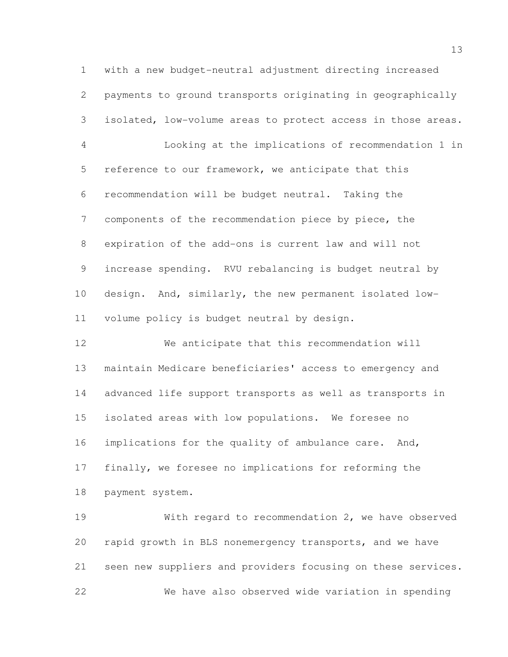with a new budget-neutral adjustment directing increased payments to ground transports originating in geographically isolated, low-volume areas to protect access in those areas. Looking at the implications of recommendation 1 in reference to our framework, we anticipate that this recommendation will be budget neutral. Taking the components of the recommendation piece by piece, the expiration of the add-ons is current law and will not increase spending. RVU rebalancing is budget neutral by design. And, similarly, the new permanent isolated low-volume policy is budget neutral by design.

 We anticipate that this recommendation will maintain Medicare beneficiaries' access to emergency and advanced life support transports as well as transports in isolated areas with low populations. We foresee no 16 implications for the quality of ambulance care. And, finally, we foresee no implications for reforming the payment system.

 With regard to recommendation 2, we have observed rapid growth in BLS nonemergency transports, and we have seen new suppliers and providers focusing on these services. We have also observed wide variation in spending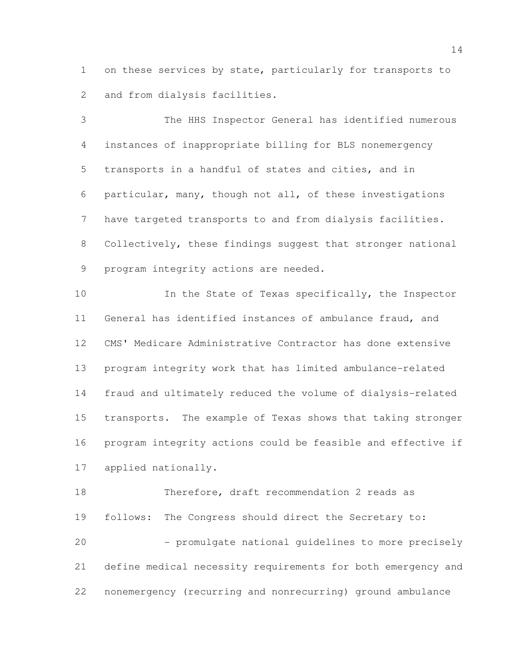on these services by state, particularly for transports to and from dialysis facilities.

 The HHS Inspector General has identified numerous instances of inappropriate billing for BLS nonemergency transports in a handful of states and cities, and in particular, many, though not all, of these investigations have targeted transports to and from dialysis facilities. Collectively, these findings suggest that stronger national program integrity actions are needed.

10 In the State of Texas specifically, the Inspector General has identified instances of ambulance fraud, and CMS' Medicare Administrative Contractor has done extensive program integrity work that has limited ambulance-related fraud and ultimately reduced the volume of dialysis-related transports. The example of Texas shows that taking stronger program integrity actions could be feasible and effective if applied nationally.

 Therefore, draft recommendation 2 reads as follows: The Congress should direct the Secretary to: - promulgate national guidelines to more precisely define medical necessity requirements for both emergency and nonemergency (recurring and nonrecurring) ground ambulance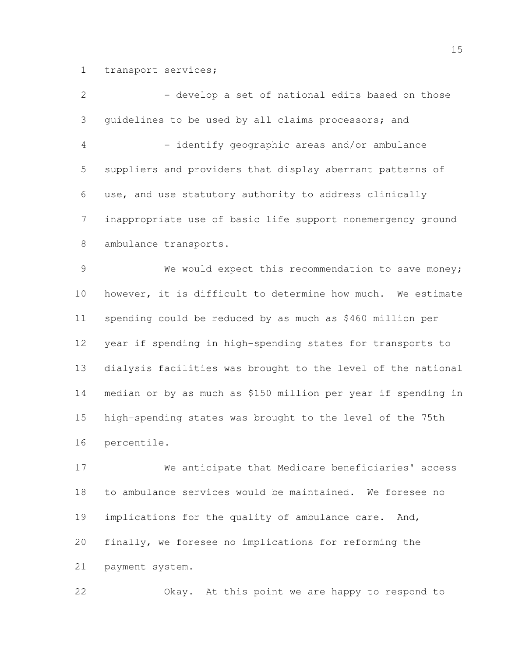transport services;

2 - Alevelop a set of national edits based on those guidelines to be used by all claims processors; and - identify geographic areas and/or ambulance suppliers and providers that display aberrant patterns of use, and use statutory authority to address clinically inappropriate use of basic life support nonemergency ground ambulance transports.

 We would expect this recommendation to save money; however, it is difficult to determine how much. We estimate spending could be reduced by as much as \$460 million per year if spending in high-spending states for transports to dialysis facilities was brought to the level of the national median or by as much as \$150 million per year if spending in high-spending states was brought to the level of the 75th percentile.

 We anticipate that Medicare beneficiaries' access to ambulance services would be maintained. We foresee no 19 implications for the quality of ambulance care. And, finally, we foresee no implications for reforming the payment system.

Okay. At this point we are happy to respond to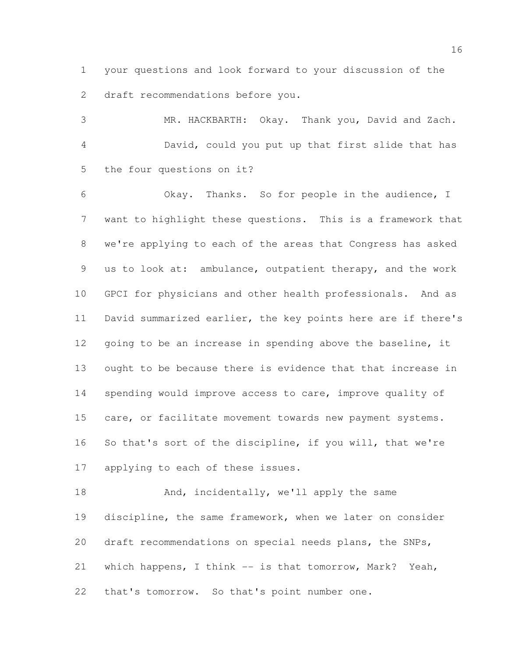your questions and look forward to your discussion of the draft recommendations before you.

 MR. HACKBARTH: Okay. Thank you, David and Zach. David, could you put up that first slide that has the four questions on it?

 Okay. Thanks. So for people in the audience, I want to highlight these questions. This is a framework that we're applying to each of the areas that Congress has asked us to look at: ambulance, outpatient therapy, and the work GPCI for physicians and other health professionals. And as David summarized earlier, the key points here are if there's 12 going to be an increase in spending above the baseline, it ought to be because there is evidence that that increase in spending would improve access to care, improve quality of care, or facilitate movement towards new payment systems. So that's sort of the discipline, if you will, that we're applying to each of these issues.

18 And, incidentally, we'll apply the same discipline, the same framework, when we later on consider draft recommendations on special needs plans, the SNPs, which happens, I think -- is that tomorrow, Mark? Yeah, that's tomorrow. So that's point number one.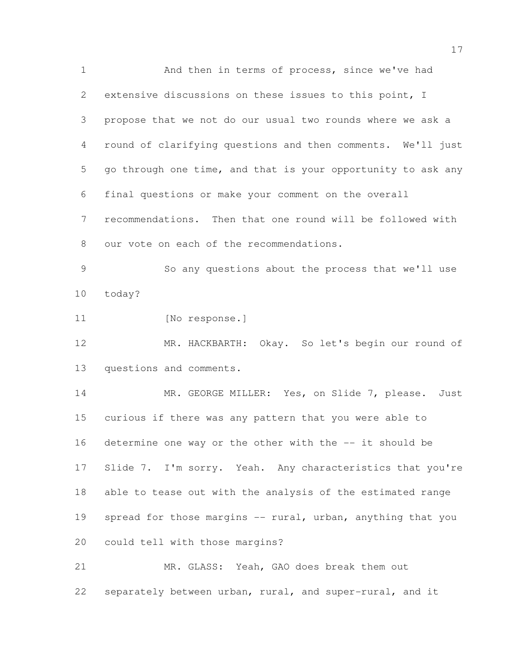And then in terms of process, since we've had extensive discussions on these issues to this point, I propose that we not do our usual two rounds where we ask a round of clarifying questions and then comments. We'll just go through one time, and that is your opportunity to ask any final questions or make your comment on the overall recommendations. Then that one round will be followed with our vote on each of the recommendations.

 So any questions about the process that we'll use today?

11 [No response.]

 MR. HACKBARTH: Okay. So let's begin our round of questions and comments.

14 MR. GEORGE MILLER: Yes, on Slide 7, please. Just curious if there was any pattern that you were able to determine one way or the other with the -- it should be 17 Slide 7. I'm sorry. Yeah. Any characteristics that you're able to tease out with the analysis of the estimated range 19 spread for those margins -- rural, urban, anything that you could tell with those margins?

 MR. GLASS: Yeah, GAO does break them out separately between urban, rural, and super-rural, and it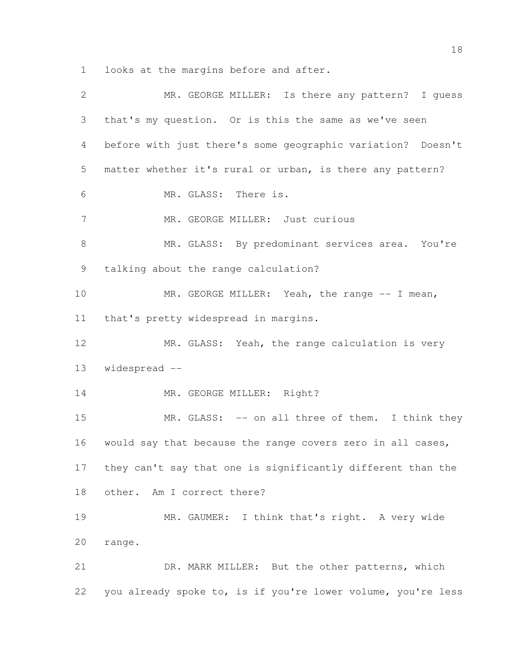looks at the margins before and after.

| $\overline{2}$ | MR. GEORGE MILLER: Is there any pattern? I guess             |
|----------------|--------------------------------------------------------------|
| 3              | that's my question. Or is this the same as we've seen        |
| 4              | before with just there's some geographic variation? Doesn't  |
| 5              | matter whether it's rural or urban, is there any pattern?    |
| 6              | MR. GLASS: There is.                                         |
| $\overline{7}$ | MR. GEORGE MILLER: Just curious                              |
| 8              | MR. GLASS: By predominant services area. You're              |
| 9              | talking about the range calculation?                         |
| 10             | MR. GEORGE MILLER: Yeah, the range -- I mean,                |
| 11             | that's pretty widespread in margins.                         |
| 12             | MR. GLASS: Yeah, the range calculation is very               |
| 13             | widespread --                                                |
| 14             | MR. GEORGE MILLER: Right?                                    |
| 15             | MR. GLASS: -- on all three of them. I think they             |
| 16             | would say that because the range covers zero in all cases,   |
| 17             | they can't say that one is significantly different than the  |
| 18             | other. Am I correct there?                                   |
| 19             | MR. GAUMER: I think that's right. A very wide                |
| 20             | range.                                                       |
| 21             | DR. MARK MILLER: But the other patterns, which               |
| 22             | you already spoke to, is if you're lower volume, you're less |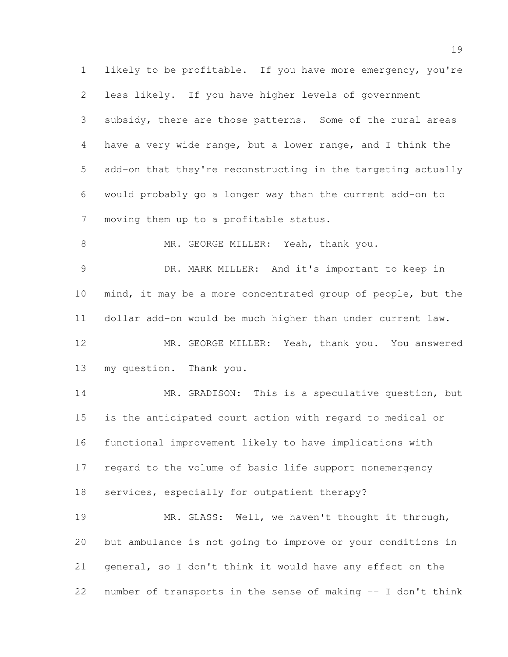likely to be profitable. If you have more emergency, you're less likely. If you have higher levels of government subsidy, there are those patterns. Some of the rural areas have a very wide range, but a lower range, and I think the add-on that they're reconstructing in the targeting actually would probably go a longer way than the current add-on to moving them up to a profitable status. 8 MR. GEORGE MILLER: Yeah, thank you. DR. MARK MILLER: And it's important to keep in mind, it may be a more concentrated group of people, but the dollar add-on would be much higher than under current law. MR. GEORGE MILLER: Yeah, thank you. You answered my question. Thank you. 14 MR. GRADISON: This is a speculative question, but is the anticipated court action with regard to medical or functional improvement likely to have implications with regard to the volume of basic life support nonemergency services, especially for outpatient therapy? MR. GLASS: Well, we haven't thought it through, but ambulance is not going to improve or your conditions in general, so I don't think it would have any effect on the number of transports in the sense of making -- I don't think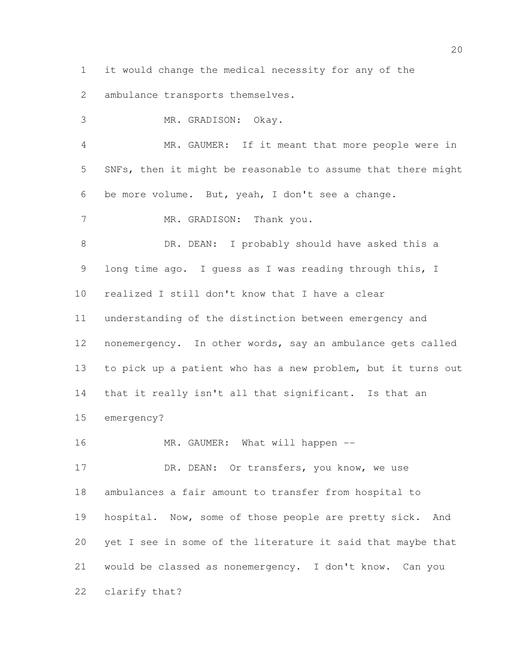it would change the medical necessity for any of the

ambulance transports themselves.

 MR. GRADISON: Okay. MR. GAUMER: If it meant that more people were in SNFs, then it might be reasonable to assume that there might be more volume. But, yeah, I don't see a change. 7 MR. GRADISON: Thank you. 8 DR. DEAN: I probably should have asked this a 9 long time ago. I guess as I was reading through this, I realized I still don't know that I have a clear understanding of the distinction between emergency and nonemergency. In other words, say an ambulance gets called to pick up a patient who has a new problem, but it turns out 14 that it really isn't all that significant. Is that an emergency? 16 MR. GAUMER: What will happen --17 DR. DEAN: Or transfers, you know, we use ambulances a fair amount to transfer from hospital to 19 hospital. Now, some of those people are pretty sick. And yet I see in some of the literature it said that maybe that would be classed as nonemergency. I don't know. Can you

clarify that?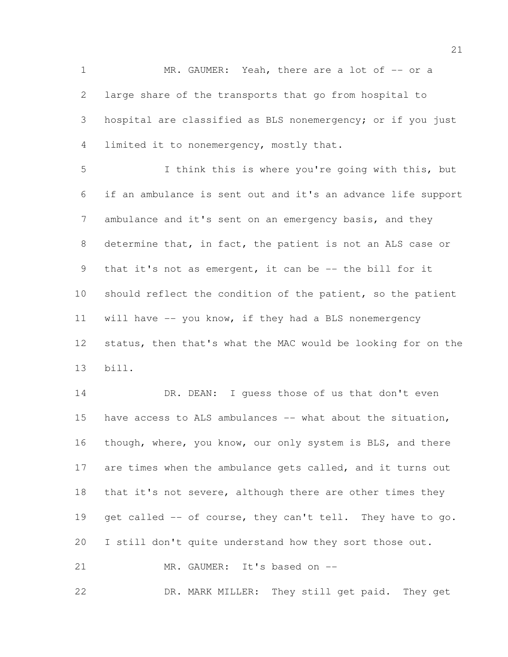MR. GAUMER: Yeah, there are a lot of -- or a large share of the transports that go from hospital to hospital are classified as BLS nonemergency; or if you just limited it to nonemergency, mostly that.

 I think this is where you're going with this, but if an ambulance is sent out and it's an advance life support 7 ambulance and it's sent on an emergency basis, and they determine that, in fact, the patient is not an ALS case or that it's not as emergent, it can be -- the bill for it should reflect the condition of the patient, so the patient will have -- you know, if they had a BLS nonemergency status, then that's what the MAC would be looking for on the bill.

14 DR. DEAN: I quess those of us that don't even 15 have access to ALS ambulances -- what about the situation, though, where, you know, our only system is BLS, and there 17 are times when the ambulance gets called, and it turns out 18 that it's not severe, although there are other times they 19 get called -- of course, they can't tell. They have to go. I still don't quite understand how they sort those out. 21 MR. GAUMER: It's based on --

DR. MARK MILLER: They still get paid. They get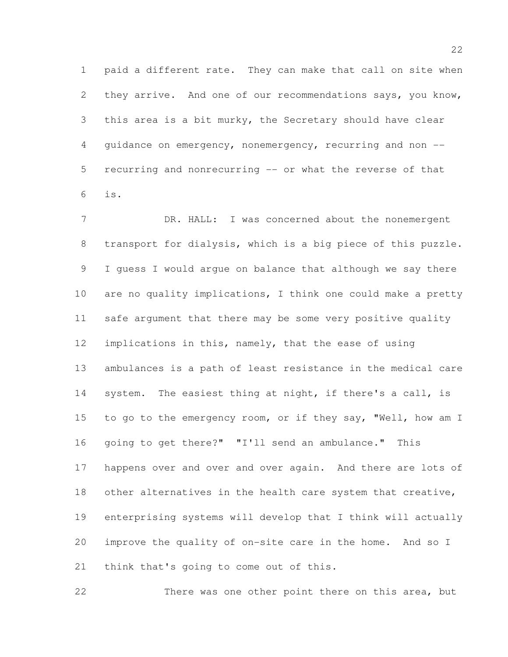paid a different rate. They can make that call on site when they arrive. And one of our recommendations says, you know, this area is a bit murky, the Secretary should have clear guidance on emergency, nonemergency, recurring and non -- recurring and nonrecurring -- or what the reverse of that is.

7 DR. HALL: I was concerned about the nonemergent transport for dialysis, which is a big piece of this puzzle. I guess I would argue on balance that although we say there are no quality implications, I think one could make a pretty safe argument that there may be some very positive quality implications in this, namely, that the ease of using ambulances is a path of least resistance in the medical care 14 system. The easiest thing at night, if there's a call, is 15 to go to the emergency room, or if they say, "Well, how am I going to get there?" "I'll send an ambulance." This happens over and over and over again. And there are lots of 18 other alternatives in the health care system that creative, enterprising systems will develop that I think will actually improve the quality of on-site care in the home. And so I 21 think that's going to come out of this.

There was one other point there on this area, but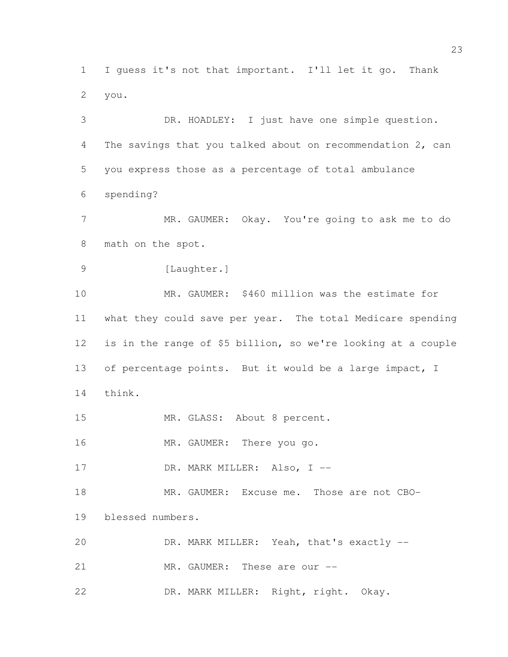I guess it's not that important. I'll let it go. Thank you.

 DR. HOADLEY: I just have one simple question. The savings that you talked about on recommendation 2, can you express those as a percentage of total ambulance spending? MR. GAUMER: Okay. You're going to ask me to do math on the spot. 9 [Laughter.] MR. GAUMER: \$460 million was the estimate for what they could save per year. The total Medicare spending is in the range of \$5 billion, so we're looking at a couple of percentage points. But it would be a large impact, I think. MR. GLASS: About 8 percent. 16 MR. GAUMER: There you go. 17 DR. MARK MILLER: Also, I -- MR. GAUMER: Excuse me. Those are not CBO- blessed numbers. DR. MARK MILLER: Yeah, that's exactly -- 21 MR. GAUMER: These are our --

DR. MARK MILLER: Right, right. Okay.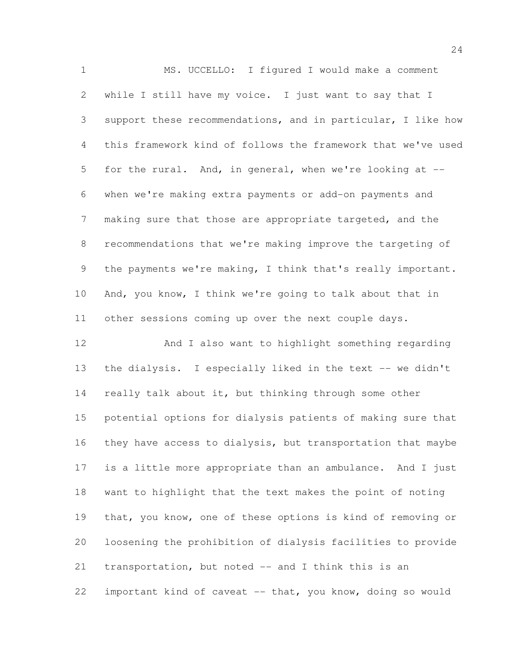MS. UCCELLO: I figured I would make a comment while I still have my voice. I just want to say that I support these recommendations, and in particular, I like how this framework kind of follows the framework that we've used for the rural. And, in general, when we're looking at -- when we're making extra payments or add-on payments and making sure that those are appropriate targeted, and the recommendations that we're making improve the targeting of the payments we're making, I think that's really important. And, you know, I think we're going to talk about that in other sessions coming up over the next couple days.

 And I also want to highlight something regarding 13 the dialysis. I especially liked in the text -- we didn't 14 really talk about it, but thinking through some other potential options for dialysis patients of making sure that they have access to dialysis, but transportation that maybe is a little more appropriate than an ambulance. And I just want to highlight that the text makes the point of noting that, you know, one of these options is kind of removing or loosening the prohibition of dialysis facilities to provide 21 transportation, but noted -- and I think this is an important kind of caveat -- that, you know, doing so would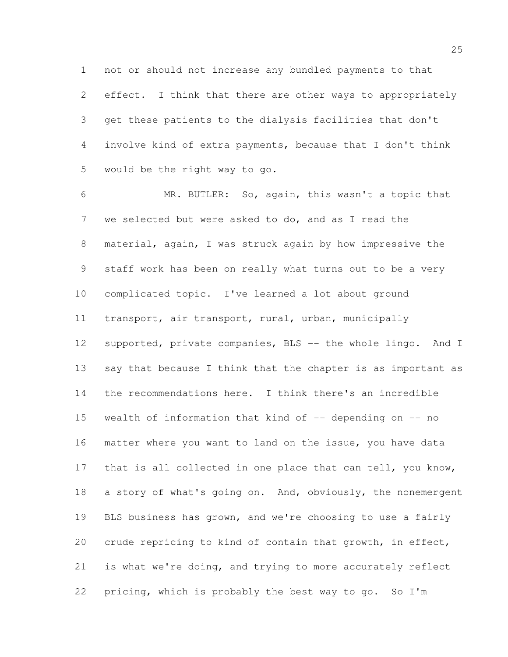not or should not increase any bundled payments to that effect. I think that there are other ways to appropriately get these patients to the dialysis facilities that don't involve kind of extra payments, because that I don't think would be the right way to go.

 MR. BUTLER: So, again, this wasn't a topic that we selected but were asked to do, and as I read the material, again, I was struck again by how impressive the staff work has been on really what turns out to be a very complicated topic. I've learned a lot about ground transport, air transport, rural, urban, municipally supported, private companies, BLS -- the whole lingo. And I say that because I think that the chapter is as important as the recommendations here. I think there's an incredible wealth of information that kind of -- depending on -- no matter where you want to land on the issue, you have data 17 that is all collected in one place that can tell, you know, 18 a story of what's going on. And, obviously, the nonemergent BLS business has grown, and we're choosing to use a fairly crude repricing to kind of contain that growth, in effect, is what we're doing, and trying to more accurately reflect pricing, which is probably the best way to go. So I'm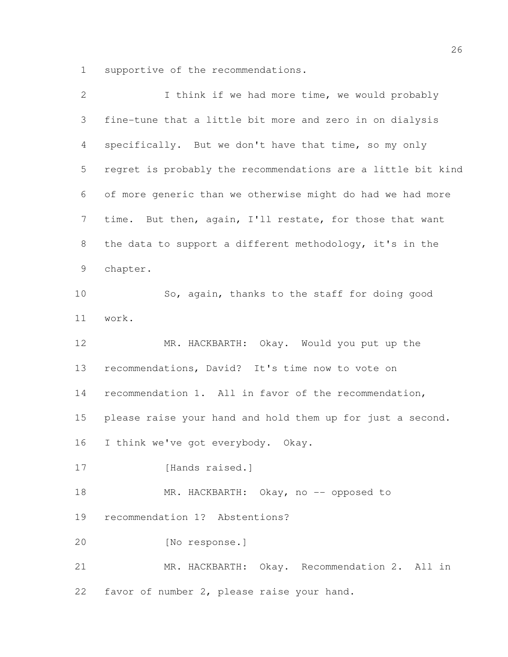supportive of the recommendations.

| $\overline{2}$ | I think if we had more time, we would probably               |
|----------------|--------------------------------------------------------------|
| 3              | fine-tune that a little bit more and zero in on dialysis     |
| $\overline{4}$ | specifically. But we don't have that time, so my only        |
| 5              | regret is probably the recommendations are a little bit kind |
| 6              | of more generic than we otherwise might do had we had more   |
| $7\phantom{.}$ | time. But then, again, I'll restate, for those that want     |
| 8              | the data to support a different methodology, it's in the     |
| 9              | chapter.                                                     |
| 10             | So, again, thanks to the staff for doing good                |
| 11             | work.                                                        |
| 12             | MR. HACKBARTH: Okay. Would you put up the                    |
| 13             | recommendations, David? It's time now to vote on             |
| 14             | recommendation 1. All in favor of the recommendation,        |
| 15             | please raise your hand and hold them up for just a second.   |
| 16             | I think we've got everybody. Okay.                           |
| 17             | [Hands raised.]                                              |
| 18             | MR. HACKBARTH: Okay, no -- opposed to                        |
| 19             | recommendation 1? Abstentions?                               |
| 20             | [No response.]                                               |
| 21             | MR. HACKBARTH: Okay. Recommendation 2. All in                |
| 22             | favor of number 2, please raise your hand.                   |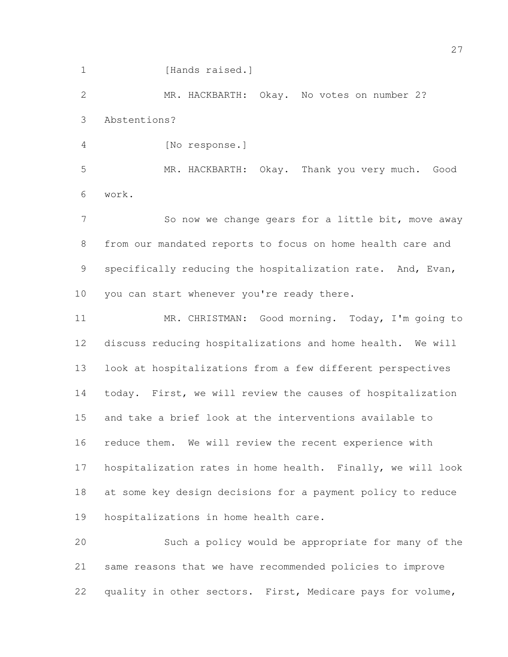1 [Hands raised.]

 MR. HACKBARTH: Okay. No votes on number 2? Abstentions?

[No response.]

 MR. HACKBARTH: Okay. Thank you very much. Good work.

7 So now we change gears for a little bit, move away from our mandated reports to focus on home health care and specifically reducing the hospitalization rate. And, Evan, 10 you can start whenever you're ready there.

 MR. CHRISTMAN: Good morning. Today, I'm going to discuss reducing hospitalizations and home health. We will look at hospitalizations from a few different perspectives today. First, we will review the causes of hospitalization and take a brief look at the interventions available to reduce them. We will review the recent experience with hospitalization rates in home health. Finally, we will look at some key design decisions for a payment policy to reduce hospitalizations in home health care.

 Such a policy would be appropriate for many of the same reasons that we have recommended policies to improve quality in other sectors. First, Medicare pays for volume,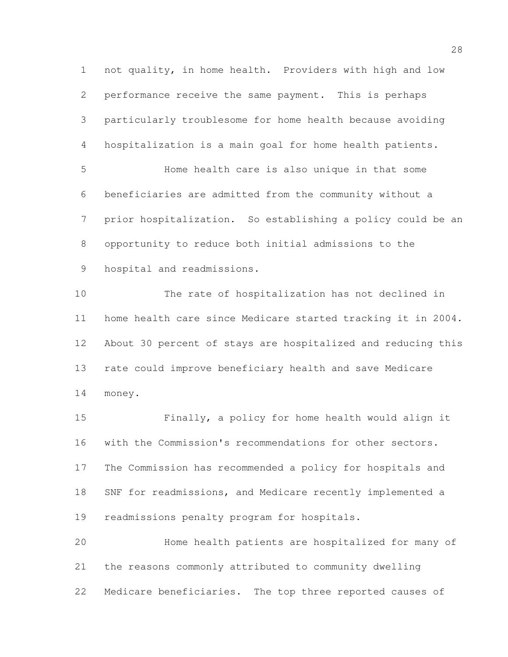not quality, in home health. Providers with high and low performance receive the same payment. This is perhaps particularly troublesome for home health because avoiding hospitalization is a main goal for home health patients. Home health care is also unique in that some beneficiaries are admitted from the community without a prior hospitalization. So establishing a policy could be an opportunity to reduce both initial admissions to the hospital and readmissions. The rate of hospitalization has not declined in home health care since Medicare started tracking it in 2004. About 30 percent of stays are hospitalized and reducing this rate could improve beneficiary health and save Medicare money.

 Finally, a policy for home health would align it with the Commission's recommendations for other sectors. The Commission has recommended a policy for hospitals and SNF for readmissions, and Medicare recently implemented a readmissions penalty program for hospitals. Home health patients are hospitalized for many of the reasons commonly attributed to community dwelling

Medicare beneficiaries. The top three reported causes of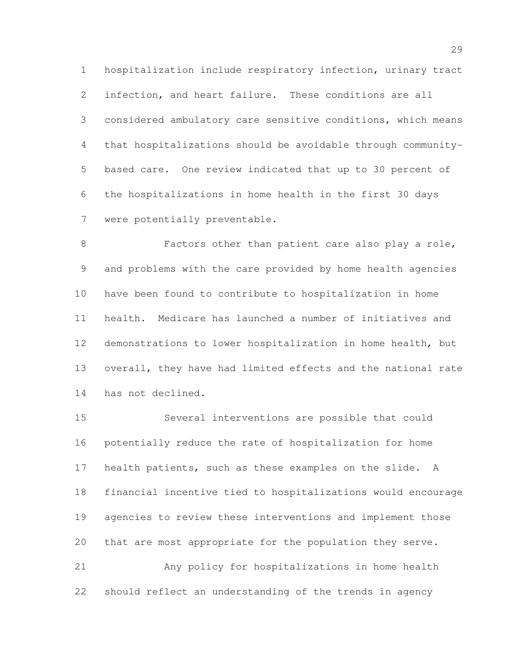hospitalization include respiratory infection, urinary tract infection, and heart failure. These conditions are all considered ambulatory care sensitive conditions, which means that hospitalizations should be avoidable through community- based care. One review indicated that up to 30 percent of the hospitalizations in home health in the first 30 days were potentially preventable.

 Factors other than patient care also play a role, and problems with the care provided by home health agencies have been found to contribute to hospitalization in home health. Medicare has launched a number of initiatives and demonstrations to lower hospitalization in home health, but overall, they have had limited effects and the national rate has not declined.

 Several interventions are possible that could potentially reduce the rate of hospitalization for home health patients, such as these examples on the slide. A financial incentive tied to hospitalizations would encourage agencies to review these interventions and implement those that are most appropriate for the population they serve. Any policy for hospitalizations in home health

should reflect an understanding of the trends in agency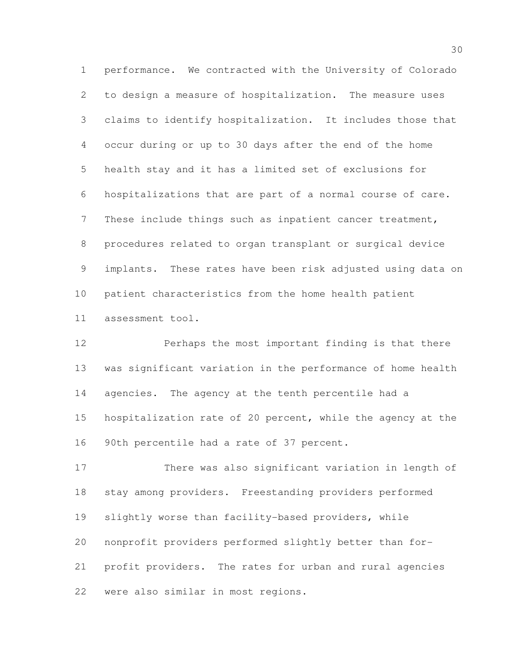performance. We contracted with the University of Colorado to design a measure of hospitalization. The measure uses claims to identify hospitalization. It includes those that occur during or up to 30 days after the end of the home health stay and it has a limited set of exclusions for hospitalizations that are part of a normal course of care. These include things such as inpatient cancer treatment, procedures related to organ transplant or surgical device implants. These rates have been risk adjusted using data on patient characteristics from the home health patient assessment tool.

 Perhaps the most important finding is that there was significant variation in the performance of home health agencies. The agency at the tenth percentile had a hospitalization rate of 20 percent, while the agency at the 90th percentile had a rate of 37 percent.

 There was also significant variation in length of stay among providers. Freestanding providers performed slightly worse than facility-based providers, while nonprofit providers performed slightly better than for- profit providers. The rates for urban and rural agencies were also similar in most regions.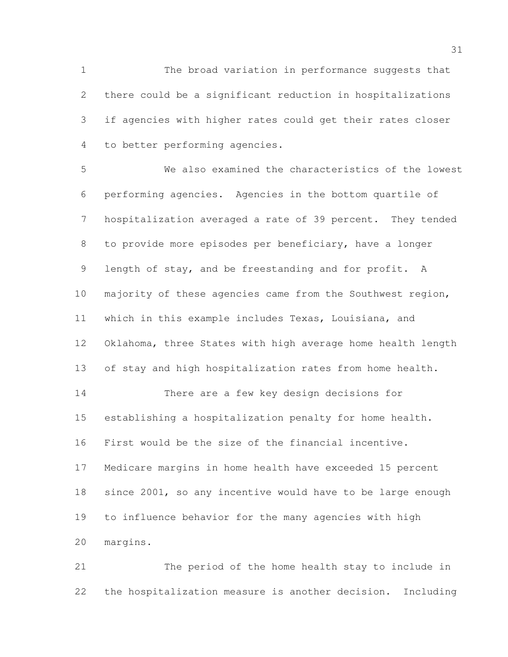The broad variation in performance suggests that there could be a significant reduction in hospitalizations if agencies with higher rates could get their rates closer to better performing agencies.

 We also examined the characteristics of the lowest performing agencies. Agencies in the bottom quartile of hospitalization averaged a rate of 39 percent. They tended to provide more episodes per beneficiary, have a longer length of stay, and be freestanding and for profit. A majority of these agencies came from the Southwest region, which in this example includes Texas, Louisiana, and Oklahoma, three States with high average home health length of stay and high hospitalization rates from home health. There are a few key design decisions for establishing a hospitalization penalty for home health. First would be the size of the financial incentive. Medicare margins in home health have exceeded 15 percent since 2001, so any incentive would have to be large enough to influence behavior for the many agencies with high margins.

 The period of the home health stay to include in the hospitalization measure is another decision. Including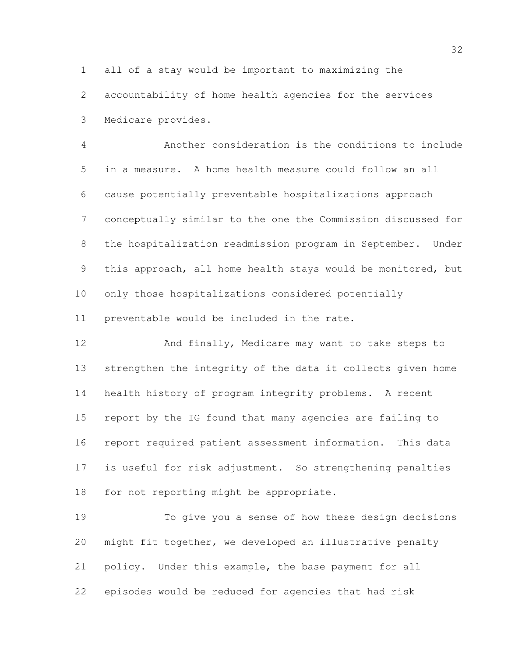all of a stay would be important to maximizing the

 accountability of home health agencies for the services Medicare provides.

 Another consideration is the conditions to include in a measure. A home health measure could follow an all cause potentially preventable hospitalizations approach conceptually similar to the one the Commission discussed for the hospitalization readmission program in September. Under this approach, all home health stays would be monitored, but only those hospitalizations considered potentially preventable would be included in the rate.

 And finally, Medicare may want to take steps to strengthen the integrity of the data it collects given home health history of program integrity problems. A recent report by the IG found that many agencies are failing to report required patient assessment information. This data is useful for risk adjustment. So strengthening penalties for not reporting might be appropriate.

 To give you a sense of how these design decisions might fit together, we developed an illustrative penalty policy. Under this example, the base payment for all episodes would be reduced for agencies that had risk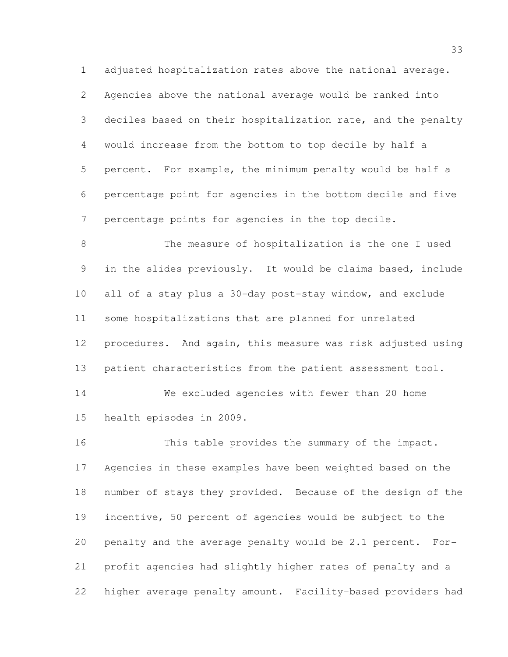adjusted hospitalization rates above the national average. Agencies above the national average would be ranked into deciles based on their hospitalization rate, and the penalty would increase from the bottom to top decile by half a percent. For example, the minimum penalty would be half a percentage point for agencies in the bottom decile and five percentage points for agencies in the top decile.

 The measure of hospitalization is the one I used in the slides previously. It would be claims based, include all of a stay plus a 30-day post-stay window, and exclude some hospitalizations that are planned for unrelated procedures. And again, this measure was risk adjusted using 13 patient characteristics from the patient assessment tool.

 We excluded agencies with fewer than 20 home health episodes in 2009.

 This table provides the summary of the impact. Agencies in these examples have been weighted based on the number of stays they provided. Because of the design of the incentive, 50 percent of agencies would be subject to the penalty and the average penalty would be 2.1 percent. For- profit agencies had slightly higher rates of penalty and a higher average penalty amount. Facility-based providers had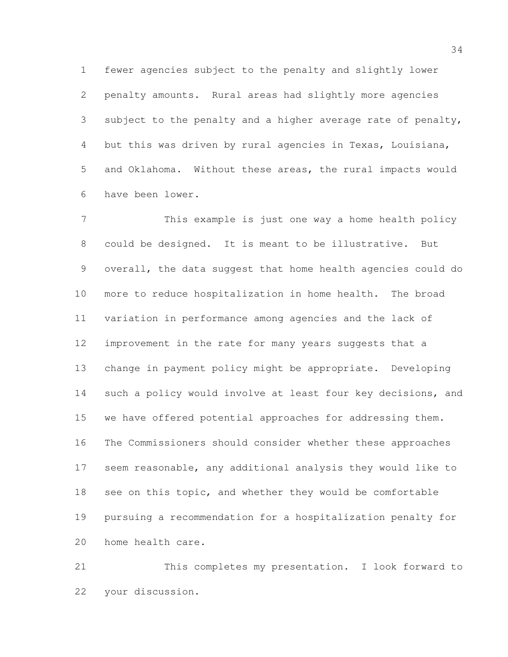fewer agencies subject to the penalty and slightly lower penalty amounts. Rural areas had slightly more agencies subject to the penalty and a higher average rate of penalty, but this was driven by rural agencies in Texas, Louisiana, and Oklahoma. Without these areas, the rural impacts would have been lower.

 This example is just one way a home health policy could be designed. It is meant to be illustrative. But overall, the data suggest that home health agencies could do more to reduce hospitalization in home health. The broad variation in performance among agencies and the lack of improvement in the rate for many years suggests that a change in payment policy might be appropriate. Developing such a policy would involve at least four key decisions, and we have offered potential approaches for addressing them. The Commissioners should consider whether these approaches seem reasonable, any additional analysis they would like to 18 see on this topic, and whether they would be comfortable pursuing a recommendation for a hospitalization penalty for home health care.

 This completes my presentation. I look forward to your discussion.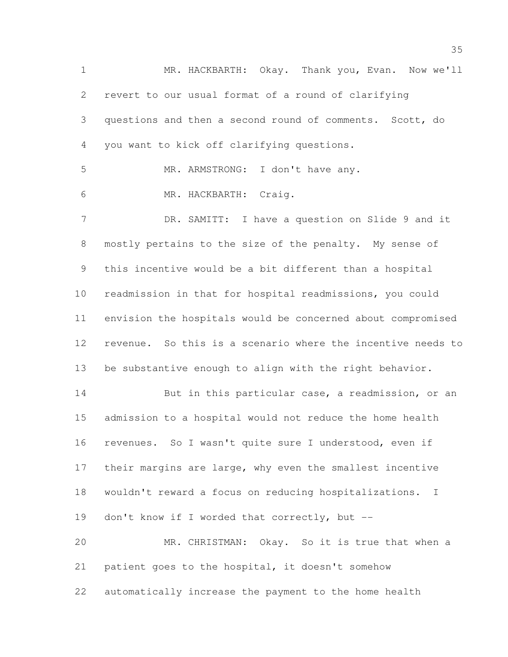MR. HACKBARTH: Okay. Thank you, Evan. Now we'll revert to our usual format of a round of clarifying questions and then a second round of comments. Scott, do you want to kick off clarifying questions. MR. ARMSTRONG: I don't have any. MR. HACKBARTH: Craig. DR. SAMITT: I have a question on Slide 9 and it mostly pertains to the size of the penalty. My sense of this incentive would be a bit different than a hospital readmission in that for hospital readmissions, you could envision the hospitals would be concerned about compromised revenue. So this is a scenario where the incentive needs to be substantive enough to align with the right behavior. 14 But in this particular case, a readmission, or an admission to a hospital would not reduce the home health revenues. So I wasn't quite sure I understood, even if their margins are large, why even the smallest incentive wouldn't reward a focus on reducing hospitalizations. I don't know if I worded that correctly, but -- MR. CHRISTMAN: Okay. So it is true that when a patient goes to the hospital, it doesn't somehow automatically increase the payment to the home health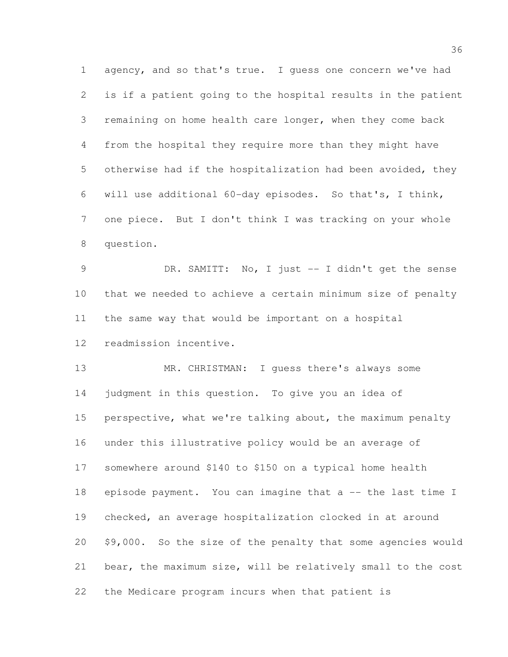agency, and so that's true. I guess one concern we've had is if a patient going to the hospital results in the patient remaining on home health care longer, when they come back from the hospital they require more than they might have otherwise had if the hospitalization had been avoided, they will use additional 60-day episodes. So that's, I think, one piece. But I don't think I was tracking on your whole question.

 DR. SAMITT: No, I just -- I didn't get the sense that we needed to achieve a certain minimum size of penalty the same way that would be important on a hospital

readmission incentive.

13 MR. CHRISTMAN: I quess there's always some judgment in this question. To give you an idea of perspective, what we're talking about, the maximum penalty under this illustrative policy would be an average of somewhere around \$140 to \$150 on a typical home health episode payment. You can imagine that a -- the last time I checked, an average hospitalization clocked in at around \$9,000. So the size of the penalty that some agencies would bear, the maximum size, will be relatively small to the cost the Medicare program incurs when that patient is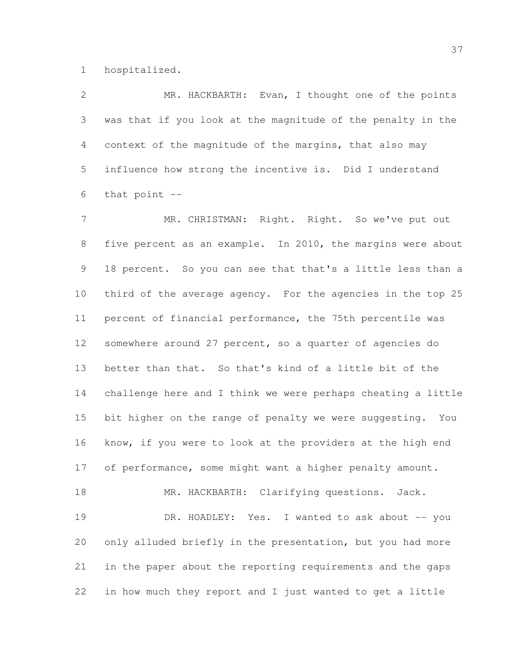hospitalized.

 MR. HACKBARTH: Evan, I thought one of the points was that if you look at the magnitude of the penalty in the context of the magnitude of the margins, that also may influence how strong the incentive is. Did I understand that point --

 MR. CHRISTMAN: Right. Right. So we've put out five percent as an example. In 2010, the margins were about 18 percent. So you can see that that's a little less than a third of the average agency. For the agencies in the top 25 percent of financial performance, the 75th percentile was somewhere around 27 percent, so a quarter of agencies do better than that. So that's kind of a little bit of the challenge here and I think we were perhaps cheating a little bit higher on the range of penalty we were suggesting. You know, if you were to look at the providers at the high end of performance, some might want a higher penalty amount. 18 MR. HACKBARTH: Clarifying questions. Jack.

19 DR. HOADLEY: Yes. I wanted to ask about -- you only alluded briefly in the presentation, but you had more in the paper about the reporting requirements and the gaps in how much they report and I just wanted to get a little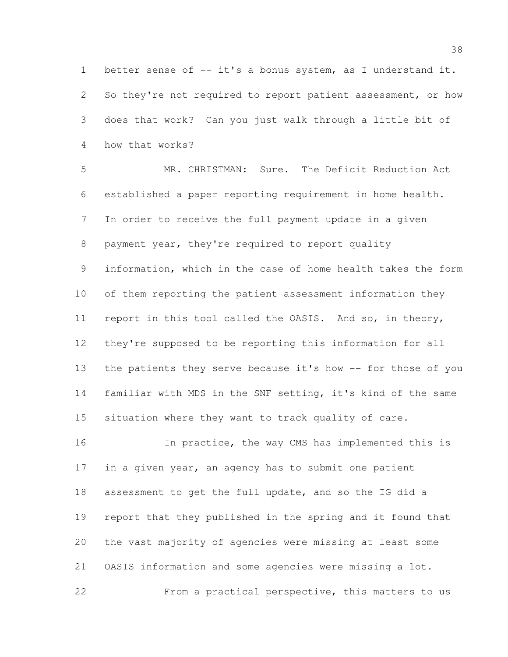better sense of -- it's a bonus system, as I understand it. 2 So they're not required to report patient assessment, or how does that work? Can you just walk through a little bit of how that works?

 MR. CHRISTMAN: Sure. The Deficit Reduction Act established a paper reporting requirement in home health. In order to receive the full payment update in a given payment year, they're required to report quality information, which in the case of home health takes the form of them reporting the patient assessment information they report in this tool called the OASIS. And so, in theory, they're supposed to be reporting this information for all 13 the patients they serve because it's how -- for those of you familiar with MDS in the SNF setting, it's kind of the same situation where they want to track quality of care.

 In practice, the way CMS has implemented this is 17 in a given year, an agency has to submit one patient assessment to get the full update, and so the IG did a report that they published in the spring and it found that the vast majority of agencies were missing at least some OASIS information and some agencies were missing a lot. From a practical perspective, this matters to us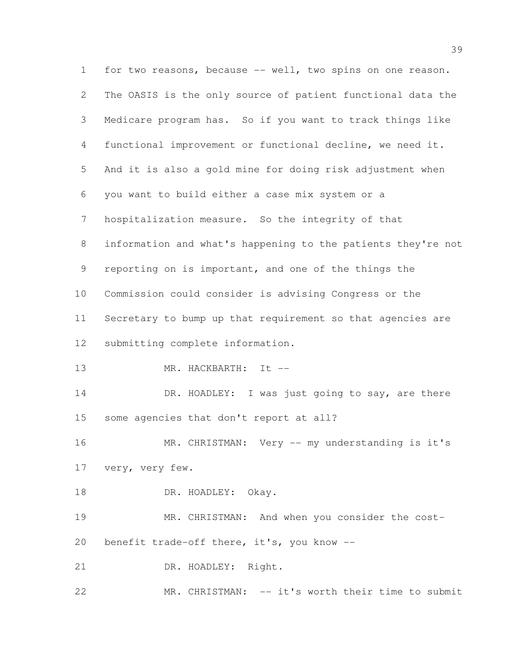for two reasons, because -- well, two spins on one reason. The OASIS is the only source of patient functional data the Medicare program has. So if you want to track things like functional improvement or functional decline, we need it. And it is also a gold mine for doing risk adjustment when you want to build either a case mix system or a hospitalization measure. So the integrity of that information and what's happening to the patients they're not reporting on is important, and one of the things the Commission could consider is advising Congress or the Secretary to bump up that requirement so that agencies are submitting complete information. 13 MR. HACKBARTH: It --14 DR. HOADLEY: I was just going to say, are there some agencies that don't report at all? 16 MR. CHRISTMAN: Very -- my understanding is it's very, very few. 18 DR. HOADLEY: Okay. MR. CHRISTMAN: And when you consider the cost- benefit trade-off there, it's, you know -- 21 DR. HOADLEY: Right. MR. CHRISTMAN: -- it's worth their time to submit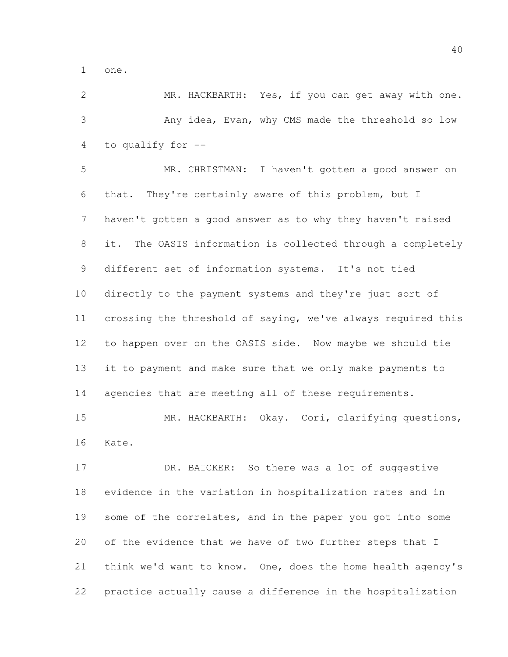one.

 MR. HACKBARTH: Yes, if you can get away with one. Any idea, Evan, why CMS made the threshold so low to qualify for --

 MR. CHRISTMAN: I haven't gotten a good answer on that. They're certainly aware of this problem, but I haven't gotten a good answer as to why they haven't raised it. The OASIS information is collected through a completely different set of information systems. It's not tied directly to the payment systems and they're just sort of crossing the threshold of saying, we've always required this to happen over on the OASIS side. Now maybe we should tie it to payment and make sure that we only make payments to 14 agencies that are meeting all of these requirements. 15 MR. HACKBARTH: Okay. Cori, clarifying questions,

Kate.

17 DR. BAICKER: So there was a lot of suggestive evidence in the variation in hospitalization rates and in 19 some of the correlates, and in the paper you got into some of the evidence that we have of two further steps that I think we'd want to know. One, does the home health agency's practice actually cause a difference in the hospitalization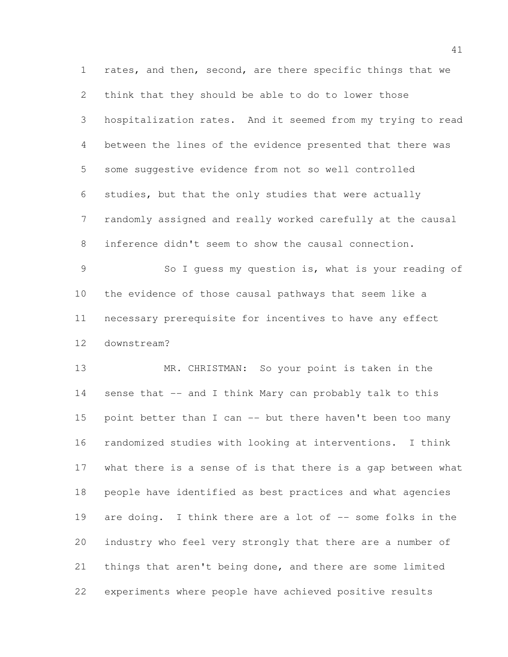rates, and then, second, are there specific things that we think that they should be able to do to lower those hospitalization rates. And it seemed from my trying to read between the lines of the evidence presented that there was some suggestive evidence from not so well controlled studies, but that the only studies that were actually randomly assigned and really worked carefully at the causal inference didn't seem to show the causal connection. So I guess my question is, what is your reading of

 the evidence of those causal pathways that seem like a necessary prerequisite for incentives to have any effect downstream?

 MR. CHRISTMAN: So your point is taken in the 14 sense that -- and I think Mary can probably talk to this point better than I can -- but there haven't been too many randomized studies with looking at interventions. I think what there is a sense of is that there is a gap between what people have identified as best practices and what agencies 19 are doing. I think there are a lot of -- some folks in the industry who feel very strongly that there are a number of things that aren't being done, and there are some limited experiments where people have achieved positive results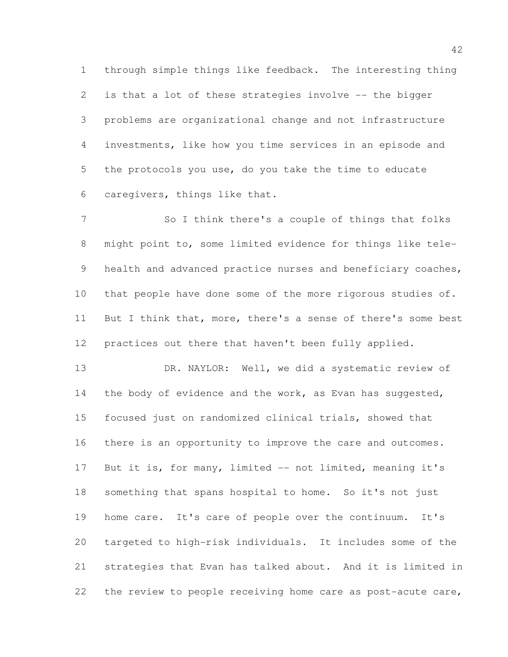through simple things like feedback. The interesting thing is that a lot of these strategies involve -- the bigger problems are organizational change and not infrastructure investments, like how you time services in an episode and the protocols you use, do you take the time to educate caregivers, things like that.

7 So I think there's a couple of things that folks might point to, some limited evidence for things like tele-9 health and advanced practice nurses and beneficiary coaches, 10 that people have done some of the more rigorous studies of. 11 But I think that, more, there's a sense of there's some best practices out there that haven't been fully applied.

13 DR. NAYLOR: Well, we did a systematic review of 14 the body of evidence and the work, as Evan has suggested, focused just on randomized clinical trials, showed that there is an opportunity to improve the care and outcomes. 17 But it is, for many, limited -- not limited, meaning it's something that spans hospital to home. So it's not just home care. It's care of people over the continuum. It's targeted to high-risk individuals. It includes some of the strategies that Evan has talked about. And it is limited in the review to people receiving home care as post-acute care,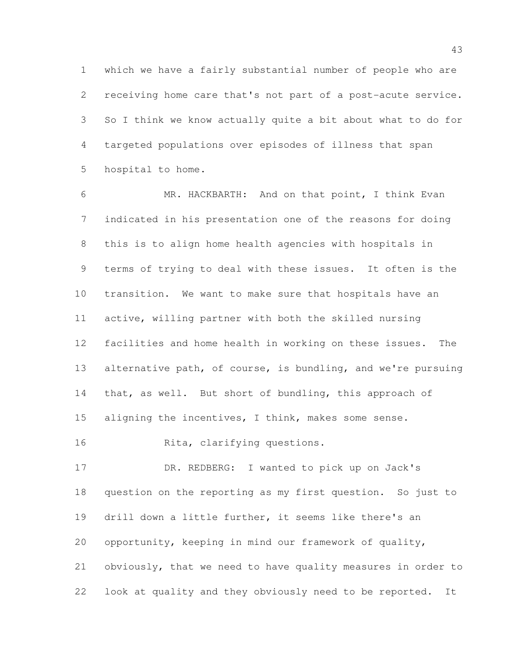which we have a fairly substantial number of people who are receiving home care that's not part of a post-acute service. So I think we know actually quite a bit about what to do for targeted populations over episodes of illness that span hospital to home.

 MR. HACKBARTH: And on that point, I think Evan indicated in his presentation one of the reasons for doing this is to align home health agencies with hospitals in terms of trying to deal with these issues. It often is the transition. We want to make sure that hospitals have an active, willing partner with both the skilled nursing facilities and home health in working on these issues. The alternative path, of course, is bundling, and we're pursuing 14 that, as well. But short of bundling, this approach of aligning the incentives, I think, makes some sense.

16 Rita, clarifying questions.

 DR. REDBERG: I wanted to pick up on Jack's question on the reporting as my first question. So just to drill down a little further, it seems like there's an opportunity, keeping in mind our framework of quality, obviously, that we need to have quality measures in order to look at quality and they obviously need to be reported. It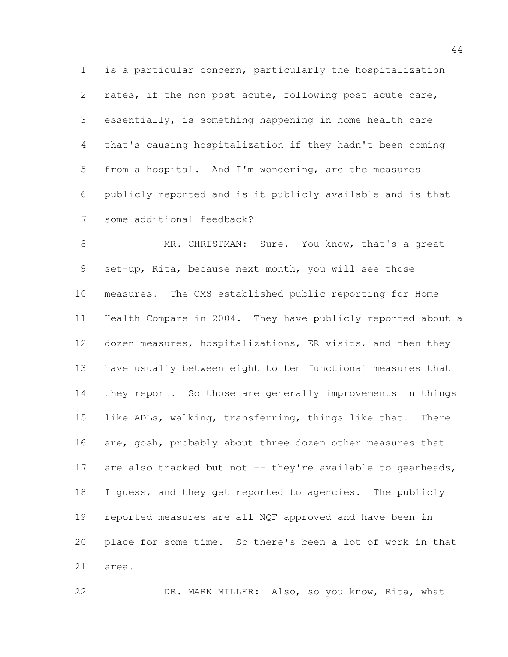is a particular concern, particularly the hospitalization rates, if the non-post-acute, following post-acute care, essentially, is something happening in home health care that's causing hospitalization if they hadn't been coming from a hospital. And I'm wondering, are the measures publicly reported and is it publicly available and is that some additional feedback?

 MR. CHRISTMAN: Sure. You know, that's a great set-up, Rita, because next month, you will see those measures. The CMS established public reporting for Home Health Compare in 2004. They have publicly reported about a 12 dozen measures, hospitalizations, ER visits, and then they have usually between eight to ten functional measures that they report. So those are generally improvements in things like ADLs, walking, transferring, things like that. There 16 are, gosh, probably about three dozen other measures that 17 are also tracked but not -- they're available to gearheads, I guess, and they get reported to agencies. The publicly reported measures are all NQF approved and have been in place for some time. So there's been a lot of work in that area.

DR. MARK MILLER: Also, so you know, Rita, what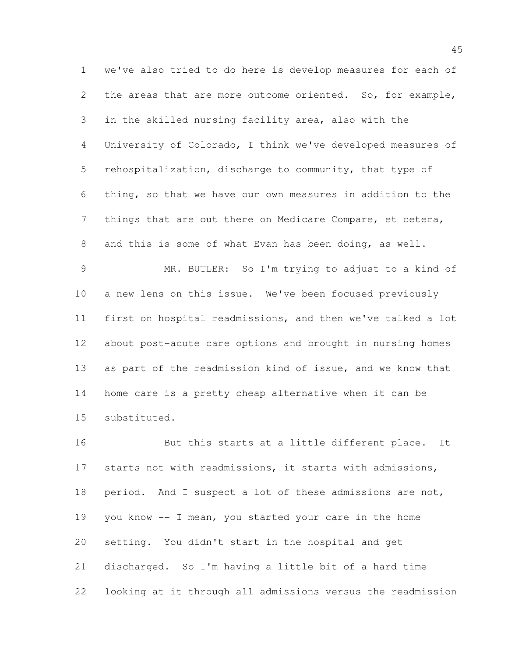we've also tried to do here is develop measures for each of the areas that are more outcome oriented. So, for example, in the skilled nursing facility area, also with the University of Colorado, I think we've developed measures of rehospitalization, discharge to community, that type of thing, so that we have our own measures in addition to the things that are out there on Medicare Compare, et cetera, and this is some of what Evan has been doing, as well. MR. BUTLER: So I'm trying to adjust to a kind of a new lens on this issue. We've been focused previously first on hospital readmissions, and then we've talked a lot about post-acute care options and brought in nursing homes as part of the readmission kind of issue, and we know that home care is a pretty cheap alternative when it can be

substituted.

16 But this starts at a little different place. It starts not with readmissions, it starts with admissions, period. And I suspect a lot of these admissions are not, you know -- I mean, you started your care in the home setting. You didn't start in the hospital and get discharged. So I'm having a little bit of a hard time looking at it through all admissions versus the readmission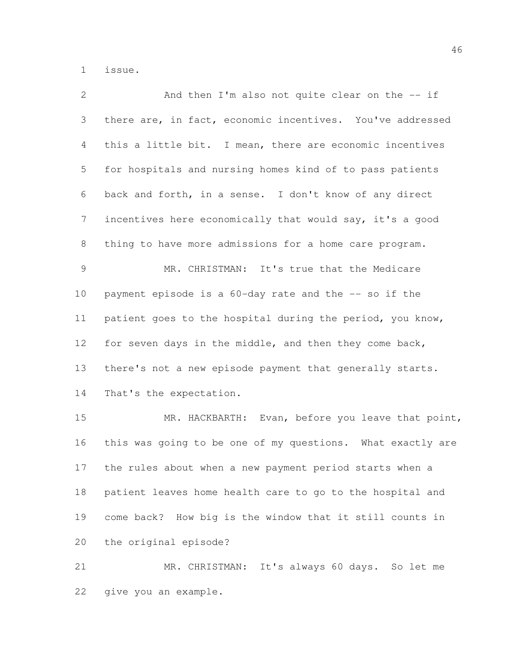issue.

| 2              | And then I'm also not quite clear on the -- if             |
|----------------|------------------------------------------------------------|
| $\mathcal{S}$  | there are, in fact, economic incentives. You've addressed  |
| $\overline{4}$ | this a little bit. I mean, there are economic incentives   |
| 5              | for hospitals and nursing homes kind of to pass patients   |
| 6              | back and forth, in a sense. I don't know of any direct     |
| 7              | incentives here economically that would say, it's a good   |
| 8              | thing to have more admissions for a home care program.     |
| 9              | MR. CHRISTMAN: It's true that the Medicare                 |
| 10             | payment episode is a 60-day rate and the -- so if the      |
| 11             | patient goes to the hospital during the period, you know,  |
| 12             | for seven days in the middle, and then they come back,     |
| 13             | there's not a new episode payment that generally starts.   |
| 14             | That's the expectation.                                    |
| 15             | MR. HACKBARTH: Evan, before you leave that point,          |
| 16             | this was going to be one of my questions. What exactly are |
| 17             | the rules about when a new payment period starts when a    |
| 18             | patient leaves home health care to go to the hospital and  |
| 19             | come back? How big is the window that it still counts in   |

the original episode?

 MR. CHRISTMAN: It's always 60 days. So let me give you an example.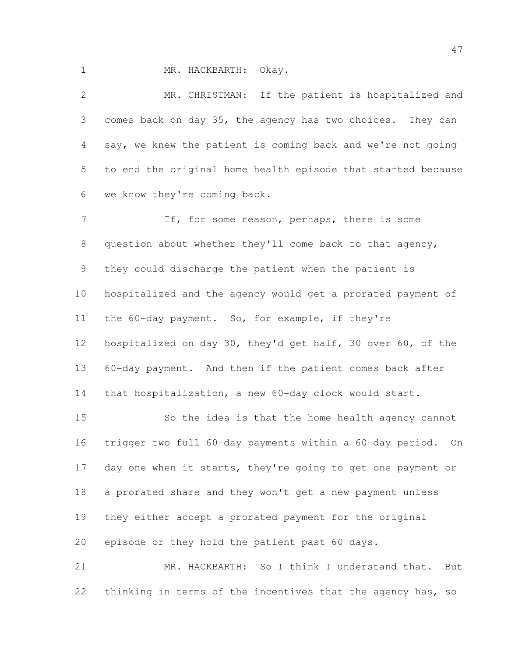MR. HACKBARTH: Okay.

 MR. CHRISTMAN: If the patient is hospitalized and comes back on day 35, the agency has two choices. They can say, we knew the patient is coming back and we're not going to end the original home health episode that started because we know they're coming back.

 If, for some reason, perhaps, there is some question about whether they'll come back to that agency, they could discharge the patient when the patient is hospitalized and the agency would get a prorated payment of the 60-day payment. So, for example, if they're hospitalized on day 30, they'd get half, 30 over 60, of the 60-day payment. And then if the patient comes back after that hospitalization, a new 60-day clock would start.

 So the idea is that the home health agency cannot trigger two full 60-day payments within a 60-day period. On 17 day one when it starts, they're going to get one payment or a prorated share and they won't get a new payment unless they either accept a prorated payment for the original episode or they hold the patient past 60 days.

 MR. HACKBARTH: So I think I understand that. But 22 thinking in terms of the incentives that the agency has, so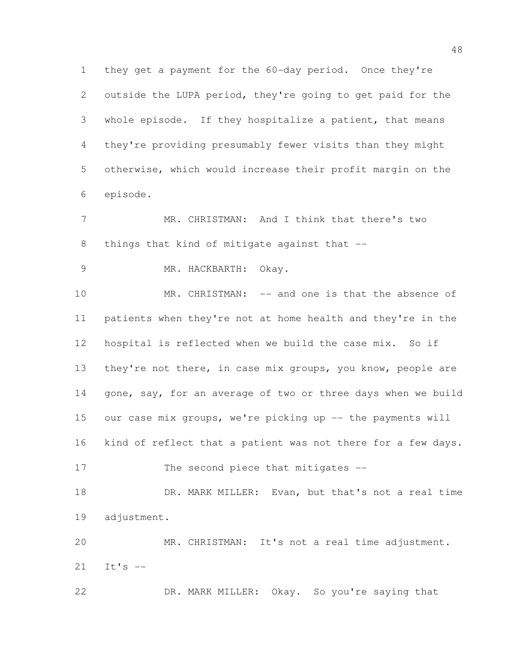they get a payment for the 60-day period. Once they're outside the LUPA period, they're going to get paid for the whole episode. If they hospitalize a patient, that means they're providing presumably fewer visits than they might otherwise, which would increase their profit margin on the episode.

 MR. CHRISTMAN: And I think that there's two 8 things that kind of mitigate against that --

MR. HACKBARTH: Okay.

 MR. CHRISTMAN: -- and one is that the absence of patients when they're not at home health and they're in the hospital is reflected when we build the case mix. So if they're not there, in case mix groups, you know, people are 14 gone, say, for an average of two or three days when we build 15 our case mix groups, we're picking up -- the payments will kind of reflect that a patient was not there for a few days. 17 The second piece that mitigates --

 DR. MARK MILLER: Evan, but that's not a real time adjustment.

 MR. CHRISTMAN: It's not a real time adjustment. It's --

DR. MARK MILLER: Okay. So you're saying that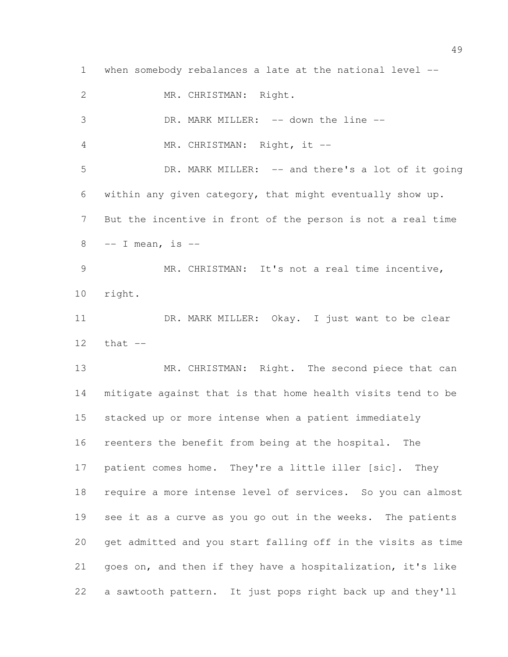when somebody rebalances a late at the national level -- MR. CHRISTMAN: Right. 3 DR. MARK MILLER: -- down the line --4 MR. CHRISTMAN: Right, it -- DR. MARK MILLER: -- and there's a lot of it going within any given category, that might eventually show up. But the incentive in front of the person is not a real time -- I mean, is -- MR. CHRISTMAN: It's not a real time incentive, right. 11 DR. MARK MILLER: Okay. I just want to be clear that -- 13 MR. CHRISTMAN: Right. The second piece that can mitigate against that is that home health visits tend to be stacked up or more intense when a patient immediately reenters the benefit from being at the hospital. The 17 patient comes home. They're a little iller [sic]. They require a more intense level of services. So you can almost see it as a curve as you go out in the weeks. The patients get admitted and you start falling off in the visits as time goes on, and then if they have a hospitalization, it's like a sawtooth pattern. It just pops right back up and they'll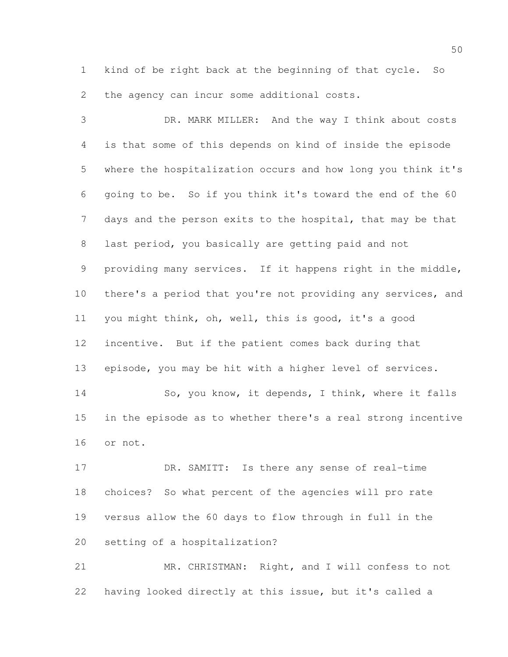kind of be right back at the beginning of that cycle. So the agency can incur some additional costs.

 DR. MARK MILLER: And the way I think about costs is that some of this depends on kind of inside the episode where the hospitalization occurs and how long you think it's going to be. So if you think it's toward the end of the 60 days and the person exits to the hospital, that may be that last period, you basically are getting paid and not providing many services. If it happens right in the middle, there's a period that you're not providing any services, and you might think, oh, well, this is good, it's a good incentive. But if the patient comes back during that episode, you may be hit with a higher level of services. 14 So, you know, it depends, I think, where it falls in the episode as to whether there's a real strong incentive or not.

 DR. SAMITT: Is there any sense of real-time choices? So what percent of the agencies will pro rate versus allow the 60 days to flow through in full in the setting of a hospitalization?

 MR. CHRISTMAN: Right, and I will confess to not having looked directly at this issue, but it's called a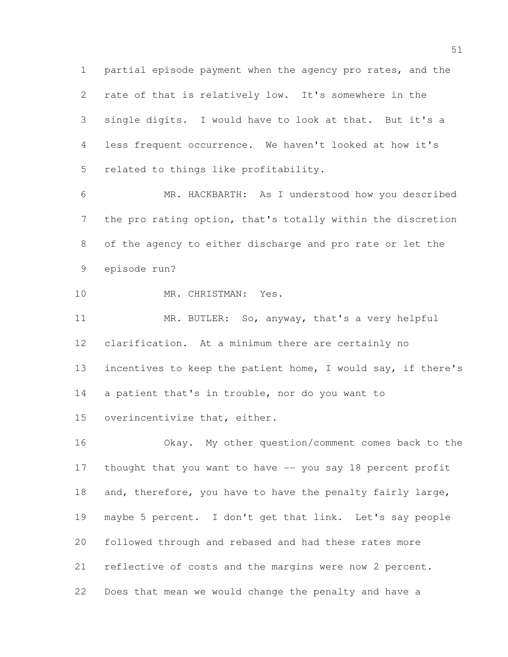partial episode payment when the agency pro rates, and the rate of that is relatively low. It's somewhere in the single digits. I would have to look at that. But it's a less frequent occurrence. We haven't looked at how it's related to things like profitability.

 MR. HACKBARTH: As I understood how you described the pro rating option, that's totally within the discretion of the agency to either discharge and pro rate or let the episode run?

MR. CHRISTMAN: Yes.

 MR. BUTLER: So, anyway, that's a very helpful clarification. At a minimum there are certainly no incentives to keep the patient home, I would say, if there's a patient that's in trouble, nor do you want to overincentivize that, either.

 Okay. My other question/comment comes back to the thought that you want to have -- you say 18 percent profit 18 and, therefore, you have to have the penalty fairly large, maybe 5 percent. I don't get that link. Let's say people followed through and rebased and had these rates more reflective of costs and the margins were now 2 percent. Does that mean we would change the penalty and have a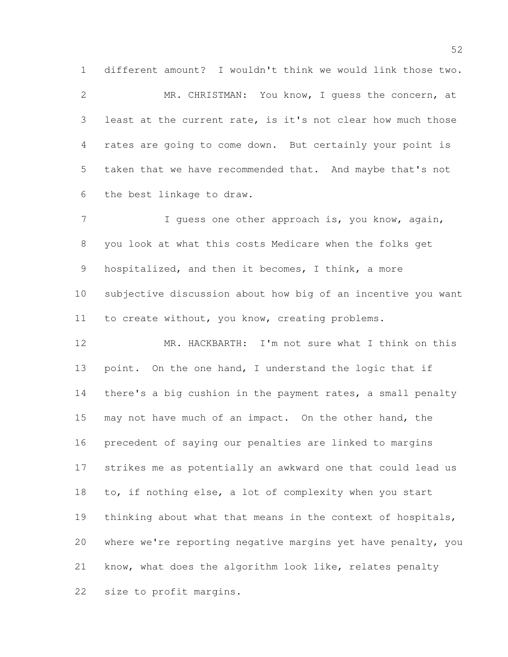MR. CHRISTMAN: You know, I guess the concern, at least at the current rate, is it's not clear how much those rates are going to come down. But certainly your point is taken that we have recommended that. And maybe that's not the best linkage to draw.

different amount? I wouldn't think we would link those two.

7 I guess one other approach is, you know, again, you look at what this costs Medicare when the folks get hospitalized, and then it becomes, I think, a more subjective discussion about how big of an incentive you want to create without, you know, creating problems.

 MR. HACKBARTH: I'm not sure what I think on this point. On the one hand, I understand the logic that if 14 there's a big cushion in the payment rates, a small penalty may not have much of an impact. On the other hand, the precedent of saying our penalties are linked to margins strikes me as potentially an awkward one that could lead us to, if nothing else, a lot of complexity when you start thinking about what that means in the context of hospitals, where we're reporting negative margins yet have penalty, you know, what does the algorithm look like, relates penalty size to profit margins.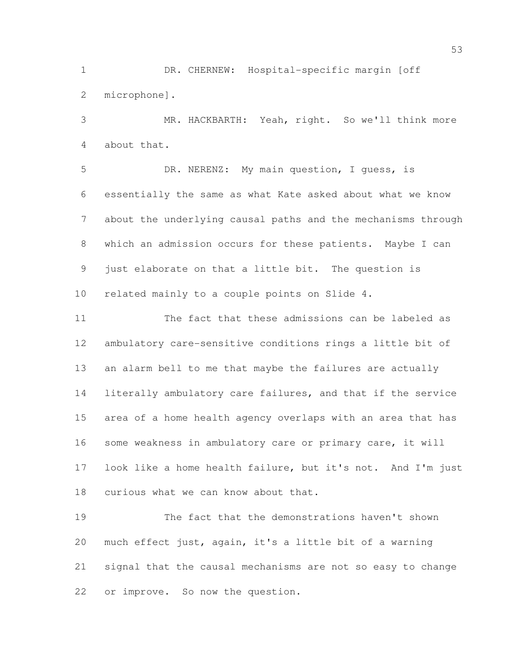DR. CHERNEW: Hospital-specific margin [off microphone].

 MR. HACKBARTH: Yeah, right. So we'll think more about that.

 DR. NERENZ: My main question, I guess, is essentially the same as what Kate asked about what we know about the underlying causal paths and the mechanisms through which an admission occurs for these patients. Maybe I can just elaborate on that a little bit. The question is related mainly to a couple points on Slide 4.

 The fact that these admissions can be labeled as ambulatory care-sensitive conditions rings a little bit of an alarm bell to me that maybe the failures are actually literally ambulatory care failures, and that if the service area of a home health agency overlaps with an area that has some weakness in ambulatory care or primary care, it will look like a home health failure, but it's not. And I'm just curious what we can know about that.

 The fact that the demonstrations haven't shown much effect just, again, it's a little bit of a warning signal that the causal mechanisms are not so easy to change or improve. So now the question.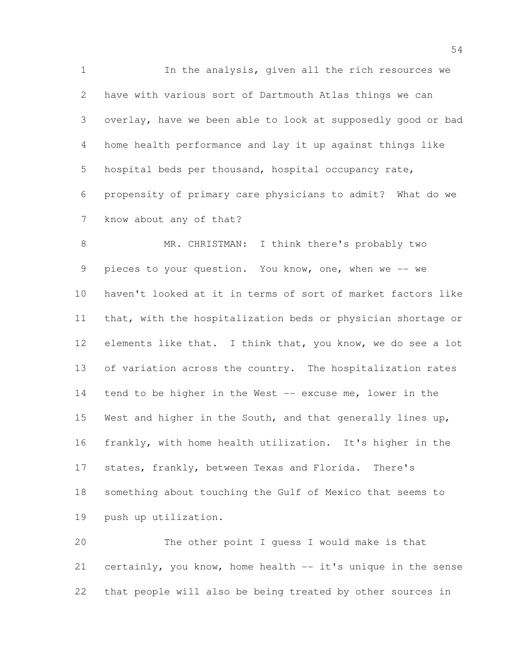In the analysis, given all the rich resources we have with various sort of Dartmouth Atlas things we can overlay, have we been able to look at supposedly good or bad home health performance and lay it up against things like hospital beds per thousand, hospital occupancy rate, propensity of primary care physicians to admit? What do we know about any of that?

8 MR. CHRISTMAN: I think there's probably two 9 pieces to your question. You know, one, when we -- we haven't looked at it in terms of sort of market factors like that, with the hospitalization beds or physician shortage or 12 elements like that. I think that, you know, we do see a lot 13 of variation across the country. The hospitalization rates tend to be higher in the West -- excuse me, lower in the West and higher in the South, and that generally lines up, frankly, with home health utilization. It's higher in the states, frankly, between Texas and Florida. There's something about touching the Gulf of Mexico that seems to push up utilization.

 The other point I guess I would make is that certainly, you know, home health -- it's unique in the sense that people will also be being treated by other sources in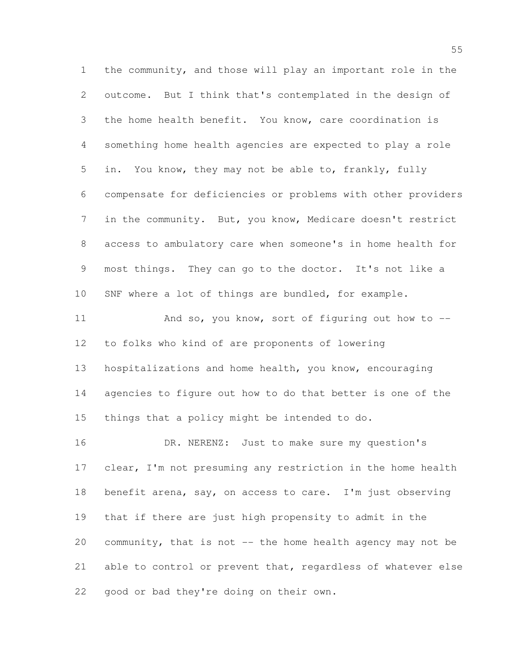the community, and those will play an important role in the outcome. But I think that's contemplated in the design of the home health benefit. You know, care coordination is something home health agencies are expected to play a role in. You know, they may not be able to, frankly, fully compensate for deficiencies or problems with other providers in the community. But, you know, Medicare doesn't restrict access to ambulatory care when someone's in home health for most things. They can go to the doctor. It's not like a SNF where a lot of things are bundled, for example. 11 And so, you know, sort of figuring out how to -- to folks who kind of are proponents of lowering hospitalizations and home health, you know, encouraging agencies to figure out how to do that better is one of the things that a policy might be intended to do. DR. NERENZ: Just to make sure my question's clear, I'm not presuming any restriction in the home health benefit arena, say, on access to care. I'm just observing that if there are just high propensity to admit in the community, that is not -- the home health agency may not be able to control or prevent that, regardless of whatever else good or bad they're doing on their own.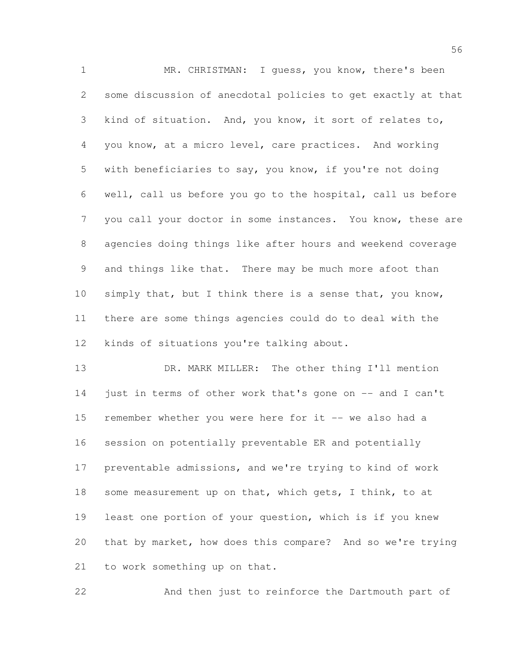MR. CHRISTMAN: I guess, you know, there's been some discussion of anecdotal policies to get exactly at that kind of situation. And, you know, it sort of relates to, you know, at a micro level, care practices. And working with beneficiaries to say, you know, if you're not doing well, call us before you go to the hospital, call us before you call your doctor in some instances. You know, these are agencies doing things like after hours and weekend coverage and things like that. There may be much more afoot than 10 simply that, but I think there is a sense that, you know, there are some things agencies could do to deal with the kinds of situations you're talking about.

 DR. MARK MILLER: The other thing I'll mention just in terms of other work that's gone on -- and I can't remember whether you were here for it -- we also had a session on potentially preventable ER and potentially preventable admissions, and we're trying to kind of work 18 some measurement up on that, which gets, I think, to at least one portion of your question, which is if you knew that by market, how does this compare? And so we're trying to work something up on that.

And then just to reinforce the Dartmouth part of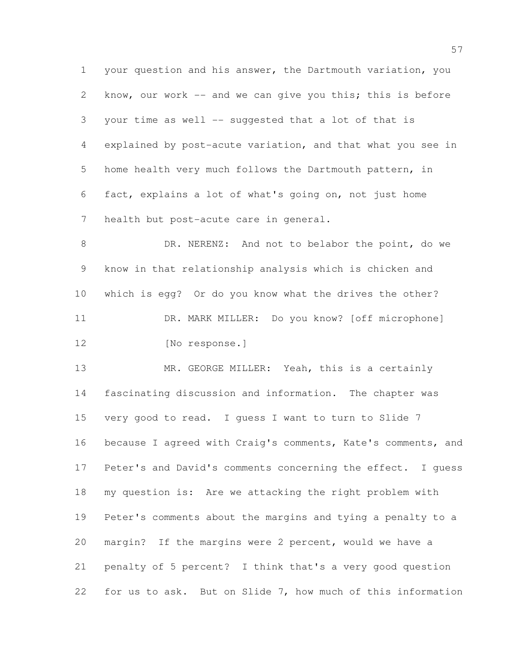your question and his answer, the Dartmouth variation, you know, our work -- and we can give you this; this is before your time as well -- suggested that a lot of that is explained by post-acute variation, and that what you see in home health very much follows the Dartmouth pattern, in fact, explains a lot of what's going on, not just home health but post-acute care in general.

8 DR. NERENZ: And not to belabor the point, do we know in that relationship analysis which is chicken and which is egg? Or do you know what the drives the other? DR. MARK MILLER: Do you know? [off microphone] 12 [No response.]

13 MR. GEORGE MILLER: Yeah, this is a certainly fascinating discussion and information. The chapter was very good to read. I guess I want to turn to Slide 7 because I agreed with Craig's comments, Kate's comments, and Peter's and David's comments concerning the effect. I guess my question is: Are we attacking the right problem with Peter's comments about the margins and tying a penalty to a margin? If the margins were 2 percent, would we have a penalty of 5 percent? I think that's a very good question for us to ask. But on Slide 7, how much of this information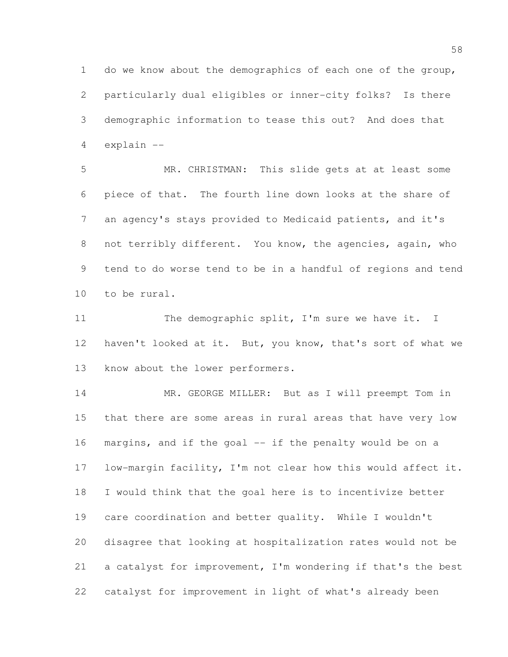do we know about the demographics of each one of the group, particularly dual eligibles or inner-city folks? Is there demographic information to tease this out? And does that explain --

 MR. CHRISTMAN: This slide gets at at least some piece of that. The fourth line down looks at the share of an agency's stays provided to Medicaid patients, and it's not terribly different. You know, the agencies, again, who tend to do worse tend to be in a handful of regions and tend to be rural.

11 The demographic split, I'm sure we have it. I haven't looked at it. But, you know, that's sort of what we know about the lower performers.

14 MR. GEORGE MILLER: But as I will preempt Tom in that there are some areas in rural areas that have very low margins, and if the goal -- if the penalty would be on a low-margin facility, I'm not clear how this would affect it. I would think that the goal here is to incentivize better care coordination and better quality. While I wouldn't disagree that looking at hospitalization rates would not be a catalyst for improvement, I'm wondering if that's the best catalyst for improvement in light of what's already been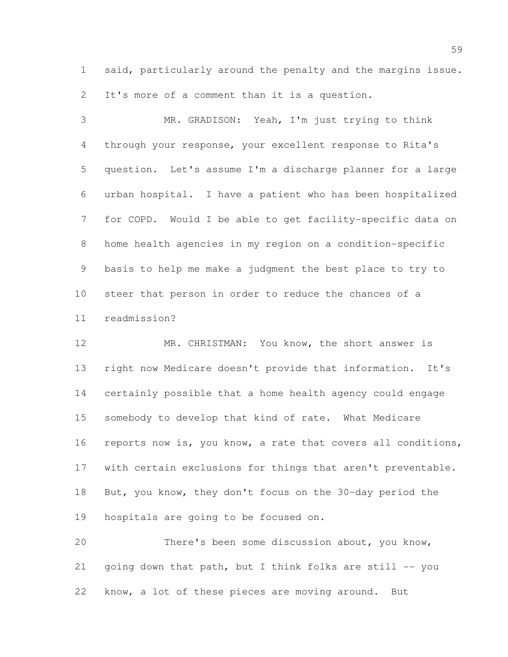said, particularly around the penalty and the margins issue. It's more of a comment than it is a question.

 MR. GRADISON: Yeah, I'm just trying to think through your response, your excellent response to Rita's question. Let's assume I'm a discharge planner for a large urban hospital. I have a patient who has been hospitalized for COPD. Would I be able to get facility-specific data on home health agencies in my region on a condition-specific basis to help me make a judgment the best place to try to steer that person in order to reduce the chances of a readmission?

 MR. CHRISTMAN: You know, the short answer is right now Medicare doesn't provide that information. It's certainly possible that a home health agency could engage somebody to develop that kind of rate. What Medicare reports now is, you know, a rate that covers all conditions, with certain exclusions for things that aren't preventable. But, you know, they don't focus on the 30-day period the hospitals are going to be focused on.

 There's been some discussion about, you know, 21 going down that path, but I think folks are still  $-$ - you know, a lot of these pieces are moving around. But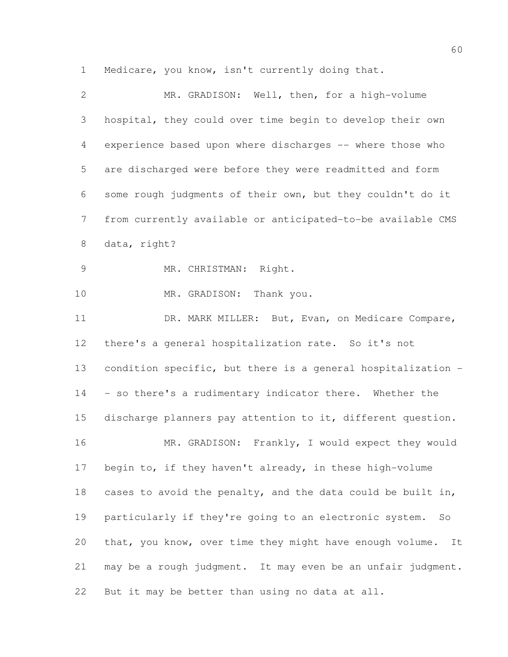Medicare, you know, isn't currently doing that.

| $\overline{2}$  | MR. GRADISON: Well, then, for a high-volume                    |
|-----------------|----------------------------------------------------------------|
| 3               | hospital, they could over time begin to develop their own      |
| 4               | experience based upon where discharges -- where those who      |
| 5               | are discharged were before they were readmitted and form       |
| 6               | some rough judgments of their own, but they couldn't do it     |
| $7\phantom{.0}$ | from currently available or anticipated-to-be available CMS    |
| $8\,$           | data, right?                                                   |
| $\mathcal{G}$   | MR. CHRISTMAN: Right.                                          |
| 10              | MR. GRADISON: Thank you.                                       |
| 11              | DR. MARK MILLER: But, Evan, on Medicare Compare,               |
| 12              | there's a general hospitalization rate. So it's not            |
| 13              | condition specific, but there is a general hospitalization -   |
| 14              | - so there's a rudimentary indicator there. Whether the        |
| 15              | discharge planners pay attention to it, different question.    |
| 16              | MR. GRADISON: Frankly, I would expect they would               |
| 17              | begin to, if they haven't already, in these high-volume        |
| 18              | cases to avoid the penalty, and the data could be built in,    |
| 19              | particularly if they're going to an electronic system.<br>So   |
| 20              | that, you know, over time they might have enough volume.<br>It |
| 21              | may be a rough judgment. It may even be an unfair judgment.    |
| 22              | But it may be better than using no data at all.                |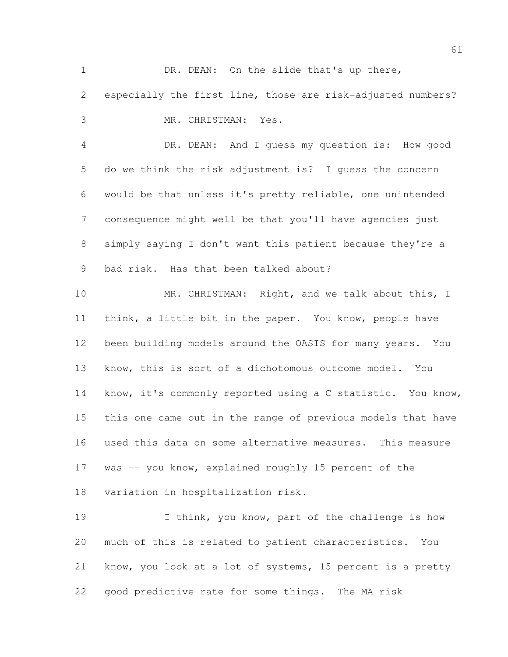1 DR. DEAN: On the slide that's up there, especially the first line, those are risk-adjusted numbers? MR. CHRISTMAN: Yes. DR. DEAN: And I guess my question is: How good do we think the risk adjustment is? I guess the concern would be that unless it's pretty reliable, one unintended consequence might well be that you'll have agencies just simply saying I don't want this patient because they're a bad risk. Has that been talked about? 10 MR. CHRISTMAN: Right, and we talk about this, I think, a little bit in the paper. You know, people have been building models around the OASIS for many years. You know, this is sort of a dichotomous outcome model. You know, it's commonly reported using a C statistic. You know, this one came out in the range of previous models that have used this data on some alternative measures. This measure 17 was -- you know, explained roughly 15 percent of the variation in hospitalization risk. 19 I think, you know, part of the challenge is how much of this is related to patient characteristics. You know, you look at a lot of systems, 15 percent is a pretty

good predictive rate for some things. The MA risk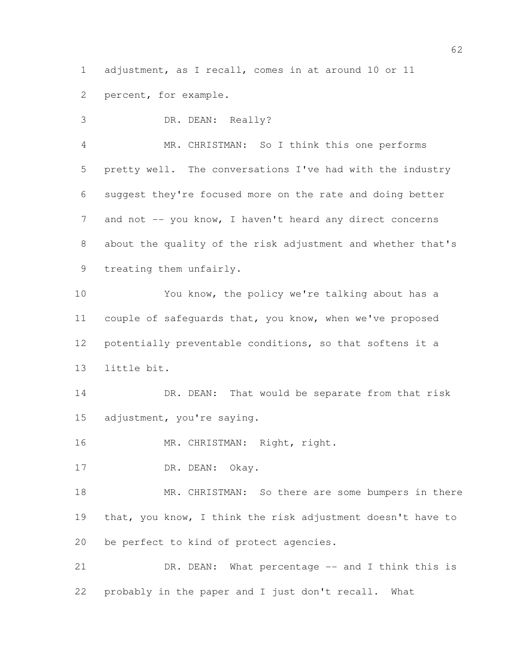adjustment, as I recall, comes in at around 10 or 11

percent, for example.

 DR. DEAN: Really? MR. CHRISTMAN: So I think this one performs pretty well. The conversations I've had with the industry suggest they're focused more on the rate and doing better 7 and not -- you know, I haven't heard any direct concerns about the quality of the risk adjustment and whether that's

treating them unfairly.

 You know, the policy we're talking about has a couple of safeguards that, you know, when we've proposed potentially preventable conditions, so that softens it a little bit.

14 DR. DEAN: That would be separate from that risk adjustment, you're saying.

16 MR. CHRISTMAN: Right, right.

17 DR. DEAN: Okay.

18 MR. CHRISTMAN: So there are some bumpers in there that, you know, I think the risk adjustment doesn't have to be perfect to kind of protect agencies.

21 DR. DEAN: What percentage -- and I think this is probably in the paper and I just don't recall. What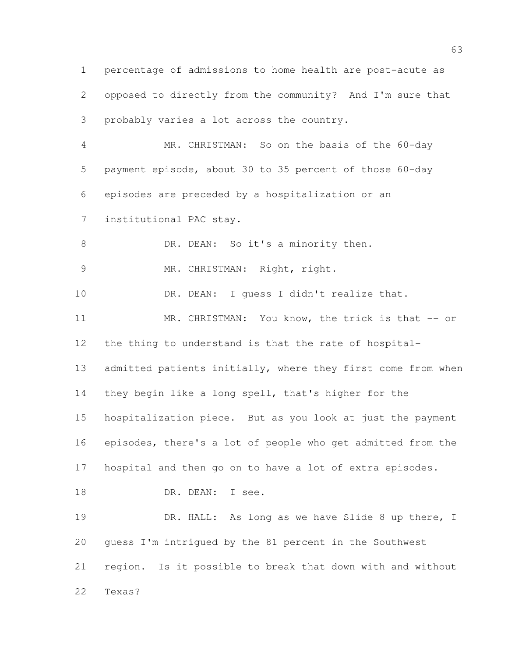percentage of admissions to home health are post-acute as opposed to directly from the community? And I'm sure that probably varies a lot across the country. MR. CHRISTMAN: So on the basis of the 60-day payment episode, about 30 to 35 percent of those 60-day episodes are preceded by a hospitalization or an institutional PAC stay. 8 DR. DEAN: So it's a minority then. 9 MR. CHRISTMAN: Right, right. 10 DR. DEAN: I guess I didn't realize that. 11 MR. CHRISTMAN: You know, the trick is that -- or the thing to understand is that the rate of hospital-13 admitted patients initially, where they first come from when they begin like a long spell, that's higher for the hospitalization piece. But as you look at just the payment episodes, there's a lot of people who get admitted from the hospital and then go on to have a lot of extra episodes. 18 DR. DEAN: I see. 19 DR. HALL: As long as we have Slide 8 up there, I guess I'm intrigued by the 81 percent in the Southwest region. Is it possible to break that down with and without Texas?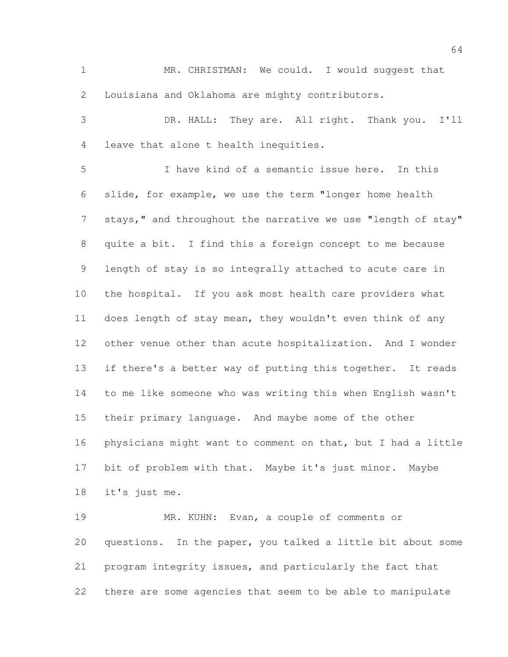MR. CHRISTMAN: We could. I would suggest that Louisiana and Oklahoma are mighty contributors.

 DR. HALL: They are. All right. Thank you. I'll leave that alone t health inequities.

 I have kind of a semantic issue here. In this slide, for example, we use the term "longer home health 7 stays," and throughout the narrative we use "length of stay" quite a bit. I find this a foreign concept to me because length of stay is so integrally attached to acute care in the hospital. If you ask most health care providers what does length of stay mean, they wouldn't even think of any other venue other than acute hospitalization. And I wonder if there's a better way of putting this together. It reads to me like someone who was writing this when English wasn't their primary language. And maybe some of the other physicians might want to comment on that, but I had a little bit of problem with that. Maybe it's just minor. Maybe it's just me.

 MR. KUHN: Evan, a couple of comments or questions. In the paper, you talked a little bit about some program integrity issues, and particularly the fact that there are some agencies that seem to be able to manipulate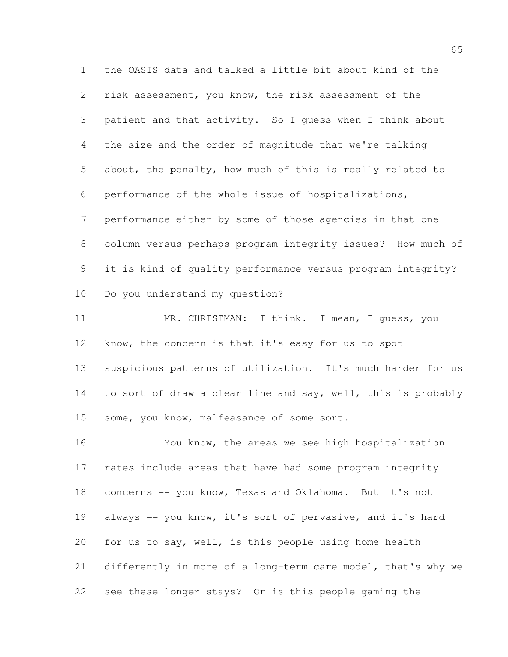the OASIS data and talked a little bit about kind of the risk assessment, you know, the risk assessment of the patient and that activity. So I guess when I think about the size and the order of magnitude that we're talking about, the penalty, how much of this is really related to performance of the whole issue of hospitalizations, performance either by some of those agencies in that one column versus perhaps program integrity issues? How much of it is kind of quality performance versus program integrity? Do you understand my question?

11 MR. CHRISTMAN: I think. I mean, I guess, you know, the concern is that it's easy for us to spot suspicious patterns of utilization. It's much harder for us to sort of draw a clear line and say, well, this is probably some, you know, malfeasance of some sort.

 You know, the areas we see high hospitalization rates include areas that have had some program integrity concerns -- you know, Texas and Oklahoma. But it's not always -- you know, it's sort of pervasive, and it's hard for us to say, well, is this people using home health differently in more of a long-term care model, that's why we see these longer stays? Or is this people gaming the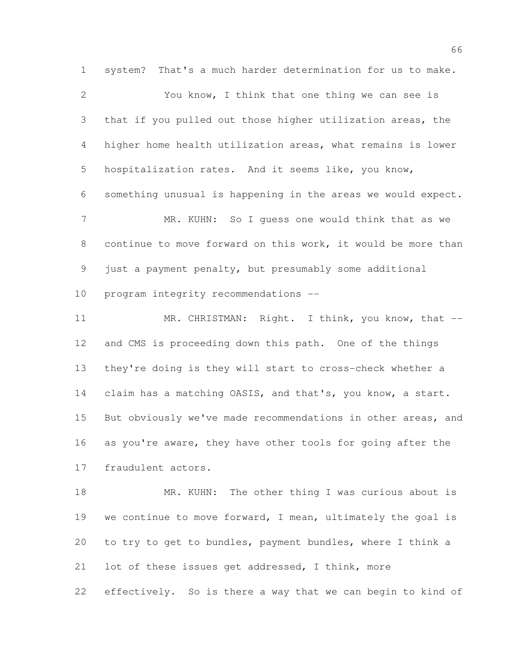system? That's a much harder determination for us to make. You know, I think that one thing we can see is that if you pulled out those higher utilization areas, the higher home health utilization areas, what remains is lower hospitalization rates. And it seems like, you know, something unusual is happening in the areas we would expect. 7 MR. KUHN: So I guess one would think that as we continue to move forward on this work, it would be more than just a payment penalty, but presumably some additional program integrity recommendations --

11 MR. CHRISTMAN: Right. I think, you know, that -- and CMS is proceeding down this path. One of the things they're doing is they will start to cross-check whether a claim has a matching OASIS, and that's, you know, a start. But obviously we've made recommendations in other areas, and 16 as you're aware, they have other tools for going after the fraudulent actors.

18 MR. KUHN: The other thing I was curious about is we continue to move forward, I mean, ultimately the goal is to try to get to bundles, payment bundles, where I think a lot of these issues get addressed, I think, more effectively. So is there a way that we can begin to kind of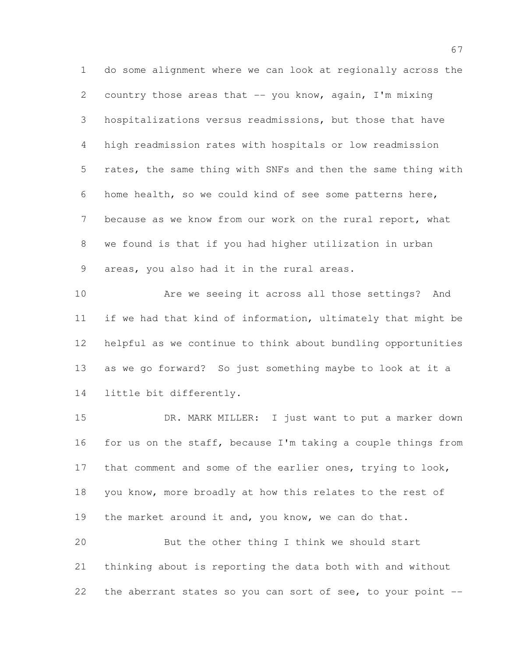do some alignment where we can look at regionally across the country those areas that -- you know, again, I'm mixing hospitalizations versus readmissions, but those that have high readmission rates with hospitals or low readmission rates, the same thing with SNFs and then the same thing with home health, so we could kind of see some patterns here, because as we know from our work on the rural report, what we found is that if you had higher utilization in urban areas, you also had it in the rural areas.

 Are we seeing it across all those settings? And if we had that kind of information, ultimately that might be helpful as we continue to think about bundling opportunities as we go forward? So just something maybe to look at it a little bit differently.

 DR. MARK MILLER: I just want to put a marker down 16 for us on the staff, because I'm taking a couple things from 17 that comment and some of the earlier ones, trying to look, you know, more broadly at how this relates to the rest of 19 the market around it and, you know, we can do that. But the other thing I think we should start thinking about is reporting the data both with and without the aberrant states so you can sort of see, to your point --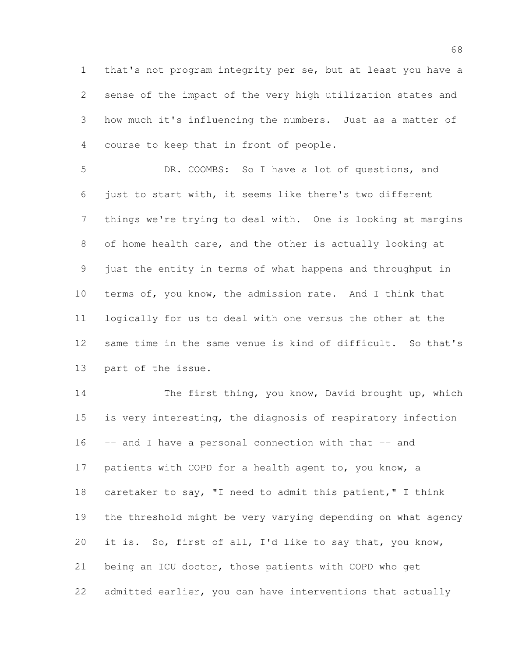that's not program integrity per se, but at least you have a sense of the impact of the very high utilization states and how much it's influencing the numbers. Just as a matter of course to keep that in front of people.

 DR. COOMBS: So I have a lot of questions, and just to start with, it seems like there's two different things we're trying to deal with. One is looking at margins of home health care, and the other is actually looking at just the entity in terms of what happens and throughput in terms of, you know, the admission rate. And I think that logically for us to deal with one versus the other at the same time in the same venue is kind of difficult. So that's part of the issue.

 The first thing, you know, David brought up, which is very interesting, the diagnosis of respiratory infection -- and I have a personal connection with that -- and 17 patients with COPD for a health agent to, you know, a caretaker to say, "I need to admit this patient," I think the threshold might be very varying depending on what agency it is. So, first of all, I'd like to say that, you know, being an ICU doctor, those patients with COPD who get admitted earlier, you can have interventions that actually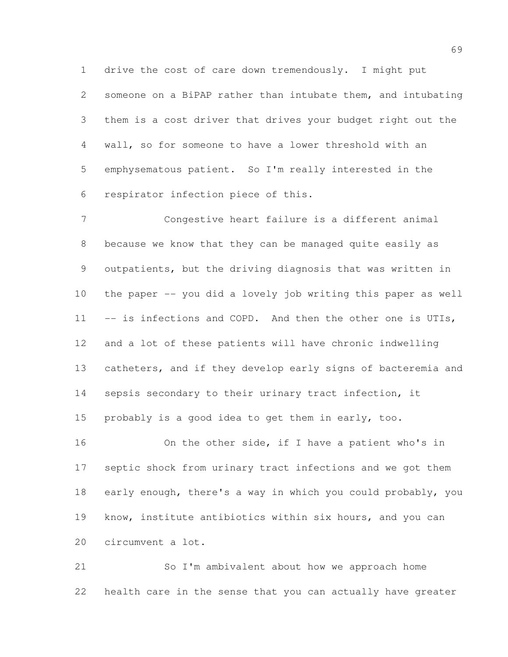drive the cost of care down tremendously. I might put someone on a BiPAP rather than intubate them, and intubating them is a cost driver that drives your budget right out the wall, so for someone to have a lower threshold with an emphysematous patient. So I'm really interested in the respirator infection piece of this.

 Congestive heart failure is a different animal because we know that they can be managed quite easily as outpatients, but the driving diagnosis that was written in the paper -- you did a lovely job writing this paper as well 11 -- is infections and COPD. And then the other one is UTIs, and a lot of these patients will have chronic indwelling catheters, and if they develop early signs of bacteremia and sepsis secondary to their urinary tract infection, it probably is a good idea to get them in early, too.

 On the other side, if I have a patient who's in septic shock from urinary tract infections and we got them early enough, there's a way in which you could probably, you know, institute antibiotics within six hours, and you can circumvent a lot.

 So I'm ambivalent about how we approach home health care in the sense that you can actually have greater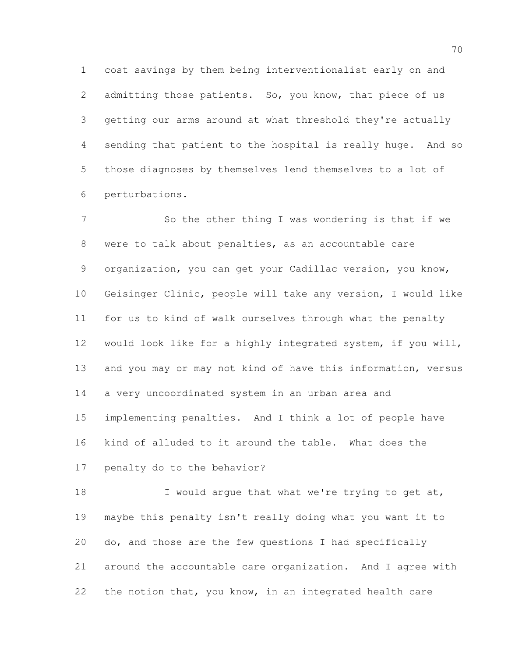cost savings by them being interventionalist early on and 2 admitting those patients. So, you know, that piece of us getting our arms around at what threshold they're actually sending that patient to the hospital is really huge. And so those diagnoses by themselves lend themselves to a lot of perturbations.

7 So the other thing I was wondering is that if we were to talk about penalties, as an accountable care organization, you can get your Cadillac version, you know, Geisinger Clinic, people will take any version, I would like for us to kind of walk ourselves through what the penalty would look like for a highly integrated system, if you will, and you may or may not kind of have this information, versus a very uncoordinated system in an urban area and implementing penalties. And I think a lot of people have kind of alluded to it around the table. What does the penalty do to the behavior?

18 I would argue that what we're trying to get at, maybe this penalty isn't really doing what you want it to do, and those are the few questions I had specifically around the accountable care organization. And I agree with the notion that, you know, in an integrated health care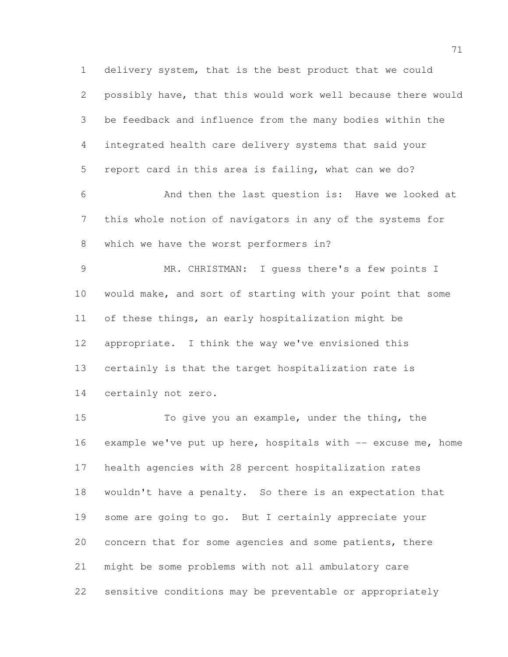delivery system, that is the best product that we could possibly have, that this would work well because there would be feedback and influence from the many bodies within the integrated health care delivery systems that said your report card in this area is failing, what can we do? And then the last question is: Have we looked at this whole notion of navigators in any of the systems for which we have the worst performers in?

 MR. CHRISTMAN: I guess there's a few points I would make, and sort of starting with your point that some of these things, an early hospitalization might be appropriate. I think the way we've envisioned this certainly is that the target hospitalization rate is certainly not zero.

 To give you an example, under the thing, the 16 example we've put up here, hospitals with  $-$  excuse me, home health agencies with 28 percent hospitalization rates wouldn't have a penalty. So there is an expectation that some are going to go. But I certainly appreciate your concern that for some agencies and some patients, there might be some problems with not all ambulatory care sensitive conditions may be preventable or appropriately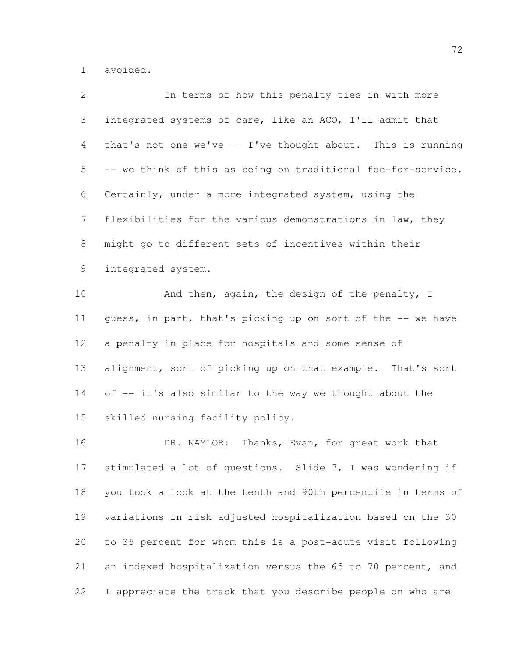avoided.

| $\overline{2}$ | In terms of how this penalty ties in with more               |
|----------------|--------------------------------------------------------------|
| 3              | integrated systems of care, like an ACO, I'll admit that     |
| $\overline{4}$ | that's not one we've -- I've thought about. This is running  |
| 5              | -- we think of this as being on traditional fee-for-service. |
| 6              | Certainly, under a more integrated system, using the         |
| 7              | flexibilities for the various demonstrations in law, they    |
| $8\,$          | might go to different sets of incentives within their        |
| 9              | integrated system.                                           |
| 10             | And then, again, the design of the penalty, I                |
| 11             | guess, in part, that's picking up on sort of the -- we have  |
| 12             | a penalty in place for hospitals and some sense of           |
| 13             | alignment, sort of picking up on that example. That's sort   |
| 14             | of -- it's also similar to the way we thought about the      |
| 15             | skilled nursing facility policy.                             |
| 16             | DR. NAYLOR:<br>Thanks, Evan, for great work that             |
| 17             | stimulated a lot of questions. Slide 7, I was wondering if   |
| 18             | you took a look at the tenth and 90th percentile in terms of |
| 19             | variations in risk adjusted hospitalization based on the 30  |
| 20             | to 35 percent for whom this is a post-acute visit following  |
| 21             | an indexed hospitalization versus the 65 to 70 percent, and  |
| 22             | I appreciate the track that you describe people on who are   |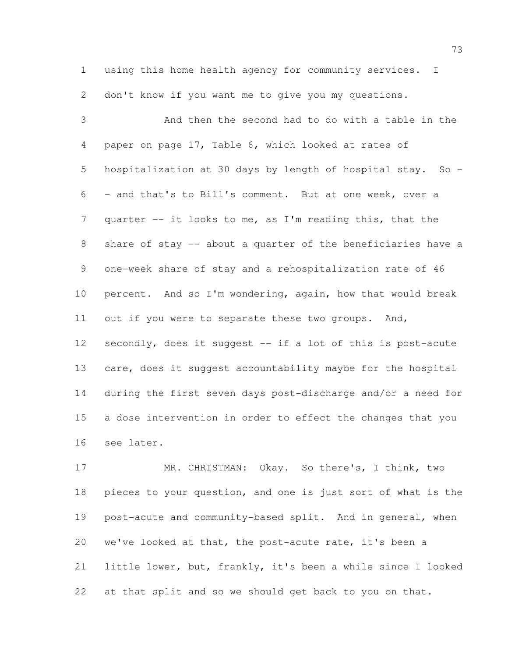using this home health agency for community services. I don't know if you want me to give you my questions.

 And then the second had to do with a table in the paper on page 17, Table 6, which looked at rates of hospitalization at 30 days by length of hospital stay. So - - and that's to Bill's comment. But at one week, over a quarter -- it looks to me, as I'm reading this, that the share of stay -- about a quarter of the beneficiaries have a one-week share of stay and a rehospitalization rate of 46 percent. And so I'm wondering, again, how that would break out if you were to separate these two groups. And, 12 secondly, does it suggest -- if a lot of this is post-acute care, does it suggest accountability maybe for the hospital during the first seven days post-discharge and/or a need for a dose intervention in order to effect the changes that you see later.

 MR. CHRISTMAN: Okay. So there's, I think, two pieces to your question, and one is just sort of what is the post-acute and community-based split. And in general, when we've looked at that, the post-acute rate, it's been a little lower, but, frankly, it's been a while since I looked at that split and so we should get back to you on that.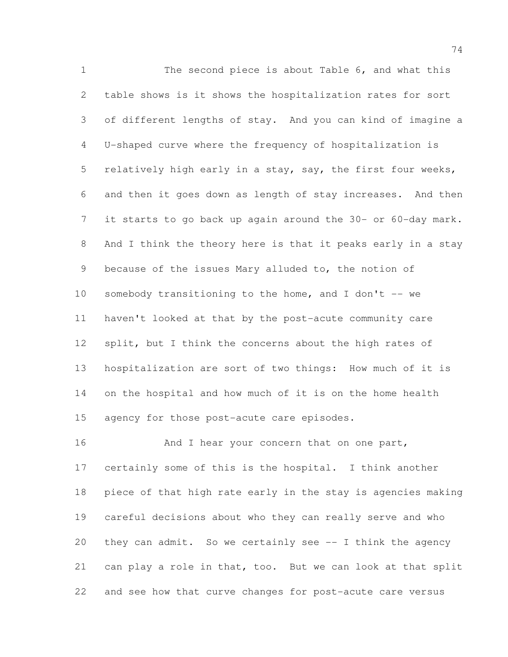The second piece is about Table 6, and what this table shows is it shows the hospitalization rates for sort of different lengths of stay. And you can kind of imagine a U-shaped curve where the frequency of hospitalization is relatively high early in a stay, say, the first four weeks, and then it goes down as length of stay increases. And then it starts to go back up again around the 30- or 60-day mark. And I think the theory here is that it peaks early in a stay because of the issues Mary alluded to, the notion of 10 somebody transitioning to the home, and I don't -- we haven't looked at that by the post-acute community care split, but I think the concerns about the high rates of hospitalization are sort of two things: How much of it is on the hospital and how much of it is on the home health agency for those post-acute care episodes.

16 And I hear your concern that on one part, certainly some of this is the hospital. I think another piece of that high rate early in the stay is agencies making careful decisions about who they can really serve and who they can admit. So we certainly see -- I think the agency can play a role in that, too. But we can look at that split and see how that curve changes for post-acute care versus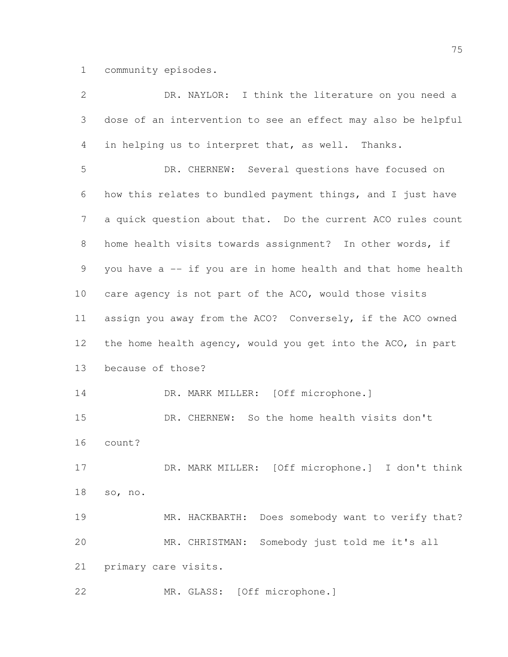community episodes.

| $\overline{2}$ | DR. NAYLOR: I think the literature on you need a             |
|----------------|--------------------------------------------------------------|
| 3              | dose of an intervention to see an effect may also be helpful |
| 4              | in helping us to interpret that, as well. Thanks.            |
| 5              | DR. CHERNEW: Several questions have focused on               |
| 6              | how this relates to bundled payment things, and I just have  |
| 7              | a quick question about that. Do the current ACO rules count  |
| $8\,$          | home health visits towards assignment? In other words, if    |
| 9              | you have a -- if you are in home health and that home health |
| 10             | care agency is not part of the ACO, would those visits       |
| 11             | assign you away from the ACO? Conversely, if the ACO owned   |
| 12             | the home health agency, would you get into the ACO, in part  |
| 13             | because of those?                                            |
| 14             | DR. MARK MILLER: [Off microphone.]                           |
| 15             | DR. CHERNEW: So the home health visits don't                 |
| 16             | count?                                                       |
| 17             | DR. MARK MILLER: [Off microphone.] I don't think             |
| 18             | so, no.                                                      |
| 19             | MR. HACKBARTH: Does somebody want to verify that?            |
| 20             | MR. CHRISTMAN: Somebody just told me it's all                |
| 21             | primary care visits.                                         |
| 22             | MR. GLASS: [Off microphone.]                                 |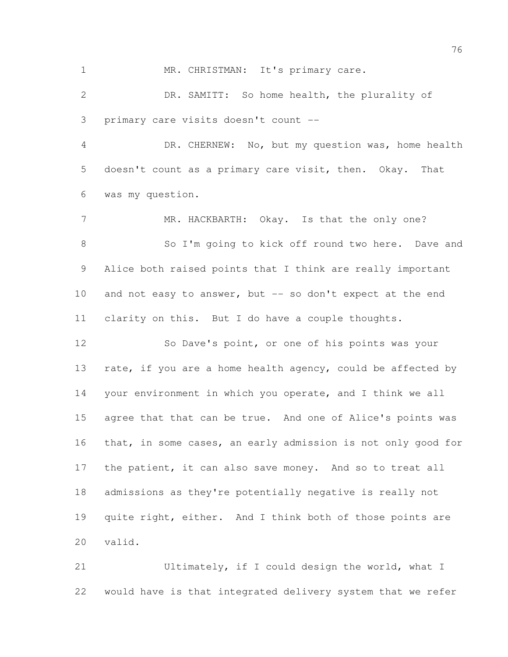1 MR. CHRISTMAN: It's primary care.

 DR. SAMITT: So home health, the plurality of primary care visits doesn't count --

 DR. CHERNEW: No, but my question was, home health doesn't count as a primary care visit, then. Okay. That was my question.

7 MR. HACKBARTH: Okay. Is that the only one? So I'm going to kick off round two here. Dave and Alice both raised points that I think are really important 10 and not easy to answer, but -- so don't expect at the end clarity on this. But I do have a couple thoughts.

 So Dave's point, or one of his points was your 13 rate, if you are a home health agency, could be affected by your environment in which you operate, and I think we all agree that that can be true. And one of Alice's points was that, in some cases, an early admission is not only good for 17 the patient, it can also save money. And so to treat all admissions as they're potentially negative is really not quite right, either. And I think both of those points are valid.

 Ultimately, if I could design the world, what I would have is that integrated delivery system that we refer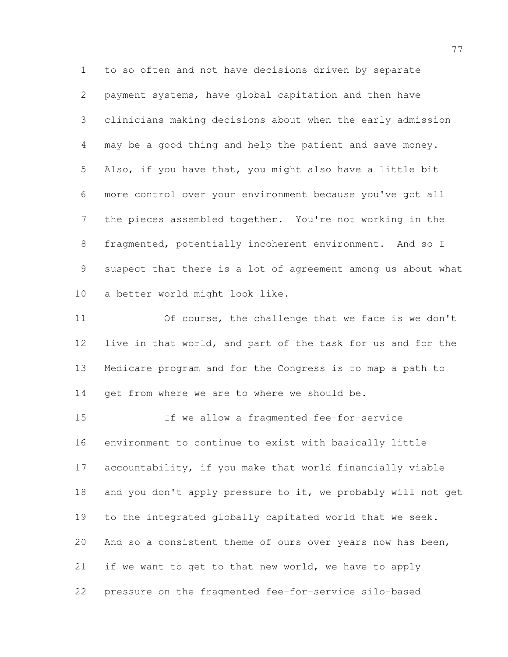to so often and not have decisions driven by separate payment systems, have global capitation and then have clinicians making decisions about when the early admission may be a good thing and help the patient and save money. Also, if you have that, you might also have a little bit more control over your environment because you've got all the pieces assembled together. You're not working in the fragmented, potentially incoherent environment. And so I suspect that there is a lot of agreement among us about what a better world might look like.

 Of course, the challenge that we face is we don't live in that world, and part of the task for us and for the Medicare program and for the Congress is to map a path to get from where we are to where we should be.

 If we allow a fragmented fee-for-service environment to continue to exist with basically little accountability, if you make that world financially viable and you don't apply pressure to it, we probably will not get to the integrated globally capitated world that we seek. And so a consistent theme of ours over years now has been, 21 if we want to get to that new world, we have to apply pressure on the fragmented fee-for-service silo-based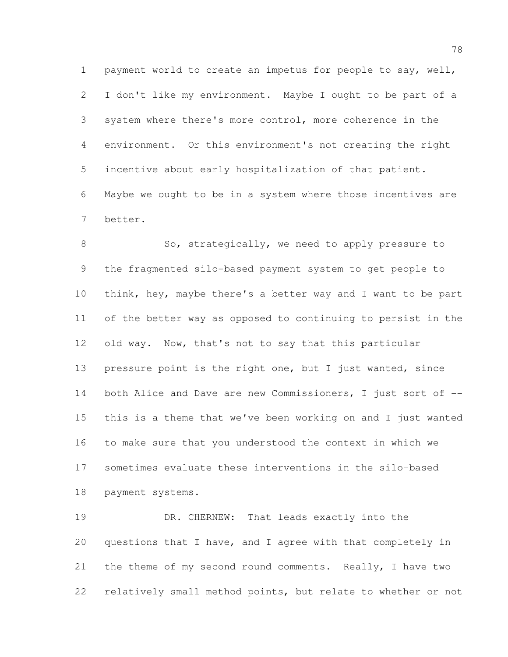payment world to create an impetus for people to say, well, I don't like my environment. Maybe I ought to be part of a system where there's more control, more coherence in the environment. Or this environment's not creating the right incentive about early hospitalization of that patient. Maybe we ought to be in a system where those incentives are better.

8 So, strategically, we need to apply pressure to the fragmented silo-based payment system to get people to think, hey, maybe there's a better way and I want to be part of the better way as opposed to continuing to persist in the old way. Now, that's not to say that this particular 13 pressure point is the right one, but I just wanted, since 14 both Alice and Dave are new Commissioners, I just sort of -- this is a theme that we've been working on and I just wanted to make sure that you understood the context in which we sometimes evaluate these interventions in the silo-based payment systems.

19 DR. CHERNEW: That leads exactly into the questions that I have, and I agree with that completely in the theme of my second round comments. Really, I have two relatively small method points, but relate to whether or not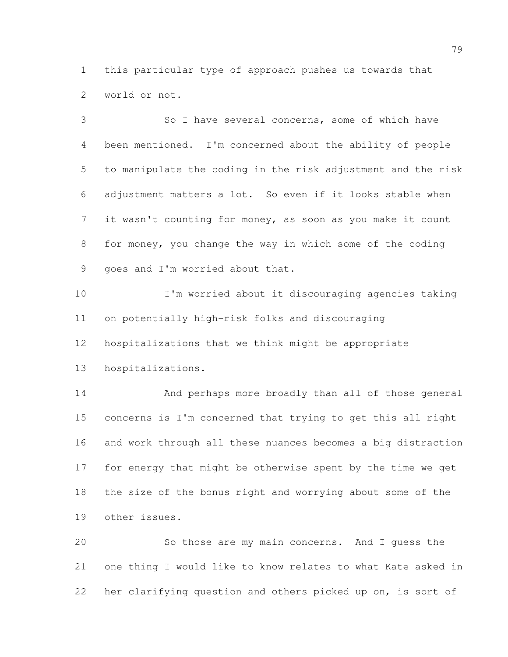this particular type of approach pushes us towards that world or not.

 So I have several concerns, some of which have been mentioned. I'm concerned about the ability of people to manipulate the coding in the risk adjustment and the risk adjustment matters a lot. So even if it looks stable when it wasn't counting for money, as soon as you make it count for money, you change the way in which some of the coding goes and I'm worried about that.

 I'm worried about it discouraging agencies taking on potentially high-risk folks and discouraging hospitalizations that we think might be appropriate

hospitalizations.

 And perhaps more broadly than all of those general concerns is I'm concerned that trying to get this all right and work through all these nuances becomes a big distraction for energy that might be otherwise spent by the time we get the size of the bonus right and worrying about some of the other issues.

 So those are my main concerns. And I guess the one thing I would like to know relates to what Kate asked in her clarifying question and others picked up on, is sort of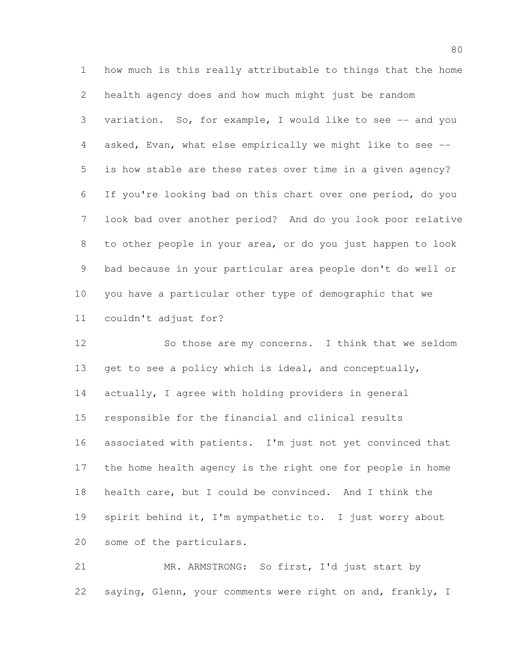how much is this really attributable to things that the home health agency does and how much might just be random variation. So, for example, I would like to see -- and you asked, Evan, what else empirically we might like to see -- is how stable are these rates over time in a given agency? If you're looking bad on this chart over one period, do you look bad over another period? And do you look poor relative to other people in your area, or do you just happen to look bad because in your particular area people don't do well or you have a particular other type of demographic that we couldn't adjust for?

 So those are my concerns. I think that we seldom get to see a policy which is ideal, and conceptually, actually, I agree with holding providers in general responsible for the financial and clinical results associated with patients. I'm just not yet convinced that the home health agency is the right one for people in home health care, but I could be convinced. And I think the spirit behind it, I'm sympathetic to. I just worry about some of the particulars.

 MR. ARMSTRONG: So first, I'd just start by saying, Glenn, your comments were right on and, frankly, I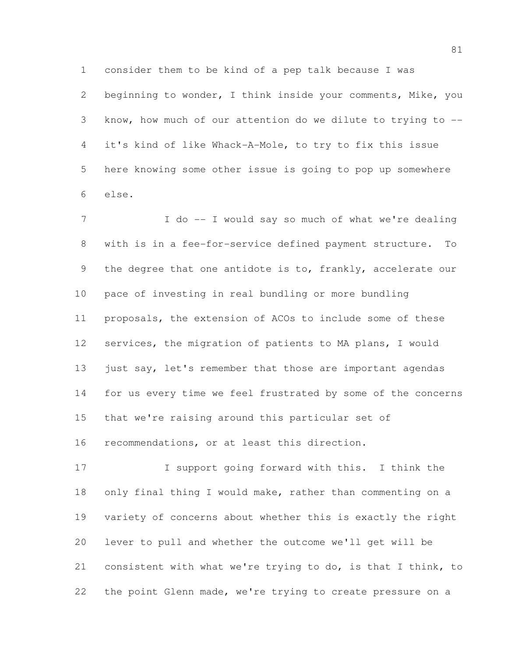consider them to be kind of a pep talk because I was

 beginning to wonder, I think inside your comments, Mike, you know, how much of our attention do we dilute to trying to -- it's kind of like Whack-A-Mole, to try to fix this issue here knowing some other issue is going to pop up somewhere else.

7 I do -- I would say so much of what we're dealing with is in a fee-for-service defined payment structure. To 9 the degree that one antidote is to, frankly, accelerate our pace of investing in real bundling or more bundling proposals, the extension of ACOs to include some of these services, the migration of patients to MA plans, I would 13 just say, let's remember that those are important agendas for us every time we feel frustrated by some of the concerns that we're raising around this particular set of recommendations, or at least this direction.

 I support going forward with this. I think the 18 only final thing I would make, rather than commenting on a variety of concerns about whether this is exactly the right lever to pull and whether the outcome we'll get will be consistent with what we're trying to do, is that I think, to the point Glenn made, we're trying to create pressure on a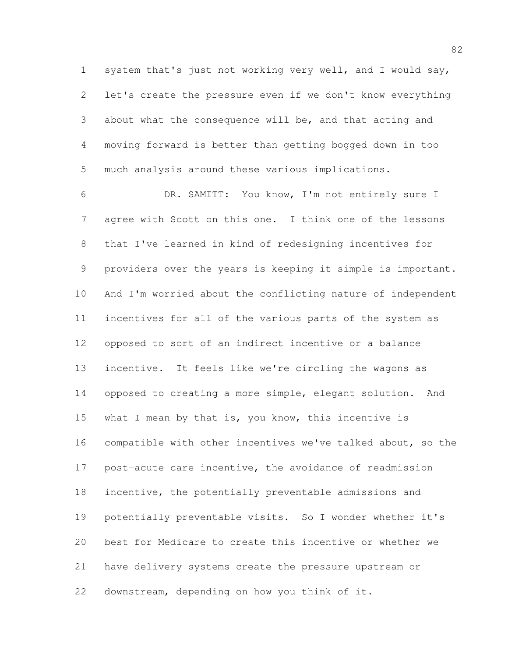system that's just not working very well, and I would say, let's create the pressure even if we don't know everything about what the consequence will be, and that acting and moving forward is better than getting bogged down in too much analysis around these various implications.

 DR. SAMITT: You know, I'm not entirely sure I agree with Scott on this one. I think one of the lessons that I've learned in kind of redesigning incentives for providers over the years is keeping it simple is important. And I'm worried about the conflicting nature of independent incentives for all of the various parts of the system as opposed to sort of an indirect incentive or a balance incentive. It feels like we're circling the wagons as opposed to creating a more simple, elegant solution. And 15 what I mean by that is, you know, this incentive is compatible with other incentives we've talked about, so the post-acute care incentive, the avoidance of readmission incentive, the potentially preventable admissions and potentially preventable visits. So I wonder whether it's best for Medicare to create this incentive or whether we have delivery systems create the pressure upstream or downstream, depending on how you think of it.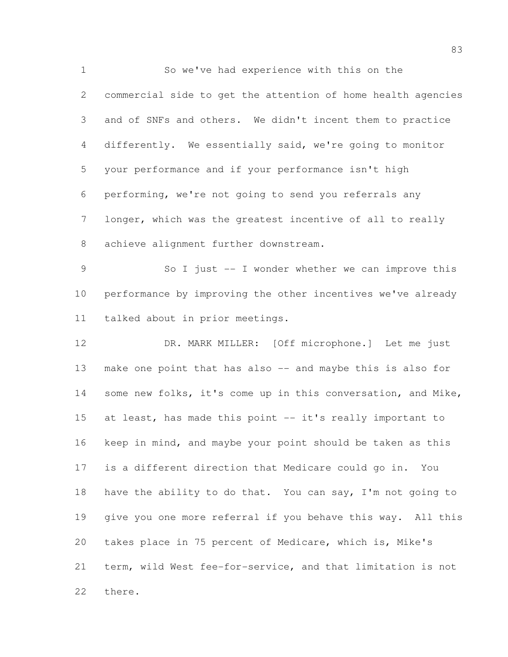So we've had experience with this on the commercial side to get the attention of home health agencies and of SNFs and others. We didn't incent them to practice differently. We essentially said, we're going to monitor your performance and if your performance isn't high performing, we're not going to send you referrals any longer, which was the greatest incentive of all to really achieve alignment further downstream.

 So I just -- I wonder whether we can improve this performance by improving the other incentives we've already talked about in prior meetings.

 DR. MARK MILLER: [Off microphone.] Let me just make one point that has also -- and maybe this is also for some new folks, it's come up in this conversation, and Mike, 15 at least, has made this point -- it's really important to keep in mind, and maybe your point should be taken as this is a different direction that Medicare could go in. You 18 have the ability to do that. You can say, I'm not going to give you one more referral if you behave this way. All this takes place in 75 percent of Medicare, which is, Mike's term, wild West fee-for-service, and that limitation is not there.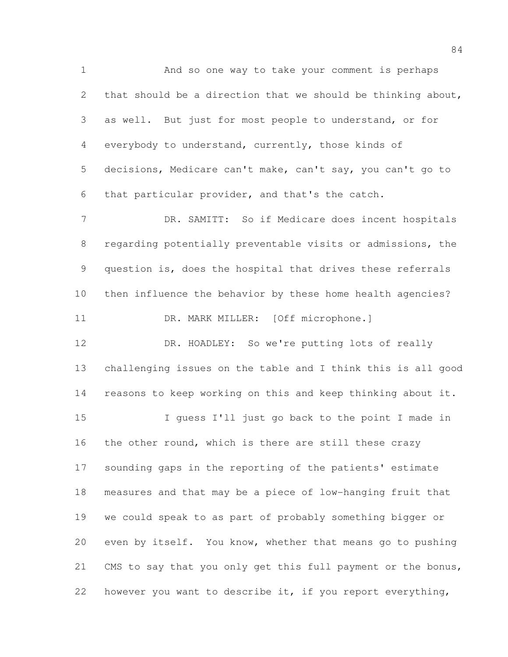And so one way to take your comment is perhaps that should be a direction that we should be thinking about, as well. But just for most people to understand, or for everybody to understand, currently, those kinds of decisions, Medicare can't make, can't say, you can't go to that particular provider, and that's the catch. 7 DR. SAMITT: So if Medicare does incent hospitals regarding potentially preventable visits or admissions, the question is, does the hospital that drives these referrals then influence the behavior by these home health agencies? 11 DR. MARK MILLER: [Off microphone.] DR. HOADLEY: So we're putting lots of really challenging issues on the table and I think this is all good reasons to keep working on this and keep thinking about it. I guess I'll just go back to the point I made in 16 the other round, which is there are still these crazy sounding gaps in the reporting of the patients' estimate measures and that may be a piece of low-hanging fruit that we could speak to as part of probably something bigger or even by itself. You know, whether that means go to pushing CMS to say that you only get this full payment or the bonus, however you want to describe it, if you report everything,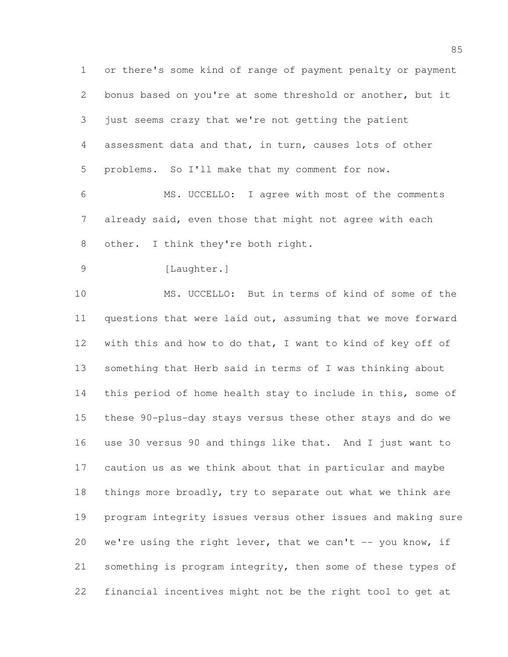or there's some kind of range of payment penalty or payment bonus based on you're at some threshold or another, but it just seems crazy that we're not getting the patient assessment data and that, in turn, causes lots of other problems. So I'll make that my comment for now.

 MS. UCCELLO: I agree with most of the comments already said, even those that might not agree with each 8 other. I think they're both right.

9 [Laughter.]

 MS. UCCELLO: But in terms of kind of some of the questions that were laid out, assuming that we move forward with this and how to do that, I want to kind of key off of something that Herb said in terms of I was thinking about this period of home health stay to include in this, some of these 90-plus-day stays versus these other stays and do we use 30 versus 90 and things like that. And I just want to caution us as we think about that in particular and maybe 18 things more broadly, try to separate out what we think are program integrity issues versus other issues and making sure 20 we're using the right lever, that we can't  $-$ - you know, if something is program integrity, then some of these types of financial incentives might not be the right tool to get at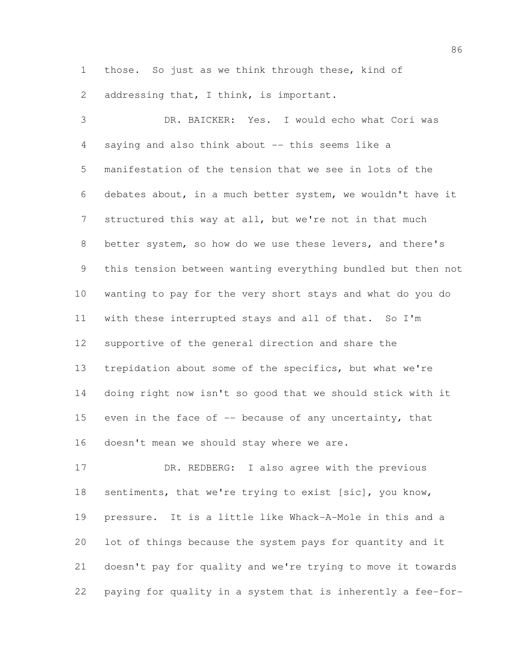those. So just as we think through these, kind of 2 addressing that, I think, is important.

 DR. BAICKER: Yes. I would echo what Cori was saying and also think about -- this seems like a manifestation of the tension that we see in lots of the debates about, in a much better system, we wouldn't have it structured this way at all, but we're not in that much better system, so how do we use these levers, and there's this tension between wanting everything bundled but then not wanting to pay for the very short stays and what do you do with these interrupted stays and all of that. So I'm supportive of the general direction and share the trepidation about some of the specifics, but what we're doing right now isn't so good that we should stick with it 15 even in the face of  $-$  because of any uncertainty, that doesn't mean we should stay where we are.

 DR. REDBERG: I also agree with the previous sentiments, that we're trying to exist [sic], you know, pressure. It is a little like Whack-A-Mole in this and a lot of things because the system pays for quantity and it doesn't pay for quality and we're trying to move it towards paying for quality in a system that is inherently a fee-for-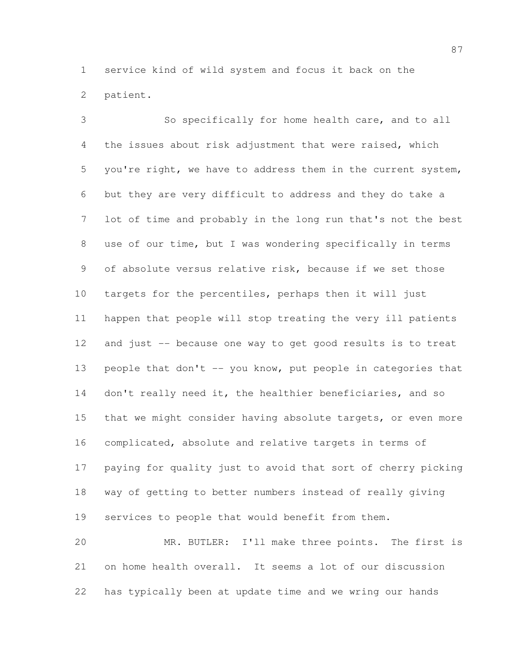service kind of wild system and focus it back on the patient.

 So specifically for home health care, and to all the issues about risk adjustment that were raised, which you're right, we have to address them in the current system, but they are very difficult to address and they do take a lot of time and probably in the long run that's not the best use of our time, but I was wondering specifically in terms of absolute versus relative risk, because if we set those targets for the percentiles, perhaps then it will just happen that people will stop treating the very ill patients and just -- because one way to get good results is to treat people that don't -- you know, put people in categories that 14 don't really need it, the healthier beneficiaries, and so that we might consider having absolute targets, or even more complicated, absolute and relative targets in terms of paying for quality just to avoid that sort of cherry picking way of getting to better numbers instead of really giving services to people that would benefit from them. MR. BUTLER: I'll make three points. The first is on home health overall. It seems a lot of our discussion

has typically been at update time and we wring our hands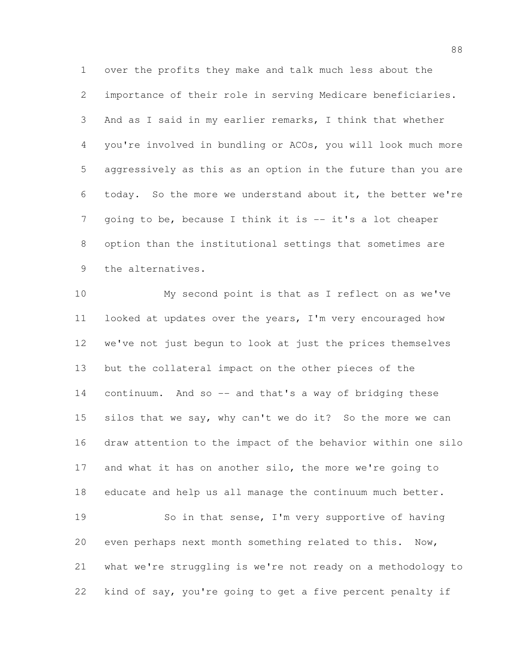over the profits they make and talk much less about the importance of their role in serving Medicare beneficiaries. And as I said in my earlier remarks, I think that whether you're involved in bundling or ACOs, you will look much more aggressively as this as an option in the future than you are today. So the more we understand about it, the better we're going to be, because I think it is -- it's a lot cheaper option than the institutional settings that sometimes are the alternatives.

 My second point is that as I reflect on as we've looked at updates over the years, I'm very encouraged how we've not just begun to look at just the prices themselves but the collateral impact on the other pieces of the continuum. And so -- and that's a way of bridging these silos that we say, why can't we do it? So the more we can draw attention to the impact of the behavior within one silo and what it has on another silo, the more we're going to educate and help us all manage the continuum much better. So in that sense, I'm very supportive of having even perhaps next month something related to this. Now, what we're struggling is we're not ready on a methodology to kind of say, you're going to get a five percent penalty if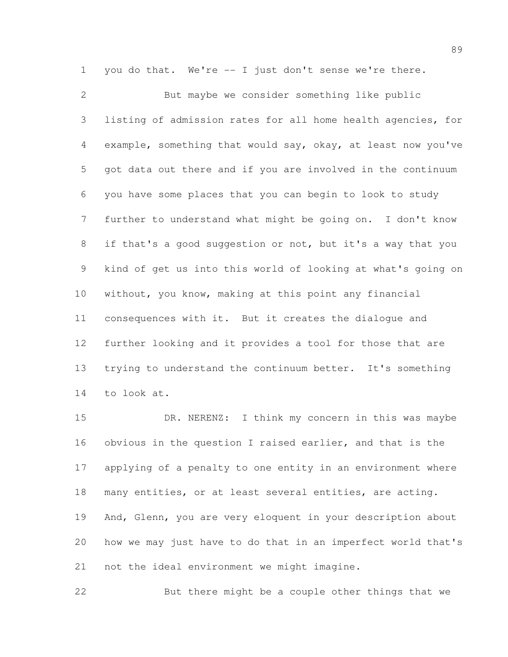you do that. We're -- I just don't sense we're there.

 But maybe we consider something like public listing of admission rates for all home health agencies, for example, something that would say, okay, at least now you've got data out there and if you are involved in the continuum you have some places that you can begin to look to study further to understand what might be going on. I don't know if that's a good suggestion or not, but it's a way that you kind of get us into this world of looking at what's going on without, you know, making at this point any financial consequences with it. But it creates the dialogue and further looking and it provides a tool for those that are trying to understand the continuum better. It's something to look at.

 DR. NERENZ: I think my concern in this was maybe obvious in the question I raised earlier, and that is the applying of a penalty to one entity in an environment where many entities, or at least several entities, are acting. And, Glenn, you are very eloquent in your description about how we may just have to do that in an imperfect world that's not the ideal environment we might imagine.

But there might be a couple other things that we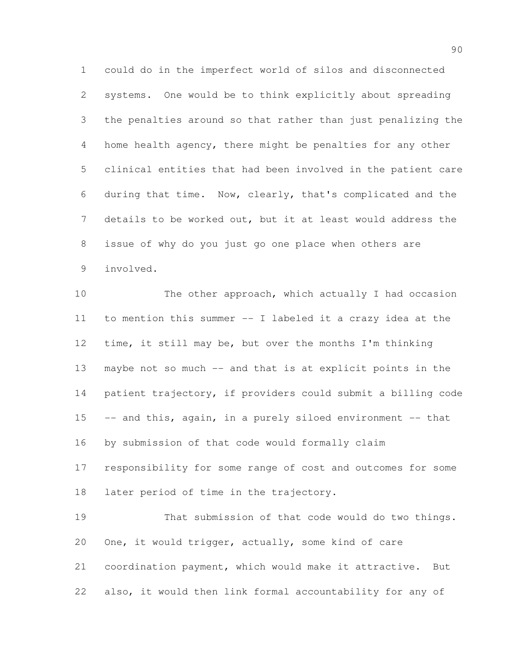could do in the imperfect world of silos and disconnected systems. One would be to think explicitly about spreading the penalties around so that rather than just penalizing the home health agency, there might be penalties for any other clinical entities that had been involved in the patient care during that time. Now, clearly, that's complicated and the details to be worked out, but it at least would address the issue of why do you just go one place when others are involved.

10 The other approach, which actually I had occasion to mention this summer -- I labeled it a crazy idea at the time, it still may be, but over the months I'm thinking maybe not so much -- and that is at explicit points in the patient trajectory, if providers could submit a billing code -- and this, again, in a purely siloed environment -- that by submission of that code would formally claim responsibility for some range of cost and outcomes for some 18 later period of time in the trajectory. That submission of that code would do two things. One, it would trigger, actually, some kind of care

 coordination payment, which would make it attractive. But also, it would then link formal accountability for any of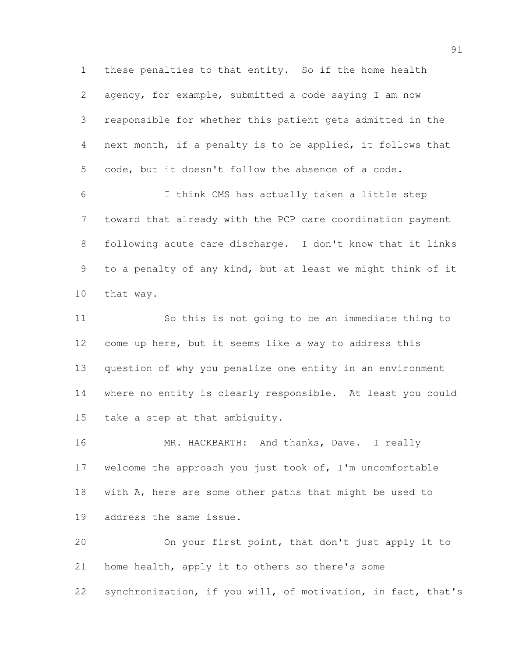these penalties to that entity. So if the home health agency, for example, submitted a code saying I am now responsible for whether this patient gets admitted in the next month, if a penalty is to be applied, it follows that code, but it doesn't follow the absence of a code.

 I think CMS has actually taken a little step toward that already with the PCP care coordination payment following acute care discharge. I don't know that it links to a penalty of any kind, but at least we might think of it that way.

 So this is not going to be an immediate thing to come up here, but it seems like a way to address this question of why you penalize one entity in an environment where no entity is clearly responsible. At least you could take a step at that ambiguity.

16 MR. HACKBARTH: And thanks, Dave. I really welcome the approach you just took of, I'm uncomfortable with A, here are some other paths that might be used to address the same issue.

 On your first point, that don't just apply it to home health, apply it to others so there's some synchronization, if you will, of motivation, in fact, that's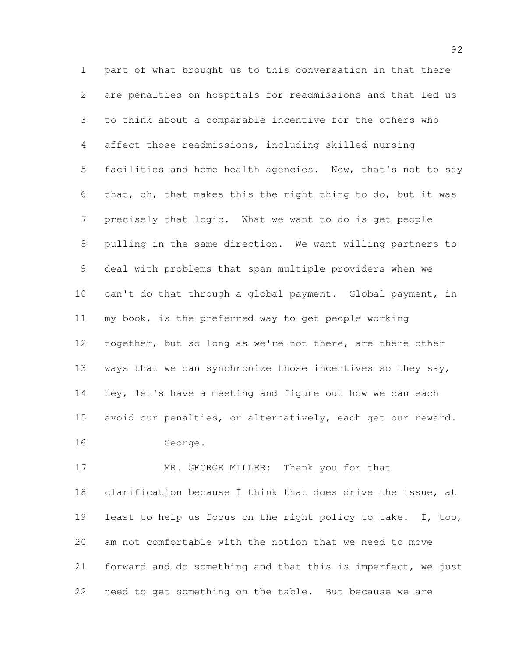part of what brought us to this conversation in that there are penalties on hospitals for readmissions and that led us to think about a comparable incentive for the others who affect those readmissions, including skilled nursing facilities and home health agencies. Now, that's not to say that, oh, that makes this the right thing to do, but it was precisely that logic. What we want to do is get people pulling in the same direction. We want willing partners to deal with problems that span multiple providers when we can't do that through a global payment. Global payment, in my book, is the preferred way to get people working 12 together, but so long as we're not there, are there other 13 ways that we can synchronize those incentives so they say, hey, let's have a meeting and figure out how we can each avoid our penalties, or alternatively, each get our reward. George.

 MR. GEORGE MILLER: Thank you for that clarification because I think that does drive the issue, at least to help us focus on the right policy to take. I, too, am not comfortable with the notion that we need to move forward and do something and that this is imperfect, we just need to get something on the table. But because we are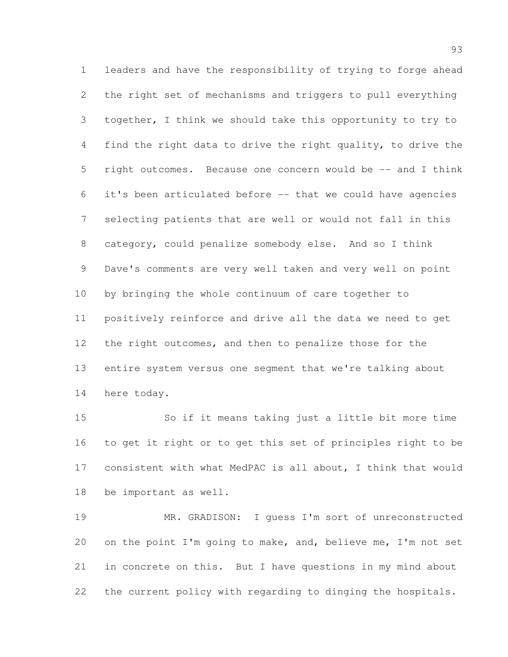leaders and have the responsibility of trying to forge ahead the right set of mechanisms and triggers to pull everything together, I think we should take this opportunity to try to find the right data to drive the right quality, to drive the right outcomes. Because one concern would be -- and I think it's been articulated before -- that we could have agencies selecting patients that are well or would not fall in this category, could penalize somebody else. And so I think Dave's comments are very well taken and very well on point by bringing the whole continuum of care together to positively reinforce and drive all the data we need to get the right outcomes, and then to penalize those for the entire system versus one segment that we're talking about here today.

 So if it means taking just a little bit more time to get it right or to get this set of principles right to be consistent with what MedPAC is all about, I think that would be important as well.

 MR. GRADISON: I guess I'm sort of unreconstructed on the point I'm going to make, and, believe me, I'm not set in concrete on this. But I have questions in my mind about the current policy with regarding to dinging the hospitals.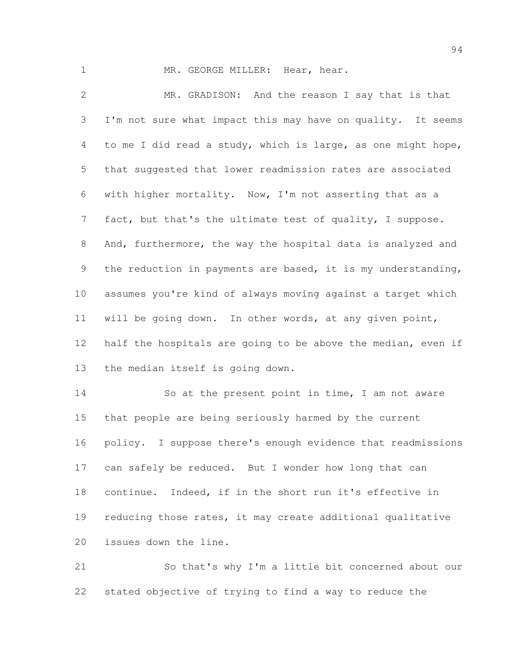1 MR. GEORGE MILLER: Hear, hear.

 MR. GRADISON: And the reason I say that is that I'm not sure what impact this may have on quality. It seems to me I did read a study, which is large, as one might hope, that suggested that lower readmission rates are associated with higher mortality. Now, I'm not asserting that as a fact, but that's the ultimate test of quality, I suppose. And, furthermore, the way the hospital data is analyzed and the reduction in payments are based, it is my understanding, assumes you're kind of always moving against a target which will be going down. In other words, at any given point, half the hospitals are going to be above the median, even if the median itself is going down.

 So at the present point in time, I am not aware that people are being seriously harmed by the current policy. I suppose there's enough evidence that readmissions 17 can safely be reduced. But I wonder how long that can continue. Indeed, if in the short run it's effective in 19 reducing those rates, it may create additional qualitative issues down the line.

 So that's why I'm a little bit concerned about our stated objective of trying to find a way to reduce the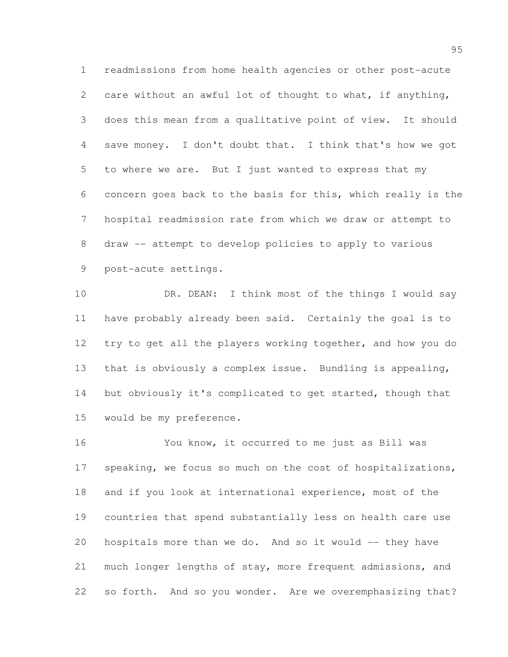readmissions from home health agencies or other post-acute care without an awful lot of thought to what, if anything, does this mean from a qualitative point of view. It should save money. I don't doubt that. I think that's how we got to where we are. But I just wanted to express that my concern goes back to the basis for this, which really is the hospital readmission rate from which we draw or attempt to draw -- attempt to develop policies to apply to various post-acute settings.

10 DR. DEAN: I think most of the things I would say have probably already been said. Certainly the goal is to try to get all the players working together, and how you do that is obviously a complex issue. Bundling is appealing, 14 but obviously it's complicated to get started, though that would be my preference.

 You know, it occurred to me just as Bill was 17 speaking, we focus so much on the cost of hospitalizations, and if you look at international experience, most of the countries that spend substantially less on health care use hospitals more than we do. And so it would -- they have much longer lengths of stay, more frequent admissions, and so forth. And so you wonder. Are we overemphasizing that?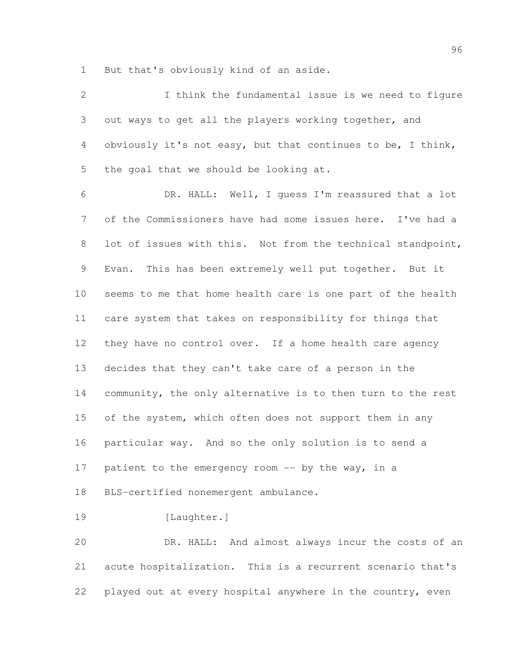But that's obviously kind of an aside.

| $\mathbf{2}$   | I think the fundamental issue is we need to figure          |
|----------------|-------------------------------------------------------------|
| 3              | out ways to get all the players working together, and       |
| $\overline{4}$ | obviously it's not easy, but that continues to be, I think, |
| 5              | the goal that we should be looking at.                      |
| 6              | DR. HALL: Well, I guess I'm reassured that a lot            |
| 7              | of the Commissioners have had some issues here. I've had a  |
| 8              | lot of issues with this. Not from the technical standpoint, |
| 9              | Evan. This has been extremely well put together. But it     |
| 10             | seems to me that home health care is one part of the health |
| 11             | care system that takes on responsibility for things that    |
| 12             | they have no control over. If a home health care agency     |
| 13             | decides that they can't take care of a person in the        |
| 14             | community, the only alternative is to then turn to the rest |
| 15             | of the system, which often does not support them in any     |
| 16             | particular way. And so the only solution is to send a       |
| 17             | patient to the emergency room $--$ by the way, in a         |
| 18             | BLS-certified nonemergent ambulance.                        |
| 19             | [Laughter.]                                                 |
| 20             | DR. HALL: And almost always incur the costs of an           |
| 21             | acute hospitalization. This is a recurrent scenario that's  |
| 22             | played out at every hospital anywhere in the country, even  |
|                |                                                             |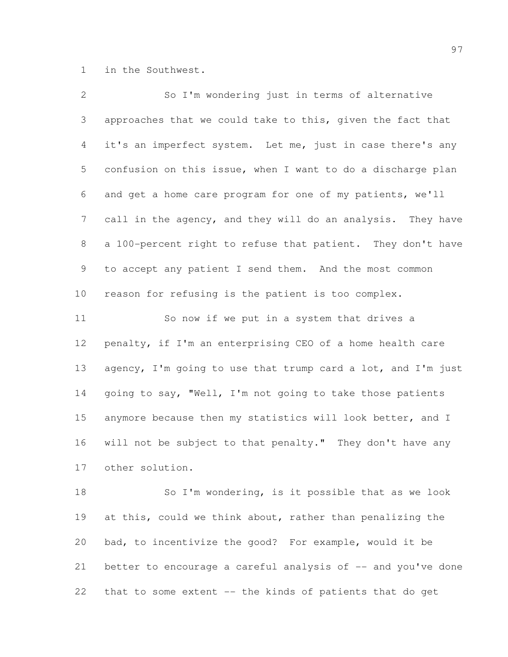in the Southwest.

| $\mathbf{2}$ | So I'm wondering just in terms of alternative                |
|--------------|--------------------------------------------------------------|
| 3            | approaches that we could take to this, given the fact that   |
| 4            | it's an imperfect system. Let me, just in case there's any   |
| 5            | confusion on this issue, when I want to do a discharge plan  |
| 6            | and get a home care program for one of my patients, we'll    |
| 7            | call in the agency, and they will do an analysis. They have  |
| 8            | a 100-percent right to refuse that patient. They don't have  |
| 9            | to accept any patient I send them. And the most common       |
| 10           | reason for refusing is the patient is too complex.           |
| 11           | So now if we put in a system that drives a                   |
| 12           | penalty, if I'm an enterprising CEO of a home health care    |
| 13           | agency, I'm going to use that trump card a lot, and I'm just |
| 14           | going to say, "Well, I'm not going to take those patients    |
| 15           | anymore because then my statistics will look better, and I   |
| 16           | will not be subject to that penalty." They don't have any    |
| 17           | other solution.                                              |
| 18           | So I'm wondering, is it possible that as we look             |
| 19           | at this, could we think about, rather than penalizing the    |
| 20           | bad, to incentivize the good? For example, would it be       |
| 21           | better to encourage a careful analysis of -- and you've done |

that to some extent -- the kinds of patients that do get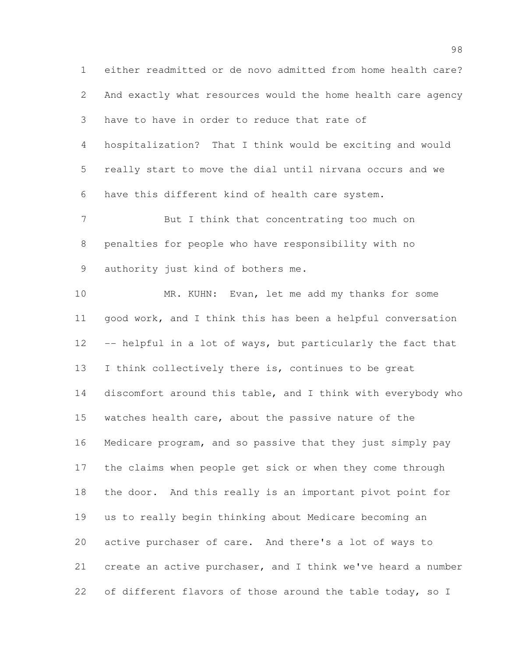either readmitted or de novo admitted from home health care? And exactly what resources would the home health care agency have to have in order to reduce that rate of hospitalization? That I think would be exciting and would really start to move the dial until nirvana occurs and we have this different kind of health care system. But I think that concentrating too much on penalties for people who have responsibility with no authority just kind of bothers me. MR. KUHN: Evan, let me add my thanks for some

 good work, and I think this has been a helpful conversation -- helpful in a lot of ways, but particularly the fact that I think collectively there is, continues to be great discomfort around this table, and I think with everybody who watches health care, about the passive nature of the Medicare program, and so passive that they just simply pay the claims when people get sick or when they come through the door. And this really is an important pivot point for us to really begin thinking about Medicare becoming an active purchaser of care. And there's a lot of ways to create an active purchaser, and I think we've heard a number 22 of different flavors of those around the table today, so I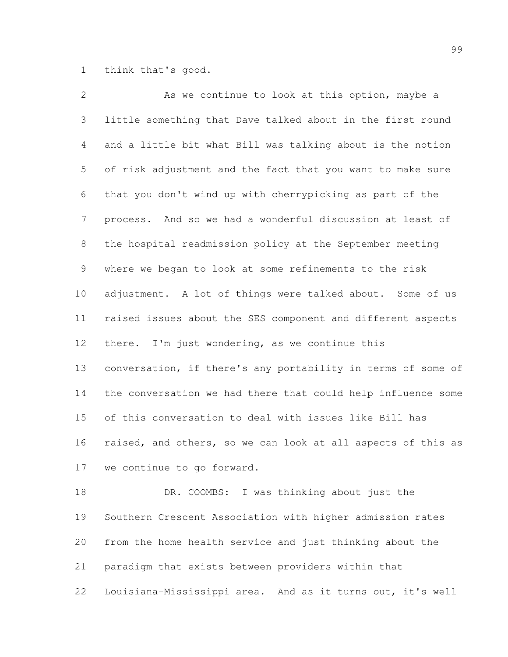think that's good.

| $\overline{2}$ | As we continue to look at this option, maybe a               |
|----------------|--------------------------------------------------------------|
| 3              | little something that Dave talked about in the first round   |
| 4              | and a little bit what Bill was talking about is the notion   |
| 5              | of risk adjustment and the fact that you want to make sure   |
| 6              | that you don't wind up with cherrypicking as part of the     |
| $7\phantom{.}$ | process. And so we had a wonderful discussion at least of    |
| 8              | the hospital readmission policy at the September meeting     |
| $\mathsf 9$    | where we began to look at some refinements to the risk       |
| 10             | adjustment. A lot of things were talked about. Some of us    |
| 11             | raised issues about the SES component and different aspects  |
| 12             | there. I'm just wondering, as we continue this               |
| 13             | conversation, if there's any portability in terms of some of |
| 14             | the conversation we had there that could help influence some |
| 15             | of this conversation to deal with issues like Bill has       |
| 16             | raised, and others, so we can look at all aspects of this as |
| 17             | we continue to go forward.                                   |
| 18             | DR. COOMBS: I was thinking about just the                    |
| 19             | Southern Crescent Association with higher admission rates    |
| 20             | from the home health service and just thinking about the     |
| 21             | paradigm that exists between providers within that           |

Louisiana-Mississippi area. And as it turns out, it's well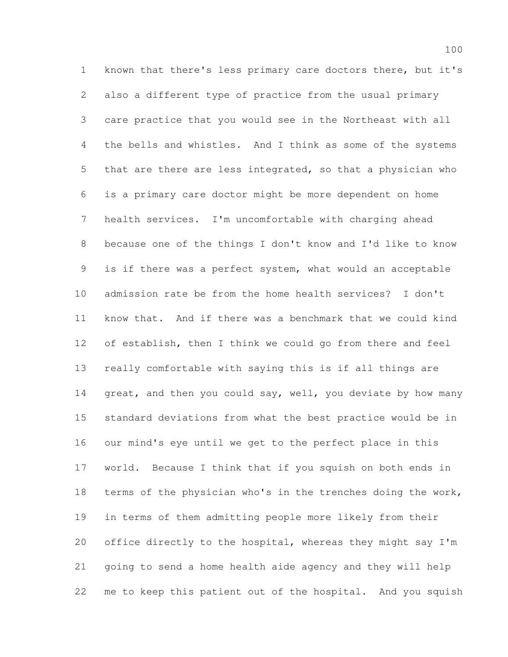known that there's less primary care doctors there, but it's also a different type of practice from the usual primary care practice that you would see in the Northeast with all the bells and whistles. And I think as some of the systems that are there are less integrated, so that a physician who is a primary care doctor might be more dependent on home health services. I'm uncomfortable with charging ahead because one of the things I don't know and I'd like to know is if there was a perfect system, what would an acceptable admission rate be from the home health services? I don't know that. And if there was a benchmark that we could kind of establish, then I think we could go from there and feel really comfortable with saying this is if all things are 14 great, and then you could say, well, you deviate by how many standard deviations from what the best practice would be in our mind's eye until we get to the perfect place in this world. Because I think that if you squish on both ends in terms of the physician who's in the trenches doing the work, in terms of them admitting people more likely from their office directly to the hospital, whereas they might say I'm going to send a home health aide agency and they will help me to keep this patient out of the hospital. And you squish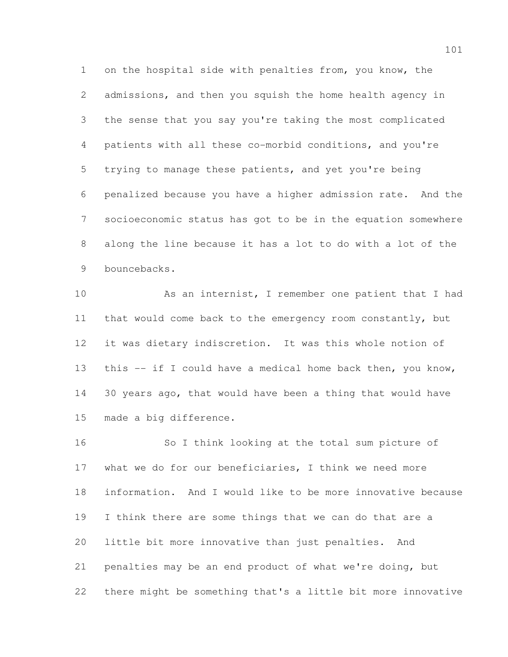on the hospital side with penalties from, you know, the admissions, and then you squish the home health agency in the sense that you say you're taking the most complicated patients with all these co-morbid conditions, and you're trying to manage these patients, and yet you're being penalized because you have a higher admission rate. And the socioeconomic status has got to be in the equation somewhere along the line because it has a lot to do with a lot of the bouncebacks.

 As an internist, I remember one patient that I had that would come back to the emergency room constantly, but it was dietary indiscretion. It was this whole notion of this -- if I could have a medical home back then, you know, 30 years ago, that would have been a thing that would have made a big difference.

 So I think looking at the total sum picture of what we do for our beneficiaries, I think we need more information. And I would like to be more innovative because I think there are some things that we can do that are a little bit more innovative than just penalties. And penalties may be an end product of what we're doing, but there might be something that's a little bit more innovative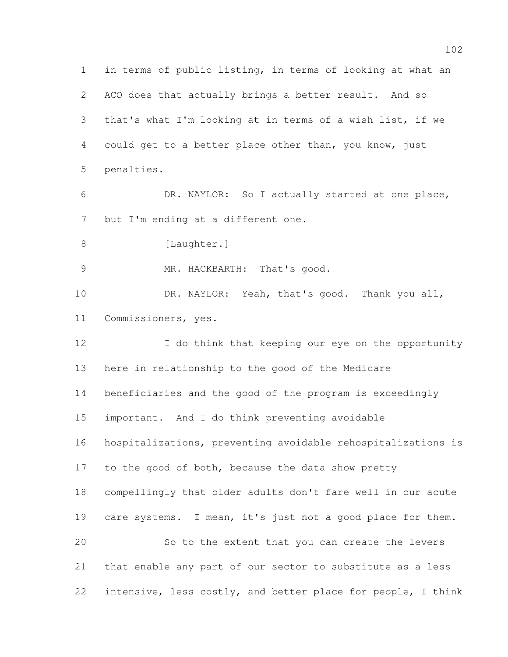in terms of public listing, in terms of looking at what an ACO does that actually brings a better result. And so that's what I'm looking at in terms of a wish list, if we could get to a better place other than, you know, just penalties. DR. NAYLOR: So I actually started at one place, 7 but I'm ending at a different one. 8 [Laughter.] MR. HACKBARTH: That's good. DR. NAYLOR: Yeah, that's good. Thank you all, Commissioners, yes. 12 I do think that keeping our eye on the opportunity here in relationship to the good of the Medicare beneficiaries and the good of the program is exceedingly important. And I do think preventing avoidable hospitalizations, preventing avoidable rehospitalizations is 17 to the good of both, because the data show pretty compellingly that older adults don't fare well in our acute 19 care systems. I mean, it's just not a good place for them. So to the extent that you can create the levers that enable any part of our sector to substitute as a less intensive, less costly, and better place for people, I think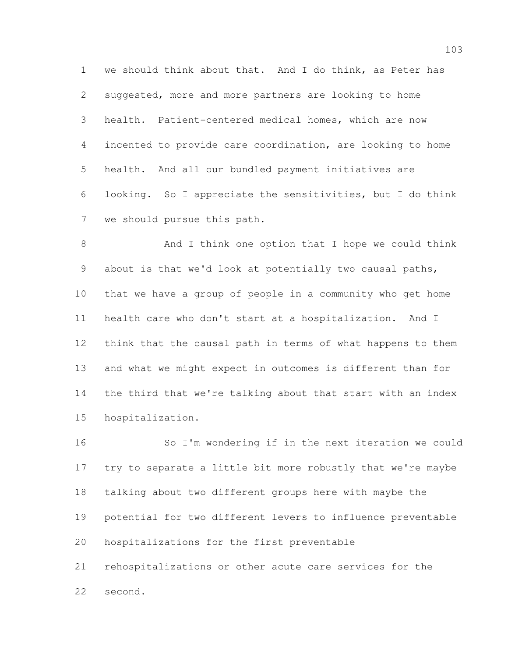we should think about that. And I do think, as Peter has suggested, more and more partners are looking to home health. Patient-centered medical homes, which are now incented to provide care coordination, are looking to home health. And all our bundled payment initiatives are looking. So I appreciate the sensitivities, but I do think we should pursue this path.

8 And I think one option that I hope we could think about is that we'd look at potentially two causal paths, that we have a group of people in a community who get home health care who don't start at a hospitalization. And I think that the causal path in terms of what happens to them and what we might expect in outcomes is different than for the third that we're talking about that start with an index hospitalization.

 So I'm wondering if in the next iteration we could try to separate a little bit more robustly that we're maybe talking about two different groups here with maybe the potential for two different levers to influence preventable hospitalizations for the first preventable rehospitalizations or other acute care services for the second.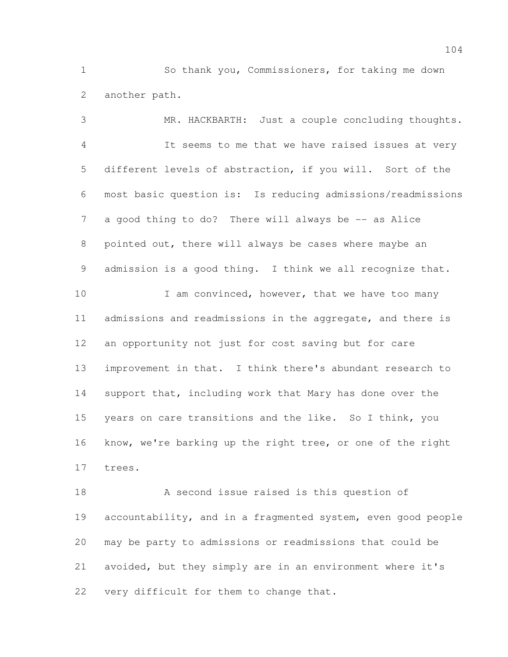So thank you, Commissioners, for taking me down another path.

 MR. HACKBARTH: Just a couple concluding thoughts. It seems to me that we have raised issues at very different levels of abstraction, if you will. Sort of the most basic question is: Is reducing admissions/readmissions 7 a good thing to do? There will always be -- as Alice pointed out, there will always be cases where maybe an admission is a good thing. I think we all recognize that. 10 I am convinced, however, that we have too many 11 admissions and readmissions in the aggregate, and there is an opportunity not just for cost saving but for care improvement in that. I think there's abundant research to support that, including work that Mary has done over the years on care transitions and the like. So I think, you know, we're barking up the right tree, or one of the right trees.

 A second issue raised is this question of accountability, and in a fragmented system, even good people may be party to admissions or readmissions that could be avoided, but they simply are in an environment where it's very difficult for them to change that.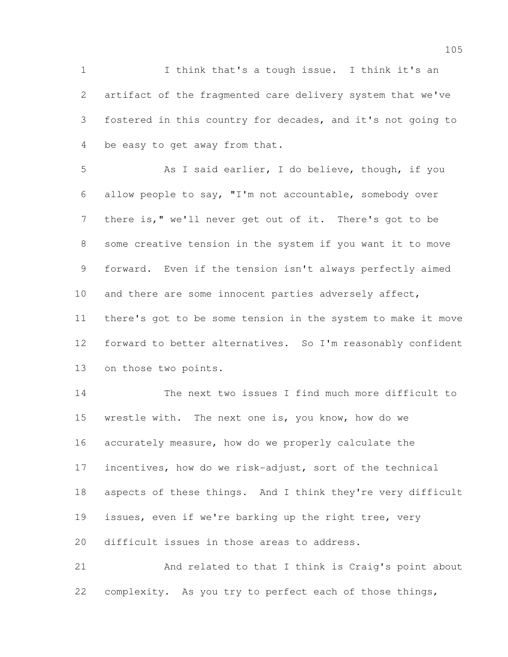I think that's a tough issue. I think it's an artifact of the fragmented care delivery system that we've fostered in this country for decades, and it's not going to be easy to get away from that.

 As I said earlier, I do believe, though, if you allow people to say, "I'm not accountable, somebody over there is," we'll never get out of it. There's got to be some creative tension in the system if you want it to move forward. Even if the tension isn't always perfectly aimed 10 and there are some innocent parties adversely affect, there's got to be some tension in the system to make it move forward to better alternatives. So I'm reasonably confident on those two points.

 The next two issues I find much more difficult to wrestle with. The next one is, you know, how do we accurately measure, how do we properly calculate the incentives, how do we risk-adjust, sort of the technical aspects of these things. And I think they're very difficult issues, even if we're barking up the right tree, very difficult issues in those areas to address.

 And related to that I think is Craig's point about complexity. As you try to perfect each of those things,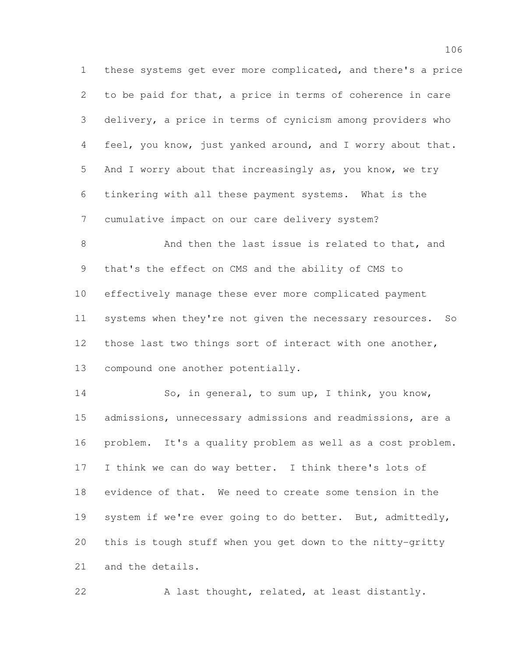these systems get ever more complicated, and there's a price to be paid for that, a price in terms of coherence in care delivery, a price in terms of cynicism among providers who feel, you know, just yanked around, and I worry about that. And I worry about that increasingly as, you know, we try tinkering with all these payment systems. What is the cumulative impact on our care delivery system?

8 And then the last issue is related to that, and that's the effect on CMS and the ability of CMS to effectively manage these ever more complicated payment systems when they're not given the necessary resources. So those last two things sort of interact with one another, compound one another potentially.

 So, in general, to sum up, I think, you know, admissions, unnecessary admissions and readmissions, are a problem. It's a quality problem as well as a cost problem. I think we can do way better. I think there's lots of evidence of that. We need to create some tension in the system if we're ever going to do better. But, admittedly, this is tough stuff when you get down to the nitty-gritty and the details.

22 A last thought, related, at least distantly.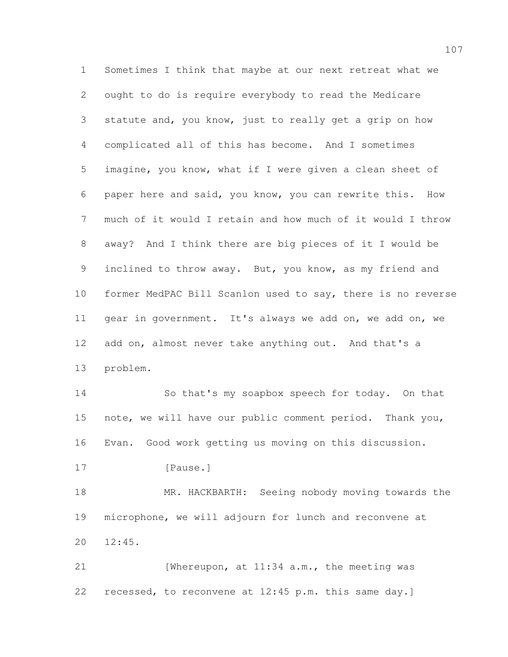Sometimes I think that maybe at our next retreat what we ought to do is require everybody to read the Medicare statute and, you know, just to really get a grip on how complicated all of this has become. And I sometimes imagine, you know, what if I were given a clean sheet of paper here and said, you know, you can rewrite this. How much of it would I retain and how much of it would I throw away? And I think there are big pieces of it I would be inclined to throw away. But, you know, as my friend and former MedPAC Bill Scanlon used to say, there is no reverse gear in government. It's always we add on, we add on, we 12 add on, almost never take anything out. And that's a problem. So that's my soapbox speech for today. On that note, we will have our public comment period. Thank you, Evan. Good work getting us moving on this discussion. 17 [Pause.] 18 MR. HACKBARTH: Seeing nobody moving towards the microphone, we will adjourn for lunch and reconvene at 12:45.

21 [Whereupon, at 11:34 a.m., the meeting was recessed, to reconvene at 12:45 p.m. this same day.]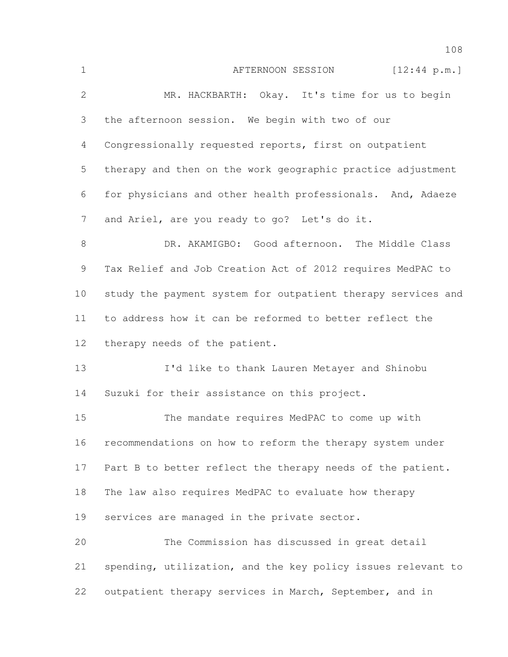| $\mathbf 1$ | AFTERNOON SESSION [12:44 p.m.]                               |
|-------------|--------------------------------------------------------------|
| 2           | MR. HACKBARTH: Okay. It's time for us to begin               |
| 3           | the afternoon session. We begin with two of our              |
| 4           | Congressionally requested reports, first on outpatient       |
| 5           | therapy and then on the work geographic practice adjustment  |
| 6           | for physicians and other health professionals. And, Adaeze   |
| 7           | and Ariel, are you ready to go? Let's do it.                 |
| $8\,$       | DR. AKAMIGBO: Good afternoon. The Middle Class               |
| 9           | Tax Relief and Job Creation Act of 2012 requires MedPAC to   |
| 10          | study the payment system for outpatient therapy services and |
| 11          | to address how it can be reformed to better reflect the      |
| 12          | therapy needs of the patient.                                |
| 13          | I'd like to thank Lauren Metayer and Shinobu                 |
| 14          | Suzuki for their assistance on this project.                 |
| 15          | The mandate requires MedPAC to come up with                  |
| 16          | recommendations on how to reform the therapy system under    |
| 17          | Part B to better reflect the therapy needs of the patient.   |
| 18          | The law also requires MedPAC to evaluate how therapy         |
| 19          | services are managed in the private sector.                  |
| 20          | The Commission has discussed in great detail                 |
| 21          | spending, utilization, and the key policy issues relevant to |
| 22          | outpatient therapy services in March, September, and in      |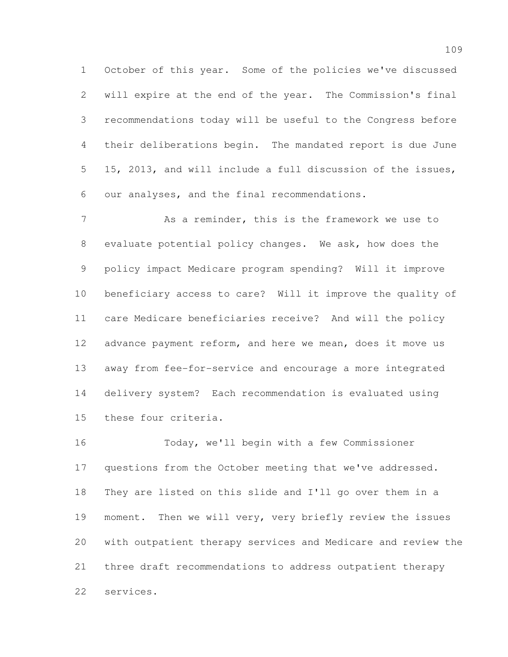October of this year. Some of the policies we've discussed will expire at the end of the year. The Commission's final recommendations today will be useful to the Congress before their deliberations begin. The mandated report is due June 15, 2013, and will include a full discussion of the issues, our analyses, and the final recommendations.

 As a reminder, this is the framework we use to evaluate potential policy changes. We ask, how does the policy impact Medicare program spending? Will it improve beneficiary access to care? Will it improve the quality of care Medicare beneficiaries receive? And will the policy 12 advance payment reform, and here we mean, does it move us away from fee-for-service and encourage a more integrated delivery system? Each recommendation is evaluated using these four criteria.

 Today, we'll begin with a few Commissioner questions from the October meeting that we've addressed. They are listed on this slide and I'll go over them in a 19 moment. Then we will very, very briefly review the issues with outpatient therapy services and Medicare and review the three draft recommendations to address outpatient therapy services.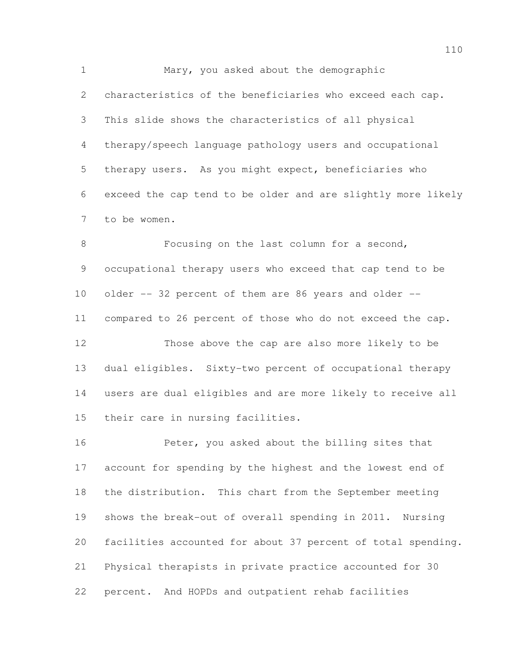Mary, you asked about the demographic characteristics of the beneficiaries who exceed each cap. This slide shows the characteristics of all physical therapy/speech language pathology users and occupational therapy users. As you might expect, beneficiaries who exceed the cap tend to be older and are slightly more likely to be women.

8 Focusing on the last column for a second, occupational therapy users who exceed that cap tend to be older -- 32 percent of them are 86 years and older -- compared to 26 percent of those who do not exceed the cap. Those above the cap are also more likely to be dual eligibles. Sixty-two percent of occupational therapy users are dual eligibles and are more likely to receive all their care in nursing facilities.

 Peter, you asked about the billing sites that account for spending by the highest and the lowest end of the distribution. This chart from the September meeting shows the break-out of overall spending in 2011. Nursing facilities accounted for about 37 percent of total spending. Physical therapists in private practice accounted for 30 percent. And HOPDs and outpatient rehab facilities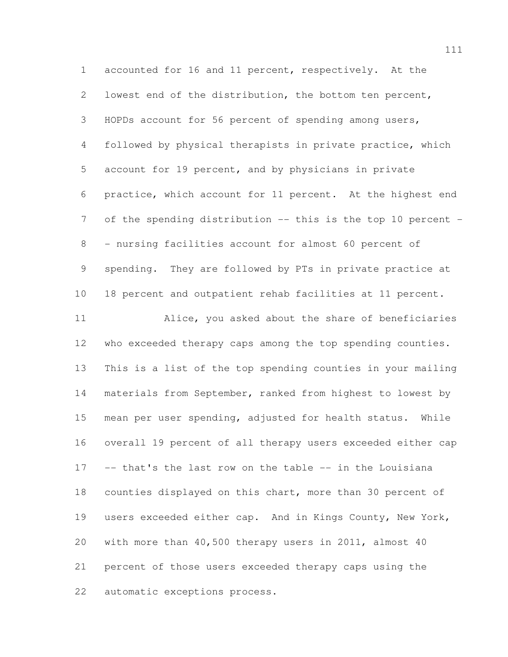accounted for 16 and 11 percent, respectively. At the lowest end of the distribution, the bottom ten percent, HOPDs account for 56 percent of spending among users, followed by physical therapists in private practice, which account for 19 percent, and by physicians in private practice, which account for 11 percent. At the highest end 7 of the spending distribution -- this is the top 10 percent - - nursing facilities account for almost 60 percent of spending. They are followed by PTs in private practice at 18 percent and outpatient rehab facilities at 11 percent. Alice, you asked about the share of beneficiaries 12 who exceeded therapy caps among the top spending counties. This is a list of the top spending counties in your mailing materials from September, ranked from highest to lowest by mean per user spending, adjusted for health status. While overall 19 percent of all therapy users exceeded either cap -- that's the last row on the table -- in the Louisiana counties displayed on this chart, more than 30 percent of users exceeded either cap. And in Kings County, New York, with more than 40,500 therapy users in 2011, almost 40 percent of those users exceeded therapy caps using the automatic exceptions process.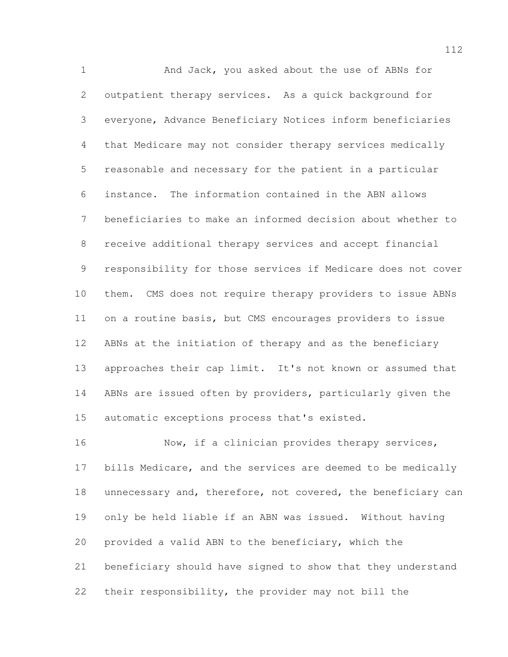And Jack, you asked about the use of ABNs for outpatient therapy services. As a quick background for everyone, Advance Beneficiary Notices inform beneficiaries that Medicare may not consider therapy services medically reasonable and necessary for the patient in a particular instance. The information contained in the ABN allows beneficiaries to make an informed decision about whether to receive additional therapy services and accept financial responsibility for those services if Medicare does not cover them. CMS does not require therapy providers to issue ABNs on a routine basis, but CMS encourages providers to issue ABNs at the initiation of therapy and as the beneficiary approaches their cap limit. It's not known or assumed that ABNs are issued often by providers, particularly given the automatic exceptions process that's existed.

16 Now, if a clinician provides therapy services, bills Medicare, and the services are deemed to be medically 18 unnecessary and, therefore, not covered, the beneficiary can only be held liable if an ABN was issued. Without having provided a valid ABN to the beneficiary, which the beneficiary should have signed to show that they understand their responsibility, the provider may not bill the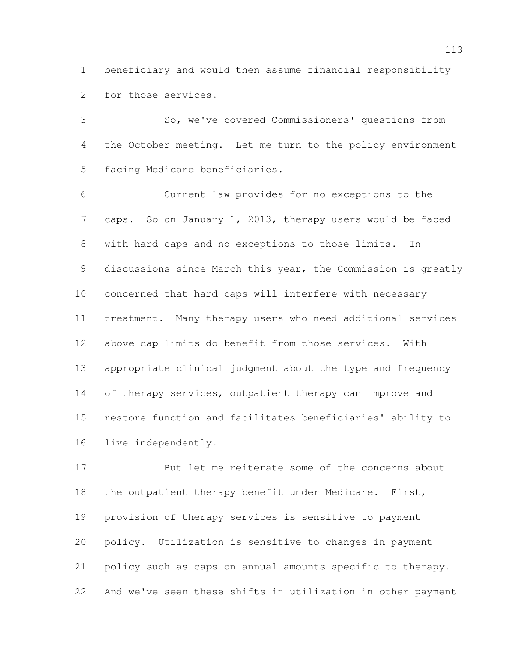beneficiary and would then assume financial responsibility for those services.

 So, we've covered Commissioners' questions from the October meeting. Let me turn to the policy environment facing Medicare beneficiaries.

 Current law provides for no exceptions to the caps. So on January 1, 2013, therapy users would be faced with hard caps and no exceptions to those limits. In 9 discussions since March this year, the Commission is greatly concerned that hard caps will interfere with necessary treatment. Many therapy users who need additional services above cap limits do benefit from those services. With appropriate clinical judgment about the type and frequency 14 of therapy services, outpatient therapy can improve and restore function and facilitates beneficiaries' ability to live independently.

 But let me reiterate some of the concerns about 18 the outpatient therapy benefit under Medicare. First, provision of therapy services is sensitive to payment policy. Utilization is sensitive to changes in payment policy such as caps on annual amounts specific to therapy. And we've seen these shifts in utilization in other payment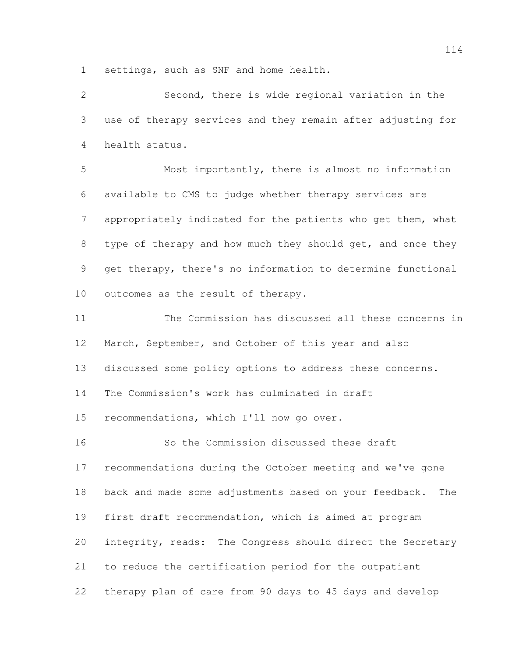settings, such as SNF and home health.

 Second, there is wide regional variation in the use of therapy services and they remain after adjusting for health status.

 Most importantly, there is almost no information available to CMS to judge whether therapy services are appropriately indicated for the patients who get them, what 8 type of therapy and how much they should get, and once they get therapy, there's no information to determine functional outcomes as the result of therapy.

 The Commission has discussed all these concerns in March, September, and October of this year and also discussed some policy options to address these concerns. The Commission's work has culminated in draft recommendations, which I'll now go over. So the Commission discussed these draft recommendations during the October meeting and we've gone

 back and made some adjustments based on your feedback. The first draft recommendation, which is aimed at program integrity, reads: The Congress should direct the Secretary to reduce the certification period for the outpatient therapy plan of care from 90 days to 45 days and develop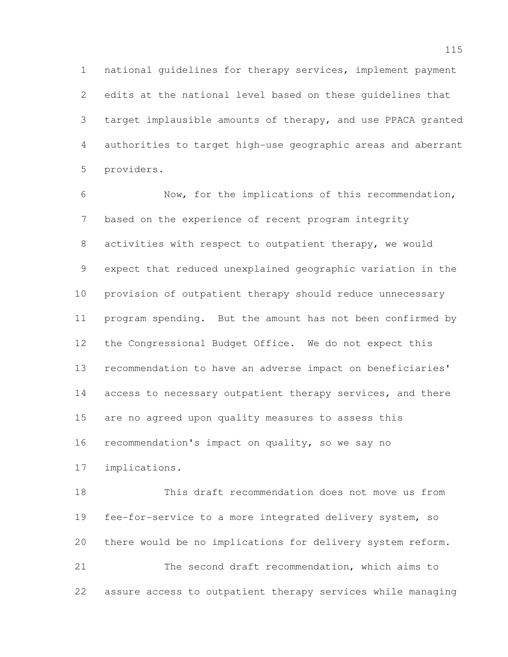national guidelines for therapy services, implement payment edits at the national level based on these guidelines that target implausible amounts of therapy, and use PPACA granted authorities to target high-use geographic areas and aberrant providers.

 Now, for the implications of this recommendation, based on the experience of recent program integrity 8 activities with respect to outpatient therapy, we would expect that reduced unexplained geographic variation in the provision of outpatient therapy should reduce unnecessary program spending. But the amount has not been confirmed by the Congressional Budget Office. We do not expect this recommendation to have an adverse impact on beneficiaries' 14 access to necessary outpatient therapy services, and there are no agreed upon quality measures to assess this recommendation's impact on quality, so we say no implications.

 This draft recommendation does not move us from fee-for-service to a more integrated delivery system, so there would be no implications for delivery system reform. The second draft recommendation, which aims to assure access to outpatient therapy services while managing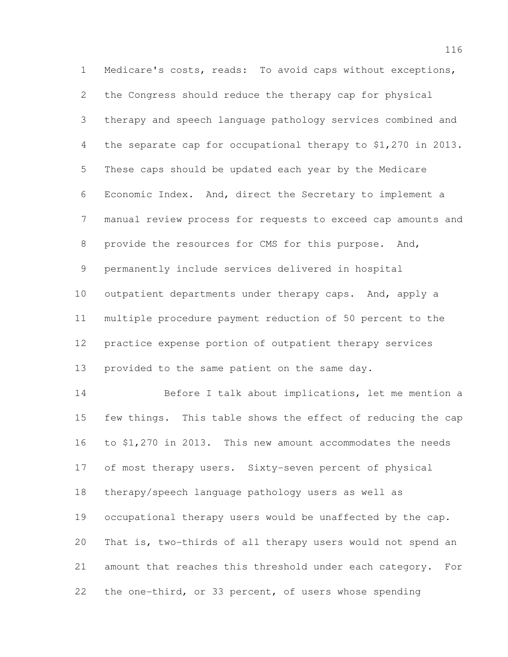Medicare's costs, reads: To avoid caps without exceptions, the Congress should reduce the therapy cap for physical therapy and speech language pathology services combined and the separate cap for occupational therapy to \$1,270 in 2013. These caps should be updated each year by the Medicare Economic Index. And, direct the Secretary to implement a manual review process for requests to exceed cap amounts and provide the resources for CMS for this purpose. And, permanently include services delivered in hospital outpatient departments under therapy caps. And, apply a multiple procedure payment reduction of 50 percent to the practice expense portion of outpatient therapy services provided to the same patient on the same day. Before I talk about implications, let me mention a few things. This table shows the effect of reducing the cap to \$1,270 in 2013. This new amount accommodates the needs of most therapy users. Sixty-seven percent of physical therapy/speech language pathology users as well as occupational therapy users would be unaffected by the cap. That is, two-thirds of all therapy users would not spend an amount that reaches this threshold under each category. For the one-third, or 33 percent, of users whose spending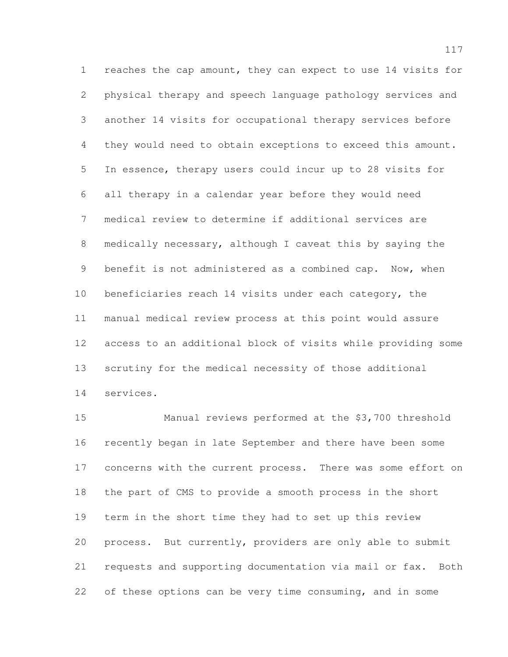reaches the cap amount, they can expect to use 14 visits for physical therapy and speech language pathology services and another 14 visits for occupational therapy services before they would need to obtain exceptions to exceed this amount. In essence, therapy users could incur up to 28 visits for all therapy in a calendar year before they would need medical review to determine if additional services are medically necessary, although I caveat this by saying the benefit is not administered as a combined cap. Now, when beneficiaries reach 14 visits under each category, the manual medical review process at this point would assure access to an additional block of visits while providing some scrutiny for the medical necessity of those additional services.

 Manual reviews performed at the \$3,700 threshold recently began in late September and there have been some concerns with the current process. There was some effort on the part of CMS to provide a smooth process in the short term in the short time they had to set up this review process. But currently, providers are only able to submit requests and supporting documentation via mail or fax. Both of these options can be very time consuming, and in some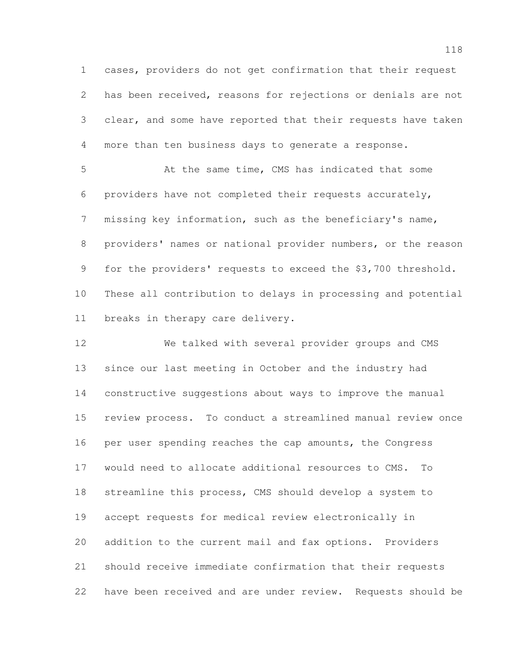cases, providers do not get confirmation that their request has been received, reasons for rejections or denials are not clear, and some have reported that their requests have taken more than ten business days to generate a response.

5 At the same time, CMS has indicated that some providers have not completed their requests accurately, missing key information, such as the beneficiary's name, providers' names or national provider numbers, or the reason for the providers' requests to exceed the \$3,700 threshold. These all contribution to delays in processing and potential breaks in therapy care delivery.

 We talked with several provider groups and CMS since our last meeting in October and the industry had constructive suggestions about ways to improve the manual review process. To conduct a streamlined manual review once per user spending reaches the cap amounts, the Congress would need to allocate additional resources to CMS. To streamline this process, CMS should develop a system to accept requests for medical review electronically in addition to the current mail and fax options. Providers should receive immediate confirmation that their requests have been received and are under review. Requests should be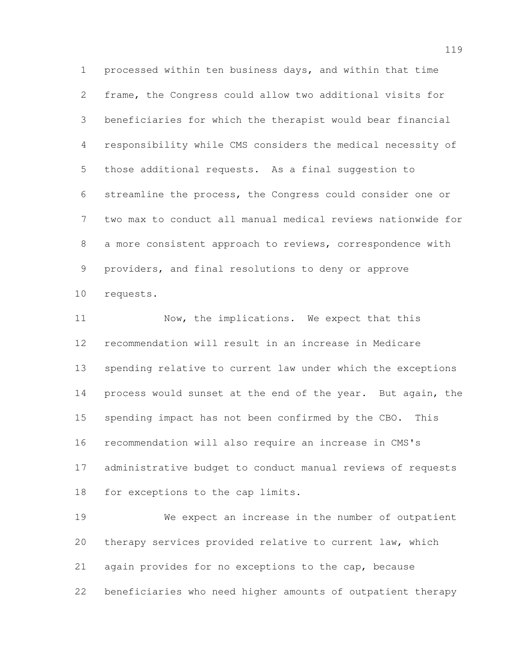processed within ten business days, and within that time frame, the Congress could allow two additional visits for beneficiaries for which the therapist would bear financial responsibility while CMS considers the medical necessity of those additional requests. As a final suggestion to streamline the process, the Congress could consider one or two max to conduct all manual medical reviews nationwide for a more consistent approach to reviews, correspondence with providers, and final resolutions to deny or approve requests.

11 Now, the implications. We expect that this recommendation will result in an increase in Medicare spending relative to current law under which the exceptions process would sunset at the end of the year. But again, the spending impact has not been confirmed by the CBO. This recommendation will also require an increase in CMS's administrative budget to conduct manual reviews of requests for exceptions to the cap limits.

 We expect an increase in the number of outpatient therapy services provided relative to current law, which again provides for no exceptions to the cap, because beneficiaries who need higher amounts of outpatient therapy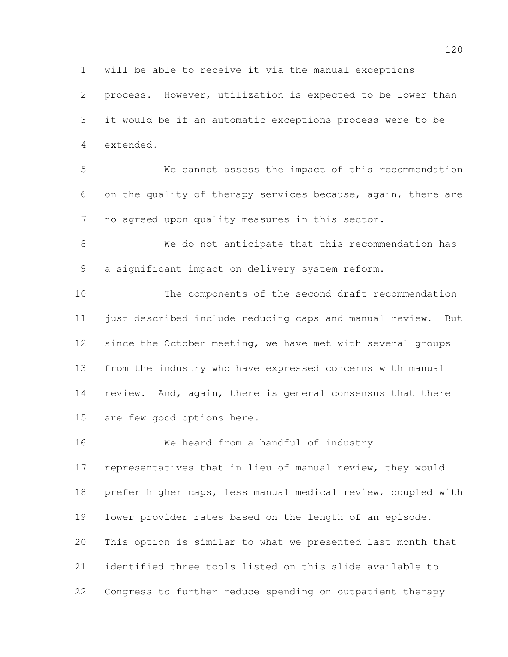process. However, utilization is expected to be lower than it would be if an automatic exceptions process were to be extended.

will be able to receive it via the manual exceptions

 We cannot assess the impact of this recommendation on the quality of therapy services because, again, there are no agreed upon quality measures in this sector.

 We do not anticipate that this recommendation has a significant impact on delivery system reform.

 The components of the second draft recommendation just described include reducing caps and manual review. But since the October meeting, we have met with several groups from the industry who have expressed concerns with manual review. And, again, there is general consensus that there are few good options here.

 We heard from a handful of industry representatives that in lieu of manual review, they would prefer higher caps, less manual medical review, coupled with lower provider rates based on the length of an episode. This option is similar to what we presented last month that identified three tools listed on this slide available to Congress to further reduce spending on outpatient therapy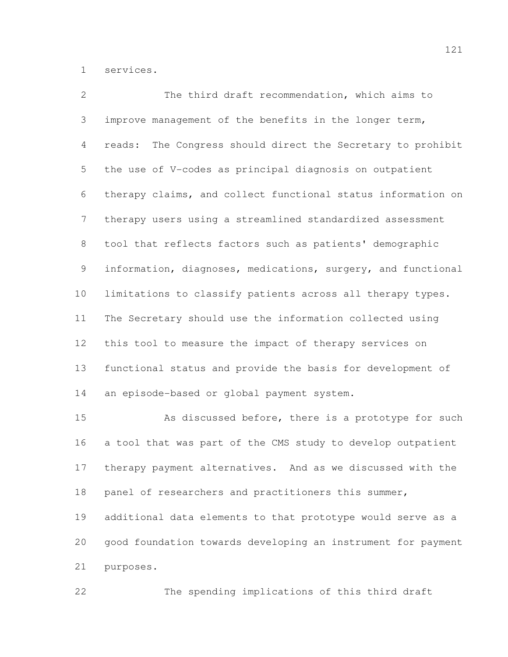services.

 The third draft recommendation, which aims to improve management of the benefits in the longer term, reads: The Congress should direct the Secretary to prohibit the use of V-codes as principal diagnosis on outpatient therapy claims, and collect functional status information on therapy users using a streamlined standardized assessment tool that reflects factors such as patients' demographic information, diagnoses, medications, surgery, and functional limitations to classify patients across all therapy types. The Secretary should use the information collected using this tool to measure the impact of therapy services on functional status and provide the basis for development of an episode-based or global payment system.

 As discussed before, there is a prototype for such a tool that was part of the CMS study to develop outpatient therapy payment alternatives. And as we discussed with the 18 panel of researchers and practitioners this summer, additional data elements to that prototype would serve as a good foundation towards developing an instrument for payment purposes.

The spending implications of this third draft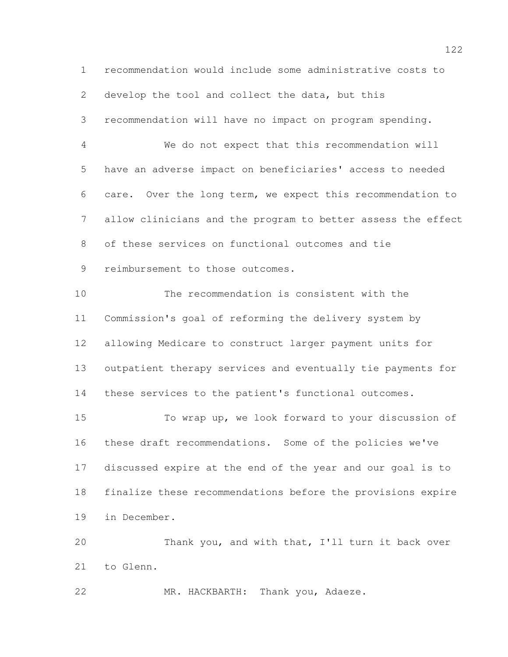recommendation would include some administrative costs to develop the tool and collect the data, but this recommendation will have no impact on program spending. We do not expect that this recommendation will have an adverse impact on beneficiaries' access to needed care. Over the long term, we expect this recommendation to allow clinicians and the program to better assess the effect of these services on functional outcomes and tie reimbursement to those outcomes. The recommendation is consistent with the Commission's goal of reforming the delivery system by allowing Medicare to construct larger payment units for outpatient therapy services and eventually tie payments for these services to the patient's functional outcomes. To wrap up, we look forward to your discussion of these draft recommendations. Some of the policies we've discussed expire at the end of the year and our goal is to finalize these recommendations before the provisions expire in December. Thank you, and with that, I'll turn it back over to Glenn.

MR. HACKBARTH: Thank you, Adaeze.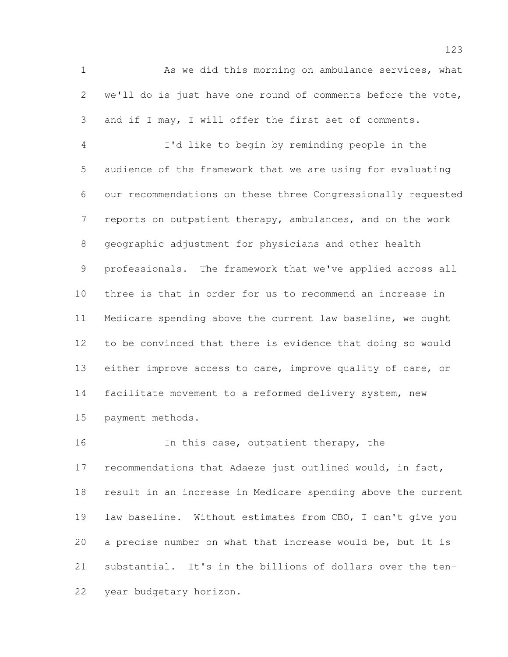As we did this morning on ambulance services, what we'll do is just have one round of comments before the vote, and if I may, I will offer the first set of comments. I'd like to begin by reminding people in the audience of the framework that we are using for evaluating our recommendations on these three Congressionally requested 7 reports on outpatient therapy, ambulances, and on the work geographic adjustment for physicians and other health professionals. The framework that we've applied across all three is that in order for us to recommend an increase in Medicare spending above the current law baseline, we ought to be convinced that there is evidence that doing so would either improve access to care, improve quality of care, or facilitate movement to a reformed delivery system, new payment methods.

16 In this case, outpatient therapy, the recommendations that Adaeze just outlined would, in fact, result in an increase in Medicare spending above the current law baseline. Without estimates from CBO, I can't give you a precise number on what that increase would be, but it is substantial. It's in the billions of dollars over the ten-year budgetary horizon.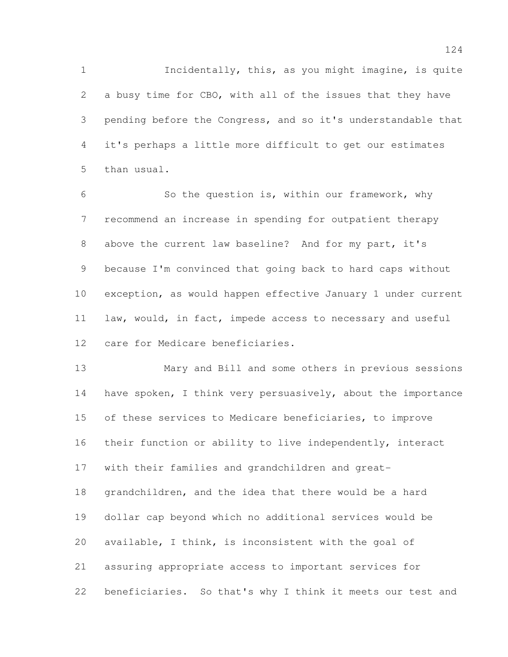Incidentally, this, as you might imagine, is quite a busy time for CBO, with all of the issues that they have pending before the Congress, and so it's understandable that it's perhaps a little more difficult to get our estimates than usual.

 So the question is, within our framework, why recommend an increase in spending for outpatient therapy above the current law baseline? And for my part, it's because I'm convinced that going back to hard caps without exception, as would happen effective January 1 under current law, would, in fact, impede access to necessary and useful care for Medicare beneficiaries.

 Mary and Bill and some others in previous sessions have spoken, I think very persuasively, about the importance of these services to Medicare beneficiaries, to improve their function or ability to live independently, interact with their families and grandchildren and great- grandchildren, and the idea that there would be a hard dollar cap beyond which no additional services would be available, I think, is inconsistent with the goal of assuring appropriate access to important services for beneficiaries. So that's why I think it meets our test and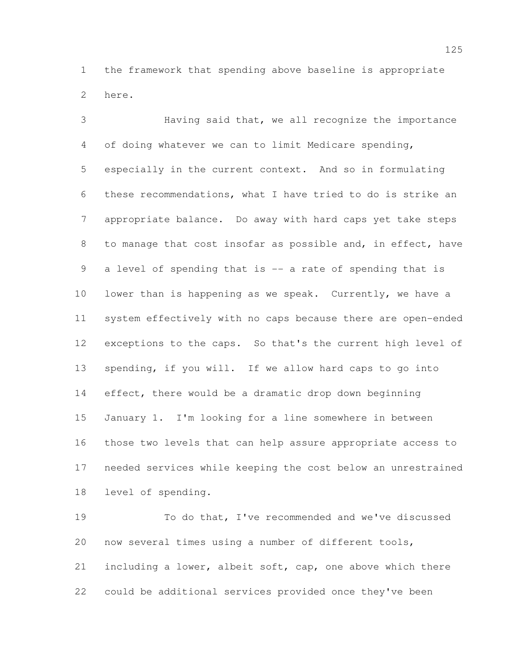the framework that spending above baseline is appropriate here.

 Having said that, we all recognize the importance of doing whatever we can to limit Medicare spending, especially in the current context. And so in formulating these recommendations, what I have tried to do is strike an appropriate balance. Do away with hard caps yet take steps to manage that cost insofar as possible and, in effect, have a level of spending that is -- a rate of spending that is lower than is happening as we speak. Currently, we have a system effectively with no caps because there are open-ended exceptions to the caps. So that's the current high level of spending, if you will. If we allow hard caps to go into effect, there would be a dramatic drop down beginning January 1. I'm looking for a line somewhere in between those two levels that can help assure appropriate access to needed services while keeping the cost below an unrestrained level of spending.

 To do that, I've recommended and we've discussed now several times using a number of different tools, including a lower, albeit soft, cap, one above which there could be additional services provided once they've been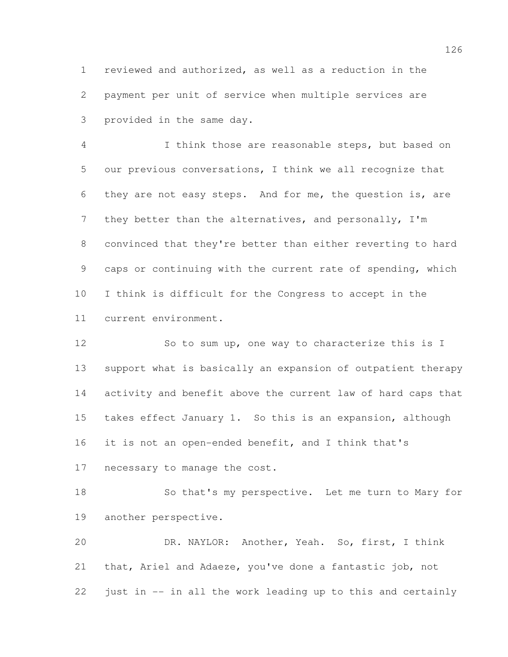reviewed and authorized, as well as a reduction in the payment per unit of service when multiple services are provided in the same day.

 I think those are reasonable steps, but based on our previous conversations, I think we all recognize that they are not easy steps. And for me, the question is, are 7 they better than the alternatives, and personally, I'm convinced that they're better than either reverting to hard caps or continuing with the current rate of spending, which I think is difficult for the Congress to accept in the current environment.

12 So to sum up, one way to characterize this is I support what is basically an expansion of outpatient therapy activity and benefit above the current law of hard caps that takes effect January 1. So this is an expansion, although it is not an open-ended benefit, and I think that's necessary to manage the cost.

 So that's my perspective. Let me turn to Mary for another perspective.

 DR. NAYLOR: Another, Yeah. So, first, I think that, Ariel and Adaeze, you've done a fantastic job, not just in -- in all the work leading up to this and certainly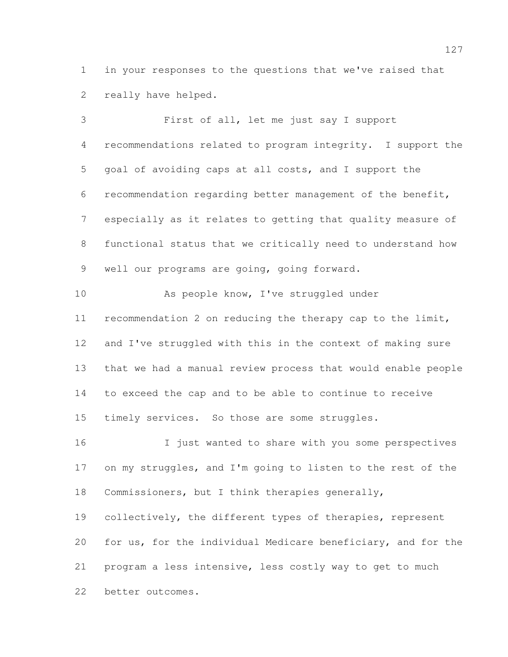in your responses to the questions that we've raised that really have helped.

 First of all, let me just say I support recommendations related to program integrity. I support the goal of avoiding caps at all costs, and I support the recommendation regarding better management of the benefit, especially as it relates to getting that quality measure of functional status that we critically need to understand how well our programs are going, going forward. 10 As people know, I've struggled under recommendation 2 on reducing the therapy cap to the limit, and I've struggled with this in the context of making sure that we had a manual review process that would enable people to exceed the cap and to be able to continue to receive 15 timely services. So those are some struggles. I just wanted to share with you some perspectives on my struggles, and I'm going to listen to the rest of the Commissioners, but I think therapies generally, 19 collectively, the different types of therapies, represent for us, for the individual Medicare beneficiary, and for the program a less intensive, less costly way to get to much better outcomes.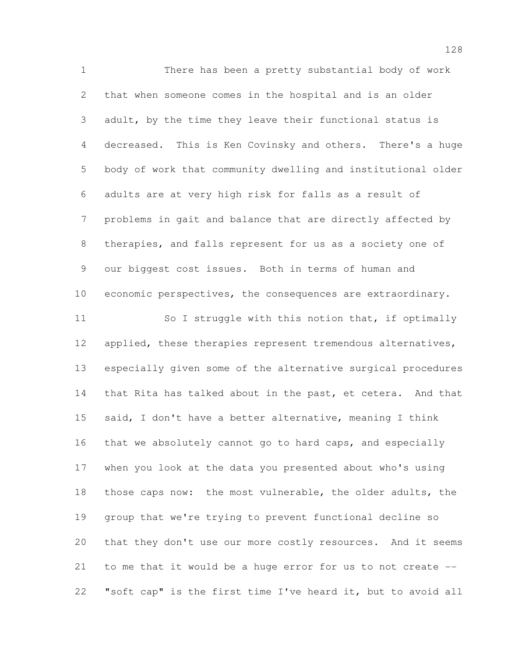There has been a pretty substantial body of work that when someone comes in the hospital and is an older adult, by the time they leave their functional status is decreased. This is Ken Covinsky and others. There's a huge body of work that community dwelling and institutional older adults are at very high risk for falls as a result of problems in gait and balance that are directly affected by therapies, and falls represent for us as a society one of our biggest cost issues. Both in terms of human and economic perspectives, the consequences are extraordinary. 11 So I struggle with this notion that, if optimally 12 applied, these therapies represent tremendous alternatives, especially given some of the alternative surgical procedures that Rita has talked about in the past, et cetera. And that said, I don't have a better alternative, meaning I think that we absolutely cannot go to hard caps, and especially when you look at the data you presented about who's using those caps now: the most vulnerable, the older adults, the group that we're trying to prevent functional decline so that they don't use our more costly resources. And it seems to me that it would be a huge error for us to not create -- "soft cap" is the first time I've heard it, but to avoid all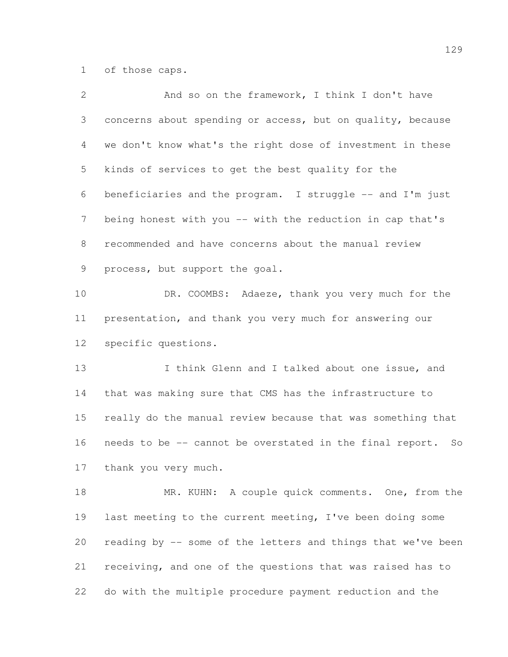of those caps.

| $\overline{2}$ | And so on the framework, I think I don't have                |
|----------------|--------------------------------------------------------------|
| 3              | concerns about spending or access, but on quality, because   |
| 4              | we don't know what's the right dose of investment in these   |
| 5              | kinds of services to get the best quality for the            |
| 6              | beneficiaries and the program. I struggle -- and I'm just    |
| 7              | being honest with you -- with the reduction in cap that's    |
| 8              | recommended and have concerns about the manual review        |
| 9              | process, but support the goal.                               |
| 10             | DR. COOMBS: Adaeze, thank you very much for the              |
| 11             | presentation, and thank you very much for answering our      |
| 12             | specific questions.                                          |
| 13             | I think Glenn and I talked about one issue, and              |
| 14             | that was making sure that CMS has the infrastructure to      |
| 15             | really do the manual review because that was something that  |
| 16             | needs to be -- cannot be overstated in the final report. So  |
| 17             | thank you very much.                                         |
| 18             | MR. KUHN: A couple quick comments. One, from the             |
| 19             | last meeting to the current meeting, I've been doing some    |
| 20             | reading by -- some of the letters and things that we've been |
| 21             | receiving, and one of the questions that was raised has to   |
| 22             | do with the multiple procedure payment reduction and the     |
|                |                                                              |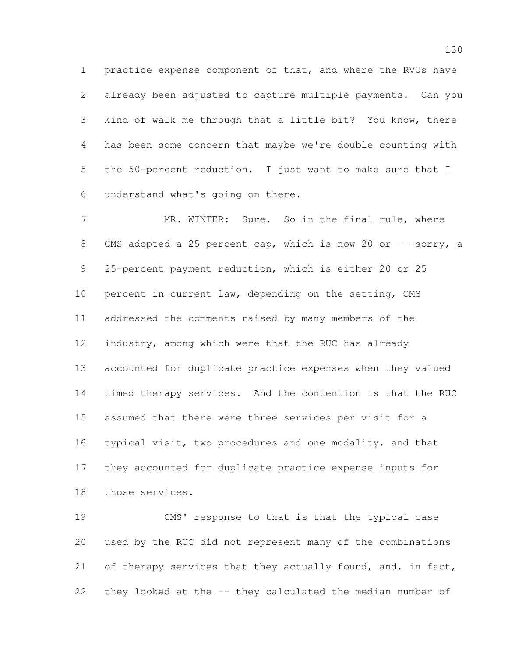practice expense component of that, and where the RVUs have already been adjusted to capture multiple payments. Can you kind of walk me through that a little bit? You know, there has been some concern that maybe we're double counting with the 50-percent reduction. I just want to make sure that I understand what's going on there.

 MR. WINTER: Sure. So in the final rule, where 8 CMS adopted a 25-percent cap, which is now 20 or -- sorry, a 25-percent payment reduction, which is either 20 or 25 percent in current law, depending on the setting, CMS addressed the comments raised by many members of the industry, among which were that the RUC has already accounted for duplicate practice expenses when they valued timed therapy services. And the contention is that the RUC assumed that there were three services per visit for a typical visit, two procedures and one modality, and that they accounted for duplicate practice expense inputs for those services.

 CMS' response to that is that the typical case used by the RUC did not represent many of the combinations 21 of therapy services that they actually found, and, in fact, they looked at the -- they calculated the median number of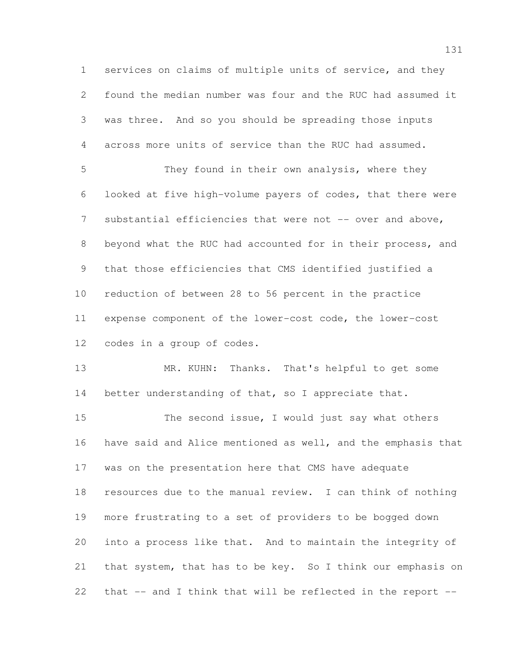services on claims of multiple units of service, and they found the median number was four and the RUC had assumed it was three. And so you should be spreading those inputs across more units of service than the RUC had assumed. They found in their own analysis, where they looked at five high-volume payers of codes, that there were 7 substantial efficiencies that were not -- over and above, beyond what the RUC had accounted for in their process, and that those efficiencies that CMS identified justified a reduction of between 28 to 56 percent in the practice

 expense component of the lower-cost code, the lower-cost codes in a group of codes.

13 MR. KUHN: Thanks. That's helpful to get some 14 better understanding of that, so I appreciate that.

15 The second issue, I would just say what others have said and Alice mentioned as well, and the emphasis that was on the presentation here that CMS have adequate resources due to the manual review. I can think of nothing more frustrating to a set of providers to be bogged down into a process like that. And to maintain the integrity of that system, that has to be key. So I think our emphasis on that -- and I think that will be reflected in the report --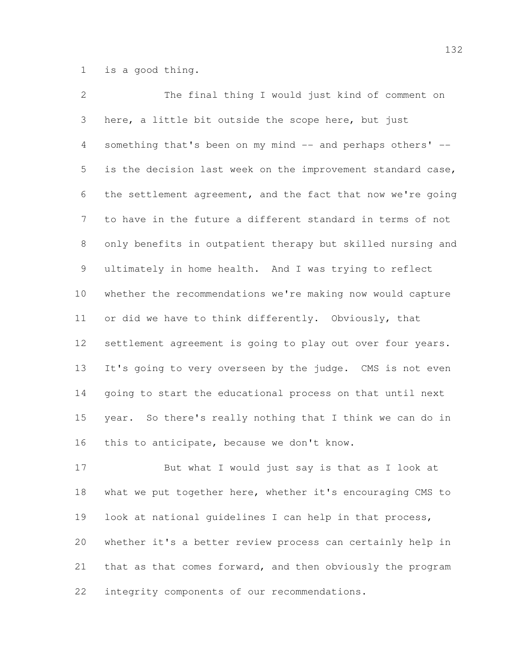is a good thing.

 The final thing I would just kind of comment on here, a little bit outside the scope here, but just 4 something that's been on my mind -- and perhaps others' -- is the decision last week on the improvement standard case, the settlement agreement, and the fact that now we're going to have in the future a different standard in terms of not only benefits in outpatient therapy but skilled nursing and ultimately in home health. And I was trying to reflect whether the recommendations we're making now would capture 11 or did we have to think differently. Obviously, that settlement agreement is going to play out over four years. It's going to very overseen by the judge. CMS is not even going to start the educational process on that until next year. So there's really nothing that I think we can do in this to anticipate, because we don't know.

 But what I would just say is that as I look at what we put together here, whether it's encouraging CMS to look at national guidelines I can help in that process, whether it's a better review process can certainly help in that as that comes forward, and then obviously the program integrity components of our recommendations.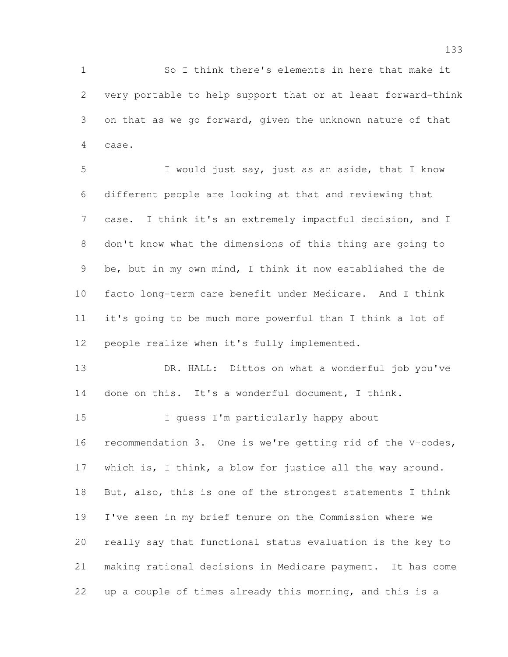So I think there's elements in here that make it very portable to help support that or at least forward-think on that as we go forward, given the unknown nature of that case.

 I would just say, just as an aside, that I know different people are looking at that and reviewing that case. I think it's an extremely impactful decision, and I don't know what the dimensions of this thing are going to be, but in my own mind, I think it now established the de facto long-term care benefit under Medicare. And I think it's going to be much more powerful than I think a lot of people realize when it's fully implemented.

 DR. HALL: Dittos on what a wonderful job you've done on this. It's a wonderful document, I think.

15 I guess I'm particularly happy about recommendation 3. One is we're getting rid of the V-codes, which is, I think, a blow for justice all the way around. 18 But, also, this is one of the strongest statements I think I've seen in my brief tenure on the Commission where we really say that functional status evaluation is the key to making rational decisions in Medicare payment. It has come up a couple of times already this morning, and this is a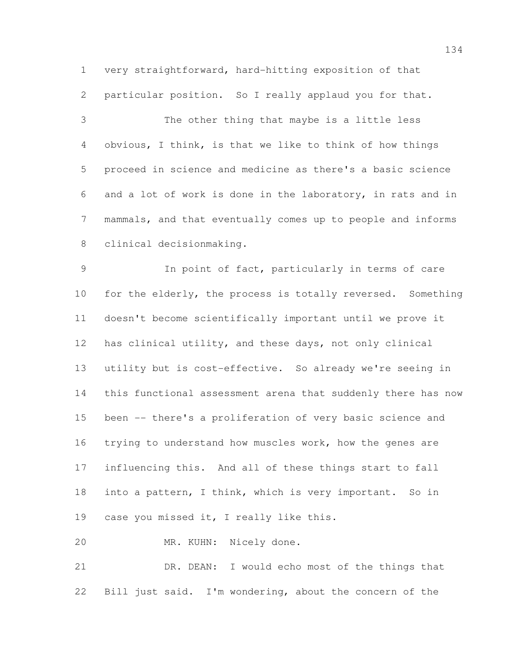very straightforward, hard-hitting exposition of that particular position. So I really applaud you for that.

 The other thing that maybe is a little less obvious, I think, is that we like to think of how things proceed in science and medicine as there's a basic science and a lot of work is done in the laboratory, in rats and in mammals, and that eventually comes up to people and informs clinical decisionmaking.

 In point of fact, particularly in terms of care for the elderly, the process is totally reversed. Something doesn't become scientifically important until we prove it has clinical utility, and these days, not only clinical utility but is cost-effective. So already we're seeing in this functional assessment arena that suddenly there has now been -- there's a proliferation of very basic science and trying to understand how muscles work, how the genes are influencing this. And all of these things start to fall 18 into a pattern, I think, which is very important. So in 19 case you missed it, I really like this.

MR. KUHN: Nicely done.

 DR. DEAN: I would echo most of the things that Bill just said. I'm wondering, about the concern of the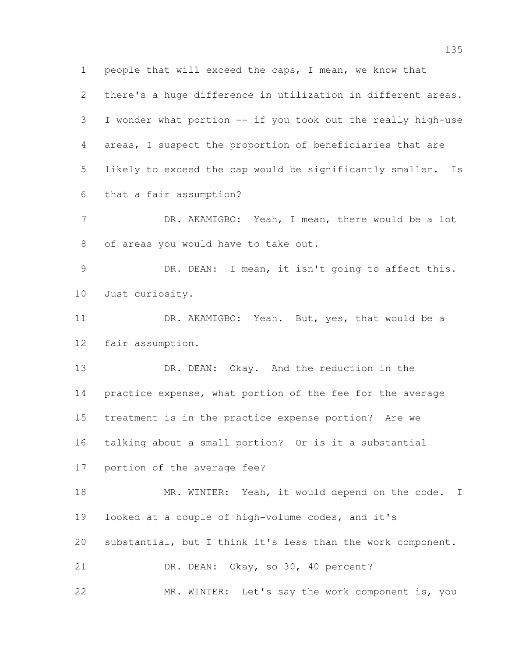people that will exceed the caps, I mean, we know that

 there's a huge difference in utilization in different areas. I wonder what portion -- if you took out the really high-use areas, I suspect the proportion of beneficiaries that are likely to exceed the cap would be significantly smaller. Is that a fair assumption?

7 DR. AKAMIGBO: Yeah, I mean, there would be a lot of areas you would have to take out.

 DR. DEAN: I mean, it isn't going to affect this. Just curiosity.

 DR. AKAMIGBO: Yeah. But, yes, that would be a fair assumption.

 DR. DEAN: Okay. And the reduction in the practice expense, what portion of the fee for the average treatment is in the practice expense portion? Are we talking about a small portion? Or is it a substantial portion of the average fee?

18 MR. WINTER: Yeah, it would depend on the code. I looked at a couple of high-volume codes, and it's substantial, but I think it's less than the work component. DR. DEAN: Okay, so 30, 40 percent?

MR. WINTER: Let's say the work component is, you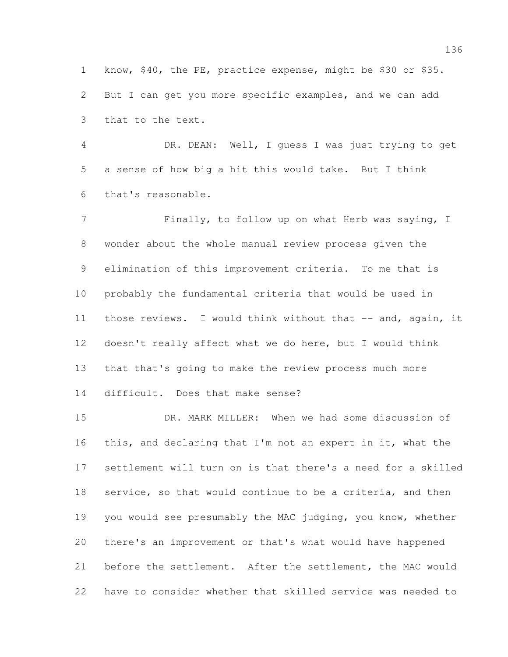know, \$40, the PE, practice expense, might be \$30 or \$35. But I can get you more specific examples, and we can add that to the text.

 DR. DEAN: Well, I guess I was just trying to get a sense of how big a hit this would take. But I think that's reasonable.

7 Finally, to follow up on what Herb was saying, I wonder about the whole manual review process given the elimination of this improvement criteria. To me that is probably the fundamental criteria that would be used in those reviews. I would think without that -- and, again, it doesn't really affect what we do here, but I would think that that's going to make the review process much more difficult. Does that make sense?

 DR. MARK MILLER: When we had some discussion of this, and declaring that I'm not an expert in it, what the settlement will turn on is that there's a need for a skilled service, so that would continue to be a criteria, and then 19 you would see presumably the MAC judging, you know, whether there's an improvement or that's what would have happened before the settlement. After the settlement, the MAC would have to consider whether that skilled service was needed to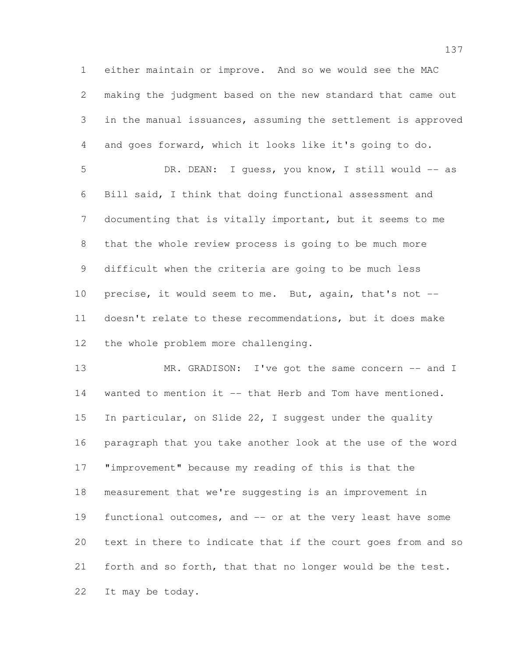either maintain or improve. And so we would see the MAC making the judgment based on the new standard that came out in the manual issuances, assuming the settlement is approved and goes forward, which it looks like it's going to do. DR. DEAN: I guess, you know, I still would -- as

 Bill said, I think that doing functional assessment and documenting that is vitally important, but it seems to me that the whole review process is going to be much more difficult when the criteria are going to be much less precise, it would seem to me. But, again, that's not -- doesn't relate to these recommendations, but it does make the whole problem more challenging.

13 MR. GRADISON: I've got the same concern -- and I 14 wanted to mention it -- that Herb and Tom have mentioned. In particular, on Slide 22, I suggest under the quality paragraph that you take another look at the use of the word "improvement" because my reading of this is that the measurement that we're suggesting is an improvement in functional outcomes, and -- or at the very least have some text in there to indicate that if the court goes from and so forth and so forth, that that no longer would be the test. It may be today.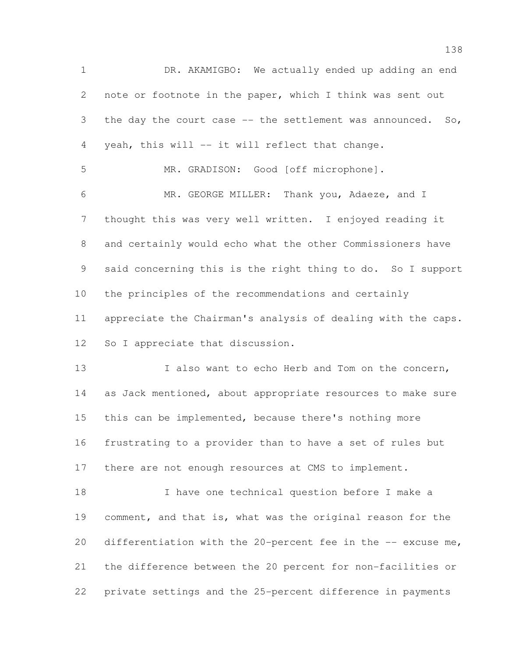DR. AKAMIGBO: We actually ended up adding an end note or footnote in the paper, which I think was sent out 3 the day the court case -- the settlement was announced. So, yeah, this will -- it will reflect that change. MR. GRADISON: Good [off microphone]. MR. GEORGE MILLER: Thank you, Adaeze, and I thought this was very well written. I enjoyed reading it and certainly would echo what the other Commissioners have said concerning this is the right thing to do. So I support the principles of the recommendations and certainly appreciate the Chairman's analysis of dealing with the caps. 12 So I appreciate that discussion. 13 I also want to echo Herb and Tom on the concern, 14 as Jack mentioned, about appropriate resources to make sure this can be implemented, because there's nothing more frustrating to a provider than to have a set of rules but

17 there are not enough resources at CMS to implement.

 I have one technical question before I make a comment, and that is, what was the original reason for the differentiation with the 20-percent fee in the -- excuse me, the difference between the 20 percent for non-facilities or private settings and the 25-percent difference in payments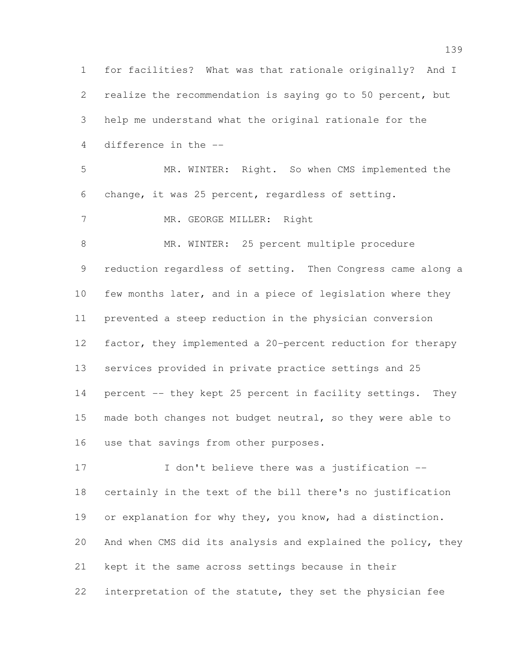for facilities? What was that rationale originally? And I realize the recommendation is saying go to 50 percent, but help me understand what the original rationale for the difference in the -- MR. WINTER: Right. So when CMS implemented the change, it was 25 percent, regardless of setting. 7 MR. GEORGE MILLER: Right 8 MR. WINTER: 25 percent multiple procedure reduction regardless of setting. Then Congress came along a few months later, and in a piece of legislation where they prevented a steep reduction in the physician conversion factor, they implemented a 20-percent reduction for therapy services provided in private practice settings and 25 14 percent -- they kept 25 percent in facility settings. They 15 made both changes not budget neutral, so they were able to use that savings from other purposes. 17 I don't believe there was a justification --

 certainly in the text of the bill there's no justification or explanation for why they, you know, had a distinction. And when CMS did its analysis and explained the policy, they kept it the same across settings because in their interpretation of the statute, they set the physician fee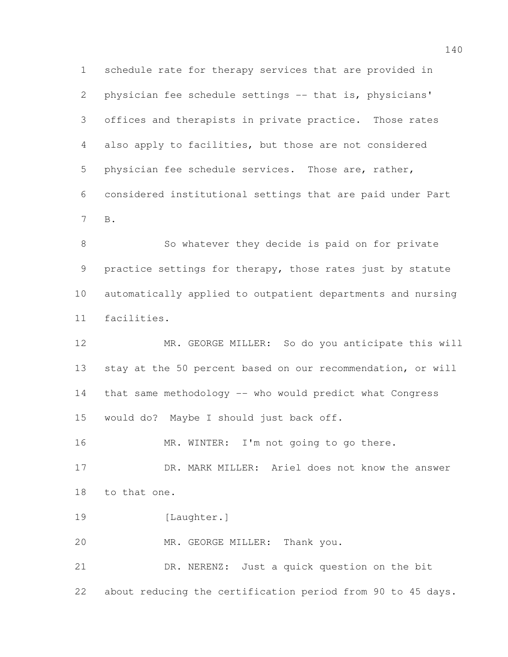schedule rate for therapy services that are provided in physician fee schedule settings -- that is, physicians' offices and therapists in private practice. Those rates also apply to facilities, but those are not considered physician fee schedule services. Those are, rather, considered institutional settings that are paid under Part B.

8 So whatever they decide is paid on for private 9 practice settings for therapy, those rates just by statute automatically applied to outpatient departments and nursing facilities.

 MR. GEORGE MILLER: So do you anticipate this will stay at the 50 percent based on our recommendation, or will that same methodology -- who would predict what Congress would do? Maybe I should just back off.

16 MR. WINTER: I'm not going to go there.

 DR. MARK MILLER: Ariel does not know the answer to that one.

19 [Laughter.]

MR. GEORGE MILLER: Thank you.

 DR. NERENZ: Just a quick question on the bit about reducing the certification period from 90 to 45 days.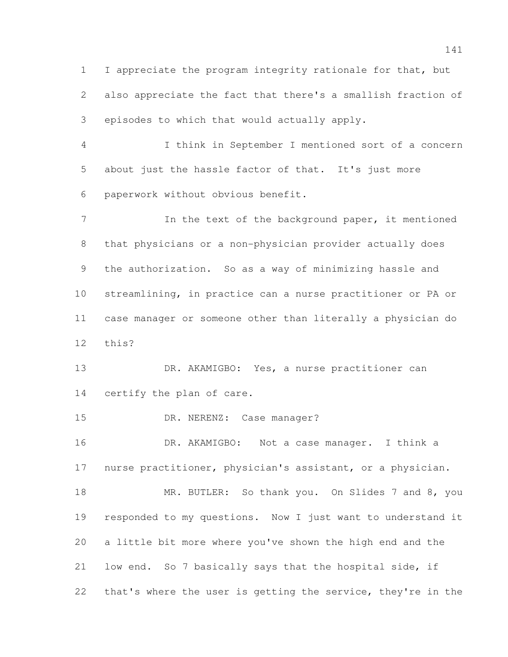I appreciate the program integrity rationale for that, but also appreciate the fact that there's a smallish fraction of episodes to which that would actually apply.

 I think in September I mentioned sort of a concern about just the hassle factor of that. It's just more paperwork without obvious benefit.

7 In the text of the background paper, it mentioned that physicians or a non-physician provider actually does the authorization. So as a way of minimizing hassle and streamlining, in practice can a nurse practitioner or PA or case manager or someone other than literally a physician do this?

13 DR. AKAMIGBO: Yes, a nurse practitioner can certify the plan of care.

DR. NERENZ: Case manager?

 DR. AKAMIGBO: Not a case manager. I think a nurse practitioner, physician's assistant, or a physician.

18 MR. BUTLER: So thank you. On Slides 7 and 8, you responded to my questions. Now I just want to understand it a little bit more where you've shown the high end and the low end. So 7 basically says that the hospital side, if that's where the user is getting the service, they're in the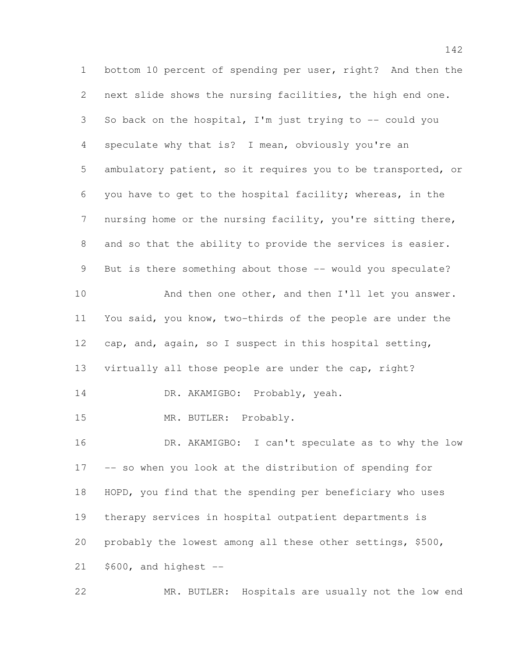bottom 10 percent of spending per user, right? And then the next slide shows the nursing facilities, the high end one. So back on the hospital, I'm just trying to -- could you speculate why that is? I mean, obviously you're an ambulatory patient, so it requires you to be transported, or you have to get to the hospital facility; whereas, in the nursing home or the nursing facility, you're sitting there, and so that the ability to provide the services is easier. 9 But is there something about those -- would you speculate? 10 And then one other, and then I'll let you answer. You said, you know, two-thirds of the people are under the cap, and, again, so I suspect in this hospital setting, virtually all those people are under the cap, right? 14 DR. AKAMIGBO: Probably, yeah. MR. BUTLER: Probably. DR. AKAMIGBO: I can't speculate as to why the low -- so when you look at the distribution of spending for HOPD, you find that the spending per beneficiary who uses therapy services in hospital outpatient departments is probably the lowest among all these other settings, \$500, \$600, and highest --

MR. BUTLER: Hospitals are usually not the low end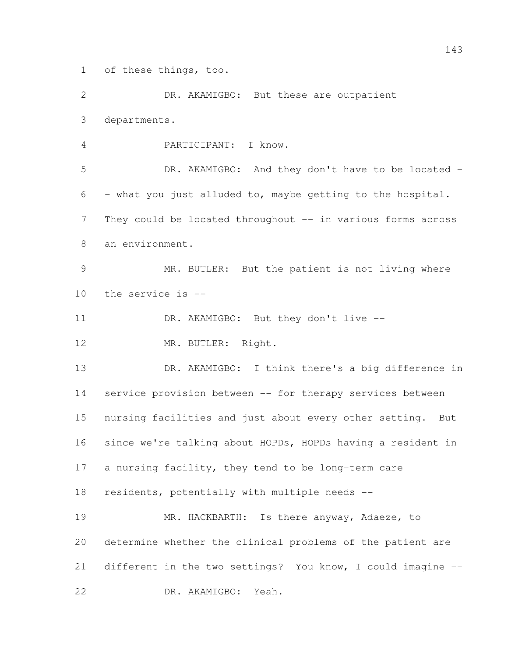of these things, too.

 DR. AKAMIGBO: But these are outpatient departments.

PARTICIPANT: I know.

 DR. AKAMIGBO: And they don't have to be located - - what you just alluded to, maybe getting to the hospital. 7 They could be located throughout -- in various forms across an environment.

 MR. BUTLER: But the patient is not living where the service is --

11 DR. AKAMIGBO: But they don't live --

12 MR. BUTLER: Right.

 DR. AKAMIGBO: I think there's a big difference in service provision between -- for therapy services between nursing facilities and just about every other setting. But since we're talking about HOPDs, HOPDs having a resident in a nursing facility, they tend to be long-term care residents, potentially with multiple needs --

19 MR. HACKBARTH: Is there anyway, Adaeze, to determine whether the clinical problems of the patient are different in the two settings? You know, I could imagine -- DR. AKAMIGBO: Yeah.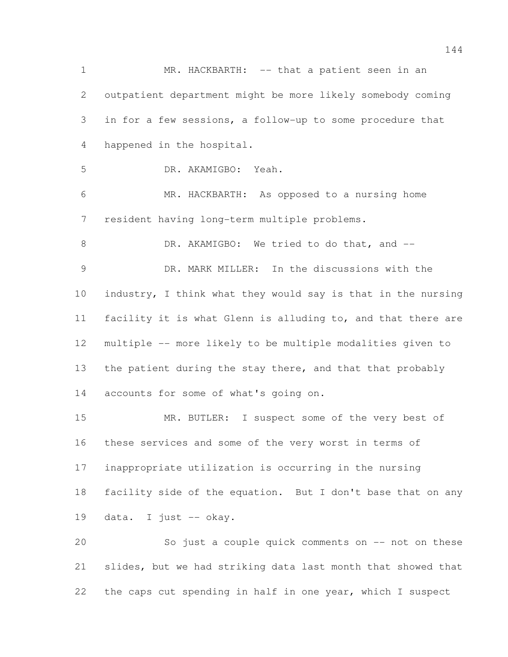1 MR. HACKBARTH: -- that a patient seen in an outpatient department might be more likely somebody coming in for a few sessions, a follow-up to some procedure that happened in the hospital. DR. AKAMIGBO: Yeah. MR. HACKBARTH: As opposed to a nursing home resident having long-term multiple problems. 8 DR. AKAMIGBO: We tried to do that, and -- DR. MARK MILLER: In the discussions with the industry, I think what they would say is that in the nursing facility it is what Glenn is alluding to, and that there are multiple -- more likely to be multiple modalities given to the patient during the stay there, and that that probably accounts for some of what's going on. 15 MR. BUTLER: I suspect some of the very best of these services and some of the very worst in terms of inappropriate utilization is occurring in the nursing facility side of the equation. But I don't base that on any data. I just -- okay. So just a couple quick comments on -- not on these slides, but we had striking data last month that showed that the caps cut spending in half in one year, which I suspect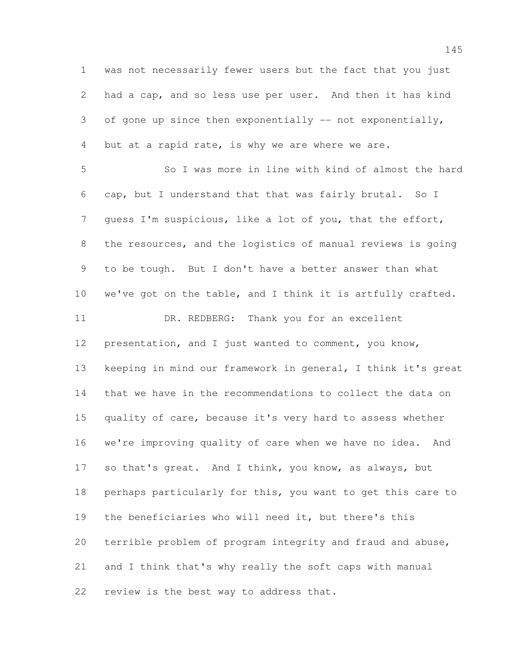was not necessarily fewer users but the fact that you just had a cap, and so less use per user. And then it has kind 3 of gone up since then exponentially  $-$  not exponentially, 4 but at a rapid rate, is why we are where we are.

 So I was more in line with kind of almost the hard cap, but I understand that that was fairly brutal. So I guess I'm suspicious, like a lot of you, that the effort, the resources, and the logistics of manual reviews is going to be tough. But I don't have a better answer than what we've got on the table, and I think it is artfully crafted. 11 DR. REDBERG: Thank you for an excellent presentation, and I just wanted to comment, you know, keeping in mind our framework in general, I think it's great that we have in the recommendations to collect the data on quality of care, because it's very hard to assess whether we're improving quality of care when we have no idea. And so that's great. And I think, you know, as always, but perhaps particularly for this, you want to get this care to the beneficiaries who will need it, but there's this terrible problem of program integrity and fraud and abuse, and I think that's why really the soft caps with manual review is the best way to address that.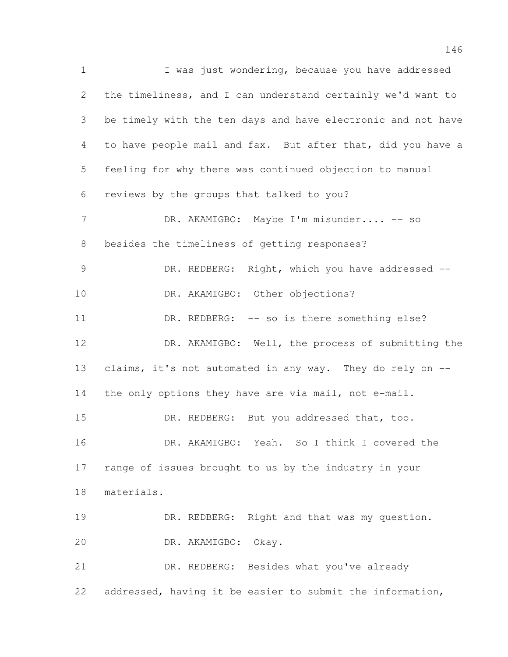I was just wondering, because you have addressed the timeliness, and I can understand certainly we'd want to be timely with the ten days and have electronic and not have to have people mail and fax. But after that, did you have a feeling for why there was continued objection to manual reviews by the groups that talked to you? 7 DR. AKAMIGBO: Maybe I'm misunder.... -- so besides the timeliness of getting responses? 9 DR. REDBERG: Right, which you have addressed -- DR. AKAMIGBO: Other objections? 11 DR. REDBERG: -- so is there something else? DR. AKAMIGBO: Well, the process of submitting the 13 claims, it's not automated in any way. They do rely on --14 the only options they have are via mail, not e-mail. 15 DR. REDBERG: But you addressed that, too. DR. AKAMIGBO: Yeah. So I think I covered the range of issues brought to us by the industry in your materials. 19 DR. REDBERG: Right and that was my question. DR. AKAMIGBO: Okay. DR. REDBERG: Besides what you've already addressed, having it be easier to submit the information,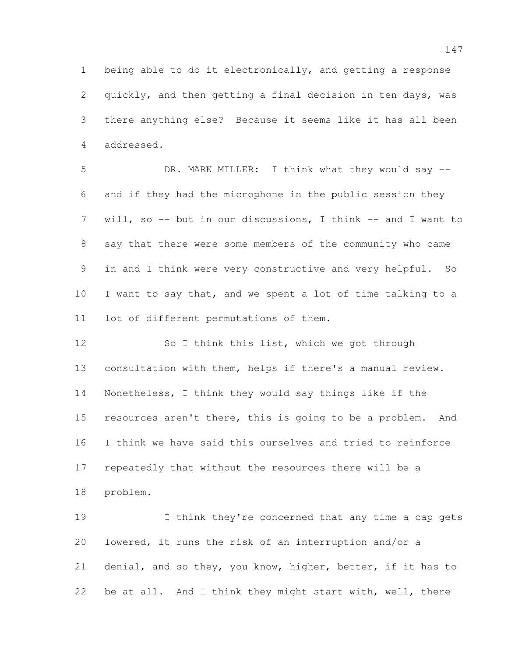being able to do it electronically, and getting a response quickly, and then getting a final decision in ten days, was there anything else? Because it seems like it has all been addressed.

 DR. MARK MILLER: I think what they would say -- and if they had the microphone in the public session they will, so -- but in our discussions, I think -- and I want to say that there were some members of the community who came in and I think were very constructive and very helpful. So I want to say that, and we spent a lot of time talking to a lot of different permutations of them.

 So I think this list, which we got through consultation with them, helps if there's a manual review. Nonetheless, I think they would say things like if the 15 resources aren't there, this is going to be a problem. And I think we have said this ourselves and tried to reinforce repeatedly that without the resources there will be a problem.

19 I think they're concerned that any time a cap gets lowered, it runs the risk of an interruption and/or a denial, and so they, you know, higher, better, if it has to be at all. And I think they might start with, well, there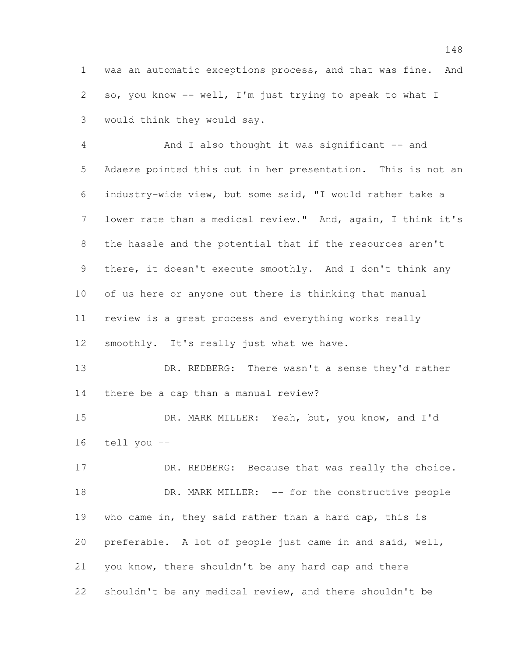was an automatic exceptions process, and that was fine. And so, you know -- well, I'm just trying to speak to what I would think they would say.

4 And I also thought it was significant -- and Adaeze pointed this out in her presentation. This is not an industry-wide view, but some said, "I would rather take a lower rate than a medical review." And, again, I think it's the hassle and the potential that if the resources aren't there, it doesn't execute smoothly. And I don't think any of us here or anyone out there is thinking that manual review is a great process and everything works really 12 smoothly. It's really just what we have.

 DR. REDBERG: There wasn't a sense they'd rather there be a cap than a manual review?

 DR. MARK MILLER: Yeah, but, you know, and I'd tell you --

17 DR. REDBERG: Because that was really the choice. 18 DR. MARK MILLER: -- for the constructive people who came in, they said rather than a hard cap, this is preferable. A lot of people just came in and said, well, you know, there shouldn't be any hard cap and there shouldn't be any medical review, and there shouldn't be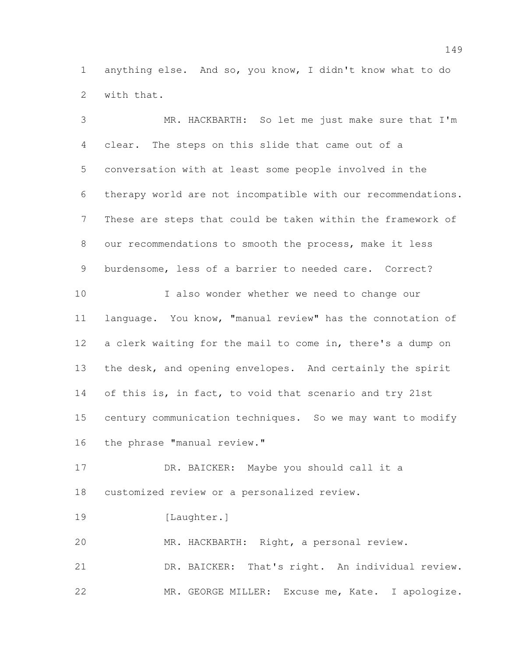anything else. And so, you know, I didn't know what to do with that.

 MR. HACKBARTH: So let me just make sure that I'm clear. The steps on this slide that came out of a conversation with at least some people involved in the therapy world are not incompatible with our recommendations. These are steps that could be taken within the framework of our recommendations to smooth the process, make it less burdensome, less of a barrier to needed care. Correct? I also wonder whether we need to change our language. You know, "manual review" has the connotation of a clerk waiting for the mail to come in, there's a dump on 13 the desk, and opening envelopes. And certainly the spirit 14 of this is, in fact, to void that scenario and try 21st century communication techniques. So we may want to modify 16 the phrase "manual review." DR. BAICKER: Maybe you should call it a customized review or a personalized review. 19 [Laughter.] MR. HACKBARTH: Right, a personal review. DR. BAICKER: That's right. An individual review. MR. GEORGE MILLER: Excuse me, Kate. I apologize.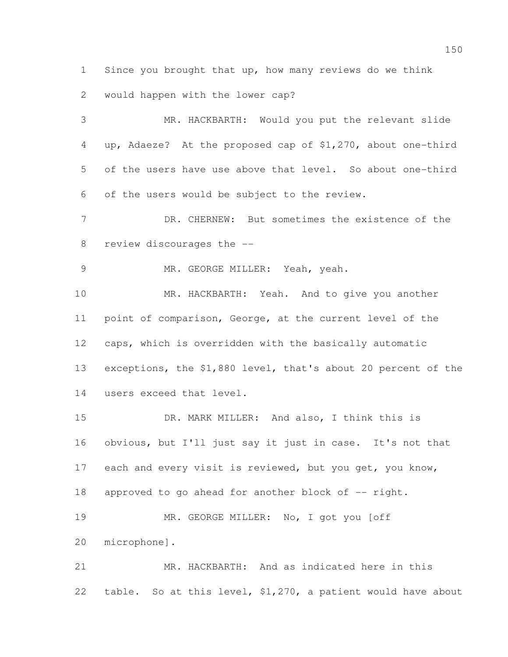Since you brought that up, how many reviews do we think

 MR. HACKBARTH: Would you put the relevant slide up, Adaeze? At the proposed cap of \$1,270, about one-third of the users have use above that level. So about one-third of the users would be subject to the review.

 DR. CHERNEW: But sometimes the existence of the review discourages the --

MR. GEORGE MILLER: Yeah, yeah.

would happen with the lower cap?

 MR. HACKBARTH: Yeah. And to give you another point of comparison, George, at the current level of the caps, which is overridden with the basically automatic exceptions, the \$1,880 level, that's about 20 percent of the users exceed that level.

 DR. MARK MILLER: And also, I think this is obvious, but I'll just say it just in case. It's not that 17 each and every visit is reviewed, but you get, you know, 18 approved to go ahead for another block of -- right. MR. GEORGE MILLER: No, I got you [off

microphone].

 MR. HACKBARTH: And as indicated here in this table. So at this level, \$1,270, a patient would have about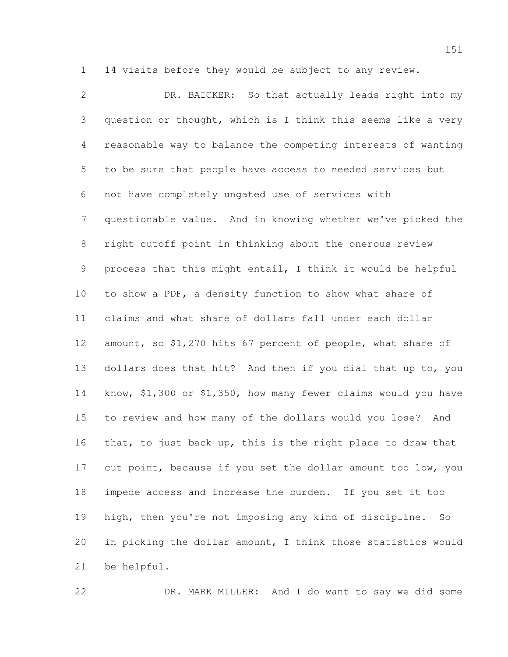14 visits before they would be subject to any review.

 DR. BAICKER: So that actually leads right into my question or thought, which is I think this seems like a very reasonable way to balance the competing interests of wanting to be sure that people have access to needed services but not have completely ungated use of services with questionable value. And in knowing whether we've picked the right cutoff point in thinking about the onerous review process that this might entail, I think it would be helpful to show a PDF, a density function to show what share of claims and what share of dollars fall under each dollar amount, so \$1,270 hits 67 percent of people, what share of dollars does that hit? And then if you dial that up to, you know, \$1,300 or \$1,350, how many fewer claims would you have to review and how many of the dollars would you lose? And that, to just back up, this is the right place to draw that 17 cut point, because if you set the dollar amount too low, you impede access and increase the burden. If you set it too high, then you're not imposing any kind of discipline. So in picking the dollar amount, I think those statistics would be helpful.

DR. MARK MILLER: And I do want to say we did some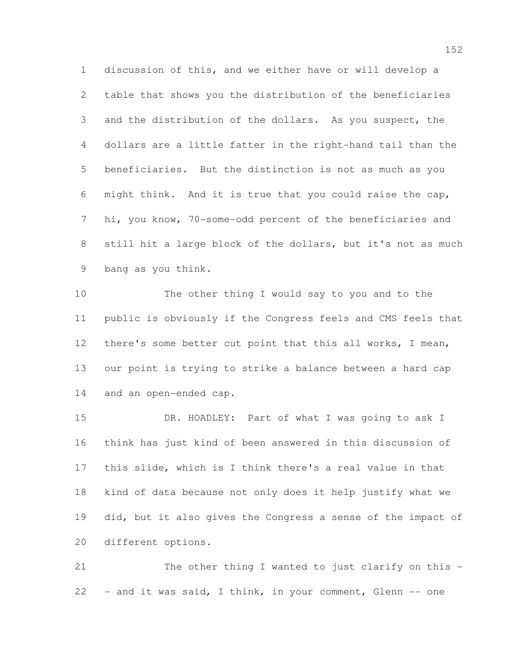discussion of this, and we either have or will develop a table that shows you the distribution of the beneficiaries and the distribution of the dollars. As you suspect, the dollars are a little fatter in the right-hand tail than the beneficiaries. But the distinction is not as much as you might think. And it is true that you could raise the cap, hi, you know, 70-some-odd percent of the beneficiaries and still hit a large block of the dollars, but it's not as much bang as you think.

 The other thing I would say to you and to the public is obviously if the Congress feels and CMS feels that 12 there's some better cut point that this all works, I mean, our point is trying to strike a balance between a hard cap and an open-ended cap.

 DR. HOADLEY: Part of what I was going to ask I think has just kind of been answered in this discussion of this slide, which is I think there's a real value in that kind of data because not only does it help justify what we did, but it also gives the Congress a sense of the impact of different options.

 The other thing I wanted to just clarify on this - - and it was said, I think, in your comment, Glenn -- one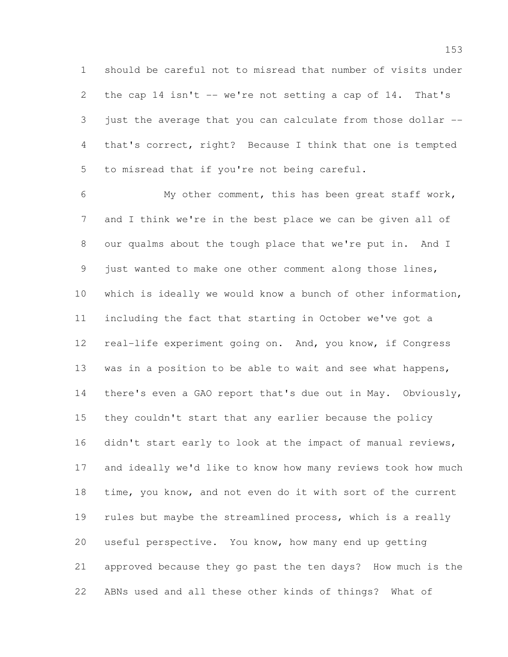should be careful not to misread that number of visits under 2 the cap 14 isn't -- we're not setting a cap of 14. That's 3 just the average that you can calculate from those dollar -- that's correct, right? Because I think that one is tempted to misread that if you're not being careful.

 My other comment, this has been great staff work, and I think we're in the best place we can be given all of our qualms about the tough place that we're put in. And I just wanted to make one other comment along those lines, which is ideally we would know a bunch of other information, including the fact that starting in October we've got a real-life experiment going on. And, you know, if Congress 13 was in a position to be able to wait and see what happens, 14 there's even a GAO report that's due out in May. Obviously, they couldn't start that any earlier because the policy 16 didn't start early to look at the impact of manual reviews, and ideally we'd like to know how many reviews took how much time, you know, and not even do it with sort of the current rules but maybe the streamlined process, which is a really useful perspective. You know, how many end up getting approved because they go past the ten days? How much is the ABNs used and all these other kinds of things? What of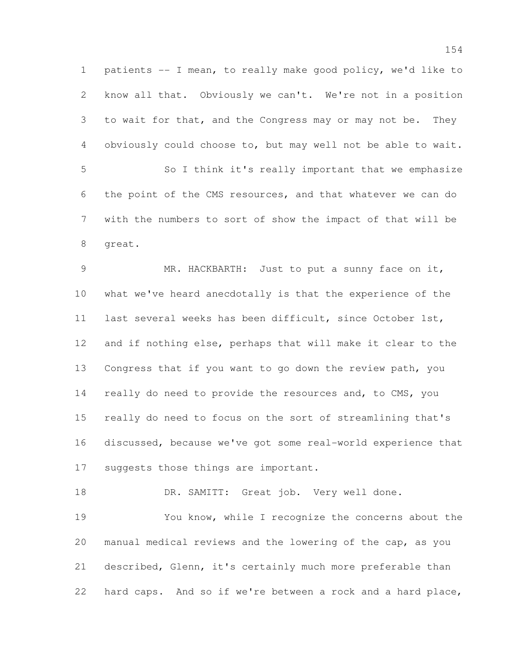patients -- I mean, to really make good policy, we'd like to know all that. Obviously we can't. We're not in a position to wait for that, and the Congress may or may not be. They obviously could choose to, but may well not be able to wait. So I think it's really important that we emphasize the point of the CMS resources, and that whatever we can do with the numbers to sort of show the impact of that will be great. MR. HACKBARTH: Just to put a sunny face on it, what we've heard anecdotally is that the experience of the last several weeks has been difficult, since October 1st, and if nothing else, perhaps that will make it clear to the Congress that if you want to go down the review path, you really do need to provide the resources and, to CMS, you really do need to focus on the sort of streamlining that's discussed, because we've got some real-world experience that suggests those things are important.

18 DR. SAMITT: Great job. Very well done. You know, while I recognize the concerns about the manual medical reviews and the lowering of the cap, as you described, Glenn, it's certainly much more preferable than hard caps. And so if we're between a rock and a hard place,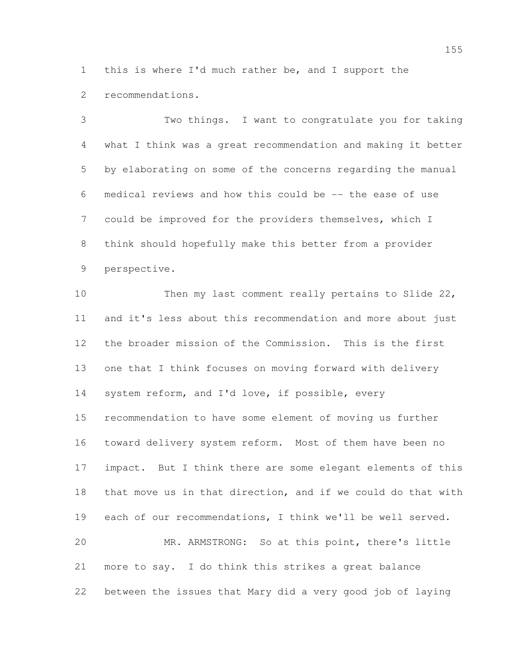this is where I'd much rather be, and I support the recommendations.

 Two things. I want to congratulate you for taking what I think was a great recommendation and making it better by elaborating on some of the concerns regarding the manual medical reviews and how this could be -- the ease of use could be improved for the providers themselves, which I think should hopefully make this better from a provider perspective.

 Then my last comment really pertains to Slide 22, and it's less about this recommendation and more about just the broader mission of the Commission. This is the first one that I think focuses on moving forward with delivery system reform, and I'd love, if possible, every recommendation to have some element of moving us further toward delivery system reform. Most of them have been no impact. But I think there are some elegant elements of this that move us in that direction, and if we could do that with each of our recommendations, I think we'll be well served. MR. ARMSTRONG: So at this point, there's little more to say. I do think this strikes a great balance between the issues that Mary did a very good job of laying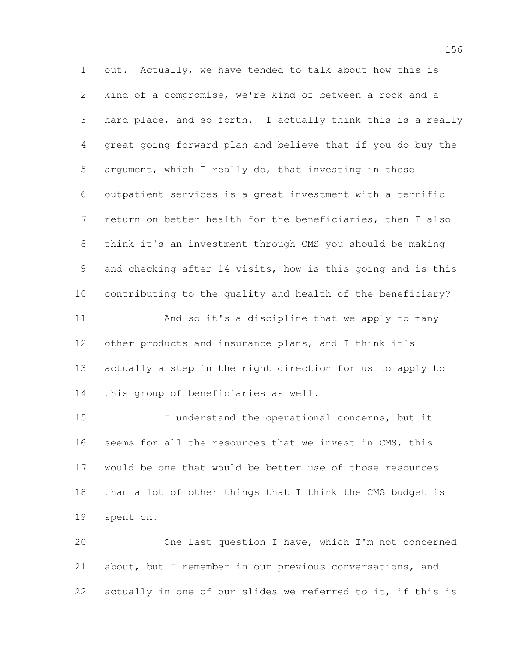out. Actually, we have tended to talk about how this is kind of a compromise, we're kind of between a rock and a hard place, and so forth. I actually think this is a really great going-forward plan and believe that if you do buy the argument, which I really do, that investing in these outpatient services is a great investment with a terrific return on better health for the beneficiaries, then I also think it's an investment through CMS you should be making and checking after 14 visits, how is this going and is this contributing to the quality and health of the beneficiary? And so it's a discipline that we apply to many other products and insurance plans, and I think it's actually a step in the right direction for us to apply to this group of beneficiaries as well.

 I understand the operational concerns, but it seems for all the resources that we invest in CMS, this would be one that would be better use of those resources than a lot of other things that I think the CMS budget is spent on.

 One last question I have, which I'm not concerned about, but I remember in our previous conversations, and actually in one of our slides we referred to it, if this is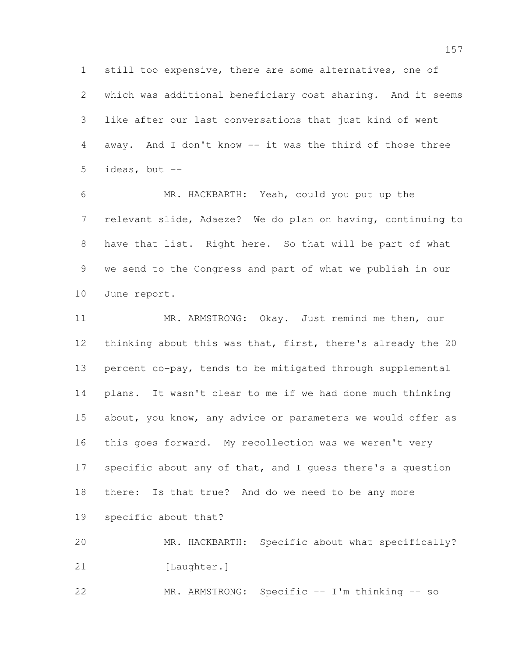still too expensive, there are some alternatives, one of which was additional beneficiary cost sharing. And it seems like after our last conversations that just kind of went away. And I don't know -- it was the third of those three 5 ideas, but  $--$ 

 MR. HACKBARTH: Yeah, could you put up the relevant slide, Adaeze? We do plan on having, continuing to have that list. Right here. So that will be part of what we send to the Congress and part of what we publish in our June report.

 MR. ARMSTRONG: Okay. Just remind me then, our thinking about this was that, first, there's already the 20 percent co-pay, tends to be mitigated through supplemental plans. It wasn't clear to me if we had done much thinking 15 about, you know, any advice or parameters we would offer as this goes forward. My recollection was we weren't very 17 specific about any of that, and I guess there's a question there: Is that true? And do we need to be any more specific about that? MR. HACKBARTH: Specific about what specifically?

21 [Laughter.]

MR. ARMSTRONG: Specific -- I'm thinking -- so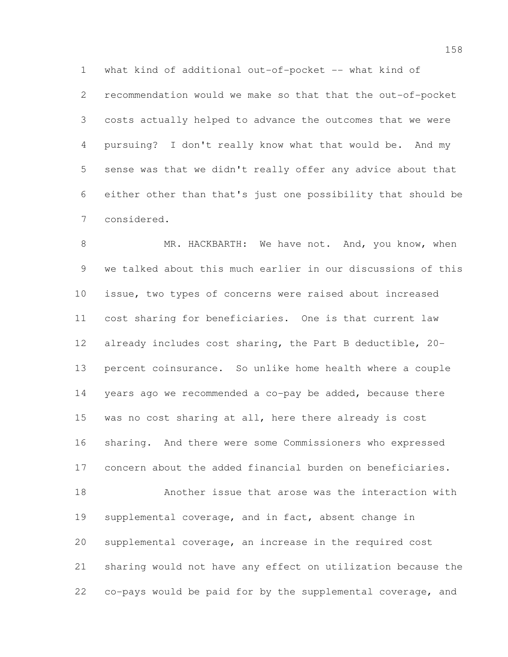what kind of additional out-of-pocket -- what kind of recommendation would we make so that that the out-of-pocket costs actually helped to advance the outcomes that we were pursuing? I don't really know what that would be. And my sense was that we didn't really offer any advice about that either other than that's just one possibility that should be considered.

8 MR. HACKBARTH: We have not. And, you know, when we talked about this much earlier in our discussions of this issue, two types of concerns were raised about increased cost sharing for beneficiaries. One is that current law already includes cost sharing, the Part B deductible, 20- percent coinsurance. So unlike home health where a couple years ago we recommended a co-pay be added, because there was no cost sharing at all, here there already is cost sharing. And there were some Commissioners who expressed concern about the added financial burden on beneficiaries. Another issue that arose was the interaction with supplemental coverage, and in fact, absent change in supplemental coverage, an increase in the required cost sharing would not have any effect on utilization because the

co-pays would be paid for by the supplemental coverage, and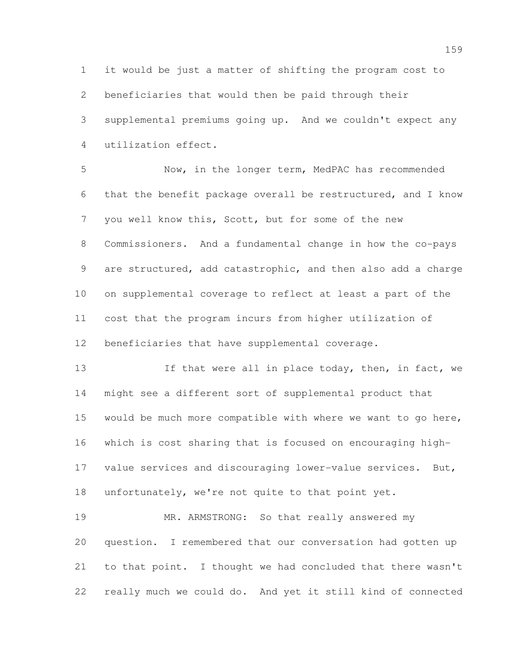it would be just a matter of shifting the program cost to beneficiaries that would then be paid through their supplemental premiums going up. And we couldn't expect any utilization effect.

 Now, in the longer term, MedPAC has recommended that the benefit package overall be restructured, and I know you well know this, Scott, but for some of the new Commissioners. And a fundamental change in how the co-pays are structured, add catastrophic, and then also add a charge on supplemental coverage to reflect at least a part of the cost that the program incurs from higher utilization of beneficiaries that have supplemental coverage.

13 13 If that were all in place today, then, in fact, we might see a different sort of supplemental product that would be much more compatible with where we want to go here, which is cost sharing that is focused on encouraging high- value services and discouraging lower-value services. But, unfortunately, we're not quite to that point yet.

19 MR. ARMSTRONG: So that really answered my question. I remembered that our conversation had gotten up to that point. I thought we had concluded that there wasn't really much we could do. And yet it still kind of connected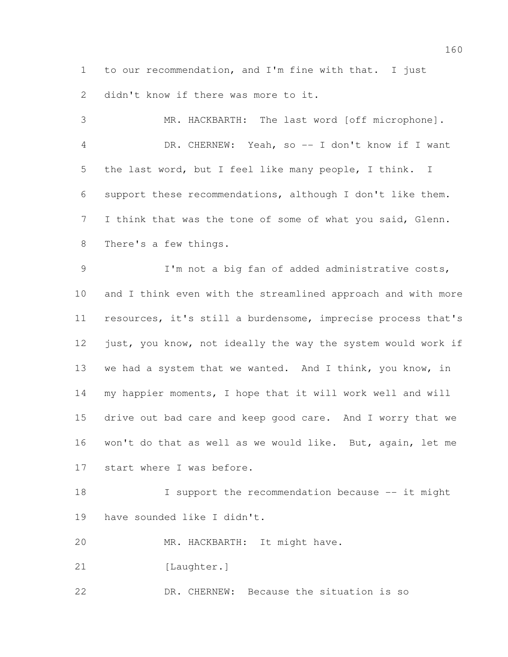to our recommendation, and I'm fine with that. I just 2 didn't know if there was more to it.

 MR. HACKBARTH: The last word [off microphone]. 4 DR. CHERNEW: Yeah, so -- I don't know if I want the last word, but I feel like many people, I think. I support these recommendations, although I don't like them. 7 I think that was the tone of some of what you said, Glenn. There's a few things.

 I'm not a big fan of added administrative costs, and I think even with the streamlined approach and with more resources, it's still a burdensome, imprecise process that's 12 just, you know, not ideally the way the system would work if we had a system that we wanted. And I think, you know, in my happier moments, I hope that it will work well and will drive out bad care and keep good care. And I worry that we won't do that as well as we would like. But, again, let me start where I was before.

18 I support the recommendation because -- it might have sounded like I didn't.

MR. HACKBARTH: It might have.

21 [Laughter.]

DR. CHERNEW: Because the situation is so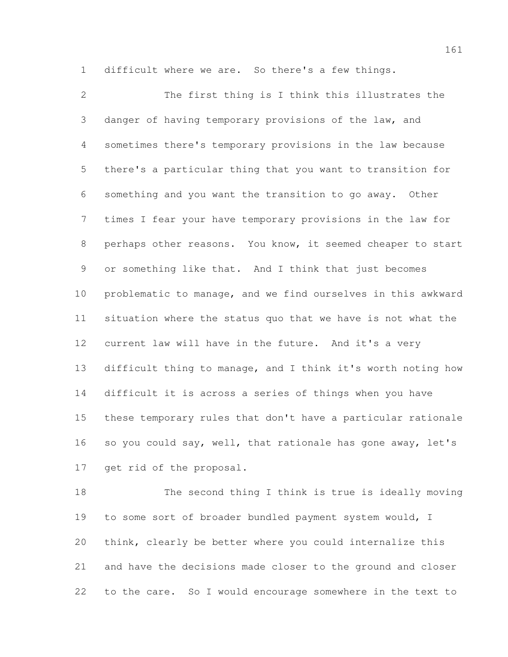difficult where we are. So there's a few things.

 The first thing is I think this illustrates the danger of having temporary provisions of the law, and sometimes there's temporary provisions in the law because there's a particular thing that you want to transition for something and you want the transition to go away. Other times I fear your have temporary provisions in the law for perhaps other reasons. You know, it seemed cheaper to start or something like that. And I think that just becomes problematic to manage, and we find ourselves in this awkward situation where the status quo that we have is not what the current law will have in the future. And it's a very difficult thing to manage, and I think it's worth noting how difficult it is across a series of things when you have these temporary rules that don't have a particular rationale 16 so you could say, well, that rationale has gone away, let's get rid of the proposal.

 The second thing I think is true is ideally moving to some sort of broader bundled payment system would, I think, clearly be better where you could internalize this and have the decisions made closer to the ground and closer to the care. So I would encourage somewhere in the text to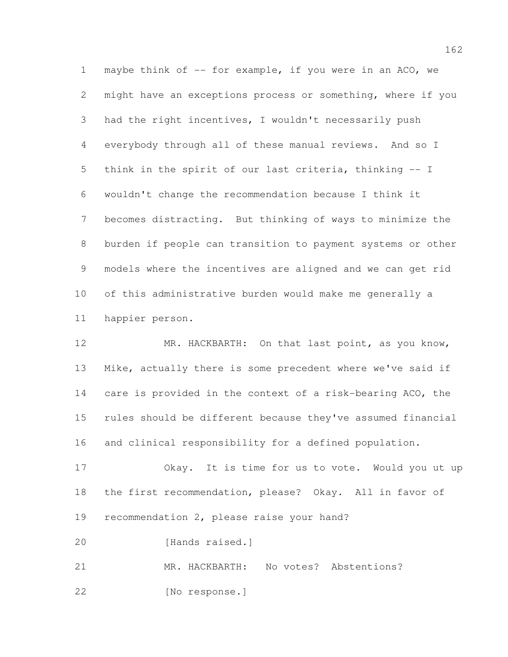maybe think of -- for example, if you were in an ACO, we might have an exceptions process or something, where if you had the right incentives, I wouldn't necessarily push everybody through all of these manual reviews. And so I think in the spirit of our last criteria, thinking -- I wouldn't change the recommendation because I think it becomes distracting. But thinking of ways to minimize the burden if people can transition to payment systems or other models where the incentives are aligned and we can get rid of this administrative burden would make me generally a happier person.

 MR. HACKBARTH: On that last point, as you know, Mike, actually there is some precedent where we've said if care is provided in the context of a risk-bearing ACO, the rules should be different because they've assumed financial and clinical responsibility for a defined population.

 Okay. It is time for us to vote. Would you ut up the first recommendation, please? Okay. All in favor of recommendation 2, please raise your hand?

[Hands raised.]

 MR. HACKBARTH: No votes? Abstentions? [No response.]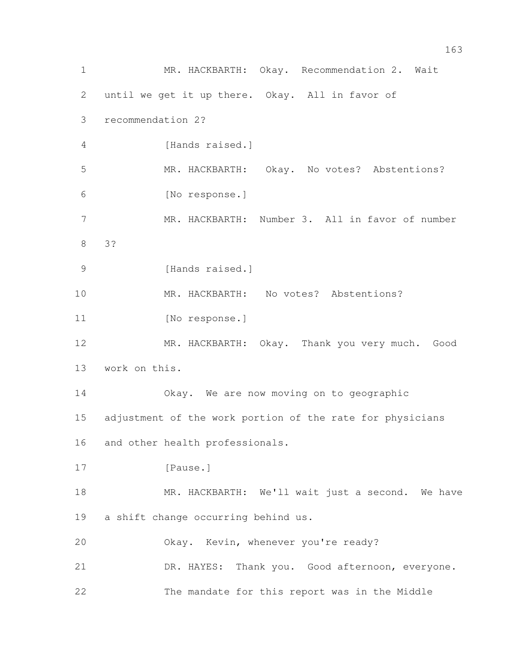MR. HACKBARTH: Okay. Recommendation 2. Wait until we get it up there. Okay. All in favor of recommendation 2? 4 [Hands raised.] MR. HACKBARTH: Okay. No votes? Abstentions? [No response.] MR. HACKBARTH: Number 3. All in favor of number 3? 9 [Hands raised.] MR. HACKBARTH: No votes? Abstentions? 11 [No response.] MR. HACKBARTH: Okay. Thank you very much. Good work on this. Okay. We are now moving on to geographic adjustment of the work portion of the rate for physicians and other health professionals. 17 [Pause.] 18 MR. HACKBARTH: We'll wait just a second. We have a shift change occurring behind us. Okay. Kevin, whenever you're ready? 21 DR. HAYES: Thank you. Good afternoon, everyone. The mandate for this report was in the Middle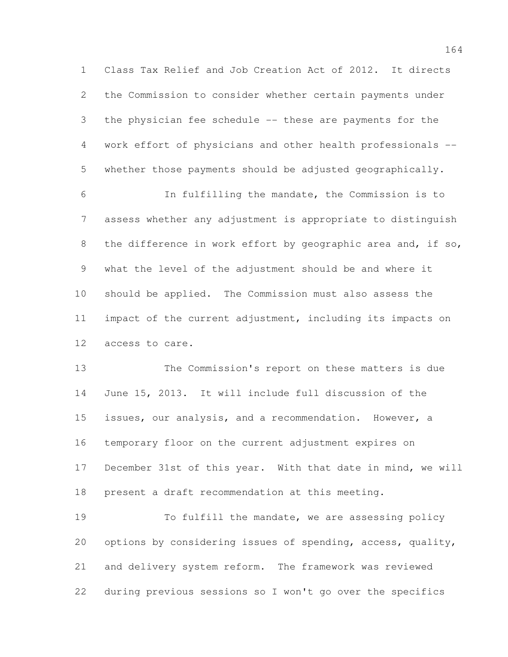Class Tax Relief and Job Creation Act of 2012. It directs the Commission to consider whether certain payments under the physician fee schedule -- these are payments for the work effort of physicians and other health professionals -- whether those payments should be adjusted geographically.

 In fulfilling the mandate, the Commission is to assess whether any adjustment is appropriate to distinguish 8 the difference in work effort by geographic area and, if so, what the level of the adjustment should be and where it should be applied. The Commission must also assess the impact of the current adjustment, including its impacts on access to care.

 The Commission's report on these matters is due June 15, 2013. It will include full discussion of the issues, our analysis, and a recommendation. However, a temporary floor on the current adjustment expires on December 31st of this year. With that date in mind, we will present a draft recommendation at this meeting.

 To fulfill the mandate, we are assessing policy options by considering issues of spending, access, quality, and delivery system reform. The framework was reviewed during previous sessions so I won't go over the specifics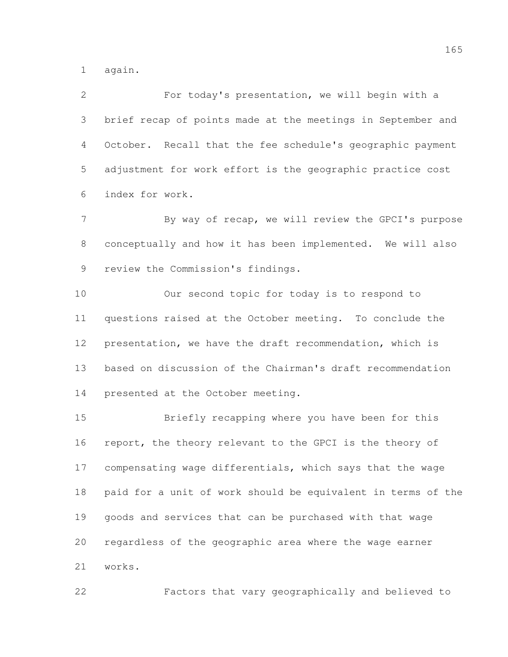again.

 For today's presentation, we will begin with a brief recap of points made at the meetings in September and October. Recall that the fee schedule's geographic payment adjustment for work effort is the geographic practice cost index for work.

7 By way of recap, we will review the GPCI's purpose conceptually and how it has been implemented. We will also review the Commission's findings.

 Our second topic for today is to respond to questions raised at the October meeting. To conclude the presentation, we have the draft recommendation, which is based on discussion of the Chairman's draft recommendation presented at the October meeting.

 Briefly recapping where you have been for this report, the theory relevant to the GPCI is the theory of compensating wage differentials, which says that the wage paid for a unit of work should be equivalent in terms of the goods and services that can be purchased with that wage regardless of the geographic area where the wage earner works.

Factors that vary geographically and believed to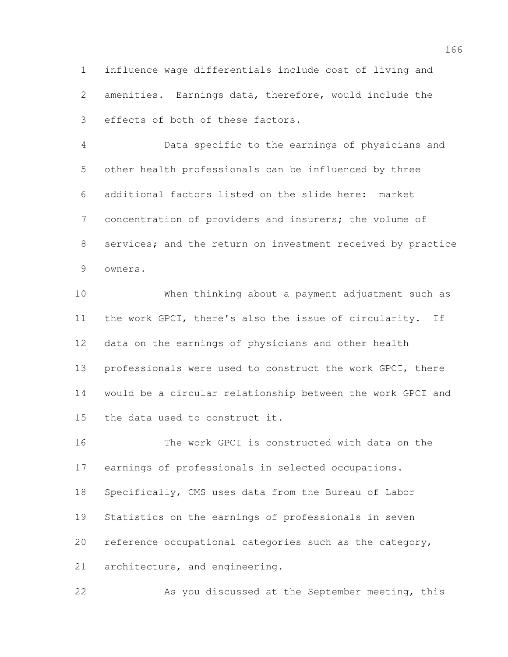influence wage differentials include cost of living and amenities. Earnings data, therefore, would include the effects of both of these factors.

 Data specific to the earnings of physicians and other health professionals can be influenced by three additional factors listed on the slide here: market concentration of providers and insurers; the volume of services; and the return on investment received by practice owners.

 When thinking about a payment adjustment such as the work GPCI, there's also the issue of circularity. If data on the earnings of physicians and other health professionals were used to construct the work GPCI, there would be a circular relationship between the work GPCI and the data used to construct it.

 The work GPCI is constructed with data on the earnings of professionals in selected occupations. Specifically, CMS uses data from the Bureau of Labor Statistics on the earnings of professionals in seven reference occupational categories such as the category, architecture, and engineering.

As you discussed at the September meeting, this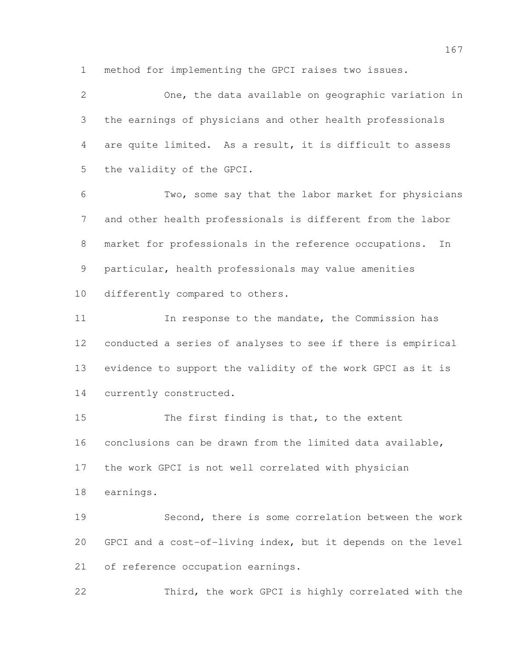method for implementing the GPCI raises two issues.

 One, the data available on geographic variation in the earnings of physicians and other health professionals are quite limited. As a result, it is difficult to assess the validity of the GPCI. Two, some say that the labor market for physicians and other health professionals is different from the labor market for professionals in the reference occupations. In particular, health professionals may value amenities differently compared to others.

11 11 In response to the mandate, the Commission has conducted a series of analyses to see if there is empirical evidence to support the validity of the work GPCI as it is currently constructed.

15 The first finding is that, to the extent conclusions can be drawn from the limited data available, the work GPCI is not well correlated with physician earnings.

 Second, there is some correlation between the work GPCI and a cost-of-living index, but it depends on the level of reference occupation earnings.

Third, the work GPCI is highly correlated with the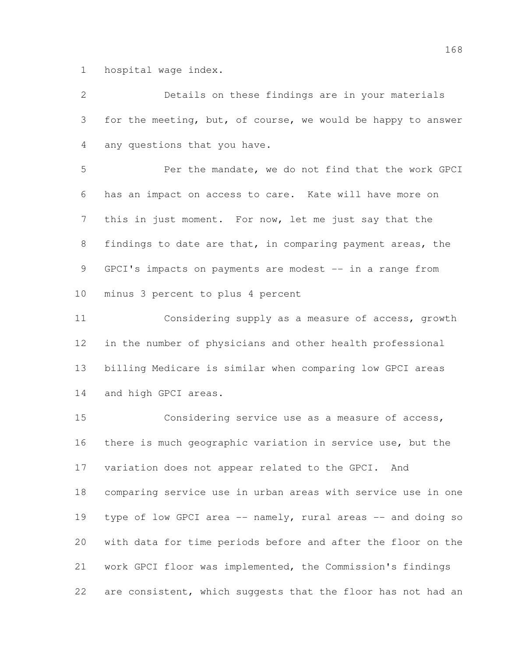hospital wage index.

 Details on these findings are in your materials for the meeting, but, of course, we would be happy to answer any questions that you have. Per the mandate, we do not find that the work GPCI has an impact on access to care. Kate will have more on this in just moment. For now, let me just say that the findings to date are that, in comparing payment areas, the 9 GPCI's impacts on payments are modest -- in a range from minus 3 percent to plus 4 percent Considering supply as a measure of access, growth in the number of physicians and other health professional billing Medicare is similar when comparing low GPCI areas and high GPCI areas. Considering service use as a measure of access, there is much geographic variation in service use, but the variation does not appear related to the GPCI. And comparing service use in urban areas with service use in one 19 type of low GPCI area -- namely, rural areas -- and doing so with data for time periods before and after the floor on the work GPCI floor was implemented, the Commission's findings are consistent, which suggests that the floor has not had an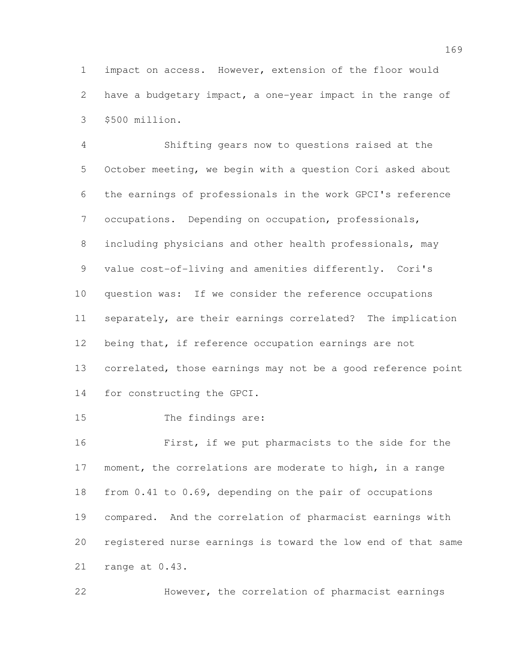impact on access. However, extension of the floor would have a budgetary impact, a one-year impact in the range of \$500 million.

 Shifting gears now to questions raised at the October meeting, we begin with a question Cori asked about the earnings of professionals in the work GPCI's reference occupations. Depending on occupation, professionals, including physicians and other health professionals, may value cost-of-living and amenities differently. Cori's question was: If we consider the reference occupations separately, are their earnings correlated? The implication being that, if reference occupation earnings are not correlated, those earnings may not be a good reference point for constructing the GPCI.

The findings are:

 First, if we put pharmacists to the side for the moment, the correlations are moderate to high, in a range from 0.41 to 0.69, depending on the pair of occupations compared. And the correlation of pharmacist earnings with registered nurse earnings is toward the low end of that same range at 0.43.

However, the correlation of pharmacist earnings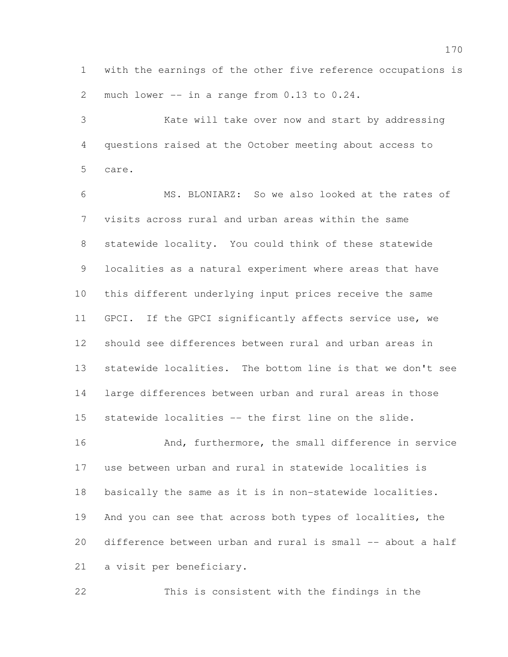with the earnings of the other five reference occupations is much lower -- in a range from 0.13 to 0.24.

 Kate will take over now and start by addressing questions raised at the October meeting about access to care.

 MS. BLONIARZ: So we also looked at the rates of visits across rural and urban areas within the same statewide locality. You could think of these statewide localities as a natural experiment where areas that have this different underlying input prices receive the same GPCI. If the GPCI significantly affects service use, we should see differences between rural and urban areas in statewide localities. The bottom line is that we don't see large differences between urban and rural areas in those statewide localities -- the first line on the slide. 16 And, furthermore, the small difference in service use between urban and rural in statewide localities is basically the same as it is in non-statewide localities. And you can see that across both types of localities, the difference between urban and rural is small -- about a half

a visit per beneficiary.

This is consistent with the findings in the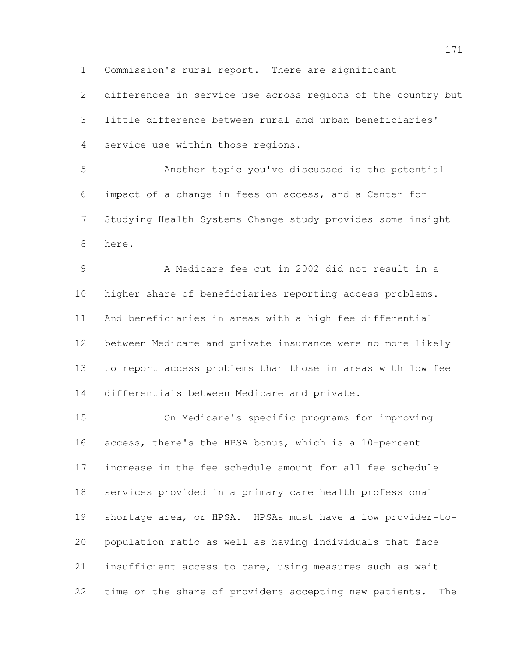Commission's rural report. There are significant

 differences in service use across regions of the country but little difference between rural and urban beneficiaries' service use within those regions.

 Another topic you've discussed is the potential impact of a change in fees on access, and a Center for Studying Health Systems Change study provides some insight here.

 A Medicare fee cut in 2002 did not result in a higher share of beneficiaries reporting access problems. And beneficiaries in areas with a high fee differential between Medicare and private insurance were no more likely to report access problems than those in areas with low fee differentials between Medicare and private.

 On Medicare's specific programs for improving access, there's the HPSA bonus, which is a 10-percent increase in the fee schedule amount for all fee schedule services provided in a primary care health professional shortage area, or HPSA. HPSAs must have a low provider-to- population ratio as well as having individuals that face insufficient access to care, using measures such as wait time or the share of providers accepting new patients. The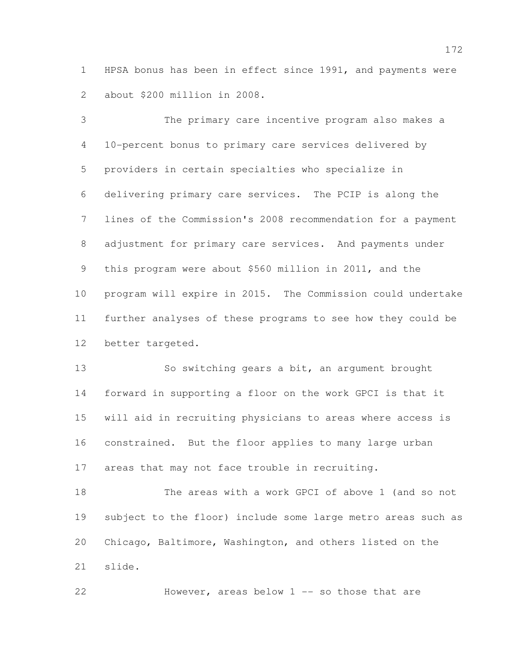HPSA bonus has been in effect since 1991, and payments were about \$200 million in 2008.

 The primary care incentive program also makes a 10-percent bonus to primary care services delivered by providers in certain specialties who specialize in delivering primary care services. The PCIP is along the lines of the Commission's 2008 recommendation for a payment adjustment for primary care services. And payments under this program were about \$560 million in 2011, and the program will expire in 2015. The Commission could undertake further analyses of these programs to see how they could be better targeted.

 So switching gears a bit, an argument brought forward in supporting a floor on the work GPCI is that it will aid in recruiting physicians to areas where access is constrained. But the floor applies to many large urban areas that may not face trouble in recruiting.

 The areas with a work GPCI of above 1 (and so not subject to the floor) include some large metro areas such as Chicago, Baltimore, Washington, and others listed on the slide.

22 However, areas below 1 -- so those that are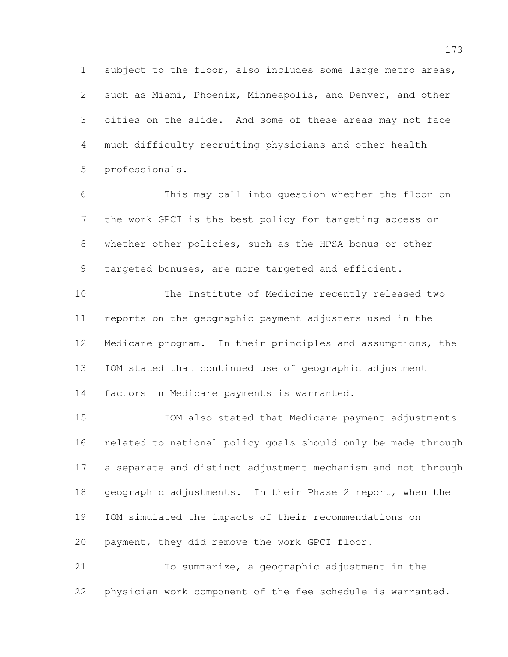subject to the floor, also includes some large metro areas, such as Miami, Phoenix, Minneapolis, and Denver, and other cities on the slide. And some of these areas may not face much difficulty recruiting physicians and other health professionals.

 This may call into question whether the floor on the work GPCI is the best policy for targeting access or whether other policies, such as the HPSA bonus or other targeted bonuses, are more targeted and efficient.

 The Institute of Medicine recently released two reports on the geographic payment adjusters used in the Medicare program. In their principles and assumptions, the IOM stated that continued use of geographic adjustment factors in Medicare payments is warranted.

 IOM also stated that Medicare payment adjustments related to national policy goals should only be made through a separate and distinct adjustment mechanism and not through geographic adjustments. In their Phase 2 report, when the IOM simulated the impacts of their recommendations on payment, they did remove the work GPCI floor.

 To summarize, a geographic adjustment in the physician work component of the fee schedule is warranted.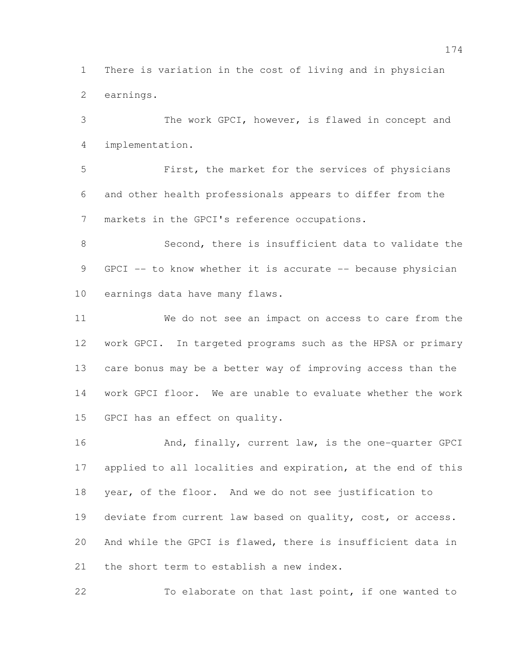There is variation in the cost of living and in physician earnings.

 The work GPCI, however, is flawed in concept and implementation.

 First, the market for the services of physicians and other health professionals appears to differ from the markets in the GPCI's reference occupations.

 Second, there is insufficient data to validate the 9 GPCI -- to know whether it is accurate -- because physician earnings data have many flaws.

 We do not see an impact on access to care from the work GPCI. In targeted programs such as the HPSA or primary care bonus may be a better way of improving access than the work GPCI floor. We are unable to evaluate whether the work GPCI has an effect on quality.

16 And, finally, current law, is the one-quarter GPCI applied to all localities and expiration, at the end of this year, of the floor. And we do not see justification to 19 deviate from current law based on quality, cost, or access. And while the GPCI is flawed, there is insufficient data in 21 the short term to establish a new index.

To elaborate on that last point, if one wanted to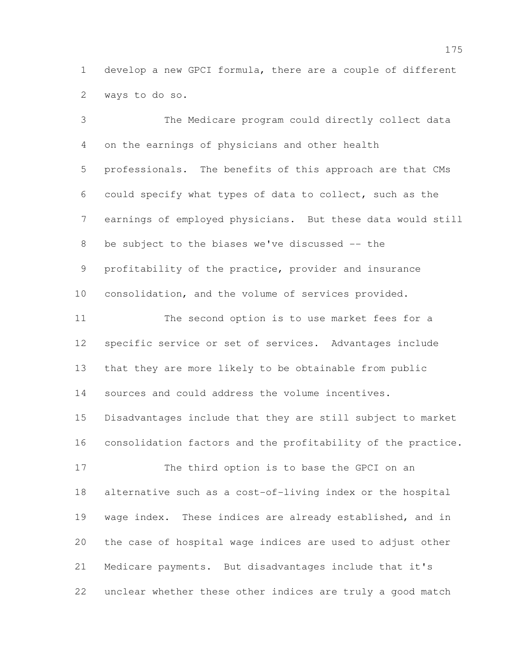develop a new GPCI formula, there are a couple of different ways to do so.

 The Medicare program could directly collect data on the earnings of physicians and other health professionals. The benefits of this approach are that CMs could specify what types of data to collect, such as the earnings of employed physicians. But these data would still be subject to the biases we've discussed -- the profitability of the practice, provider and insurance consolidation, and the volume of services provided. The second option is to use market fees for a specific service or set of services. Advantages include that they are more likely to be obtainable from public sources and could address the volume incentives. Disadvantages include that they are still subject to market consolidation factors and the profitability of the practice. The third option is to base the GPCI on an alternative such as a cost-of-living index or the hospital wage index. These indices are already established, and in the case of hospital wage indices are used to adjust other Medicare payments. But disadvantages include that it's unclear whether these other indices are truly a good match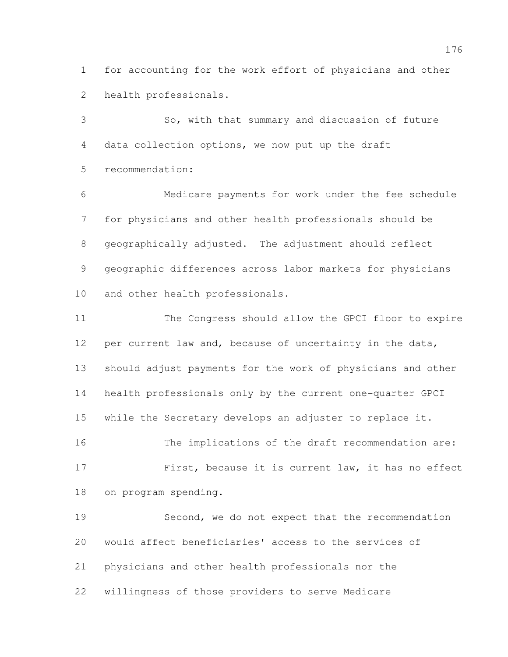for accounting for the work effort of physicians and other health professionals.

 So, with that summary and discussion of future data collection options, we now put up the draft recommendation:

 Medicare payments for work under the fee schedule for physicians and other health professionals should be geographically adjusted. The adjustment should reflect geographic differences across labor markets for physicians and other health professionals.

 The Congress should allow the GPCI floor to expire per current law and, because of uncertainty in the data, should adjust payments for the work of physicians and other health professionals only by the current one-quarter GPCI while the Secretary develops an adjuster to replace it. The implications of the draft recommendation are: First, because it is current law, it has no effect on program spending.

 Second, we do not expect that the recommendation would affect beneficiaries' access to the services of physicians and other health professionals nor the willingness of those providers to serve Medicare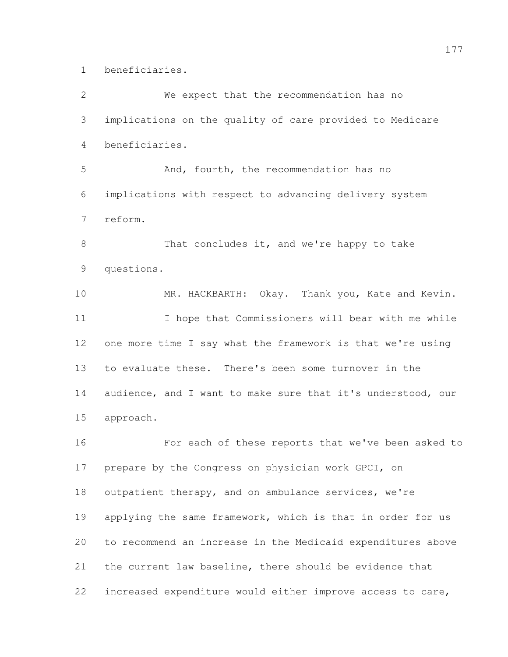beneficiaries.

 We expect that the recommendation has no implications on the quality of care provided to Medicare beneficiaries. And, fourth, the recommendation has no implications with respect to advancing delivery system reform. 8 That concludes it, and we're happy to take questions. MR. HACKBARTH: Okay. Thank you, Kate and Kevin. 11 I hope that Commissioners will bear with me while one more time I say what the framework is that we're using to evaluate these. There's been some turnover in the audience, and I want to make sure that it's understood, our approach. For each of these reports that we've been asked to prepare by the Congress on physician work GPCI, on 18 outpatient therapy, and on ambulance services, we're 19 applying the same framework, which is that in order for us to recommend an increase in the Medicaid expenditures above the current law baseline, there should be evidence that increased expenditure would either improve access to care,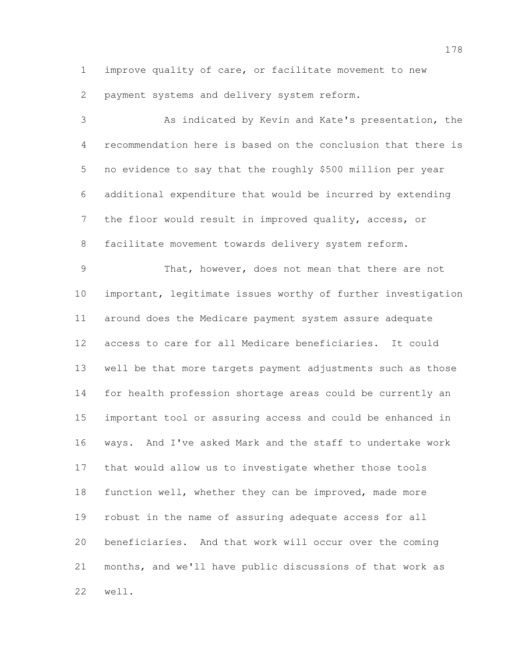improve quality of care, or facilitate movement to new

payment systems and delivery system reform.

 As indicated by Kevin and Kate's presentation, the recommendation here is based on the conclusion that there is no evidence to say that the roughly \$500 million per year additional expenditure that would be incurred by extending the floor would result in improved quality, access, or facilitate movement towards delivery system reform.

 That, however, does not mean that there are not important, legitimate issues worthy of further investigation around does the Medicare payment system assure adequate access to care for all Medicare beneficiaries. It could well be that more targets payment adjustments such as those for health profession shortage areas could be currently an important tool or assuring access and could be enhanced in ways. And I've asked Mark and the staff to undertake work that would allow us to investigate whether those tools function well, whether they can be improved, made more robust in the name of assuring adequate access for all beneficiaries. And that work will occur over the coming months, and we'll have public discussions of that work as well.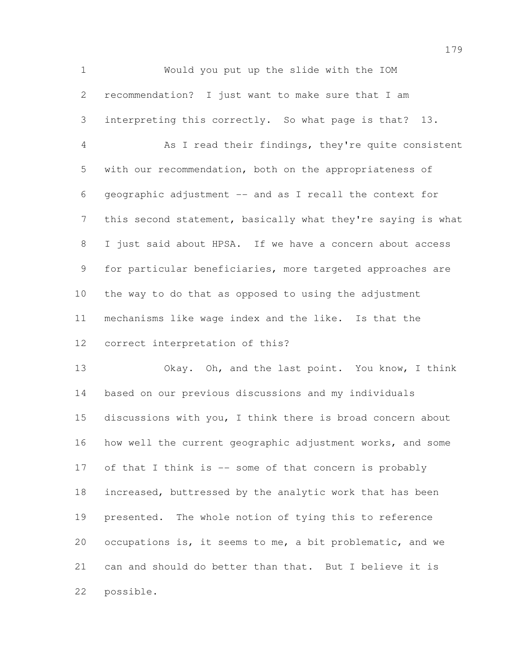Would you put up the slide with the IOM recommendation? I just want to make sure that I am interpreting this correctly. So what page is that? 13. As I read their findings, they're quite consistent with our recommendation, both on the appropriateness of geographic adjustment -- and as I recall the context for this second statement, basically what they're saying is what I just said about HPSA. If we have a concern about access for particular beneficiaries, more targeted approaches are the way to do that as opposed to using the adjustment mechanisms like wage index and the like. Is that the correct interpretation of this?

 Okay. Oh, and the last point. You know, I think based on our previous discussions and my individuals discussions with you, I think there is broad concern about how well the current geographic adjustment works, and some 17 of that I think is -- some of that concern is probably increased, buttressed by the analytic work that has been presented. The whole notion of tying this to reference occupations is, it seems to me, a bit problematic, and we can and should do better than that. But I believe it is possible.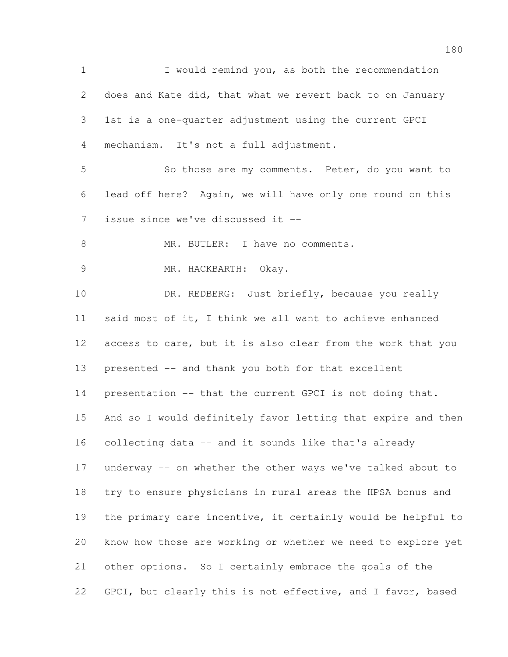I would remind you, as both the recommendation does and Kate did, that what we revert back to on January 1st is a one-quarter adjustment using the current GPCI mechanism. It's not a full adjustment. So those are my comments. Peter, do you want to lead off here? Again, we will have only one round on this issue since we've discussed it -- 8 MR. BUTLER: I have no comments. MR. HACKBARTH: Okay. 10 DR. REDBERG: Just briefly, because you really said most of it, I think we all want to achieve enhanced access to care, but it is also clear from the work that you presented -- and thank you both for that excellent 14 presentation -- that the current GPCI is not doing that. And so I would definitely favor letting that expire and then collecting data -- and it sounds like that's already underway -- on whether the other ways we've talked about to try to ensure physicians in rural areas the HPSA bonus and the primary care incentive, it certainly would be helpful to know how those are working or whether we need to explore yet other options. So I certainly embrace the goals of the 22 GPCI, but clearly this is not effective, and I favor, based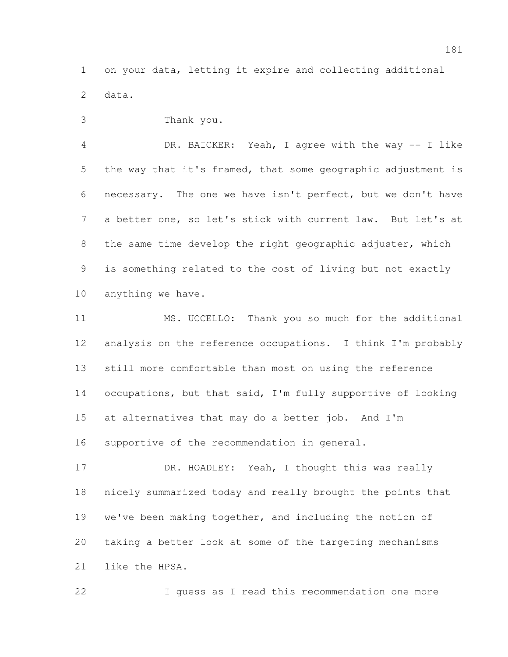on your data, letting it expire and collecting additional data.

Thank you.

 DR. BAICKER: Yeah, I agree with the way -- I like the way that it's framed, that some geographic adjustment is necessary. The one we have isn't perfect, but we don't have a better one, so let's stick with current law. But let's at the same time develop the right geographic adjuster, which is something related to the cost of living but not exactly anything we have.

 MS. UCCELLO: Thank you so much for the additional analysis on the reference occupations. I think I'm probably still more comfortable than most on using the reference 14 occupations, but that said, I'm fully supportive of looking at alternatives that may do a better job. And I'm supportive of the recommendation in general.

17 DR. HOADLEY: Yeah, I thought this was really nicely summarized today and really brought the points that we've been making together, and including the notion of taking a better look at some of the targeting mechanisms like the HPSA.

I guess as I read this recommendation one more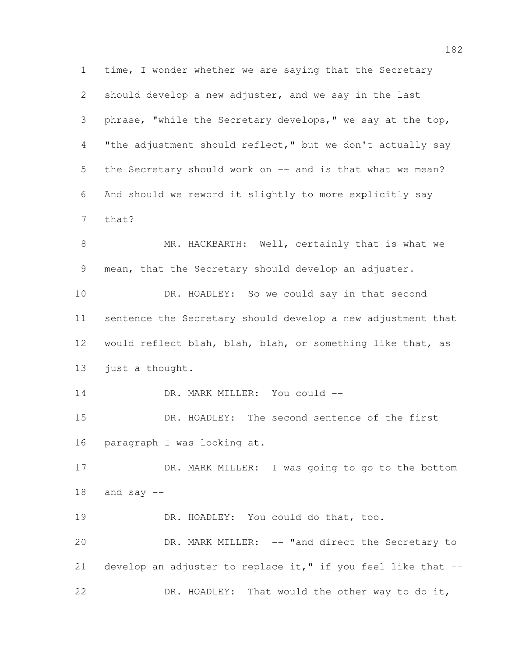time, I wonder whether we are saying that the Secretary should develop a new adjuster, and we say in the last phrase, "while the Secretary develops," we say at the top, "the adjustment should reflect," but we don't actually say the Secretary should work on -- and is that what we mean? And should we reword it slightly to more explicitly say that? 8 MR. HACKBARTH: Well, certainly that is what we mean, that the Secretary should develop an adjuster. DR. HOADLEY: So we could say in that second sentence the Secretary should develop a new adjustment that would reflect blah, blah, blah, or something like that, as just a thought. 14 DR. MARK MILLER: You could -- DR. HOADLEY: The second sentence of the first paragraph I was looking at. 17 DR. MARK MILLER: I was going to go to the bottom and say  $-$  DR. HOADLEY: You could do that, too. DR. MARK MILLER: -- "and direct the Secretary to 21 develop an adjuster to replace it," if you feel like that  $-$ DR. HOADLEY: That would the other way to do it,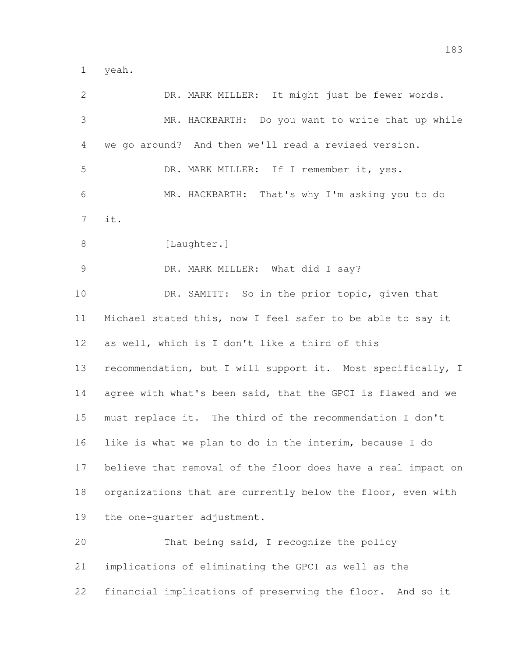yeah.

| 2     | DR. MARK MILLER: It might just be fewer words.               |
|-------|--------------------------------------------------------------|
| 3     | MR. HACKBARTH: Do you want to write that up while            |
| 4     | we go around? And then we'll read a revised version.         |
| 5     | DR. MARK MILLER: If I remember it, yes.                      |
| 6     | MR. HACKBARTH: That's why I'm asking you to do               |
| 7     | it.                                                          |
| $8\,$ | [Laughter.]                                                  |
| 9     | DR. MARK MILLER: What did I say?                             |
| 10    | DR. SAMITT: So in the prior topic, given that                |
| 11    | Michael stated this, now I feel safer to be able to say it   |
| 12    | as well, which is I don't like a third of this               |
| 13    | recommendation, but I will support it. Most specifically, I  |
| 14    | agree with what's been said, that the GPCI is flawed and we  |
| 15    | must replace it. The third of the recommendation I don't     |
| 16    | like is what we plan to do in the interim, because I do      |
| 17    | believe that removal of the floor does have a real impact on |
| 18    | organizations that are currently below the floor, even with  |
| 19    | the one-quarter adjustment.                                  |
| 20    | That being said, I recognize the policy                      |
| 21    | implications of eliminating the GPCI as well as the          |
| 22    | financial implications of preserving the floor. And so it    |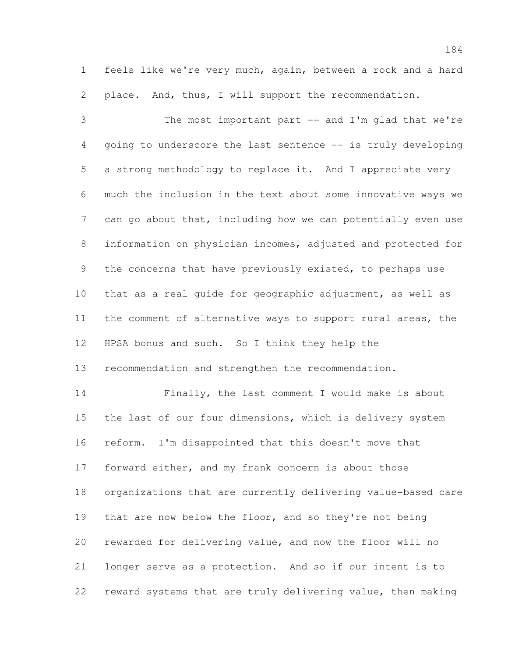feels like we're very much, again, between a rock and a hard place. And, thus, I will support the recommendation.

 The most important part -- and I'm glad that we're going to underscore the last sentence -- is truly developing a strong methodology to replace it. And I appreciate very much the inclusion in the text about some innovative ways we 7 can go about that, including how we can potentially even use information on physician incomes, adjusted and protected for the concerns that have previously existed, to perhaps use that as a real guide for geographic adjustment, as well as the comment of alternative ways to support rural areas, the HPSA bonus and such. So I think they help the recommendation and strengthen the recommendation.

 Finally, the last comment I would make is about 15 the last of our four dimensions, which is delivery system reform. I'm disappointed that this doesn't move that forward either, and my frank concern is about those organizations that are currently delivering value-based care 19 that are now below the floor, and so they're not being rewarded for delivering value, and now the floor will no longer serve as a protection. And so if our intent is to reward systems that are truly delivering value, then making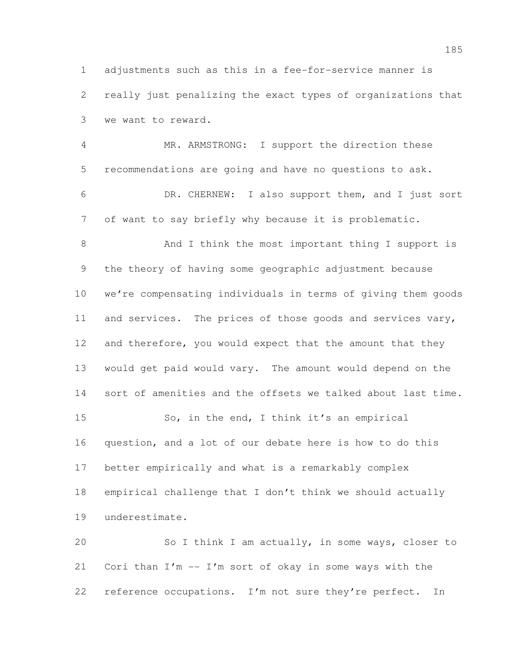adjustments such as this in a fee-for-service manner is really just penalizing the exact types of organizations that we want to reward.

 MR. ARMSTRONG: I support the direction these recommendations are going and have no questions to ask. DR. CHERNEW: I also support them, and I just sort of want to say briefly why because it is problematic.

 And I think the most important thing I support is the theory of having some geographic adjustment because we're compensating individuals in terms of giving them goods and services. The prices of those goods and services vary, 12 and therefore, you would expect that the amount that they would get paid would vary. The amount would depend on the sort of amenities and the offsets we talked about last time. So, in the end, I think it's an empirical question, and a lot of our debate here is how to do this better empirically and what is a remarkably complex empirical challenge that I don't think we should actually underestimate.

 So I think I am actually, in some ways, closer to Cori than I'm -- I'm sort of okay in some ways with the reference occupations. I'm not sure they're perfect. In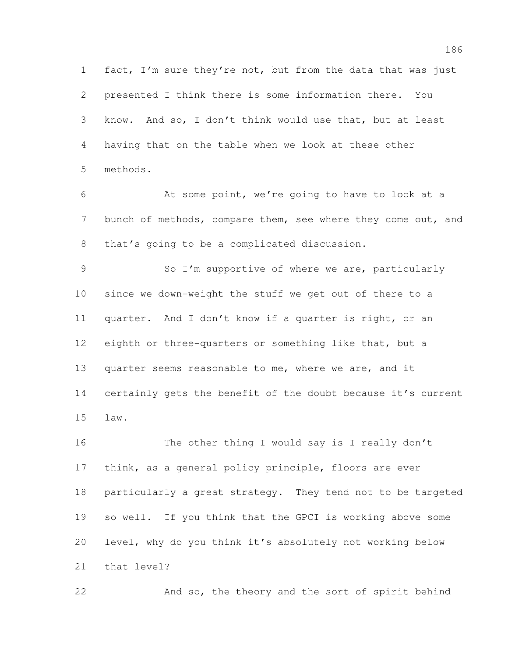fact, I'm sure they're not, but from the data that was just presented I think there is some information there. You know. And so, I don't think would use that, but at least having that on the table when we look at these other methods.

 At some point, we're going to have to look at a 7 bunch of methods, compare them, see where they come out, and that's going to be a complicated discussion.

9 So I'm supportive of where we are, particularly since we down-weight the stuff we get out of there to a quarter. And I don't know if a quarter is right, or an 12 eighth or three-quarters or something like that, but a quarter seems reasonable to me, where we are, and it certainly gets the benefit of the doubt because it's current law.

 The other thing I would say is I really don't 17 think, as a general policy principle, floors are ever particularly a great strategy. They tend not to be targeted so well. If you think that the GPCI is working above some level, why do you think it's absolutely not working below that level?

And so, the theory and the sort of spirit behind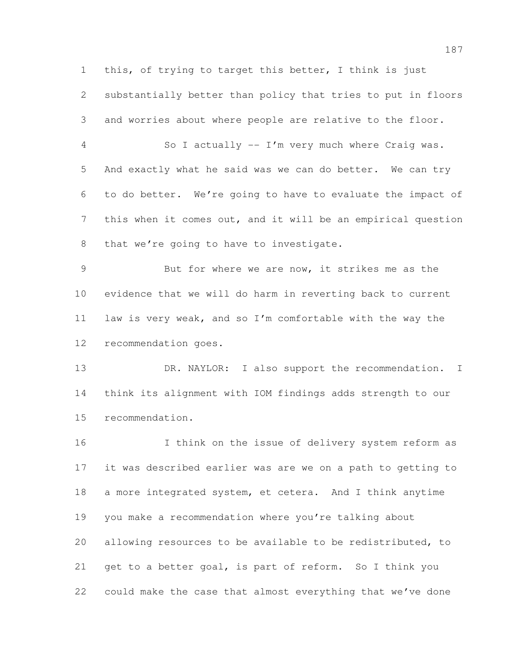this, of trying to target this better, I think is just

 substantially better than policy that tries to put in floors and worries about where people are relative to the floor.

 So I actually -- I'm very much where Craig was. And exactly what he said was we can do better. We can try to do better. We're going to have to evaluate the impact of this when it comes out, and it will be an empirical question 8 that we're going to have to investigate.

 But for where we are now, it strikes me as the evidence that we will do harm in reverting back to current law is very weak, and so I'm comfortable with the way the recommendation goes.

13 DR. NAYLOR: I also support the recommendation. I think its alignment with IOM findings adds strength to our recommendation.

 I think on the issue of delivery system reform as it was described earlier was are we on a path to getting to a more integrated system, et cetera. And I think anytime you make a recommendation where you're talking about allowing resources to be available to be redistributed, to get to a better goal, is part of reform. So I think you could make the case that almost everything that we've done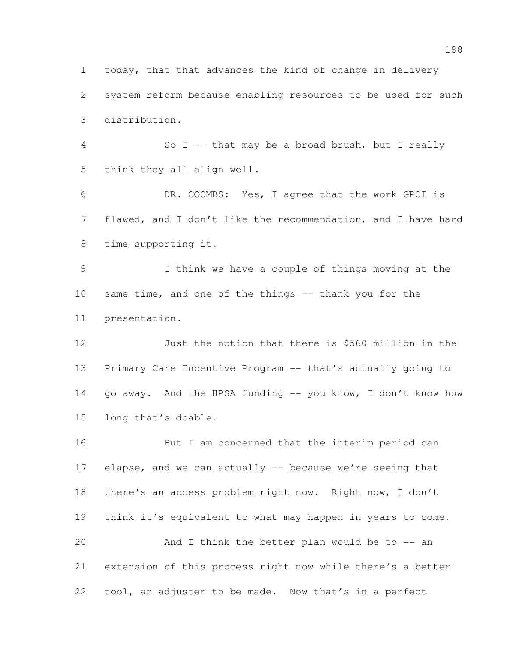today, that that advances the kind of change in delivery system reform because enabling resources to be used for such distribution.

 So I -- that may be a broad brush, but I really think they all align well.

 DR. COOMBS: Yes, I agree that the work GPCI is flawed, and I don't like the recommendation, and I have hard time supporting it.

 I think we have a couple of things moving at the 10 same time, and one of the things -- thank you for the presentation.

 Just the notion that there is \$560 million in the Primary Care Incentive Program -- that's actually going to 14 go away. And the HPSA funding -- you know, I don't know how long that's doable.

 But I am concerned that the interim period can elapse, and we can actually -- because we're seeing that there's an access problem right now. Right now, I don't think it's equivalent to what may happen in years to come. And I think the better plan would be to -- an extension of this process right now while there's a better tool, an adjuster to be made. Now that's in a perfect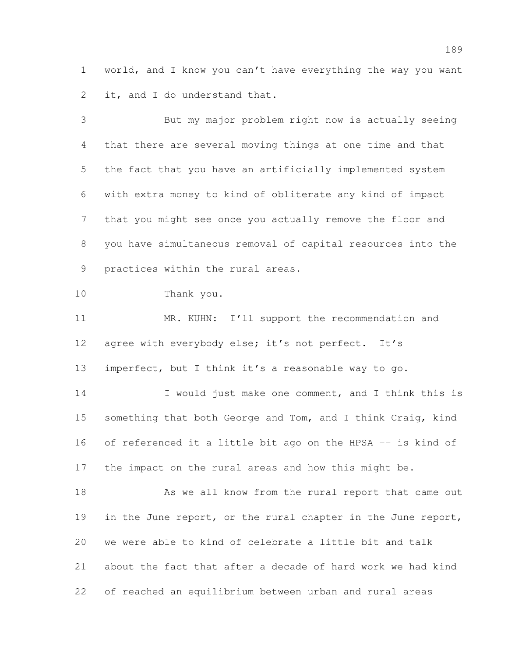world, and I know you can't have everything the way you want 2 it, and I do understand that.

 But my major problem right now is actually seeing that there are several moving things at one time and that the fact that you have an artificially implemented system with extra money to kind of obliterate any kind of impact that you might see once you actually remove the floor and you have simultaneous removal of capital resources into the practices within the rural areas. Thank you. 11 MR. KUHN: I'll support the recommendation and agree with everybody else; it's not perfect. It's imperfect, but I think it's a reasonable way to go. 14 I would just make one comment, and I think this is 15 something that both George and Tom, and I think Craig, kind of referenced it a little bit ago on the HPSA -- is kind of the impact on the rural areas and how this might be. 18 As we all know from the rural report that came out 19 in the June report, or the rural chapter in the June report, we were able to kind of celebrate a little bit and talk about the fact that after a decade of hard work we had kind of reached an equilibrium between urban and rural areas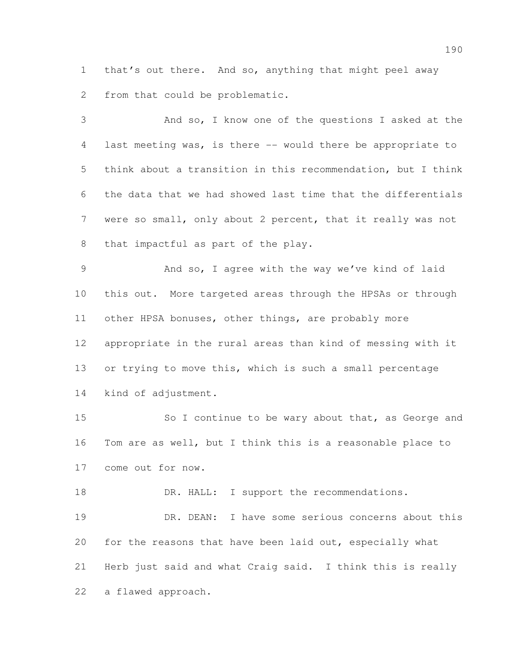that's out there. And so, anything that might peel away from that could be problematic.

 And so, I know one of the questions I asked at the last meeting was, is there -- would there be appropriate to think about a transition in this recommendation, but I think the data that we had showed last time that the differentials were so small, only about 2 percent, that it really was not that impactful as part of the play.

 And so, I agree with the way we've kind of laid this out. More targeted areas through the HPSAs or through other HPSA bonuses, other things, are probably more appropriate in the rural areas than kind of messing with it or trying to move this, which is such a small percentage kind of adjustment.

15 So I continue to be wary about that, as George and Tom are as well, but I think this is a reasonable place to come out for now.

18 DR. HALL: I support the recommendations. DR. DEAN: I have some serious concerns about this for the reasons that have been laid out, especially what Herb just said and what Craig said. I think this is really a flawed approach.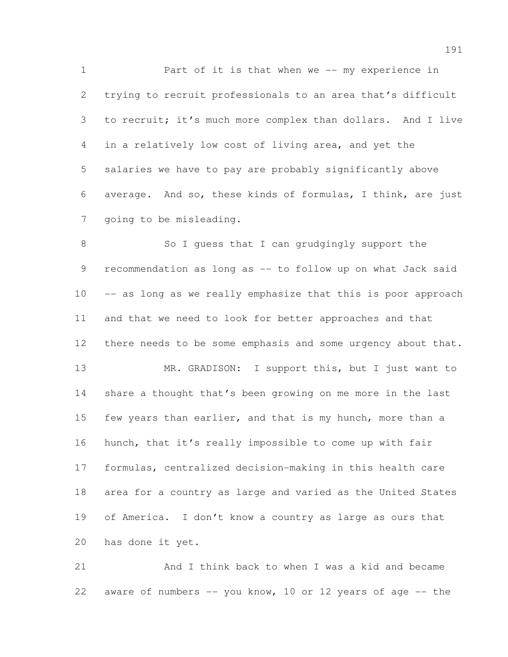1 Part of it is that when we -- my experience in trying to recruit professionals to an area that's difficult to recruit; it's much more complex than dollars. And I live in a relatively low cost of living area, and yet the salaries we have to pay are probably significantly above average. And so, these kinds of formulas, I think, are just going to be misleading.

8 So I guess that I can grudgingly support the recommendation as long as -- to follow up on what Jack said -- as long as we really emphasize that this is poor approach and that we need to look for better approaches and that 12 there needs to be some emphasis and some urgency about that. 13 MR. GRADISON: I support this, but I just want to share a thought that's been growing on me more in the last 15 few years than earlier, and that is my hunch, more than a hunch, that it's really impossible to come up with fair formulas, centralized decision-making in this health care area for a country as large and varied as the United States of America. I don't know a country as large as ours that has done it yet.

 And I think back to when I was a kid and became 22 aware of numbers -- you know, 10 or 12 years of age -- the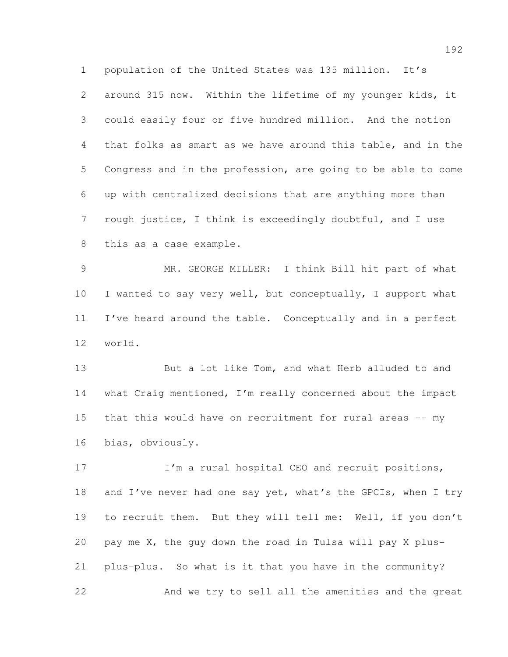population of the United States was 135 million. It's around 315 now. Within the lifetime of my younger kids, it could easily four or five hundred million. And the notion that folks as smart as we have around this table, and in the Congress and in the profession, are going to be able to come up with centralized decisions that are anything more than rough justice, I think is exceedingly doubtful, and I use this as a case example.

 MR. GEORGE MILLER: I think Bill hit part of what I wanted to say very well, but conceptually, I support what I've heard around the table. Conceptually and in a perfect world.

 But a lot like Tom, and what Herb alluded to and what Craig mentioned, I'm really concerned about the impact that this would have on recruitment for rural areas -- my bias, obviously.

17 I'm a rural hospital CEO and recruit positions, 18 and I've never had one say yet, what's the GPCIs, when I try to recruit them. But they will tell me: Well, if you don't pay me X, the guy down the road in Tulsa will pay X plus- plus-plus. So what is it that you have in the community? And we try to sell all the amenities and the great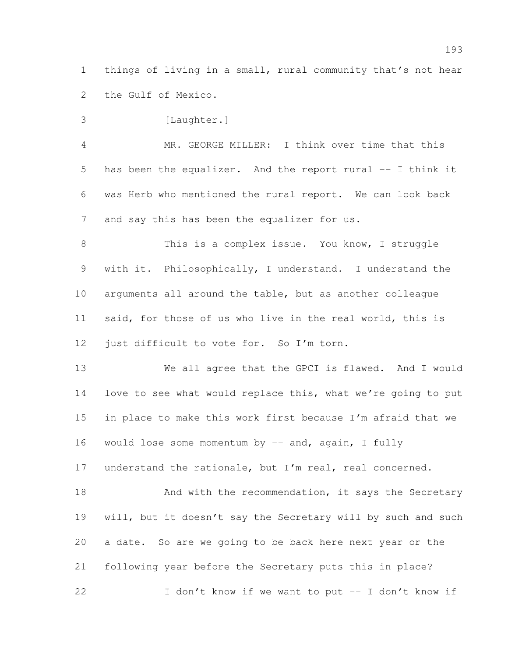things of living in a small, rural community that's not hear the Gulf of Mexico.

3 [Laughter.] MR. GEORGE MILLER: I think over time that this has been the equalizer. And the report rural -- I think it was Herb who mentioned the rural report. We can look back and say this has been the equalizer for us.

8 This is a complex issue. You know, I struggle with it. Philosophically, I understand. I understand the arguments all around the table, but as another colleague said, for those of us who live in the real world, this is 12 just difficult to vote for. So I'm torn.

 We all agree that the GPCI is flawed. And I would love to see what would replace this, what we're going to put in place to make this work first because I'm afraid that we would lose some momentum by -- and, again, I fully

understand the rationale, but I'm real, real concerned.

18 And with the recommendation, it says the Secretary will, but it doesn't say the Secretary will by such and such a date. So are we going to be back here next year or the following year before the Secretary puts this in place? 22 I don't know if we want to put -- I don't know if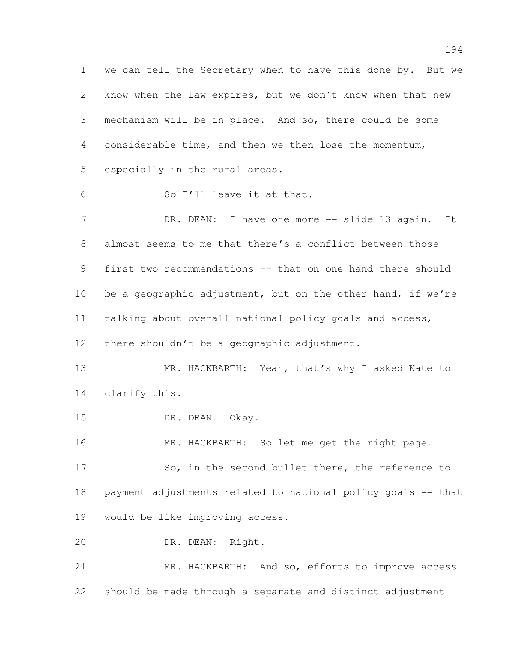we can tell the Secretary when to have this done by. But we know when the law expires, but we don't know when that new mechanism will be in place. And so, there could be some considerable time, and then we then lose the momentum, especially in the rural areas. So I'll leave it at that. 7 DR. DEAN: I have one more -- slide 13 again. It

 almost seems to me that there's a conflict between those first two recommendations -- that on one hand there should 10 be a geographic adjustment, but on the other hand, if we're talking about overall national policy goals and access, 12 there shouldn't be a geographic adjustment.

13 MR. HACKBARTH: Yeah, that's why I asked Kate to clarify this.

15 DR. DEAN: Okay.

16 MR. HACKBARTH: So let me get the right page.

 So, in the second bullet there, the reference to payment adjustments related to national policy goals -- that would be like improving access.

DR. DEAN: Right.

 MR. HACKBARTH: And so, efforts to improve access should be made through a separate and distinct adjustment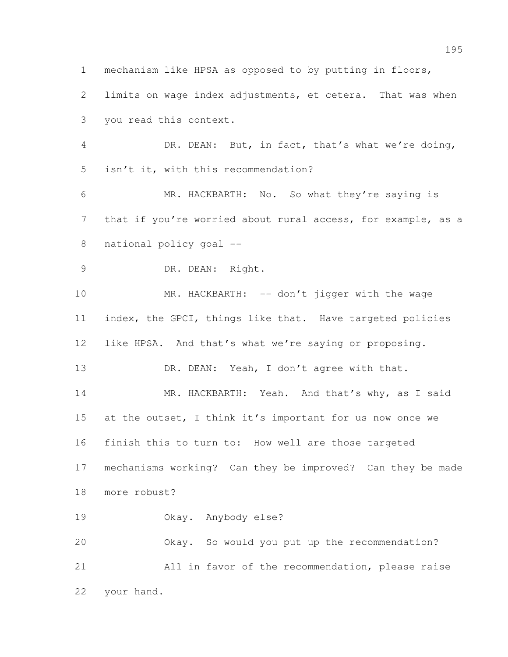mechanism like HPSA as opposed to by putting in floors, limits on wage index adjustments, et cetera. That was when you read this context. DR. DEAN: But, in fact, that's what we're doing, isn't it, with this recommendation? MR. HACKBARTH: No. So what they're saying is 7 that if you're worried about rural access, for example, as a national policy goal -- 9 DR. DEAN: Right. 10 MR. HACKBARTH: -- don't jigger with the wage index, the GPCI, things like that. Have targeted policies like HPSA. And that's what we're saying or proposing. 13 DR. DEAN: Yeah, I don't agree with that. 14 MR. HACKBARTH: Yeah. And that's why, as I said at the outset, I think it's important for us now once we finish this to turn to: How well are those targeted mechanisms working? Can they be improved? Can they be made more robust? Okay. Anybody else? Okay. So would you put up the recommendation? All in favor of the recommendation, please raise your hand.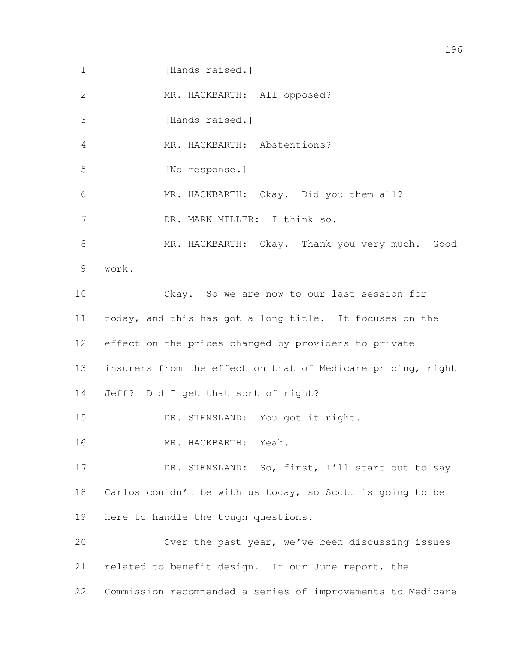1 [Hands raised.]

2 MR. HACKBARTH: All opposed?

3 [Hands raised.]

MR. HACKBARTH: Abstentions?

[No response.]

MR. HACKBARTH: Okay. Did you them all?

DR. MARK MILLER: I think so.

 MR. HACKBARTH: Okay. Thank you very much. Good work.

 Okay. So we are now to our last session for today, and this has got a long title. It focuses on the effect on the prices charged by providers to private insurers from the effect on that of Medicare pricing, right Jeff? Did I get that sort of right?

DR. STENSLAND: You got it right.

MR. HACKBARTH: Yeah.

17 DR. STENSLAND: So, first, I'll start out to say Carlos couldn't be with us today, so Scott is going to be here to handle the tough questions.

 Over the past year, we've been discussing issues related to benefit design. In our June report, the Commission recommended a series of improvements to Medicare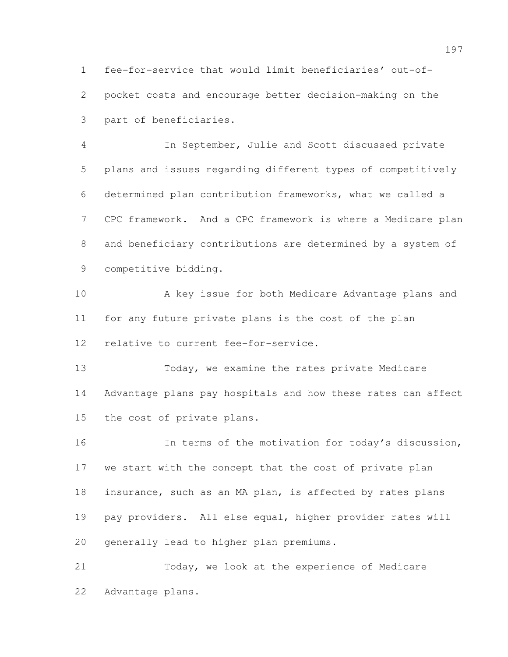fee-for-service that would limit beneficiaries' out-of- pocket costs and encourage better decision-making on the part of beneficiaries.

 In September, Julie and Scott discussed private plans and issues regarding different types of competitively determined plan contribution frameworks, what we called a CPC framework. And a CPC framework is where a Medicare plan and beneficiary contributions are determined by a system of competitive bidding.

 A key issue for both Medicare Advantage plans and for any future private plans is the cost of the plan relative to current fee-for-service.

 Today, we examine the rates private Medicare Advantage plans pay hospitals and how these rates can affect the cost of private plans.

 In terms of the motivation for today's discussion, we start with the concept that the cost of private plan insurance, such as an MA plan, is affected by rates plans pay providers. All else equal, higher provider rates will generally lead to higher plan premiums.

 Today, we look at the experience of Medicare Advantage plans.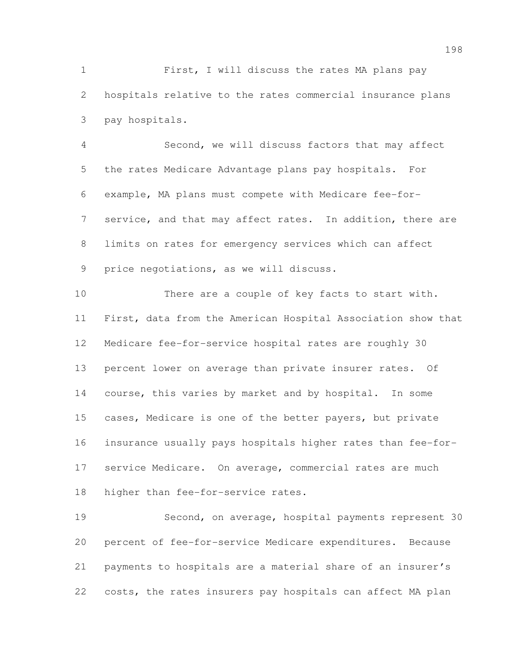First, I will discuss the rates MA plans pay hospitals relative to the rates commercial insurance plans pay hospitals.

 Second, we will discuss factors that may affect the rates Medicare Advantage plans pay hospitals. For example, MA plans must compete with Medicare fee-for- service, and that may affect rates. In addition, there are limits on rates for emergency services which can affect price negotiations, as we will discuss.

 There are a couple of key facts to start with. First, data from the American Hospital Association show that Medicare fee-for-service hospital rates are roughly 30 percent lower on average than private insurer rates. Of course, this varies by market and by hospital. In some cases, Medicare is one of the better payers, but private insurance usually pays hospitals higher rates than fee-for- service Medicare. On average, commercial rates are much higher than fee-for-service rates.

 Second, on average, hospital payments represent 30 percent of fee-for-service Medicare expenditures. Because payments to hospitals are a material share of an insurer's costs, the rates insurers pay hospitals can affect MA plan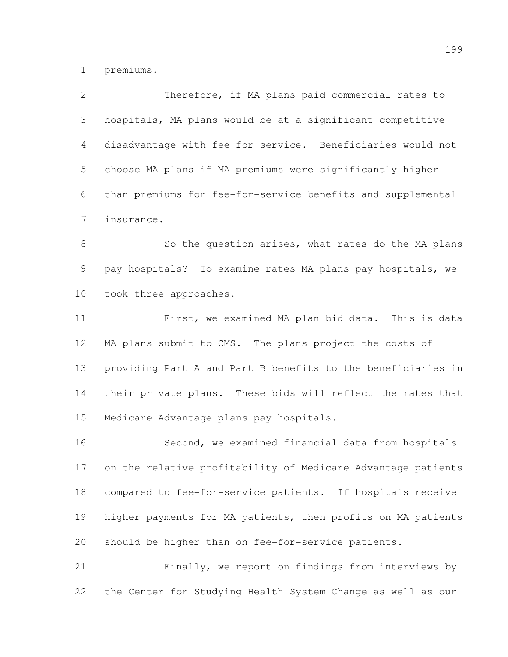premiums.

| $\overline{2}$  | Therefore, if MA plans paid commercial rates to              |
|-----------------|--------------------------------------------------------------|
| 3               | hospitals, MA plans would be at a significant competitive    |
| 4               | disadvantage with fee-for-service. Beneficiaries would not   |
| 5               | choose MA plans if MA premiums were significantly higher     |
| 6               | than premiums for fee-for-service benefits and supplemental  |
| 7               | insurance.                                                   |
| $8\,$           | So the question arises, what rates do the MA plans           |
| 9               | pay hospitals? To examine rates MA plans pay hospitals, we   |
| 10 <sub>o</sub> | took three approaches.                                       |
| 11              | First, we examined MA plan bid data. This is data            |
| 12              | MA plans submit to CMS. The plans project the costs of       |
| 13              | providing Part A and Part B benefits to the beneficiaries in |
| 14              | their private plans. These bids will reflect the rates that  |
| 15              | Medicare Advantage plans pay hospitals.                      |
| 16              | Second, we examined financial data from hospitals            |
| 17              | on the relative profitability of Medicare Advantage patients |
| 18              | compared to fee-for-service patients. If hospitals receive   |
| 19              | higher payments for MA patients, then profits on MA patients |
| 20              | should be higher than on fee-for-service patients.           |
| 21              | Finally, we report on findings from interviews by            |
|                 |                                                              |

the Center for Studying Health System Change as well as our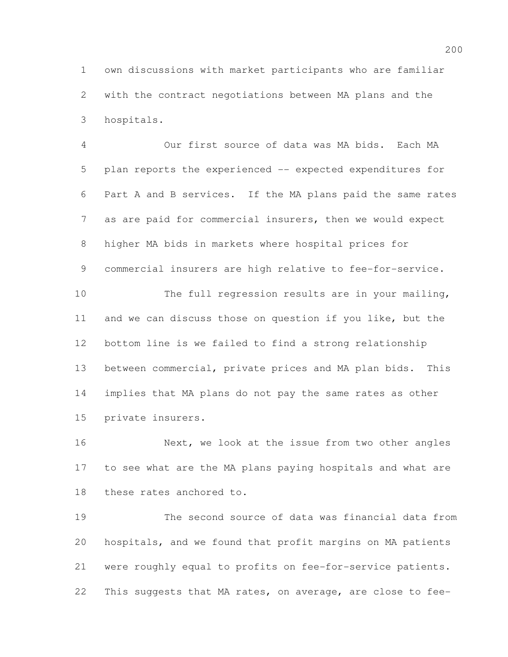own discussions with market participants who are familiar with the contract negotiations between MA plans and the hospitals.

 Our first source of data was MA bids. Each MA plan reports the experienced -- expected expenditures for Part A and B services. If the MA plans paid the same rates as are paid for commercial insurers, then we would expect higher MA bids in markets where hospital prices for commercial insurers are high relative to fee-for-service. The full regression results are in your mailing, and we can discuss those on question if you like, but the bottom line is we failed to find a strong relationship between commercial, private prices and MA plan bids. This implies that MA plans do not pay the same rates as other private insurers.

16 Next, we look at the issue from two other angles to see what are the MA plans paying hospitals and what are these rates anchored to.

 The second source of data was financial data from hospitals, and we found that profit margins on MA patients were roughly equal to profits on fee-for-service patients. This suggests that MA rates, on average, are close to fee-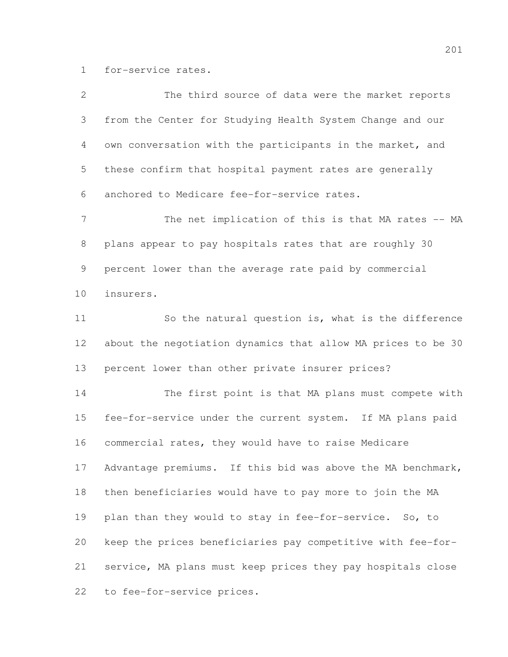for-service rates.

| $\mathbf{2}$   | The third source of data were the market reports             |
|----------------|--------------------------------------------------------------|
| 3              | from the Center for Studying Health System Change and our    |
| 4              | own conversation with the participants in the market, and    |
| 5              | these confirm that hospital payment rates are generally      |
| 6              | anchored to Medicare fee-for-service rates.                  |
| $\overline{7}$ | The net implication of this is that MA rates -- MA           |
| $\,8\,$        | plans appear to pay hospitals rates that are roughly 30      |
| 9              | percent lower than the average rate paid by commercial       |
| 10             | insurers.                                                    |
| 11             | So the natural question is, what is the difference           |
| 12             | about the negotiation dynamics that allow MA prices to be 30 |
| 13             | percent lower than other private insurer prices?             |
| 14             | The first point is that MA plans must compete with           |
| 15             | fee-for-service under the current system. If MA plans paid   |
| 16             | commercial rates, they would have to raise Medicare          |
| 17             | Advantage premiums. If this bid was above the MA benchmark,  |
| 18             | then beneficiaries would have to pay more to join the MA     |
| 19             | plan than they would to stay in fee-for-service. So, to      |
| 20             | keep the prices beneficiaries pay competitive with fee-for-  |
| 21             | service, MA plans must keep prices they pay hospitals close  |
| 22             | to fee-for-service prices.                                   |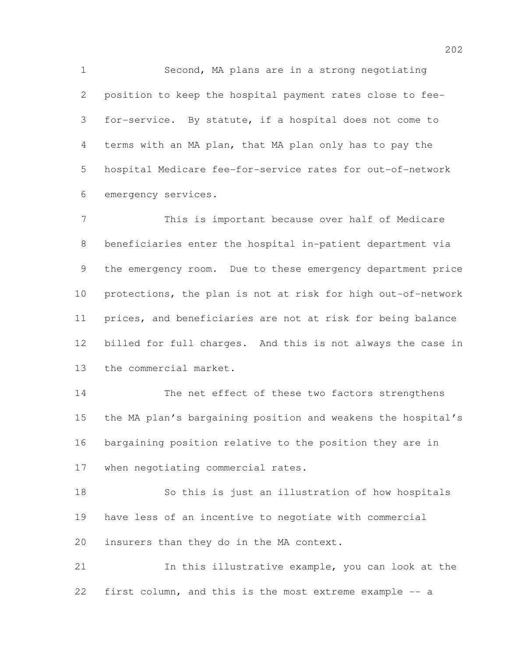Second, MA plans are in a strong negotiating position to keep the hospital payment rates close to fee- for-service. By statute, if a hospital does not come to terms with an MA plan, that MA plan only has to pay the hospital Medicare fee-for-service rates for out-of-network emergency services.

 This is important because over half of Medicare beneficiaries enter the hospital in-patient department via the emergency room. Due to these emergency department price protections, the plan is not at risk for high out-of-network prices, and beneficiaries are not at risk for being balance billed for full charges. And this is not always the case in the commercial market.

 The net effect of these two factors strengthens the MA plan's bargaining position and weakens the hospital's bargaining position relative to the position they are in when negotiating commercial rates.

 So this is just an illustration of how hospitals have less of an incentive to negotiate with commercial insurers than they do in the MA context.

 In this illustrative example, you can look at the first column, and this is the most extreme example -- a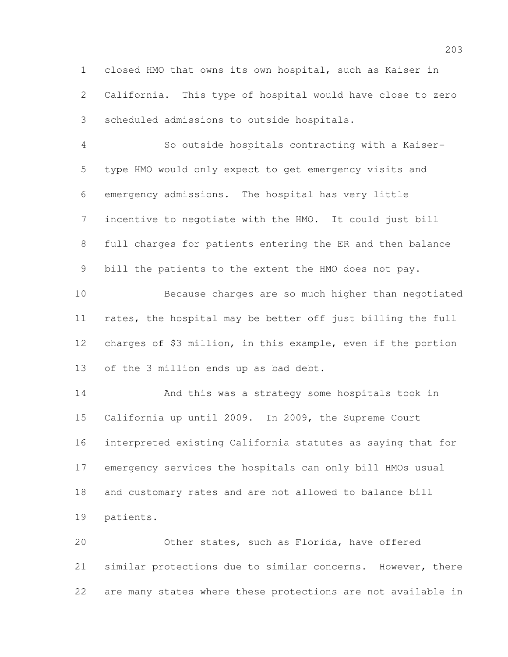closed HMO that owns its own hospital, such as Kaiser in California. This type of hospital would have close to zero scheduled admissions to outside hospitals.

 So outside hospitals contracting with a Kaiser- type HMO would only expect to get emergency visits and emergency admissions. The hospital has very little incentive to negotiate with the HMO. It could just bill full charges for patients entering the ER and then balance bill the patients to the extent the HMO does not pay.

 Because charges are so much higher than negotiated rates, the hospital may be better off just billing the full charges of \$3 million, in this example, even if the portion of the 3 million ends up as bad debt.

 And this was a strategy some hospitals took in California up until 2009. In 2009, the Supreme Court interpreted existing California statutes as saying that for emergency services the hospitals can only bill HMOs usual and customary rates and are not allowed to balance bill patients.

 Other states, such as Florida, have offered similar protections due to similar concerns. However, there are many states where these protections are not available in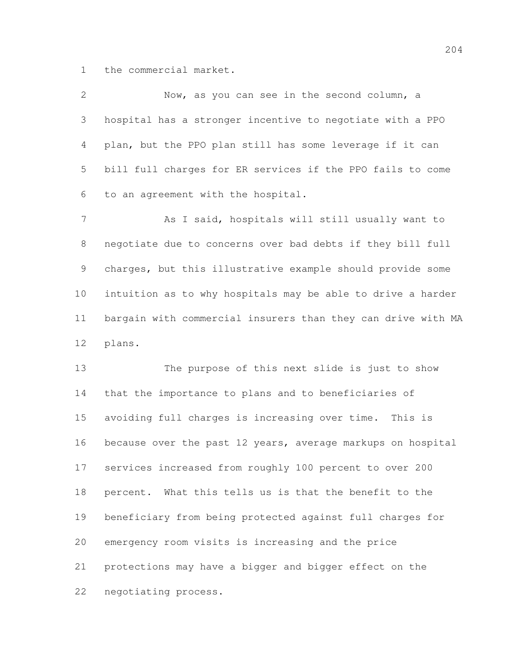the commercial market.

| $\overline{2}$ | Now, as you can see in the second column, a                  |
|----------------|--------------------------------------------------------------|
| 3              | hospital has a stronger incentive to negotiate with a PPO    |
| 4              | plan, but the PPO plan still has some leverage if it can     |
| 5              | bill full charges for ER services if the PPO fails to come   |
| 6              | to an agreement with the hospital.                           |
| $7\phantom{.}$ | As I said, hospitals will still usually want to              |
| $8\,$          | negotiate due to concerns over bad debts if they bill full   |
| $\overline{9}$ | charges, but this illustrative example should provide some   |
| 10             | intuition as to why hospitals may be able to drive a harder  |
| 11             | bargain with commercial insurers than they can drive with MA |
| 12             | plans.                                                       |
| 13             | The purpose of this next slide is just to show               |
| 14             | that the importance to plans and to beneficiaries of         |
| 15             | avoiding full charges is increasing over time. This is       |
| 16             | because over the past 12 years, average markups on hospital  |
| 17             | services increased from roughly 100 percent to over 200      |
| 18             | percent. What this tells us is that the benefit to the       |
| 19             | beneficiary from being protected against full charges for    |
| 20             | emergency room visits is increasing and the price            |
| 21             | protections may have a bigger and bigger effect on the       |
| 22             | negotiating process.                                         |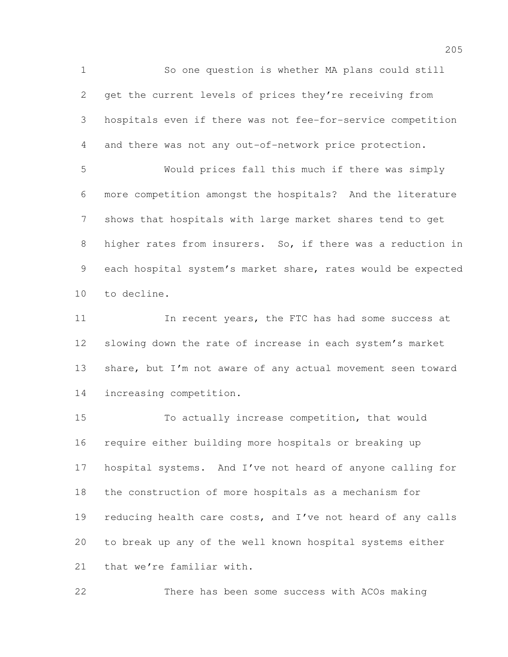So one question is whether MA plans could still get the current levels of prices they're receiving from hospitals even if there was not fee-for-service competition and there was not any out-of-network price protection. Would prices fall this much if there was simply more competition amongst the hospitals? And the literature shows that hospitals with large market shares tend to get higher rates from insurers. So, if there was a reduction in each hospital system's market share, rates would be expected to decline. In recent years, the FTC has had some success at

 slowing down the rate of increase in each system's market share, but I'm not aware of any actual movement seen toward increasing competition.

 To actually increase competition, that would require either building more hospitals or breaking up hospital systems. And I've not heard of anyone calling for the construction of more hospitals as a mechanism for 19 reducing health care costs, and I've not heard of any calls to break up any of the well known hospital systems either that we're familiar with.

There has been some success with ACOs making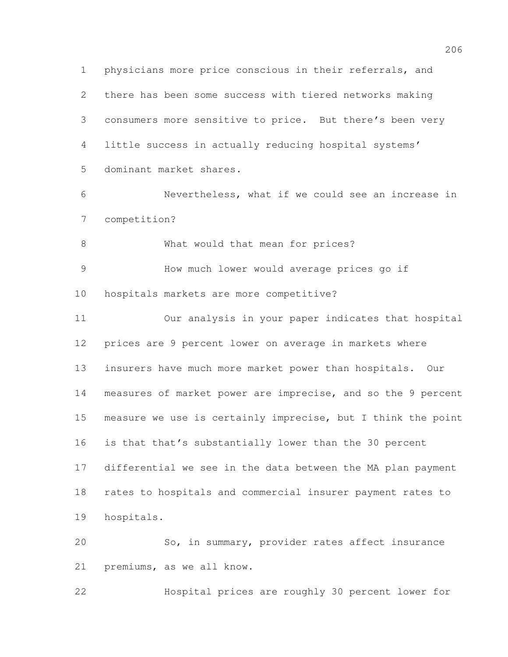physicians more price conscious in their referrals, and there has been some success with tiered networks making consumers more sensitive to price. But there's been very little success in actually reducing hospital systems' dominant market shares. Nevertheless, what if we could see an increase in competition? 8 What would that mean for prices? How much lower would average prices go if hospitals markets are more competitive? Our analysis in your paper indicates that hospital prices are 9 percent lower on average in markets where insurers have much more market power than hospitals. Our measures of market power are imprecise, and so the 9 percent measure we use is certainly imprecise, but I think the point is that that's substantially lower than the 30 percent differential we see in the data between the MA plan payment rates to hospitals and commercial insurer payment rates to hospitals. So, in summary, provider rates affect insurance premiums, as we all know.

Hospital prices are roughly 30 percent lower for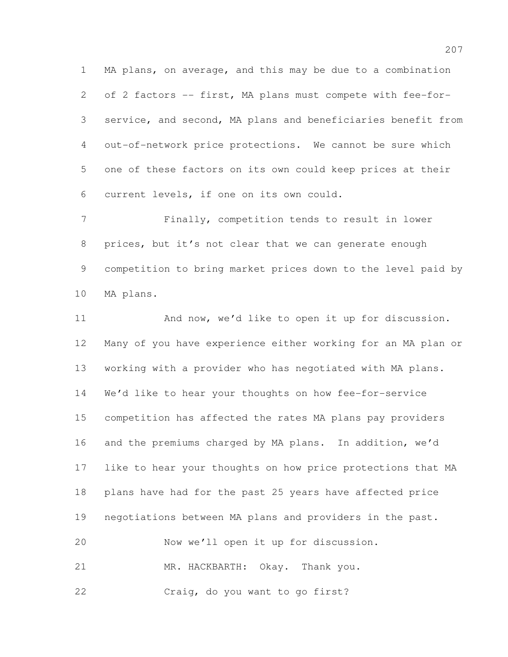MA plans, on average, and this may be due to a combination of 2 factors -- first, MA plans must compete with fee-for- service, and second, MA plans and beneficiaries benefit from out-of-network price protections. We cannot be sure which one of these factors on its own could keep prices at their current levels, if one on its own could.

 Finally, competition tends to result in lower prices, but it's not clear that we can generate enough competition to bring market prices down to the level paid by MA plans.

11 And now, we'd like to open it up for discussion. Many of you have experience either working for an MA plan or working with a provider who has negotiated with MA plans. We'd like to hear your thoughts on how fee-for-service competition has affected the rates MA plans pay providers and the premiums charged by MA plans. In addition, we'd like to hear your thoughts on how price protections that MA plans have had for the past 25 years have affected price negotiations between MA plans and providers in the past. Now we'll open it up for discussion. 21 MR. HACKBARTH: Okay. Thank you. Craig, do you want to go first?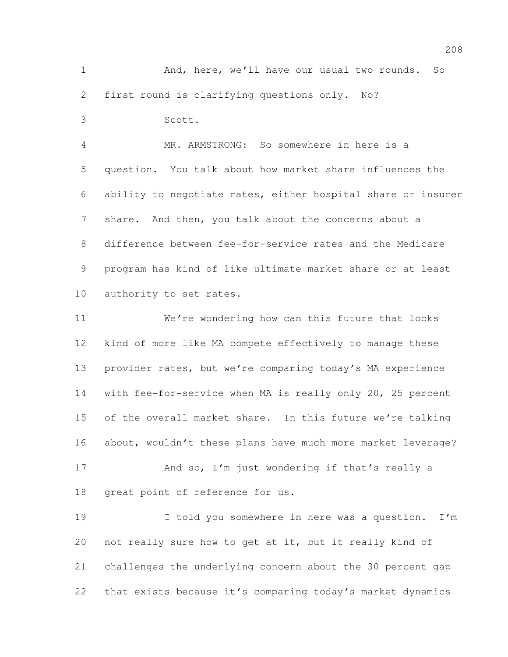And, here, we'll have our usual two rounds. So first round is clarifying questions only. No?

Scott.

 MR. ARMSTRONG: So somewhere in here is a question. You talk about how market share influences the ability to negotiate rates, either hospital share or insurer share. And then, you talk about the concerns about a difference between fee-for-service rates and the Medicare program has kind of like ultimate market share or at least authority to set rates.

 We're wondering how can this future that looks kind of more like MA compete effectively to manage these provider rates, but we're comparing today's MA experience with fee-for-service when MA is really only 20, 25 percent 15 of the overall market share. In this future we're talking about, wouldn't these plans have much more market leverage?

17 And so, I'm just wondering if that's really a great point of reference for us.

19 I told you somewhere in here was a question. I'm not really sure how to get at it, but it really kind of challenges the underlying concern about the 30 percent gap that exists because it's comparing today's market dynamics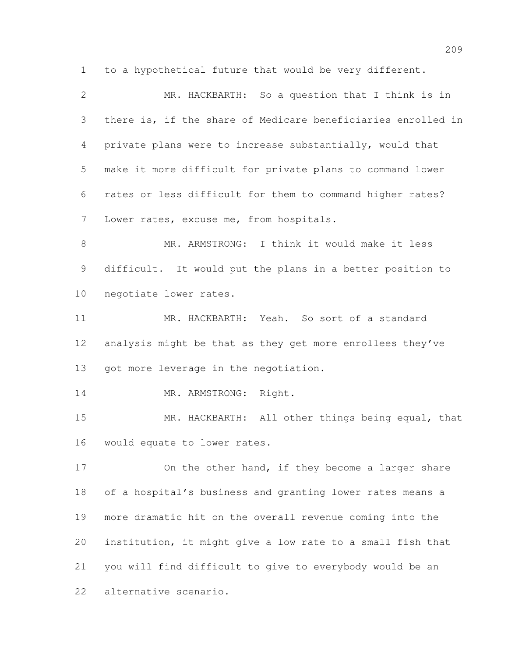to a hypothetical future that would be very different.

 MR. HACKBARTH: So a question that I think is in there is, if the share of Medicare beneficiaries enrolled in private plans were to increase substantially, would that make it more difficult for private plans to command lower rates or less difficult for them to command higher rates? Lower rates, excuse me, from hospitals.

 MR. ARMSTRONG: I think it would make it less difficult. It would put the plans in a better position to negotiate lower rates.

 MR. HACKBARTH: Yeah. So sort of a standard 12 analysis might be that as they get more enrollees they've 13 got more leverage in the negotiation.

14 MR. ARMSTRONG: Right.

 MR. HACKBARTH: All other things being equal, that would equate to lower rates.

17 On the other hand, if they become a larger share of a hospital's business and granting lower rates means a more dramatic hit on the overall revenue coming into the institution, it might give a low rate to a small fish that you will find difficult to give to everybody would be an alternative scenario.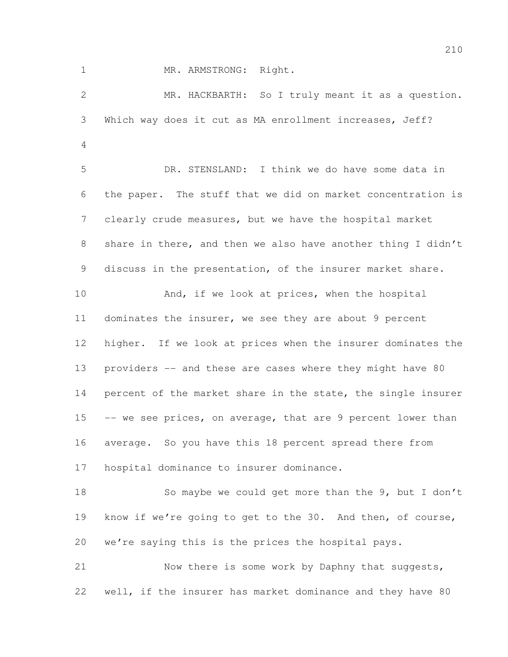1 MR. ARMSTRONG: Right.

 MR. HACKBARTH: So I truly meant it as a question. Which way does it cut as MA enrollment increases, Jeff? DR. STENSLAND: I think we do have some data in the paper. The stuff that we did on market concentration is clearly crude measures, but we have the hospital market share in there, and then we also have another thing I didn't discuss in the presentation, of the insurer market share. 10 And, if we look at prices, when the hospital dominates the insurer, we see they are about 9 percent higher. If we look at prices when the insurer dominates the 13 providers -- and these are cases where they might have 80 percent of the market share in the state, the single insurer 15 -- we see prices, on average, that are 9 percent lower than average. So you have this 18 percent spread there from hospital dominance to insurer dominance. 18 So maybe we could get more than the 9, but I don't 19 know if we're going to get to the 30. And then, of course, we're saying this is the prices the hospital pays. Now there is some work by Daphny that suggests, well, if the insurer has market dominance and they have 80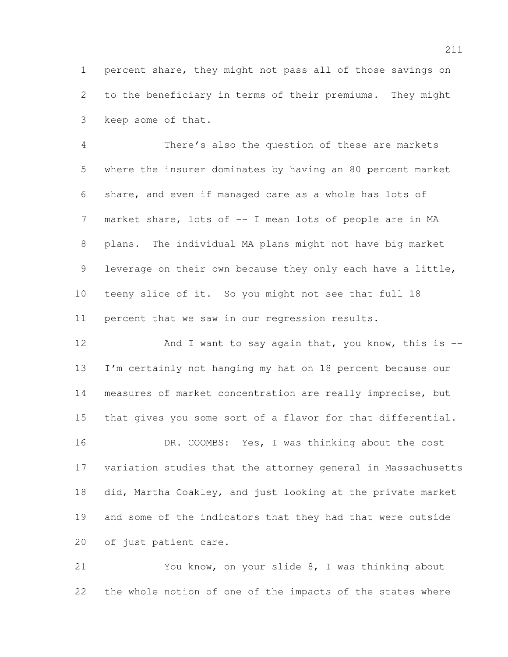percent share, they might not pass all of those savings on to the beneficiary in terms of their premiums. They might keep some of that.

 There's also the question of these are markets where the insurer dominates by having an 80 percent market share, and even if managed care as a whole has lots of market share, lots of -- I mean lots of people are in MA plans. The individual MA plans might not have big market leverage on their own because they only each have a little, teeny slice of it. So you might not see that full 18 percent that we saw in our regression results.

12 And I want to say again that, you know, this is -- I'm certainly not hanging my hat on 18 percent because our measures of market concentration are really imprecise, but that gives you some sort of a flavor for that differential.

 DR. COOMBS: Yes, I was thinking about the cost variation studies that the attorney general in Massachusetts did, Martha Coakley, and just looking at the private market and some of the indicators that they had that were outside of just patient care.

 You know, on your slide 8, I was thinking about the whole notion of one of the impacts of the states where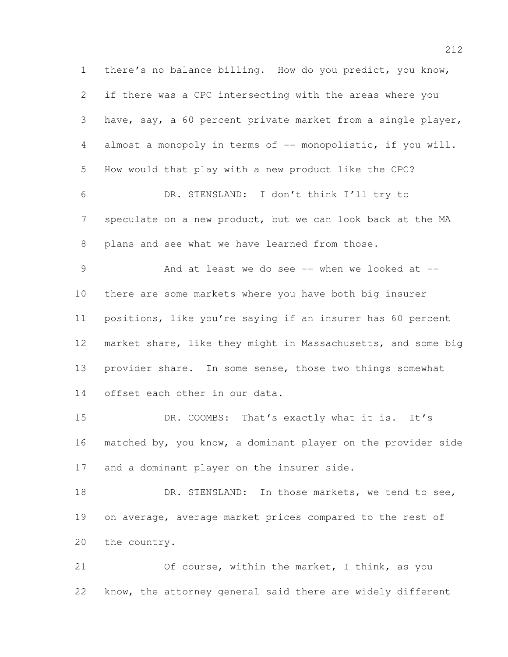there's no balance billing. How do you predict, you know, if there was a CPC intersecting with the areas where you have, say, a 60 percent private market from a single player, almost a monopoly in terms of -- monopolistic, if you will. How would that play with a new product like the CPC? DR. STENSLAND: I don't think I'll try to speculate on a new product, but we can look back at the MA plans and see what we have learned from those. And at least we do see -- when we looked at -- there are some markets where you have both big insurer positions, like you're saying if an insurer has 60 percent market share, like they might in Massachusetts, and some big provider share. In some sense, those two things somewhat offset each other in our data. DR. COOMBS: That's exactly what it is. It's matched by, you know, a dominant player on the provider side and a dominant player on the insurer side. 18 DR. STENSLAND: In those markets, we tend to see, on average, average market prices compared to the rest of the country. Of course, within the market, I think, as you

know, the attorney general said there are widely different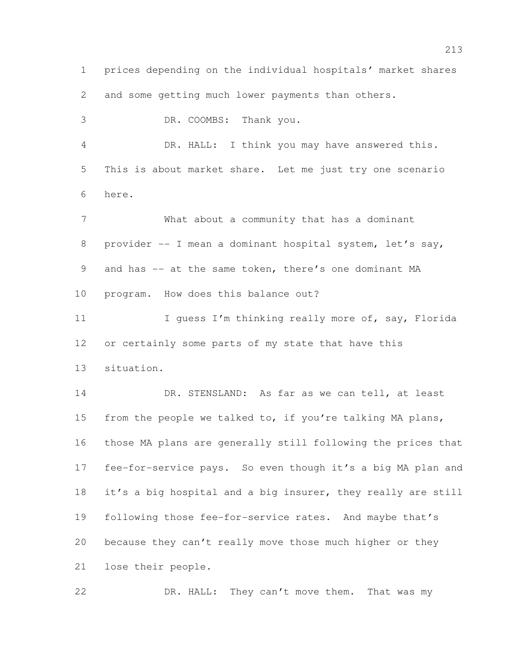prices depending on the individual hospitals' market shares and some getting much lower payments than others. DR. COOMBS: Thank you. DR. HALL: I think you may have answered this. This is about market share. Let me just try one scenario here. What about a community that has a dominant provider -- I mean a dominant hospital system, let's say, 9 and has -- at the same token, there's one dominant MA program. How does this balance out? 11 I guess I'm thinking really more of, say, Florida or certainly some parts of my state that have this situation. 14 DR. STENSLAND: As far as we can tell, at least 15 from the people we talked to, if you're talking MA plans, those MA plans are generally still following the prices that fee-for-service pays. So even though it's a big MA plan and it's a big hospital and a big insurer, they really are still following those fee-for-service rates. And maybe that's because they can't really move those much higher or they lose their people. DR. HALL: They can't move them. That was my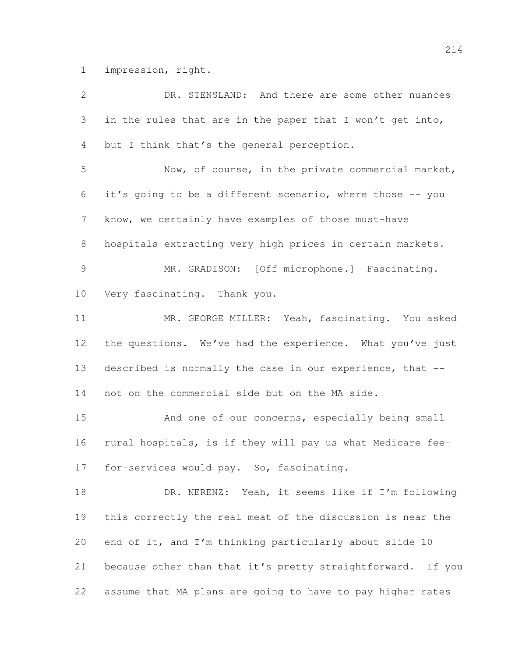impression, right.

| 2               | DR. STENSLAND: And there are some other nuances             |
|-----------------|-------------------------------------------------------------|
| 3               | in the rules that are in the paper that I won't get into,   |
| 4               | but I think that's the general perception.                  |
| 5               | Now, of course, in the private commercial market,           |
| 6               | it's going to be a different scenario, where those -- you   |
| $7\phantom{.0}$ | know, we certainly have examples of those must-have         |
| 8               | hospitals extracting very high prices in certain markets.   |
| $\overline{9}$  | MR. GRADISON: [Off microphone.] Fascinating.                |
| 10              | Very fascinating. Thank you.                                |
| 11              | MR. GEORGE MILLER: Yeah, fascinating. You asked             |
| 12              | the questions. We've had the experience. What you've just   |
| 13              | described is normally the case in our experience, that --   |
| 14              | not on the commercial side but on the MA side.              |
| 15              | And one of our concerns, especially being small             |
| 16              | rural hospitals, is if they will pay us what Medicare fee-  |
| 17              | for-services would pay. So, fascinating.                    |
| 18              | DR. NERENZ: Yeah, it seems like if I'm following            |
| 19              | this correctly the real meat of the discussion is near the  |
| 20              | end of it, and I'm thinking particularly about slide 10     |
| 21              | because other than that it's pretty straightforward. If you |
| 22              | assume that MA plans are going to have to pay higher rates  |
|                 |                                                             |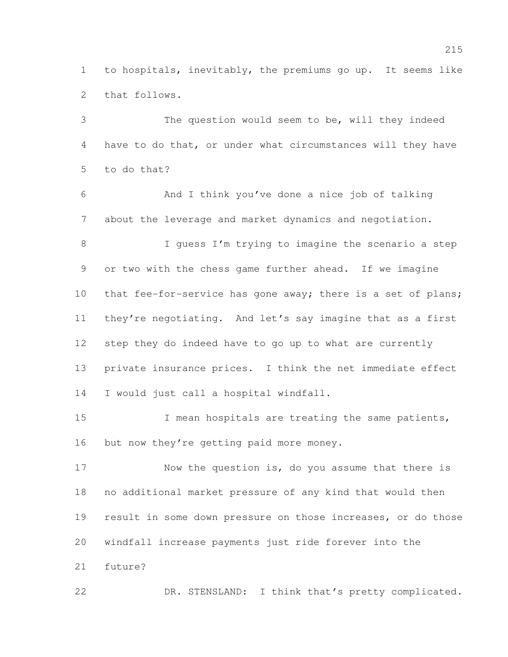to hospitals, inevitably, the premiums go up. It seems like that follows.

 The question would seem to be, will they indeed have to do that, or under what circumstances will they have to do that? And I think you've done a nice job of talking about the leverage and market dynamics and negotiation. 8 I guess I'm trying to imagine the scenario a step or two with the chess game further ahead. If we imagine 10 that fee-for-service has gone away; there is a set of plans; they're negotiating. And let's say imagine that as a first step they do indeed have to go up to what are currently private insurance prices. I think the net immediate effect I would just call a hospital windfall.

 I mean hospitals are treating the same patients, 16 but now they're getting paid more money.

17 Now the question is, do you assume that there is no additional market pressure of any kind that would then result in some down pressure on those increases, or do those windfall increase payments just ride forever into the future?

DR. STENSLAND: I think that's pretty complicated.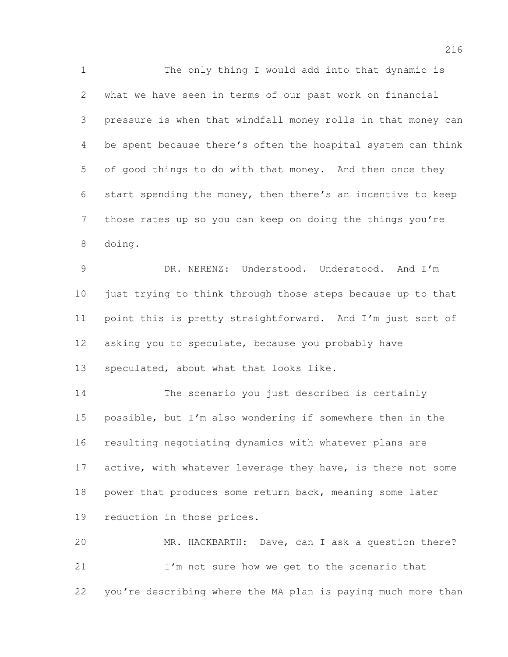The only thing I would add into that dynamic is what we have seen in terms of our past work on financial pressure is when that windfall money rolls in that money can be spent because there's often the hospital system can think of good things to do with that money. And then once they start spending the money, then there's an incentive to keep those rates up so you can keep on doing the things you're doing.

 DR. NERENZ: Understood. Understood. And I'm just trying to think through those steps because up to that point this is pretty straightforward. And I'm just sort of asking you to speculate, because you probably have 13 speculated, about what that looks like.

 The scenario you just described is certainly possible, but I'm also wondering if somewhere then in the resulting negotiating dynamics with whatever plans are 17 active, with whatever leverage they have, is there not some 18 power that produces some return back, meaning some later reduction in those prices.

 MR. HACKBARTH: Dave, can I ask a question there? I'm not sure how we get to the scenario that you're describing where the MA plan is paying much more than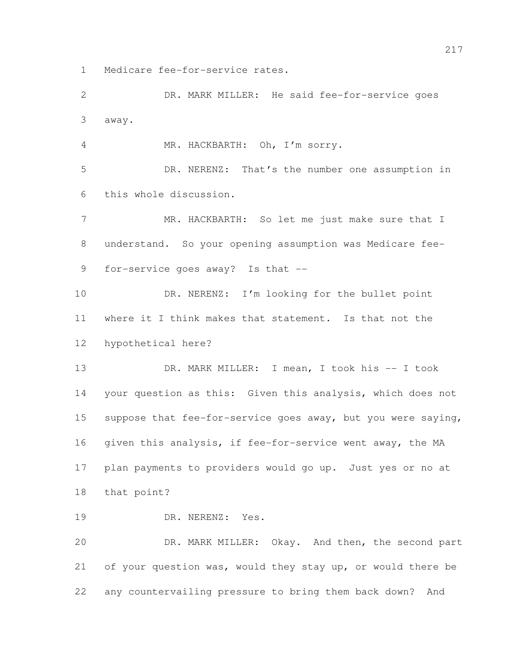Medicare fee-for-service rates.

 DR. MARK MILLER: He said fee-for-service goes away.

MR. HACKBARTH: Oh, I'm sorry.

 DR. NERENZ: That's the number one assumption in this whole discussion.

7 MR. HACKBARTH: So let me just make sure that I understand. So your opening assumption was Medicare fee-for-service goes away? Is that --

10 DR. NERENZ: I'm looking for the bullet point where it I think makes that statement. Is that not the hypothetical here?

 DR. MARK MILLER: I mean, I took his -- I took your question as this: Given this analysis, which does not suppose that fee-for-service goes away, but you were saying, given this analysis, if fee-for-service went away, the MA plan payments to providers would go up. Just yes or no at that point?

19 DR. NERENZ: Yes.

 DR. MARK MILLER: Okay. And then, the second part of your question was, would they stay up, or would there be any countervailing pressure to bring them back down? And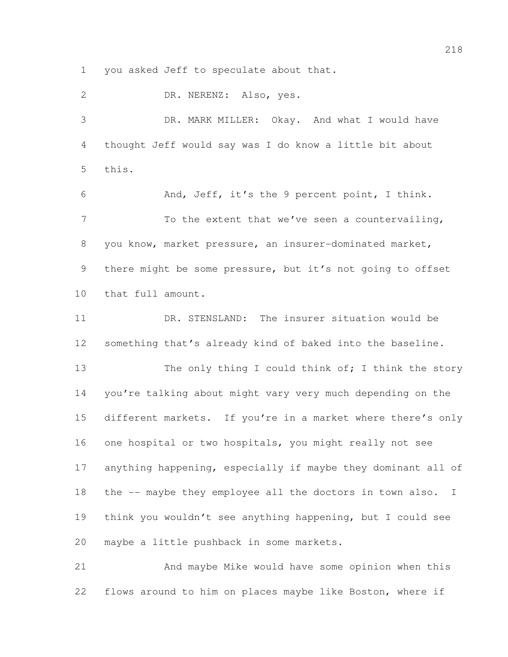you asked Jeff to speculate about that.

 DR. NERENZ: Also, yes. DR. MARK MILLER: Okay. And what I would have thought Jeff would say was I do know a little bit about this. And, Jeff, it's the 9 percent point, I think. 7 To the extent that we've seen a countervailing, you know, market pressure, an insurer-dominated market, there might be some pressure, but it's not going to offset that full amount. DR. STENSLAND: The insurer situation would be something that's already kind of baked into the baseline. 13 The only thing I could think of; I think the story you're talking about might vary very much depending on the different markets. If you're in a market where there's only one hospital or two hospitals, you might really not see anything happening, especially if maybe they dominant all of 18 the -- maybe they employee all the doctors in town also. I think you wouldn't see anything happening, but I could see maybe a little pushback in some markets. And maybe Mike would have some opinion when this

flows around to him on places maybe like Boston, where if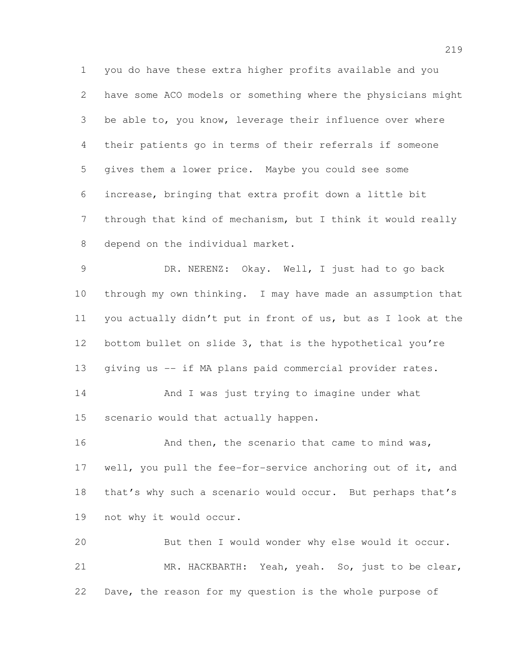you do have these extra higher profits available and you have some ACO models or something where the physicians might be able to, you know, leverage their influence over where their patients go in terms of their referrals if someone gives them a lower price. Maybe you could see some increase, bringing that extra profit down a little bit through that kind of mechanism, but I think it would really depend on the individual market.

 DR. NERENZ: Okay. Well, I just had to go back through my own thinking. I may have made an assumption that you actually didn't put in front of us, but as I look at the bottom bullet on slide 3, that is the hypothetical you're giving us -- if MA plans paid commercial provider rates.

14 And I was just trying to imagine under what scenario would that actually happen.

16 And then, the scenario that came to mind was, well, you pull the fee-for-service anchoring out of it, and 18 that's why such a scenario would occur. But perhaps that's not why it would occur.

 But then I would wonder why else would it occur. MR. HACKBARTH: Yeah, yeah. So, just to be clear, Dave, the reason for my question is the whole purpose of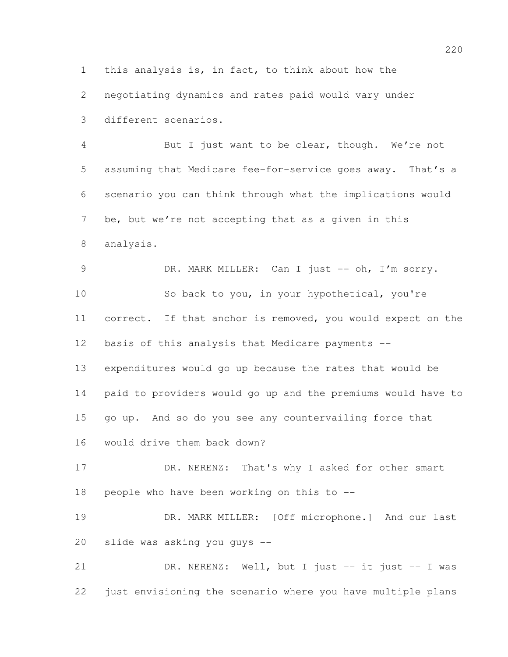this analysis is, in fact, to think about how the

negotiating dynamics and rates paid would vary under

different scenarios.

 But I just want to be clear, though. We're not assuming that Medicare fee-for-service goes away. That's a scenario you can think through what the implications would be, but we're not accepting that as a given in this analysis.

9 DR. MARK MILLER: Can I just -- oh, I'm sorry. So back to you, in your hypothetical, you're correct. If that anchor is removed, you would expect on the basis of this analysis that Medicare payments -- expenditures would go up because the rates that would be paid to providers would go up and the premiums would have to go up. And so do you see any countervailing force that

would drive them back down?

17 DR. NERENZ: That's why I asked for other smart people who have been working on this to --

 DR. MARK MILLER: [Off microphone.] And our last slide was asking you guys --

21 DR. NERENZ: Well, but I just -- it just -- I was just envisioning the scenario where you have multiple plans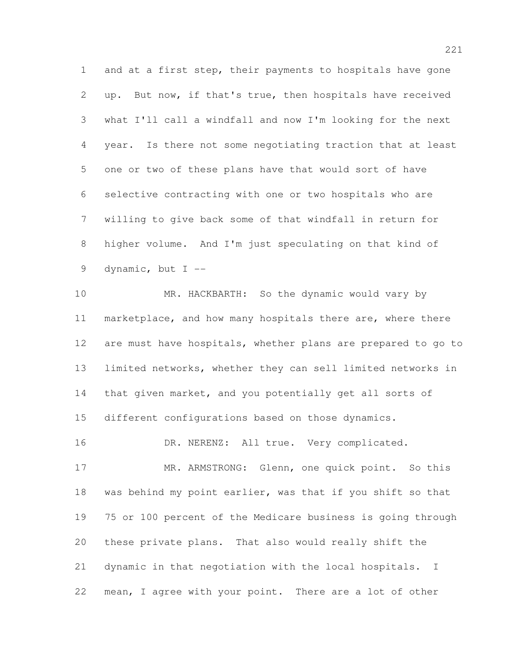and at a first step, their payments to hospitals have gone up. But now, if that's true, then hospitals have received what I'll call a windfall and now I'm looking for the next year. Is there not some negotiating traction that at least one or two of these plans have that would sort of have selective contracting with one or two hospitals who are willing to give back some of that windfall in return for higher volume. And I'm just speculating on that kind of dynamic, but I --

 MR. HACKBARTH: So the dynamic would vary by 11 marketplace, and how many hospitals there are, where there are must have hospitals, whether plans are prepared to go to limited networks, whether they can sell limited networks in that given market, and you potentially get all sorts of different configurations based on those dynamics.

16 DR. NERENZ: All true. Very complicated.

17 MR. ARMSTRONG: Glenn, one quick point. So this was behind my point earlier, was that if you shift so that 75 or 100 percent of the Medicare business is going through these private plans. That also would really shift the dynamic in that negotiation with the local hospitals. I mean, I agree with your point. There are a lot of other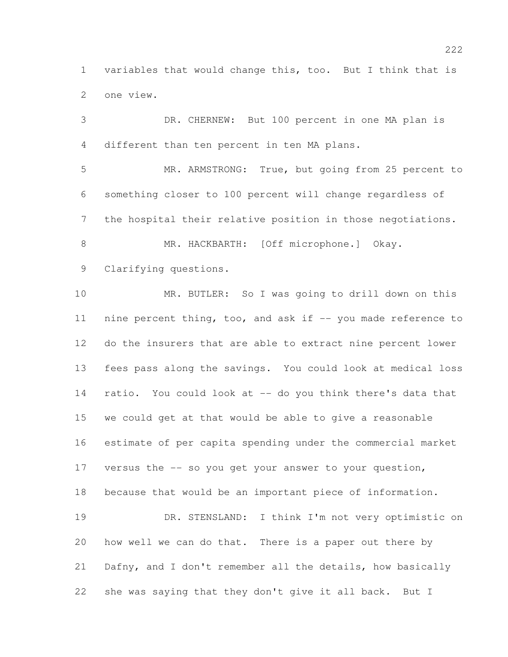variables that would change this, too. But I think that is one view.

 DR. CHERNEW: But 100 percent in one MA plan is different than ten percent in ten MA plans.

 MR. ARMSTRONG: True, but going from 25 percent to something closer to 100 percent will change regardless of the hospital their relative position in those negotiations.

 MR. HACKBARTH: [Off microphone.] Okay. Clarifying questions.

 MR. BUTLER: So I was going to drill down on this 11 nine percent thing, too, and ask if -- you made reference to do the insurers that are able to extract nine percent lower fees pass along the savings. You could look at medical loss ratio. You could look at -- do you think there's data that we could get at that would be able to give a reasonable estimate of per capita spending under the commercial market versus the -- so you get your answer to your question, because that would be an important piece of information. DR. STENSLAND: I think I'm not very optimistic on how well we can do that. There is a paper out there by Dafny, and I don't remember all the details, how basically she was saying that they don't give it all back. But I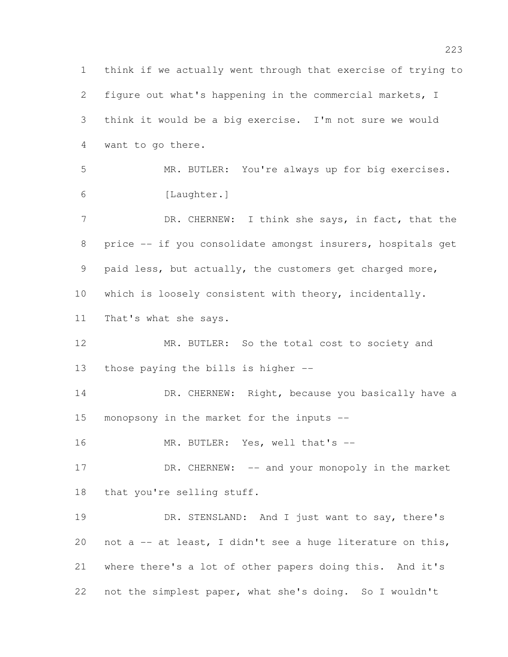think if we actually went through that exercise of trying to figure out what's happening in the commercial markets, I think it would be a big exercise. I'm not sure we would want to go there. MR. BUTLER: You're always up for big exercises. [Laughter.] 7 DR. CHERNEW: I think she says, in fact, that the price -- if you consolidate amongst insurers, hospitals get paid less, but actually, the customers get charged more, which is loosely consistent with theory, incidentally. That's what she says. MR. BUTLER: So the total cost to society and those paying the bills is higher -- 14 DR. CHERNEW: Right, because you basically have a monopsony in the market for the inputs -- 16 MR. BUTLER: Yes, well that's --17 DR. CHERNEW: -- and your monopoly in the market that you're selling stuff. DR. STENSLAND: And I just want to say, there's not a -- at least, I didn't see a huge literature on this, where there's a lot of other papers doing this. And it's not the simplest paper, what she's doing. So I wouldn't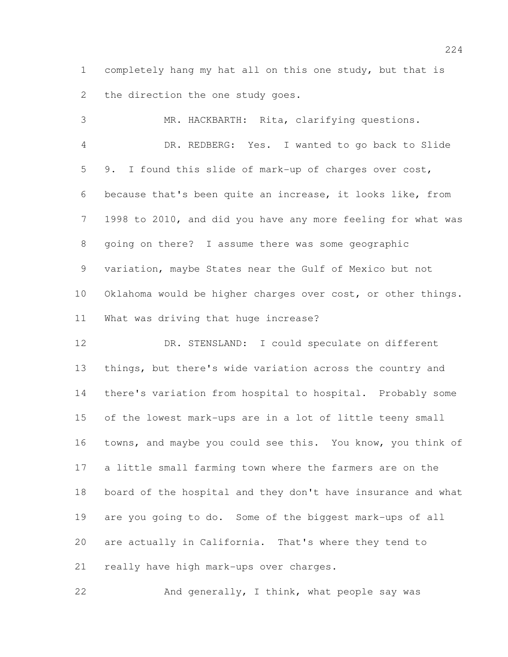completely hang my hat all on this one study, but that is 2 the direction the one study goes.

 MR. HACKBARTH: Rita, clarifying questions. DR. REDBERG: Yes. I wanted to go back to Slide 9. I found this slide of mark-up of charges over cost, because that's been quite an increase, it looks like, from 1998 to 2010, and did you have any more feeling for what was going on there? I assume there was some geographic variation, maybe States near the Gulf of Mexico but not Oklahoma would be higher charges over cost, or other things. What was driving that huge increase?

12 DR. STENSLAND: I could speculate on different things, but there's wide variation across the country and there's variation from hospital to hospital. Probably some of the lowest mark-ups are in a lot of little teeny small towns, and maybe you could see this. You know, you think of a little small farming town where the farmers are on the board of the hospital and they don't have insurance and what are you going to do. Some of the biggest mark-ups of all are actually in California. That's where they tend to really have high mark-ups over charges.

And generally, I think, what people say was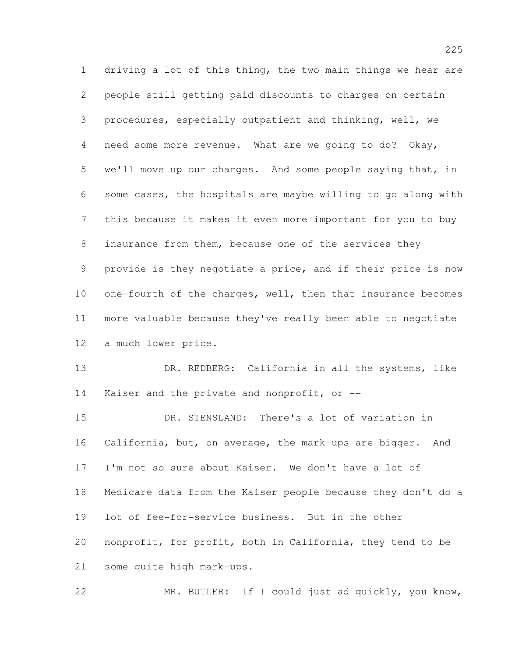driving a lot of this thing, the two main things we hear are people still getting paid discounts to charges on certain procedures, especially outpatient and thinking, well, we need some more revenue. What are we going to do? Okay, we'll move up our charges. And some people saying that, in some cases, the hospitals are maybe willing to go along with this because it makes it even more important for you to buy 8 insurance from them, because one of the services they provide is they negotiate a price, and if their price is now one-fourth of the charges, well, then that insurance becomes more valuable because they've really been able to negotiate a much lower price.

 DR. REDBERG: California in all the systems, like Kaiser and the private and nonprofit, or --

 DR. STENSLAND: There's a lot of variation in California, but, on average, the mark-ups are bigger. And I'm not so sure about Kaiser. We don't have a lot of Medicare data from the Kaiser people because they don't do a lot of fee-for-service business. But in the other nonprofit, for profit, both in California, they tend to be some quite high mark-ups.

MR. BUTLER: If I could just ad quickly, you know,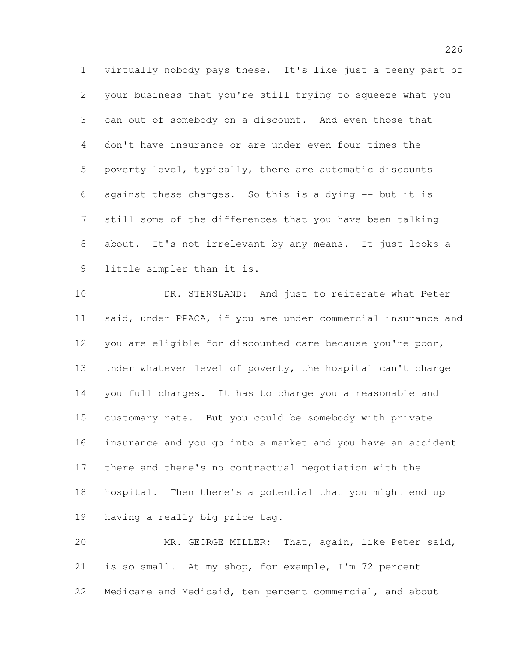virtually nobody pays these. It's like just a teeny part of your business that you're still trying to squeeze what you can out of somebody on a discount. And even those that don't have insurance or are under even four times the poverty level, typically, there are automatic discounts against these charges. So this is a dying -- but it is still some of the differences that you have been talking about. It's not irrelevant by any means. It just looks a little simpler than it is.

 DR. STENSLAND: And just to reiterate what Peter said, under PPACA, if you are under commercial insurance and you are eligible for discounted care because you're poor, under whatever level of poverty, the hospital can't charge you full charges. It has to charge you a reasonable and customary rate. But you could be somebody with private insurance and you go into a market and you have an accident there and there's no contractual negotiation with the hospital. Then there's a potential that you might end up having a really big price tag.

 MR. GEORGE MILLER: That, again, like Peter said, is so small. At my shop, for example, I'm 72 percent Medicare and Medicaid, ten percent commercial, and about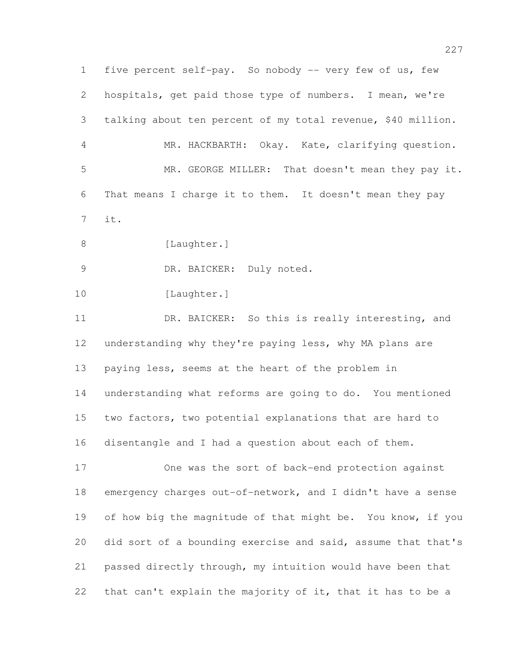five percent self-pay. So nobody -- very few of us, few hospitals, get paid those type of numbers. I mean, we're talking about ten percent of my total revenue, \$40 million. MR. HACKBARTH: Okay. Kate, clarifying question. MR. GEORGE MILLER: That doesn't mean they pay it. That means I charge it to them. It doesn't mean they pay it. 8 [Laughter.] 9 DR. BAICKER: Duly noted. 10 [Laughter.] 11 DR. BAICKER: So this is really interesting, and understanding why they're paying less, why MA plans are paying less, seems at the heart of the problem in understanding what reforms are going to do. You mentioned two factors, two potential explanations that are hard to disentangle and I had a question about each of them. One was the sort of back-end protection against emergency charges out-of-network, and I didn't have a sense 19 of how big the magnitude of that might be. You know, if you did sort of a bounding exercise and said, assume that that's

 passed directly through, my intuition would have been that that can't explain the majority of it, that it has to be a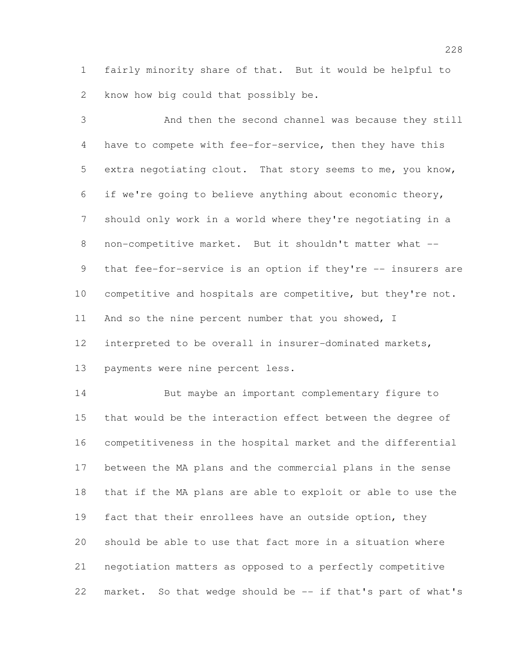fairly minority share of that. But it would be helpful to know how big could that possibly be.

 And then the second channel was because they still have to compete with fee-for-service, then they have this extra negotiating clout. That story seems to me, you know, if we're going to believe anything about economic theory, should only work in a world where they're negotiating in a non-competitive market. But it shouldn't matter what -- 9 that fee-for-service is an option if they're -- insurers are competitive and hospitals are competitive, but they're not. 11 And so the nine percent number that you showed, I interpreted to be overall in insurer-dominated markets, payments were nine percent less.

 But maybe an important complementary figure to that would be the interaction effect between the degree of competitiveness in the hospital market and the differential between the MA plans and the commercial plans in the sense that if the MA plans are able to exploit or able to use the fact that their enrollees have an outside option, they should be able to use that fact more in a situation where negotiation matters as opposed to a perfectly competitive market. So that wedge should be -- if that's part of what's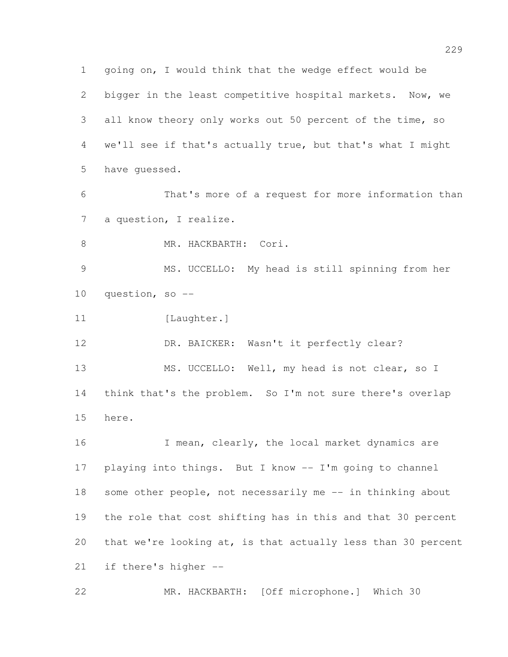going on, I would think that the wedge effect would be bigger in the least competitive hospital markets. Now, we all know theory only works out 50 percent of the time, so we'll see if that's actually true, but that's what I might have guessed. That's more of a request for more information than 7 a question, I realize. 8 MR. HACKBARTH: Cori. MS. UCCELLO: My head is still spinning from her question, so -- 11 [Laughter.] DR. BAICKER: Wasn't it perfectly clear? MS. UCCELLO: Well, my head is not clear, so I think that's the problem. So I'm not sure there's overlap here. 16 I mean, clearly, the local market dynamics are playing into things. But I know -- I'm going to channel 18 some other people, not necessarily me -- in thinking about the role that cost shifting has in this and that 30 percent that we're looking at, is that actually less than 30 percent if there's higher -- MR. HACKBARTH: [Off microphone.] Which 30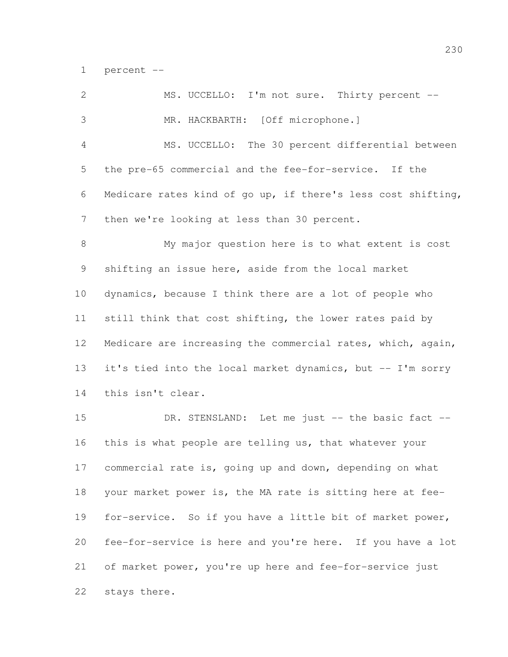percent --

| $\mathbf{2}$   | MS. UCCELLO: I'm not sure. Thirty percent --                 |
|----------------|--------------------------------------------------------------|
| 3              | MR. HACKBARTH: [Off microphone.]                             |
| $\overline{4}$ | MS. UCCELLO: The 30 percent differential between             |
| 5              | the pre-65 commercial and the fee-for-service. If the        |
| 6              | Medicare rates kind of go up, if there's less cost shifting, |
| 7              | then we're looking at less than 30 percent.                  |
| $\,8\,$        | My major question here is to what extent is cost             |
| 9              | shifting an issue here, aside from the local market          |
| 10             | dynamics, because I think there are a lot of people who      |
| 11             | still think that cost shifting, the lower rates paid by      |
| 12             | Medicare are increasing the commercial rates, which, again,  |
| 13             | it's tied into the local market dynamics, but -- I'm sorry   |
| 14             | this isn't clear.                                            |
| 15             | DR. STENSLAND: Let me just -- the basic fact --              |
| 16             | this is what people are telling us, that whatever your       |
| 17             | commercial rate is, going up and down, depending on what     |
| 18             | your market power is, the MA rate is sitting here at fee-    |
| 19             | for-service. So if you have a little bit of market power,    |

 fee-for-service is here and you're here. If you have a lot of market power, you're up here and fee-for-service just stays there.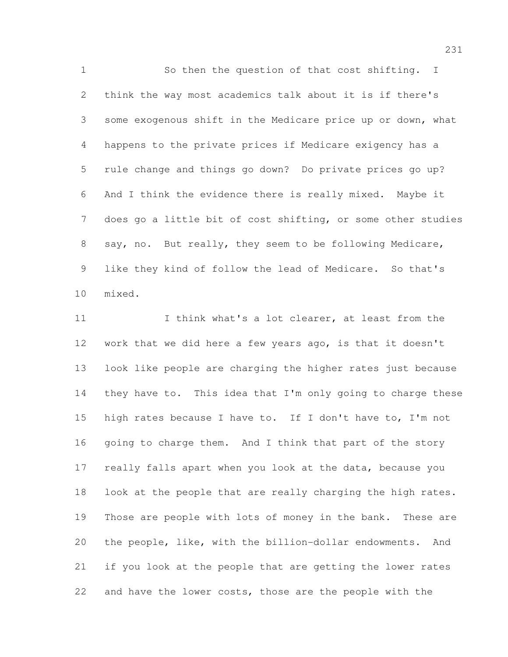So then the question of that cost shifting. I think the way most academics talk about it is if there's some exogenous shift in the Medicare price up or down, what happens to the private prices if Medicare exigency has a rule change and things go down? Do private prices go up? And I think the evidence there is really mixed. Maybe it does go a little bit of cost shifting, or some other studies say, no. But really, they seem to be following Medicare, like they kind of follow the lead of Medicare. So that's mixed.

11 11 I think what's a lot clearer, at least from the work that we did here a few years ago, is that it doesn't look like people are charging the higher rates just because 14 they have to. This idea that I'm only going to charge these high rates because I have to. If I don't have to, I'm not 16 going to charge them. And I think that part of the story really falls apart when you look at the data, because you look at the people that are really charging the high rates. Those are people with lots of money in the bank. These are the people, like, with the billion-dollar endowments. And if you look at the people that are getting the lower rates and have the lower costs, those are the people with the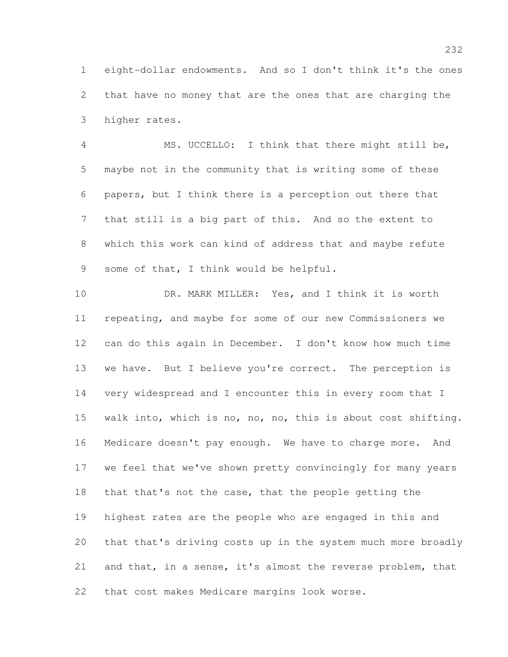eight-dollar endowments. And so I don't think it's the ones that have no money that are the ones that are charging the higher rates.

 MS. UCCELLO: I think that there might still be, maybe not in the community that is writing some of these papers, but I think there is a perception out there that that still is a big part of this. And so the extent to which this work can kind of address that and maybe refute some of that, I think would be helpful.

10 DR. MARK MILLER: Yes, and I think it is worth repeating, and maybe for some of our new Commissioners we can do this again in December. I don't know how much time we have. But I believe you're correct. The perception is very widespread and I encounter this in every room that I walk into, which is no, no, no, this is about cost shifting. Medicare doesn't pay enough. We have to charge more. And we feel that we've shown pretty convincingly for many years that that's not the case, that the people getting the highest rates are the people who are engaged in this and that that's driving costs up in the system much more broadly and that, in a sense, it's almost the reverse problem, that that cost makes Medicare margins look worse.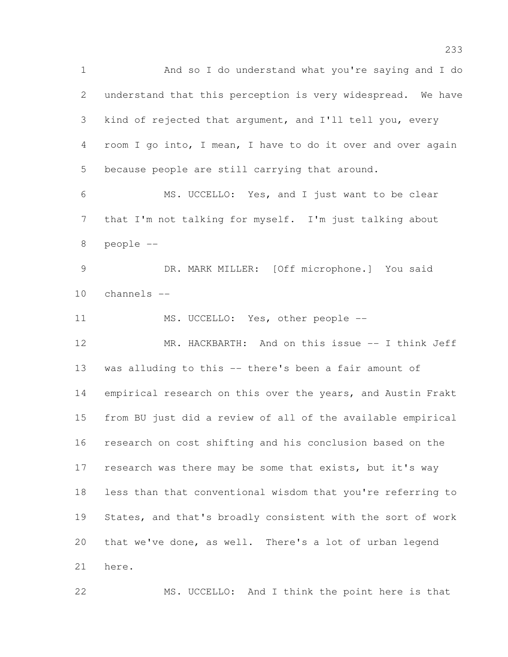And so I do understand what you're saying and I do understand that this perception is very widespread. We have kind of rejected that argument, and I'll tell you, every room I go into, I mean, I have to do it over and over again because people are still carrying that around. MS. UCCELLO: Yes, and I just want to be clear that I'm not talking for myself. I'm just talking about people -- DR. MARK MILLER: [Off microphone.] You said channels -- 11 MS. UCCELLO: Yes, other people -- MR. HACKBARTH: And on this issue -- I think Jeff was alluding to this -- there's been a fair amount of empirical research on this over the years, and Austin Frakt from BU just did a review of all of the available empirical research on cost shifting and his conclusion based on the 17 research was there may be some that exists, but it's way less than that conventional wisdom that you're referring to States, and that's broadly consistent with the sort of work

that we've done, as well. There's a lot of urban legend

here.

MS. UCCELLO: And I think the point here is that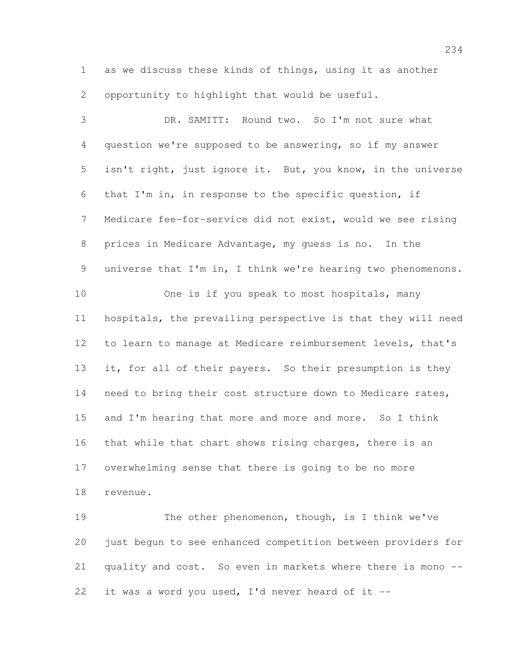as we discuss these kinds of things, using it as another opportunity to highlight that would be useful.

 DR. SAMITT: Round two. So I'm not sure what question we're supposed to be answering, so if my answer isn't right, just ignore it. But, you know, in the universe that I'm in, in response to the specific question, if Medicare fee-for-service did not exist, would we see rising prices in Medicare Advantage, my guess is no. In the universe that I'm in, I think we're hearing two phenomenons. One is if you speak to most hospitals, many hospitals, the prevailing perspective is that they will need to learn to manage at Medicare reimbursement levels, that's it, for all of their payers. So their presumption is they 14 need to bring their cost structure down to Medicare rates, 15 and I'm hearing that more and more and more. So I think that while that chart shows rising charges, there is an overwhelming sense that there is going to be no more revenue.

19 The other phenomenon, though, is I think we've just begun to see enhanced competition between providers for quality and cost. So even in markets where there is mono -- 22 it was a word you used, I'd never heard of it  $-$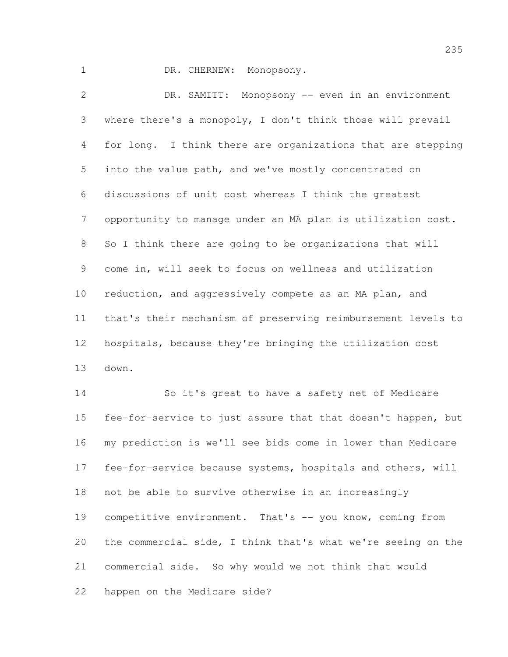1 DR. CHERNEW: Monopsony.

 DR. SAMITT: Monopsony -- even in an environment where there's a monopoly, I don't think those will prevail for long. I think there are organizations that are stepping into the value path, and we've mostly concentrated on discussions of unit cost whereas I think the greatest opportunity to manage under an MA plan is utilization cost. So I think there are going to be organizations that will come in, will seek to focus on wellness and utilization reduction, and aggressively compete as an MA plan, and that's their mechanism of preserving reimbursement levels to hospitals, because they're bringing the utilization cost down.

 So it's great to have a safety net of Medicare fee-for-service to just assure that that doesn't happen, but my prediction is we'll see bids come in lower than Medicare fee-for-service because systems, hospitals and others, will not be able to survive otherwise in an increasingly 19 competitive environment. That's -- you know, coming from the commercial side, I think that's what we're seeing on the commercial side. So why would we not think that would happen on the Medicare side?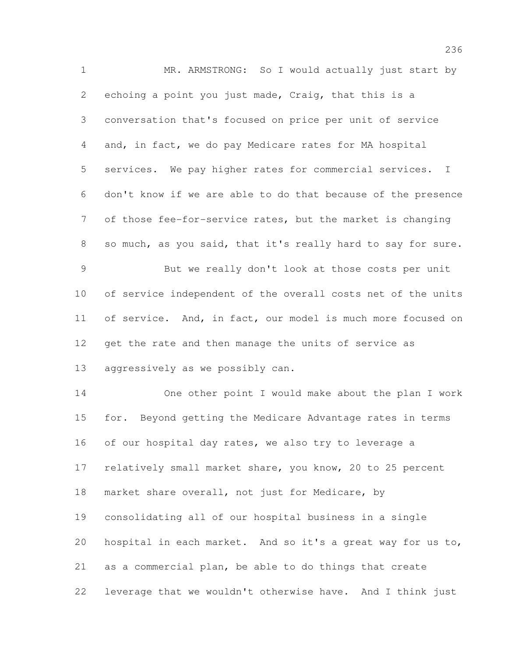MR. ARMSTRONG: So I would actually just start by echoing a point you just made, Craig, that this is a conversation that's focused on price per unit of service and, in fact, we do pay Medicare rates for MA hospital services. We pay higher rates for commercial services. I don't know if we are able to do that because of the presence of those fee-for-service rates, but the market is changing so much, as you said, that it's really hard to say for sure. But we really don't look at those costs per unit of service independent of the overall costs net of the units 11 of service. And, in fact, our model is much more focused on get the rate and then manage the units of service as aggressively as we possibly can. One other point I would make about the plan I work for. Beyond getting the Medicare Advantage rates in terms 16 of our hospital day rates, we also try to leverage a relatively small market share, you know, 20 to 25 percent market share overall, not just for Medicare, by consolidating all of our hospital business in a single hospital in each market. And so it's a great way for us to, as a commercial plan, be able to do things that create leverage that we wouldn't otherwise have. And I think just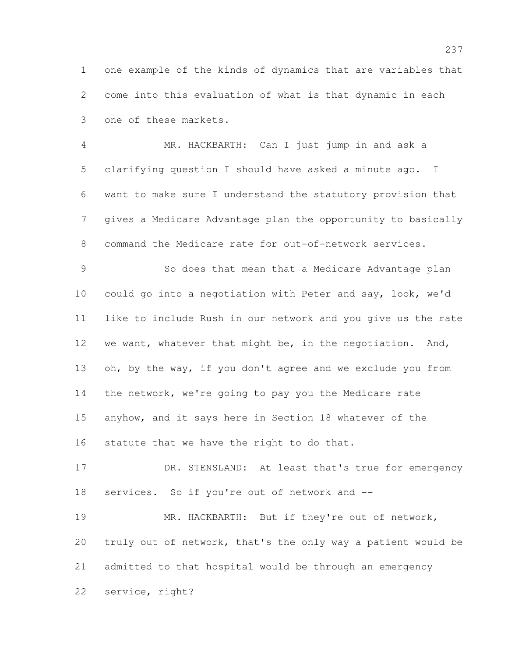one example of the kinds of dynamics that are variables that come into this evaluation of what is that dynamic in each one of these markets.

 MR. HACKBARTH: Can I just jump in and ask a clarifying question I should have asked a minute ago. I want to make sure I understand the statutory provision that gives a Medicare Advantage plan the opportunity to basically command the Medicare rate for out-of-network services.

 So does that mean that a Medicare Advantage plan could go into a negotiation with Peter and say, look, we'd like to include Rush in our network and you give us the rate 12 we want, whatever that might be, in the negotiation. And, 13 oh, by the way, if you don't agree and we exclude you from the network, we're going to pay you the Medicare rate anyhow, and it says here in Section 18 whatever of the statute that we have the right to do that.

17 DR. STENSLAND: At least that's true for emergency services. So if you're out of network and --

 MR. HACKBARTH: But if they're out of network, truly out of network, that's the only way a patient would be admitted to that hospital would be through an emergency service, right?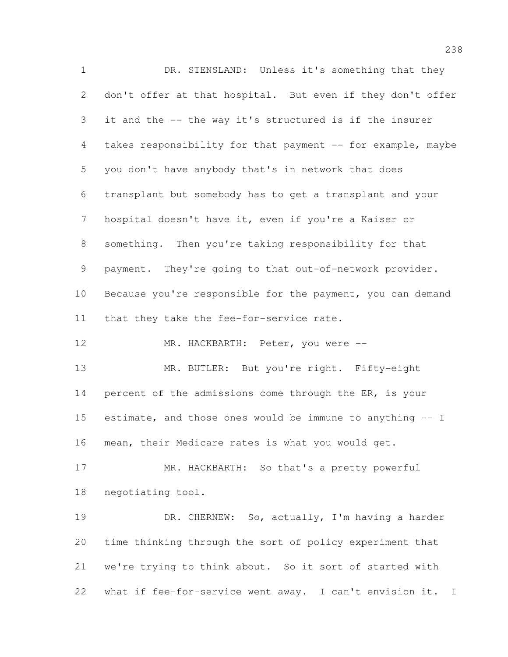DR. STENSLAND: Unless it's something that they don't offer at that hospital. But even if they don't offer it and the -- the way it's structured is if the insurer takes responsibility for that payment -- for example, maybe you don't have anybody that's in network that does transplant but somebody has to get a transplant and your hospital doesn't have it, even if you're a Kaiser or something. Then you're taking responsibility for that payment. They're going to that out-of-network provider. 10 Because you're responsible for the payment, you can demand that they take the fee-for-service rate. 12 MR. HACKBARTH: Peter, you were --13 MR. BUTLER: But you're right. Fifty-eight 14 percent of the admissions come through the ER, is your estimate, and those ones would be immune to anything -- I mean, their Medicare rates is what you would get. MR. HACKBARTH: So that's a pretty powerful negotiating tool. DR. CHERNEW: So, actually, I'm having a harder time thinking through the sort of policy experiment that we're trying to think about. So it sort of started with what if fee-for-service went away. I can't envision it. I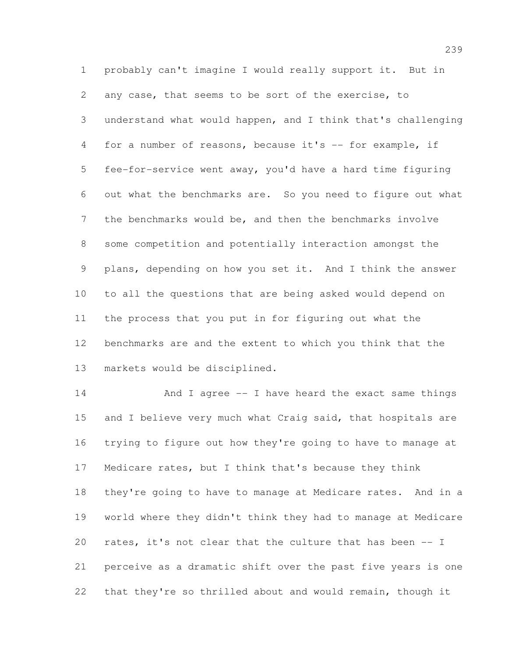probably can't imagine I would really support it. But in any case, that seems to be sort of the exercise, to understand what would happen, and I think that's challenging for a number of reasons, because it's -- for example, if fee-for-service went away, you'd have a hard time figuring out what the benchmarks are. So you need to figure out what the benchmarks would be, and then the benchmarks involve some competition and potentially interaction amongst the plans, depending on how you set it. And I think the answer to all the questions that are being asked would depend on the process that you put in for figuring out what the benchmarks are and the extent to which you think that the markets would be disciplined.

14 And I agree -- I have heard the exact same things 15 and I believe very much what Craig said, that hospitals are trying to figure out how they're going to have to manage at Medicare rates, but I think that's because they think they're going to have to manage at Medicare rates. And in a world where they didn't think they had to manage at Medicare rates, it's not clear that the culture that has been -- I perceive as a dramatic shift over the past five years is one that they're so thrilled about and would remain, though it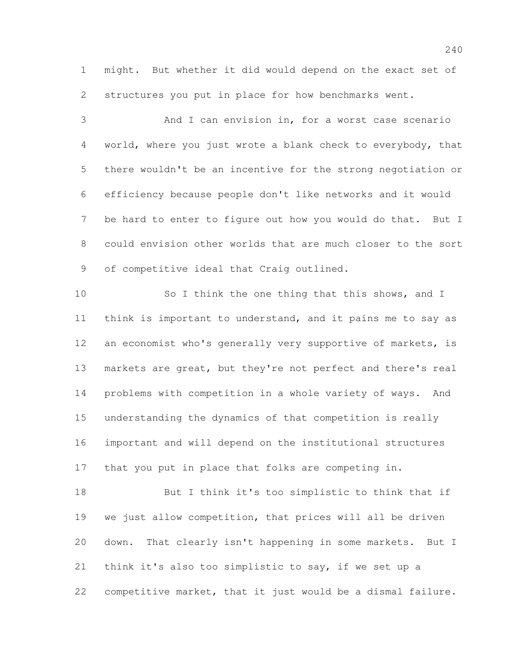might. But whether it did would depend on the exact set of structures you put in place for how benchmarks went.

 And I can envision in, for a worst case scenario world, where you just wrote a blank check to everybody, that there wouldn't be an incentive for the strong negotiation or efficiency because people don't like networks and it would be hard to enter to figure out how you would do that. But I could envision other worlds that are much closer to the sort 9 of competitive ideal that Craig outlined.

10 So I think the one thing that this shows, and I think is important to understand, and it pains me to say as 12 an economist who's generally very supportive of markets, is markets are great, but they're not perfect and there's real problems with competition in a whole variety of ways. And understanding the dynamics of that competition is really important and will depend on the institutional structures that you put in place that folks are competing in.

 But I think it's too simplistic to think that if we just allow competition, that prices will all be driven down. That clearly isn't happening in some markets. But I think it's also too simplistic to say, if we set up a competitive market, that it just would be a dismal failure.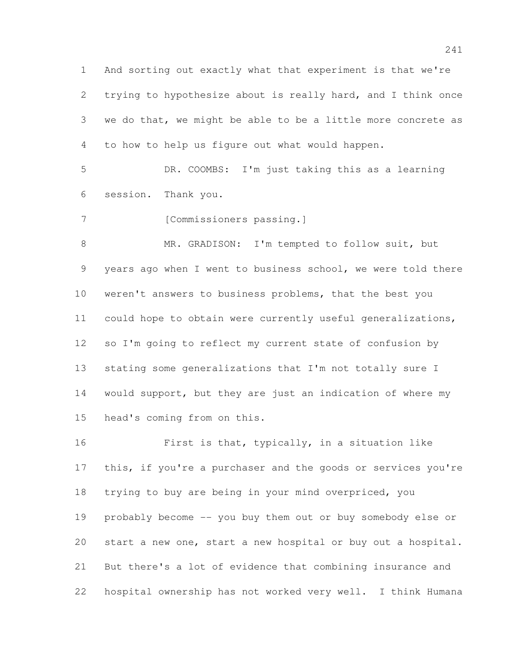And sorting out exactly what that experiment is that we're trying to hypothesize about is really hard, and I think once we do that, we might be able to be a little more concrete as to how to help us figure out what would happen.

 DR. COOMBS: I'm just taking this as a learning session. Thank you.

7 [Commissioners passing.]

 MR. GRADISON: I'm tempted to follow suit, but years ago when I went to business school, we were told there weren't answers to business problems, that the best you could hope to obtain were currently useful generalizations, so I'm going to reflect my current state of confusion by stating some generalizations that I'm not totally sure I would support, but they are just an indication of where my head's coming from on this.

 First is that, typically, in a situation like this, if you're a purchaser and the goods or services you're trying to buy are being in your mind overpriced, you probably become -- you buy them out or buy somebody else or start a new one, start a new hospital or buy out a hospital. But there's a lot of evidence that combining insurance and hospital ownership has not worked very well. I think Humana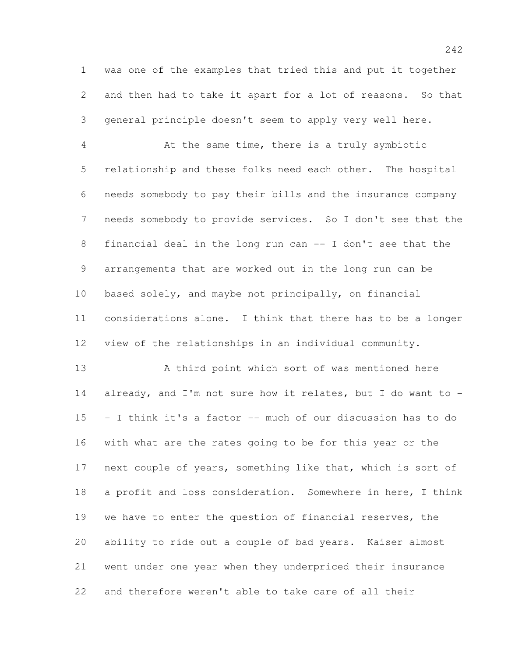was one of the examples that tried this and put it together and then had to take it apart for a lot of reasons. So that general principle doesn't seem to apply very well here.

 At the same time, there is a truly symbiotic relationship and these folks need each other. The hospital needs somebody to pay their bills and the insurance company needs somebody to provide services. So I don't see that the financial deal in the long run can -- I don't see that the arrangements that are worked out in the long run can be based solely, and maybe not principally, on financial considerations alone. I think that there has to be a longer view of the relationships in an individual community.

 A third point which sort of was mentioned here already, and I'm not sure how it relates, but I do want to - - I think it's a factor -- much of our discussion has to do with what are the rates going to be for this year or the next couple of years, something like that, which is sort of a profit and loss consideration. Somewhere in here, I think we have to enter the question of financial reserves, the ability to ride out a couple of bad years. Kaiser almost went under one year when they underpriced their insurance and therefore weren't able to take care of all their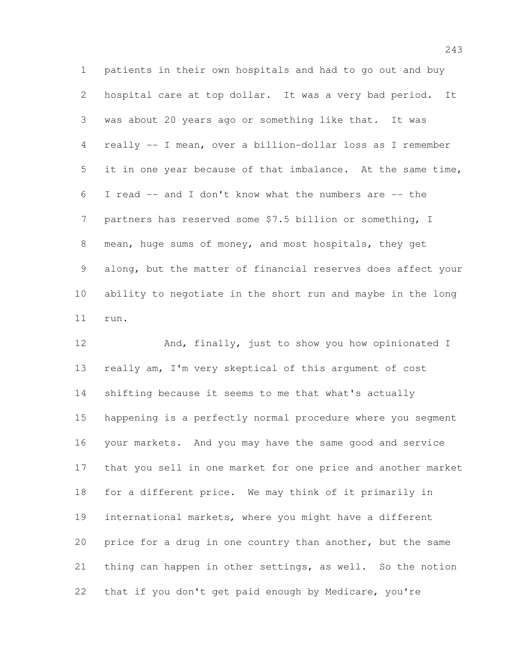patients in their own hospitals and had to go out and buy hospital care at top dollar. It was a very bad period. It was about 20 years ago or something like that. It was really -- I mean, over a billion-dollar loss as I remember it in one year because of that imbalance. At the same time, I read -- and I don't know what the numbers are -- the partners has reserved some \$7.5 billion or something, I 8 mean, huge sums of money, and most hospitals, they get along, but the matter of financial reserves does affect your ability to negotiate in the short run and maybe in the long run.

 And, finally, just to show you how opinionated I really am, I'm very skeptical of this argument of cost shifting because it seems to me that what's actually happening is a perfectly normal procedure where you segment your markets. And you may have the same good and service that you sell in one market for one price and another market for a different price. We may think of it primarily in international markets, where you might have a different price for a drug in one country than another, but the same thing can happen in other settings, as well. So the notion that if you don't get paid enough by Medicare, you're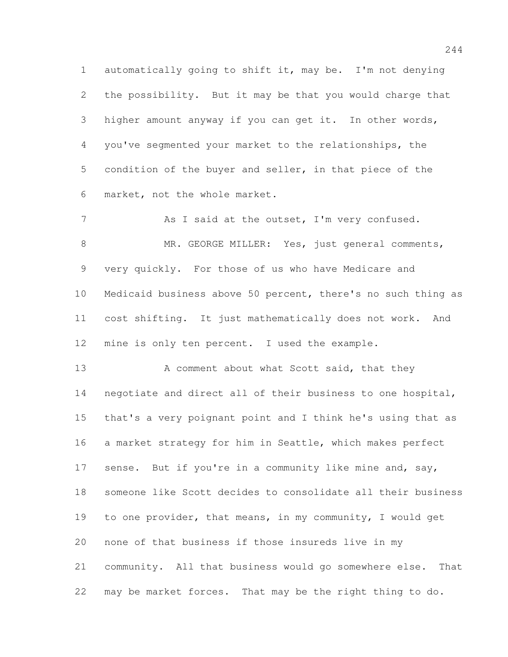automatically going to shift it, may be. I'm not denying the possibility. But it may be that you would charge that higher amount anyway if you can get it. In other words, you've segmented your market to the relationships, the condition of the buyer and seller, in that piece of the market, not the whole market.

7 As I said at the outset, I'm very confused. 8 MR. GEORGE MILLER: Yes, just general comments, very quickly. For those of us who have Medicare and Medicaid business above 50 percent, there's no such thing as cost shifting. It just mathematically does not work. And mine is only ten percent. I used the example.

13 A comment about what Scott said, that they negotiate and direct all of their business to one hospital, that's a very poignant point and I think he's using that as a market strategy for him in Seattle, which makes perfect 17 sense. But if you're in a community like mine and, say, someone like Scott decides to consolidate all their business to one provider, that means, in my community, I would get none of that business if those insureds live in my community. All that business would go somewhere else. That may be market forces. That may be the right thing to do.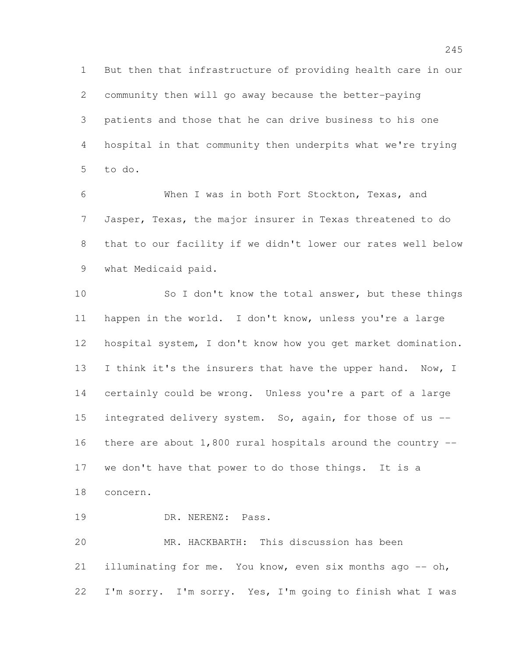But then that infrastructure of providing health care in our community then will go away because the better-paying patients and those that he can drive business to his one hospital in that community then underpits what we're trying to do.

 When I was in both Fort Stockton, Texas, and Jasper, Texas, the major insurer in Texas threatened to do that to our facility if we didn't lower our rates well below what Medicaid paid.

 So I don't know the total answer, but these things happen in the world. I don't know, unless you're a large hospital system, I don't know how you get market domination. 13 I think it's the insurers that have the upper hand. Now, I certainly could be wrong. Unless you're a part of a large 15 integrated delivery system. So, again, for those of us --16 there are about  $1,800$  rural hospitals around the country  $-$  we don't have that power to do those things. It is a concern.

DR. NERENZ: Pass.

 MR. HACKBARTH: This discussion has been illuminating for me. You know, even six months ago -- oh, I'm sorry. I'm sorry. Yes, I'm going to finish what I was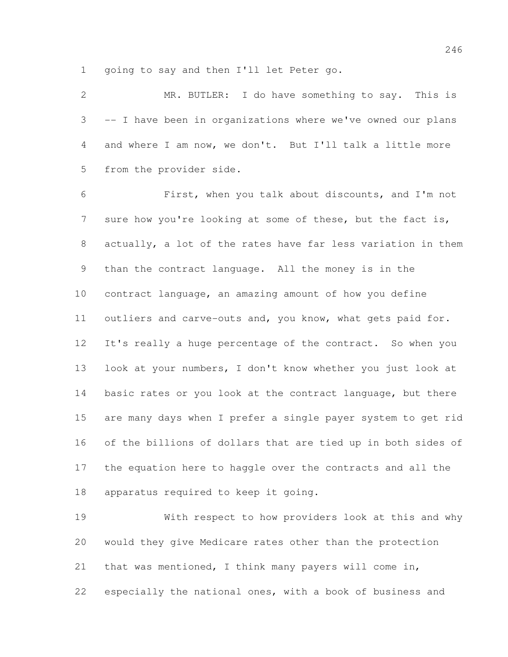going to say and then I'll let Peter go.

 MR. BUTLER: I do have something to say. This is -- I have been in organizations where we've owned our plans and where I am now, we don't. But I'll talk a little more from the provider side.

 First, when you talk about discounts, and I'm not 7 sure how you're looking at some of these, but the fact is, actually, a lot of the rates have far less variation in them than the contract language. All the money is in the contract language, an amazing amount of how you define outliers and carve-outs and, you know, what gets paid for. It's really a huge percentage of the contract. So when you look at your numbers, I don't know whether you just look at basic rates or you look at the contract language, but there are many days when I prefer a single payer system to get rid of the billions of dollars that are tied up in both sides of the equation here to haggle over the contracts and all the apparatus required to keep it going.

 With respect to how providers look at this and why would they give Medicare rates other than the protection that was mentioned, I think many payers will come in, especially the national ones, with a book of business and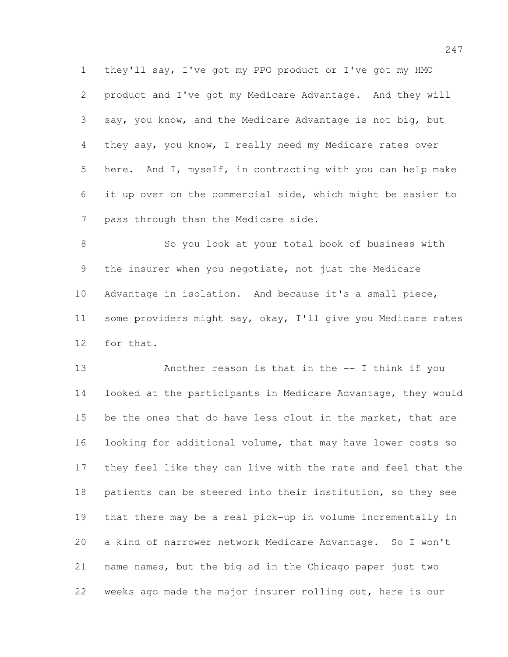they'll say, I've got my PPO product or I've got my HMO product and I've got my Medicare Advantage. And they will say, you know, and the Medicare Advantage is not big, but they say, you know, I really need my Medicare rates over here. And I, myself, in contracting with you can help make it up over on the commercial side, which might be easier to pass through than the Medicare side.

 So you look at your total book of business with the insurer when you negotiate, not just the Medicare Advantage in isolation. And because it's a small piece, some providers might say, okay, I'll give you Medicare rates for that.

 Another reason is that in the -- I think if you looked at the participants in Medicare Advantage, they would 15 be the ones that do have less clout in the market, that are looking for additional volume, that may have lower costs so they feel like they can live with the rate and feel that the patients can be steered into their institution, so they see that there may be a real pick-up in volume incrementally in a kind of narrower network Medicare Advantage. So I won't name names, but the big ad in the Chicago paper just two weeks ago made the major insurer rolling out, here is our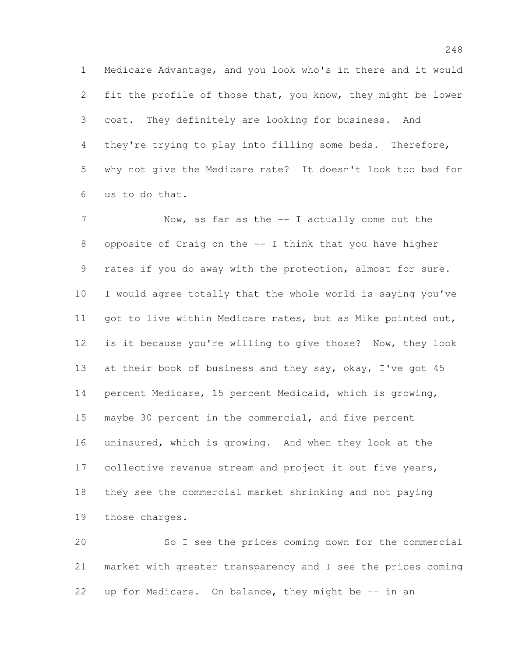Medicare Advantage, and you look who's in there and it would fit the profile of those that, you know, they might be lower cost. They definitely are looking for business. And they're trying to play into filling some beds. Therefore, why not give the Medicare rate? It doesn't look too bad for us to do that.

7 Now, as far as the -- I actually come out the opposite of Craig on the -- I think that you have higher rates if you do away with the protection, almost for sure. I would agree totally that the whole world is saying you've 11 got to live within Medicare rates, but as Mike pointed out, is it because you're willing to give those? Now, they look 13 at their book of business and they say, okay, I've got 45 percent Medicare, 15 percent Medicaid, which is growing, maybe 30 percent in the commercial, and five percent uninsured, which is growing. And when they look at the 17 collective revenue stream and project it out five years, they see the commercial market shrinking and not paying those charges.

 So I see the prices coming down for the commercial market with greater transparency and I see the prices coming up for Medicare. On balance, they might be -- in an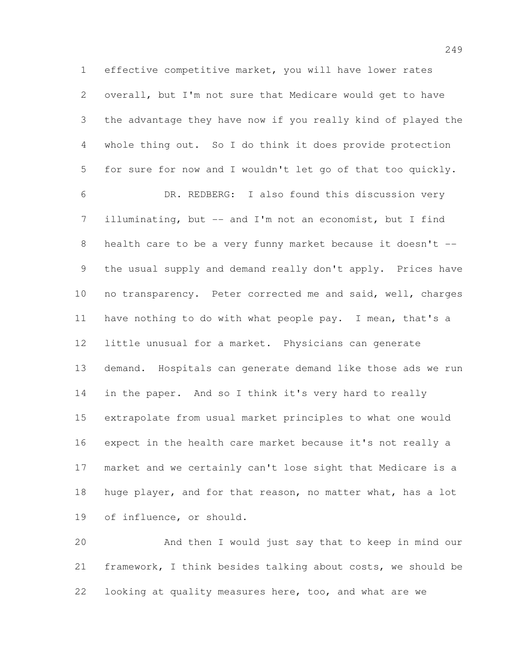effective competitive market, you will have lower rates overall, but I'm not sure that Medicare would get to have the advantage they have now if you really kind of played the whole thing out. So I do think it does provide protection for sure for now and I wouldn't let go of that too quickly. DR. REDBERG: I also found this discussion very 7 illuminating, but -- and I'm not an economist, but I find health care to be a very funny market because it doesn't -- the usual supply and demand really don't apply. Prices have no transparency. Peter corrected me and said, well, charges have nothing to do with what people pay. I mean, that's a little unusual for a market. Physicians can generate demand. Hospitals can generate demand like those ads we run 14 in the paper. And so I think it's very hard to really extrapolate from usual market principles to what one would expect in the health care market because it's not really a market and we certainly can't lose sight that Medicare is a huge player, and for that reason, no matter what, has a lot of influence, or should.

 And then I would just say that to keep in mind our framework, I think besides talking about costs, we should be looking at quality measures here, too, and what are we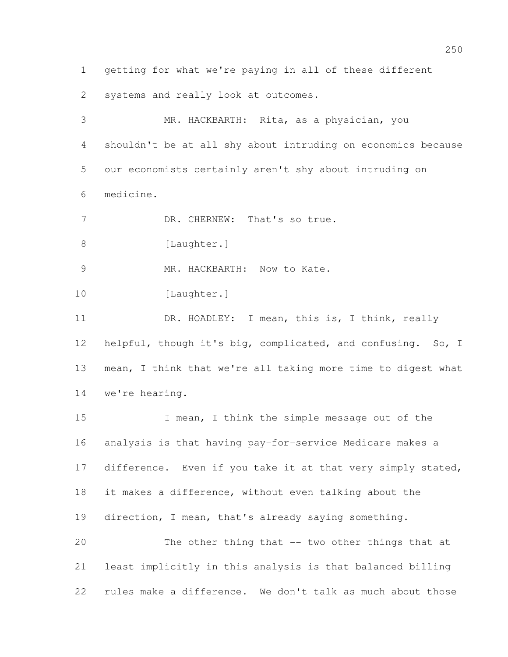getting for what we're paying in all of these different systems and really look at outcomes.

 MR. HACKBARTH: Rita, as a physician, you shouldn't be at all shy about intruding on economics because our economists certainly aren't shy about intruding on medicine. 7 DR. CHERNEW: That's so true. 8 [Laughter.] 9 MR. HACKBARTH: Now to Kate. 10 [Laughter.] 11 DR. HOADLEY: I mean, this is, I think, really helpful, though it's big, complicated, and confusing. So, I mean, I think that we're all taking more time to digest what we're hearing. I mean, I think the simple message out of the

 analysis is that having pay-for-service Medicare makes a 17 difference. Even if you take it at that very simply stated, it makes a difference, without even talking about the direction, I mean, that's already saying something. The other thing that -- two other things that at least implicitly in this analysis is that balanced billing rules make a difference. We don't talk as much about those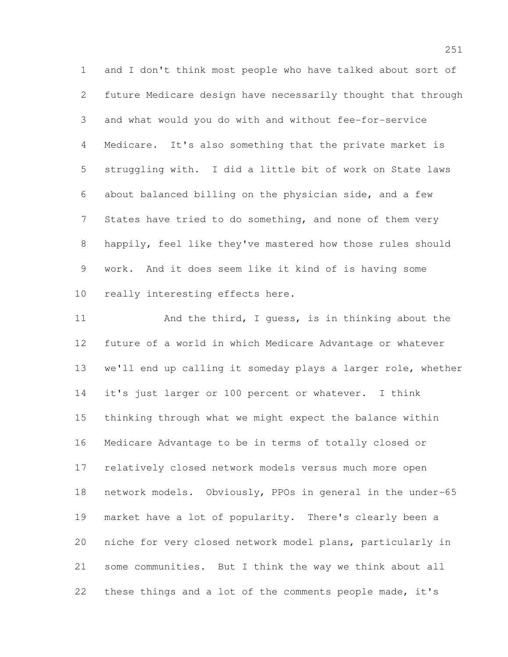and I don't think most people who have talked about sort of future Medicare design have necessarily thought that through and what would you do with and without fee-for-service Medicare. It's also something that the private market is struggling with. I did a little bit of work on State laws about balanced billing on the physician side, and a few 7 States have tried to do something, and none of them very happily, feel like they've mastered how those rules should work. And it does seem like it kind of is having some really interesting effects here.

11 And the third, I guess, is in thinking about the future of a world in which Medicare Advantage or whatever we'll end up calling it someday plays a larger role, whether it's just larger or 100 percent or whatever. I think thinking through what we might expect the balance within Medicare Advantage to be in terms of totally closed or relatively closed network models versus much more open network models. Obviously, PPOs in general in the under-65 market have a lot of popularity. There's clearly been a niche for very closed network model plans, particularly in some communities. But I think the way we think about all these things and a lot of the comments people made, it's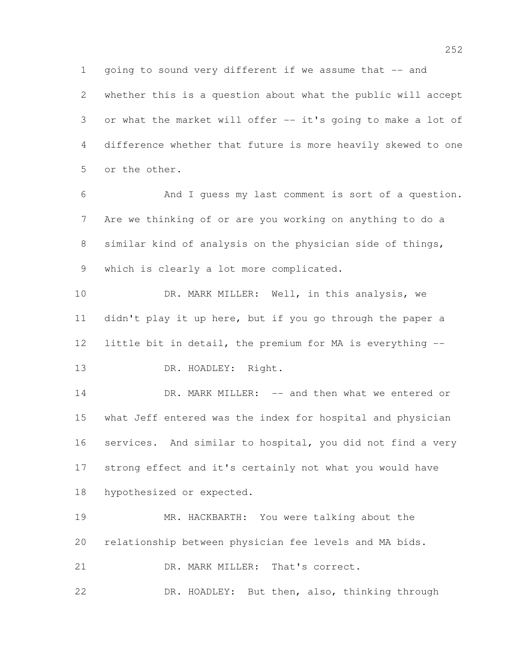1 going to sound very different if we assume that -- and whether this is a question about what the public will accept or what the market will offer -- it's going to make a lot of difference whether that future is more heavily skewed to one or the other.

 And I guess my last comment is sort of a question. Are we thinking of or are you working on anything to do a similar kind of analysis on the physician side of things, which is clearly a lot more complicated.

10 DR. MARK MILLER: Well, in this analysis, we didn't play it up here, but if you go through the paper a little bit in detail, the premium for MA is everything -- 13 DR. HOADLEY: Right.

14 DR. MARK MILLER: -- and then what we entered or what Jeff entered was the index for hospital and physician services. And similar to hospital, you did not find a very strong effect and it's certainly not what you would have hypothesized or expected.

 MR. HACKBARTH: You were talking about the relationship between physician fee levels and MA bids. 21 DR. MARK MILLER: That's correct. DR. HOADLEY: But then, also, thinking through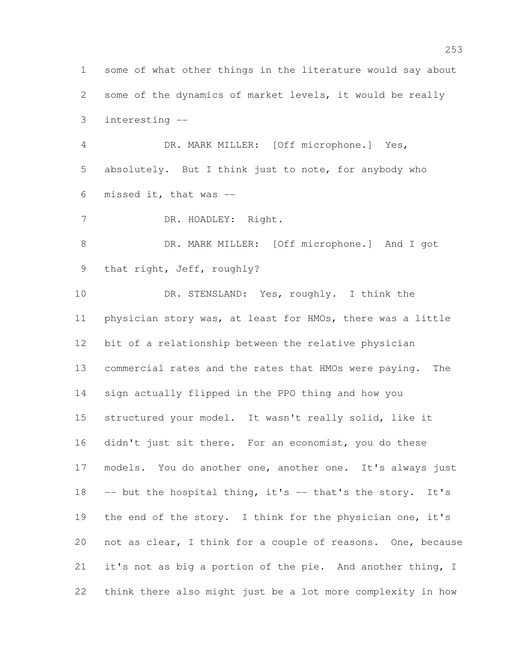some of what other things in the literature would say about some of the dynamics of market levels, it would be really interesting --

 DR. MARK MILLER: [Off microphone.] Yes, absolutely. But I think just to note, for anybody who missed it, that was --

DR. HOADLEY: Right.

 DR. MARK MILLER: [Off microphone.] And I got that right, Jeff, roughly?

10 DR. STENSLAND: Yes, roughly. I think the physician story was, at least for HMOs, there was a little bit of a relationship between the relative physician commercial rates and the rates that HMOs were paying. The sign actually flipped in the PPO thing and how you structured your model. It wasn't really solid, like it didn't just sit there. For an economist, you do these models. You do another one, another one. It's always just 18 -- but the hospital thing, it's -- that's the story. It's the end of the story. I think for the physician one, it's not as clear, I think for a couple of reasons. One, because it's not as big a portion of the pie. And another thing, I think there also might just be a lot more complexity in how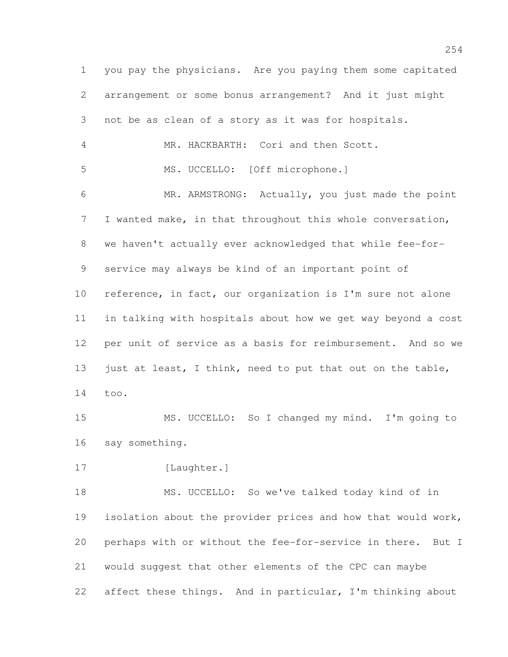you pay the physicians. Are you paying them some capitated arrangement or some bonus arrangement? And it just might not be as clean of a story as it was for hospitals. MR. HACKBARTH: Cori and then Scott. MS. UCCELLO: [Off microphone.] MR. ARMSTRONG: Actually, you just made the point I wanted make, in that throughout this whole conversation, we haven't actually ever acknowledged that while fee-for- service may always be kind of an important point of reference, in fact, our organization is I'm sure not alone in talking with hospitals about how we get way beyond a cost per unit of service as a basis for reimbursement. And so we 13 just at least, I think, need to put that out on the table, too. MS. UCCELLO: So I changed my mind. I'm going to say something. 17 [Laughter.] MS. UCCELLO: So we've talked today kind of in isolation about the provider prices and how that would work, perhaps with or without the fee-for-service in there. But I would suggest that other elements of the CPC can maybe 22 affect these things. And in particular, I'm thinking about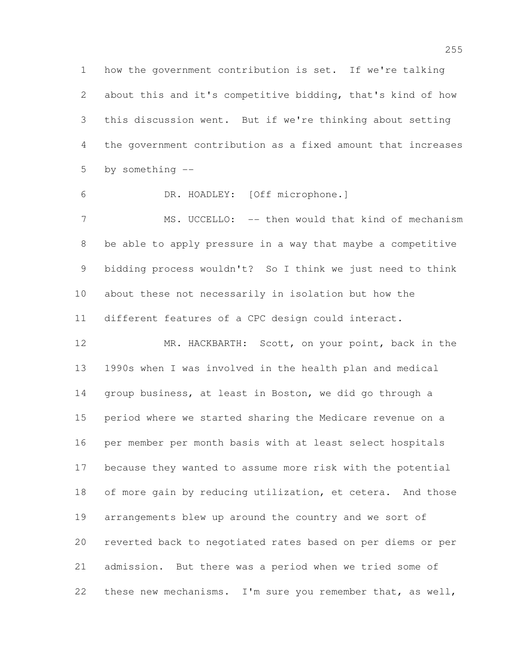how the government contribution is set. If we're talking about this and it's competitive bidding, that's kind of how this discussion went. But if we're thinking about setting the government contribution as a fixed amount that increases by something --

DR. HOADLEY: [Off microphone.]

7 MS. UCCELLO: -- then would that kind of mechanism be able to apply pressure in a way that maybe a competitive bidding process wouldn't? So I think we just need to think about these not necessarily in isolation but how the different features of a CPC design could interact.

 MR. HACKBARTH: Scott, on your point, back in the 1990s when I was involved in the health plan and medical group business, at least in Boston, we did go through a period where we started sharing the Medicare revenue on a per member per month basis with at least select hospitals because they wanted to assume more risk with the potential of more gain by reducing utilization, et cetera. And those arrangements blew up around the country and we sort of reverted back to negotiated rates based on per diems or per admission. But there was a period when we tried some of these new mechanisms. I'm sure you remember that, as well,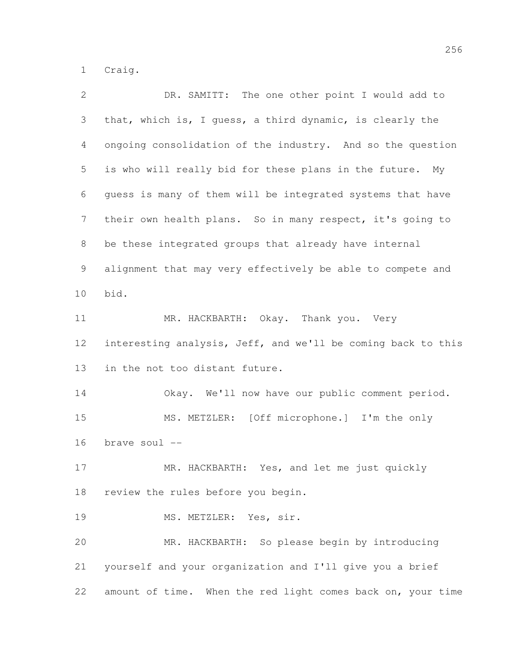Craig.

| $\mathbf{2}$   | DR. SAMITT: The one other point I would add to               |
|----------------|--------------------------------------------------------------|
| 3              | that, which is, I guess, a third dynamic, is clearly the     |
| 4              | ongoing consolidation of the industry. And so the question   |
| 5              | is who will really bid for these plans in the future.<br>My  |
| 6              | guess is many of them will be integrated systems that have   |
| $\overline{7}$ | their own health plans. So in many respect, it's going to    |
| 8              | be these integrated groups that already have internal        |
| 9              | alignment that may very effectively be able to compete and   |
| 10             | bid.                                                         |
| 11             | MR. HACKBARTH: Okay. Thank you. Very                         |
| 12             | interesting analysis, Jeff, and we'll be coming back to this |
| 13             | in the not too distant future.                               |
| 14             | Okay. We'll now have our public comment period.              |
| 15             | MS. METZLER: [Off microphone.] I'm the only                  |
| 16             | brave soul --                                                |
| 17             | MR. HACKBARTH: Yes, and let me just quickly                  |
| 18             | review the rules before you begin.                           |
| 19             | MS. METZLER: Yes, sir.                                       |
| 20             | MR. HACKBARTH: So please begin by introducing                |
| 21             | yourself and your organization and I'll give you a brief     |
| 22             | amount of time. When the red light comes back on, your time  |
|                |                                                              |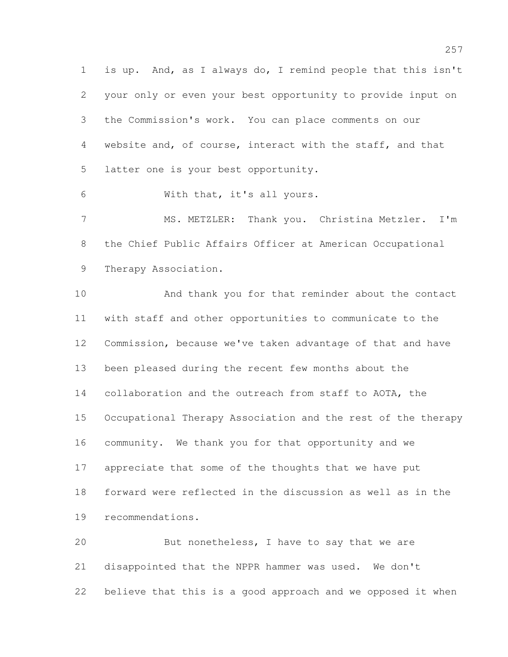is up. And, as I always do, I remind people that this isn't your only or even your best opportunity to provide input on the Commission's work. You can place comments on our website and, of course, interact with the staff, and that latter one is your best opportunity.

With that, it's all yours.

 MS. METZLER: Thank you. Christina Metzler. I'm the Chief Public Affairs Officer at American Occupational Therapy Association.

 And thank you for that reminder about the contact with staff and other opportunities to communicate to the Commission, because we've taken advantage of that and have been pleased during the recent few months about the collaboration and the outreach from staff to AOTA, the Occupational Therapy Association and the rest of the therapy community. We thank you for that opportunity and we appreciate that some of the thoughts that we have put forward were reflected in the discussion as well as in the recommendations.

 But nonetheless, I have to say that we are disappointed that the NPPR hammer was used. We don't believe that this is a good approach and we opposed it when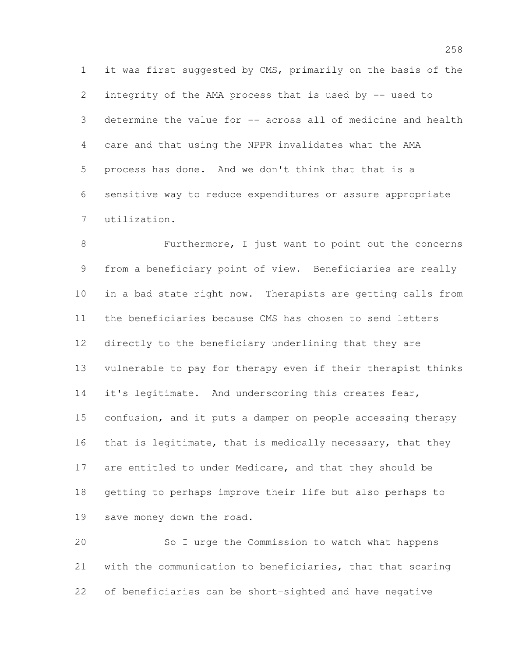it was first suggested by CMS, primarily on the basis of the integrity of the AMA process that is used by -- used to determine the value for -- across all of medicine and health care and that using the NPPR invalidates what the AMA process has done. And we don't think that that is a sensitive way to reduce expenditures or assure appropriate utilization.

 Furthermore, I just want to point out the concerns from a beneficiary point of view. Beneficiaries are really in a bad state right now. Therapists are getting calls from the beneficiaries because CMS has chosen to send letters directly to the beneficiary underlining that they are vulnerable to pay for therapy even if their therapist thinks 14 it's legitimate. And underscoring this creates fear, 15 confusion, and it puts a damper on people accessing therapy 16 that is legitimate, that is medically necessary, that they are entitled to under Medicare, and that they should be getting to perhaps improve their life but also perhaps to save money down the road.

 So I urge the Commission to watch what happens with the communication to beneficiaries, that that scaring of beneficiaries can be short-sighted and have negative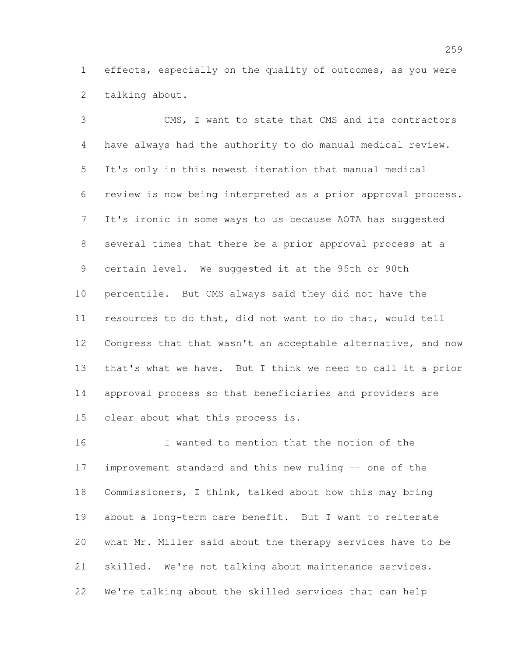effects, especially on the quality of outcomes, as you were talking about.

 CMS, I want to state that CMS and its contractors have always had the authority to do manual medical review. It's only in this newest iteration that manual medical review is now being interpreted as a prior approval process. It's ironic in some ways to us because AOTA has suggested several times that there be a prior approval process at a certain level. We suggested it at the 95th or 90th percentile. But CMS always said they did not have the resources to do that, did not want to do that, would tell Congress that that wasn't an acceptable alternative, and now that's what we have. But I think we need to call it a prior approval process so that beneficiaries and providers are clear about what this process is.

 I wanted to mention that the notion of the improvement standard and this new ruling -- one of the Commissioners, I think, talked about how this may bring about a long-term care benefit. But I want to reiterate what Mr. Miller said about the therapy services have to be skilled. We're not talking about maintenance services. We're talking about the skilled services that can help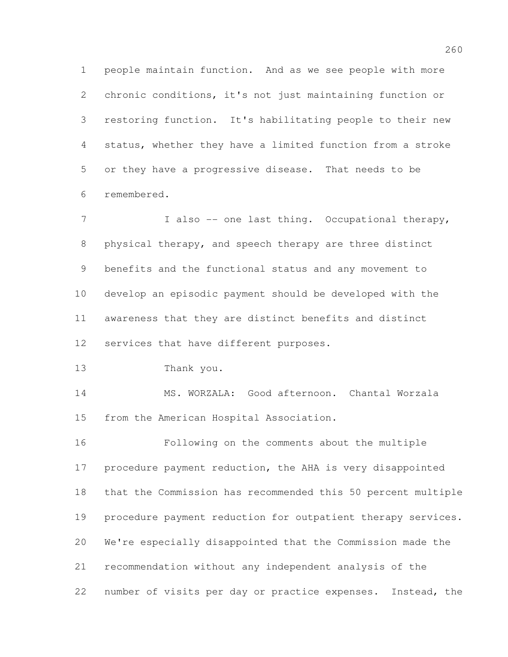people maintain function. And as we see people with more chronic conditions, it's not just maintaining function or restoring function. It's habilitating people to their new status, whether they have a limited function from a stroke or they have a progressive disease. That needs to be remembered.

7 I also -- one last thing. Occupational therapy, physical therapy, and speech therapy are three distinct benefits and the functional status and any movement to develop an episodic payment should be developed with the awareness that they are distinct benefits and distinct services that have different purposes.

Thank you.

 MS. WORZALA: Good afternoon. Chantal Worzala from the American Hospital Association.

 Following on the comments about the multiple procedure payment reduction, the AHA is very disappointed that the Commission has recommended this 50 percent multiple procedure payment reduction for outpatient therapy services. We're especially disappointed that the Commission made the recommendation without any independent analysis of the number of visits per day or practice expenses. Instead, the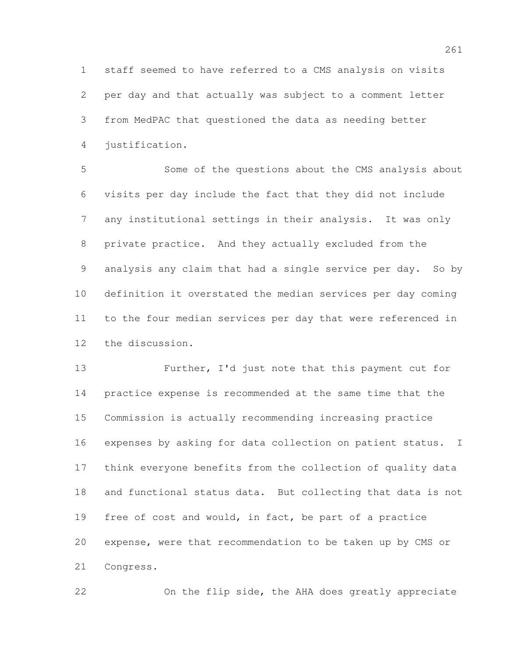staff seemed to have referred to a CMS analysis on visits per day and that actually was subject to a comment letter from MedPAC that questioned the data as needing better justification.

 Some of the questions about the CMS analysis about visits per day include the fact that they did not include any institutional settings in their analysis. It was only private practice. And they actually excluded from the analysis any claim that had a single service per day. So by definition it overstated the median services per day coming to the four median services per day that were referenced in the discussion.

 Further, I'd just note that this payment cut for practice expense is recommended at the same time that the Commission is actually recommending increasing practice expenses by asking for data collection on patient status. I think everyone benefits from the collection of quality data and functional status data. But collecting that data is not free of cost and would, in fact, be part of a practice expense, were that recommendation to be taken up by CMS or Congress.

On the flip side, the AHA does greatly appreciate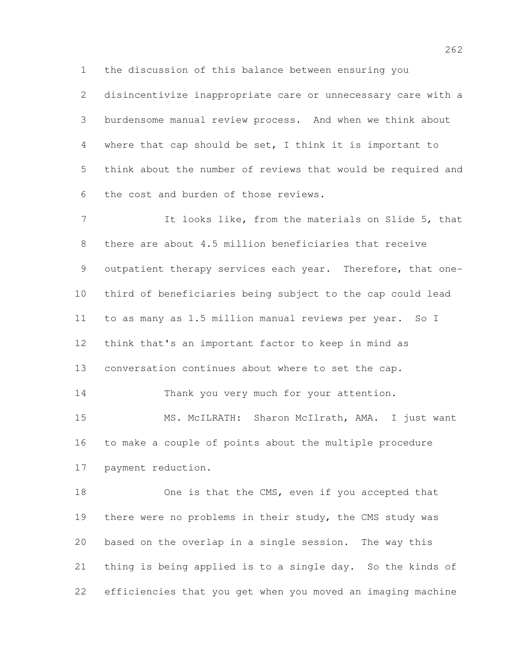the discussion of this balance between ensuring you

 disincentivize inappropriate care or unnecessary care with a burdensome manual review process. And when we think about where that cap should be set, I think it is important to think about the number of reviews that would be required and the cost and burden of those reviews.

 It looks like, from the materials on Slide 5, that there are about 4.5 million beneficiaries that receive 9 outpatient therapy services each year. Therefore, that one- third of beneficiaries being subject to the cap could lead to as many as 1.5 million manual reviews per year. So I think that's an important factor to keep in mind as conversation continues about where to set the cap. 14 Thank you very much for your attention. MS. McILRATH: Sharon McIlrath, AMA. I just want to make a couple of points about the multiple procedure

payment reduction.

18 One is that the CMS, even if you accepted that there were no problems in their study, the CMS study was based on the overlap in a single session. The way this thing is being applied is to a single day. So the kinds of efficiencies that you get when you moved an imaging machine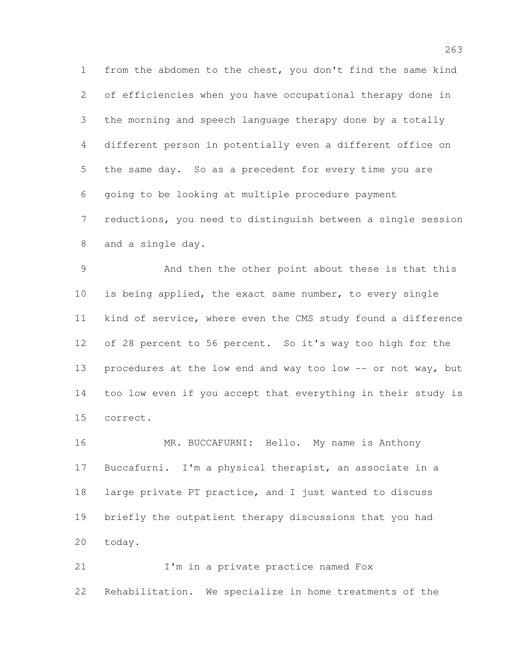from the abdomen to the chest, you don't find the same kind of efficiencies when you have occupational therapy done in the morning and speech language therapy done by a totally different person in potentially even a different office on the same day. So as a precedent for every time you are going to be looking at multiple procedure payment reductions, you need to distinguish between a single session and a single day.

 And then the other point about these is that this is being applied, the exact same number, to every single kind of service, where even the CMS study found a difference of 28 percent to 56 percent. So it's way too high for the 13 procedures at the low end and way too low -- or not way, but too low even if you accept that everything in their study is correct.

16 MR. BUCCAFURNI: Hello. My name is Anthony Buccafurni. I'm a physical therapist, an associate in a large private PT practice, and I just wanted to discuss briefly the outpatient therapy discussions that you had today.

21 I'm in a private practice named Fox Rehabilitation. We specialize in home treatments of the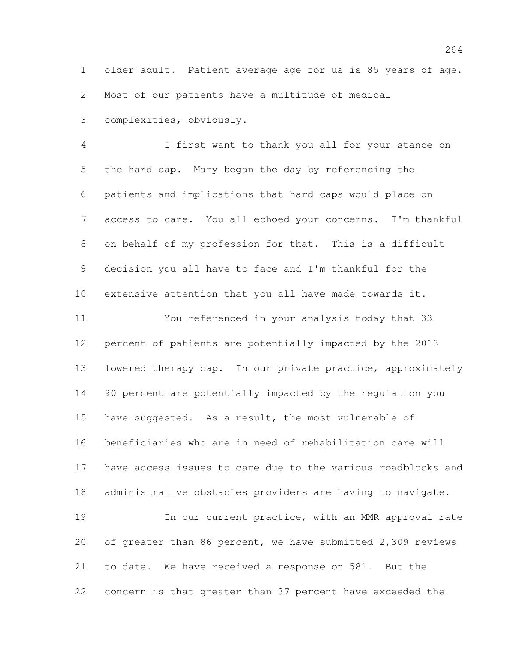older adult. Patient average age for us is 85 years of age. Most of our patients have a multitude of medical complexities, obviously.

 I first want to thank you all for your stance on the hard cap. Mary began the day by referencing the patients and implications that hard caps would place on access to care. You all echoed your concerns. I'm thankful on behalf of my profession for that. This is a difficult decision you all have to face and I'm thankful for the extensive attention that you all have made towards it. You referenced in your analysis today that 33 percent of patients are potentially impacted by the 2013 lowered therapy cap. In our private practice, approximately 90 percent are potentially impacted by the regulation you have suggested. As a result, the most vulnerable of beneficiaries who are in need of rehabilitation care will have access issues to care due to the various roadblocks and administrative obstacles providers are having to navigate. 19 19 In our current practice, with an MMR approval rate

 of greater than 86 percent, we have submitted 2,309 reviews to date. We have received a response on 581. But the concern is that greater than 37 percent have exceeded the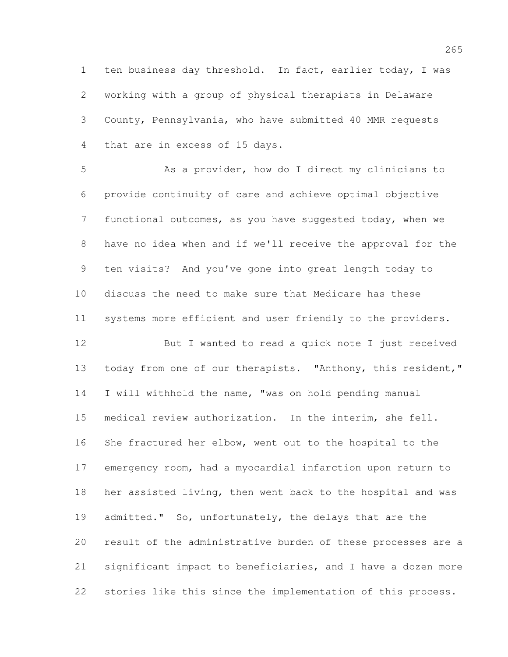ten business day threshold. In fact, earlier today, I was working with a group of physical therapists in Delaware County, Pennsylvania, who have submitted 40 MMR requests that are in excess of 15 days.

 As a provider, how do I direct my clinicians to provide continuity of care and achieve optimal objective functional outcomes, as you have suggested today, when we have no idea when and if we'll receive the approval for the ten visits? And you've gone into great length today to discuss the need to make sure that Medicare has these systems more efficient and user friendly to the providers.

 But I wanted to read a quick note I just received 13 today from one of our therapists. "Anthony, this resident," I will withhold the name, "was on hold pending manual medical review authorization. In the interim, she fell. She fractured her elbow, went out to the hospital to the emergency room, had a myocardial infarction upon return to her assisted living, then went back to the hospital and was admitted." So, unfortunately, the delays that are the result of the administrative burden of these processes are a significant impact to beneficiaries, and I have a dozen more stories like this since the implementation of this process.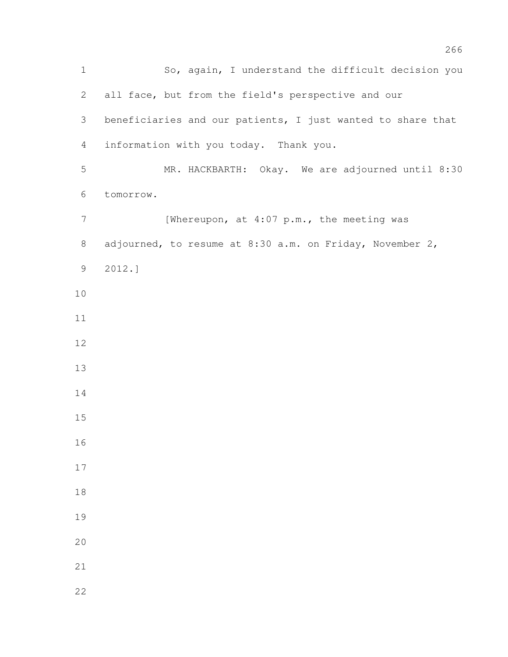So, again, I understand the difficult decision you all face, but from the field's perspective and our beneficiaries and our patients, I just wanted to share that information with you today. Thank you. MR. HACKBARTH: Okay. We are adjourned until 8:30 tomorrow. 7 [Whereupon, at 4:07 p.m., the meeting was adjourned, to resume at 8:30 a.m. on Friday, November 2, 2012.]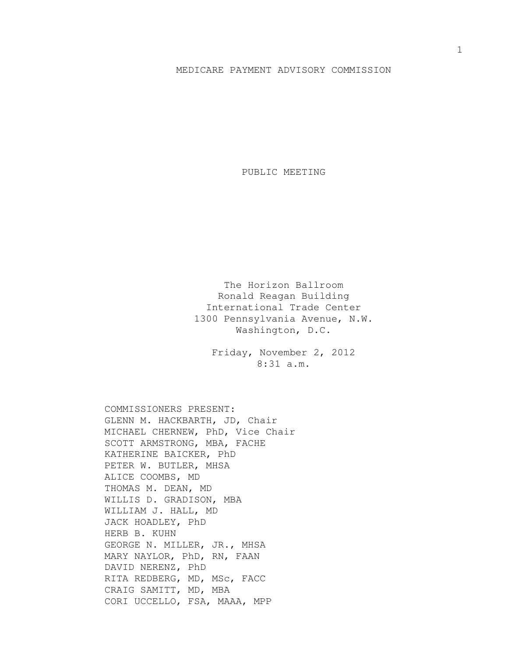## MEDICARE PAYMENT ADVISORY COMMISSION

PUBLIC MEETING

The Horizon Ballroom Ronald Reagan Building International Trade Center 1300 Pennsylvania Avenue, N.W. Washington, D.C.

> Friday, November 2, 2012 8:31 a.m.

COMMISSIONERS PRESENT: GLENN M. HACKBARTH, JD, Chair MICHAEL CHERNEW, PhD, Vice Chair SCOTT ARMSTRONG, MBA, FACHE KATHERINE BAICKER, PhD PETER W. BUTLER, MHSA ALICE COOMBS, MD THOMAS M. DEAN, MD WILLIS D. GRADISON, MBA WILLIAM J. HALL, MD JACK HOADLEY, PhD HERB B. KUHN GEORGE N. MILLER, JR., MHSA MARY NAYLOR, PhD, RN, FAAN DAVID NERENZ, PhD RITA REDBERG, MD, MSc, FACC CRAIG SAMITT, MD, MBA CORI UCCELLO, FSA, MAAA, MPP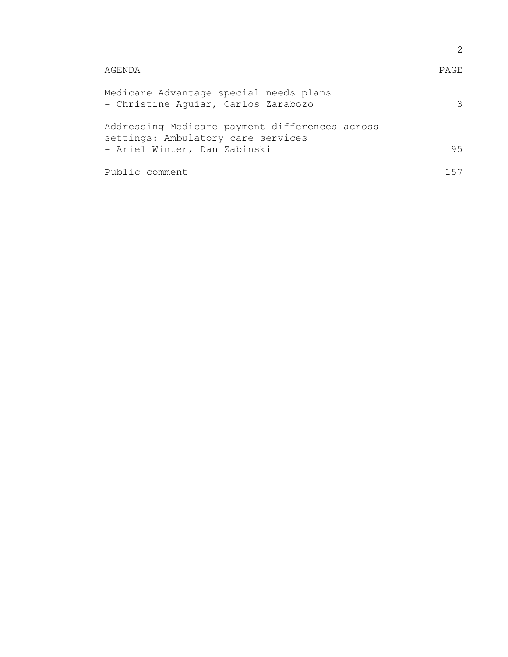| AGENDA                                                                               | <b>PAGE</b> |  |
|--------------------------------------------------------------------------------------|-------------|--|
| Medicare Advantage special needs plans<br>- Christine Aquiar, Carlos Zarabozo        |             |  |
| Addressing Medicare payment differences across<br>settings: Ambulatory care services |             |  |
| - Ariel Winter, Dan Zabinski                                                         | 95          |  |
| Public comment                                                                       | לה 1        |  |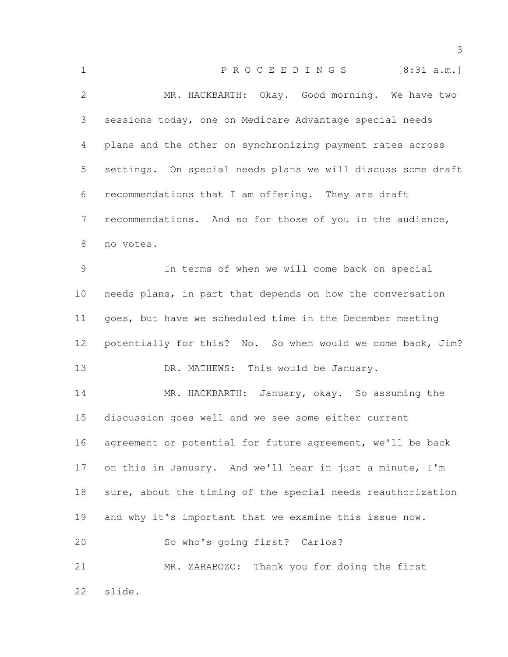| $\mathbf 1$  | PROCEEDINGS [8:31 a.m.]                                     |
|--------------|-------------------------------------------------------------|
| $\mathbf{2}$ | MR. HACKBARTH: Okay. Good morning. We have two              |
| 3            | sessions today, one on Medicare Advantage special needs     |
| 4            | plans and the other on synchronizing payment rates across   |
| 5            | settings. On special needs plans we will discuss some draft |
| 6            | recommendations that I am offering. They are draft          |
| 7            | recommendations. And so for those of you in the audience,   |
| 8            | no votes.                                                   |
| 9            | In terms of when we will come back on special               |
| 10           | needs plans, in part that depends on how the conversation   |
| 11           | goes, but have we scheduled time in the December meeting    |
| 12           | potentially for this? No. So when would we come back, Jim?  |
| 13           | DR. MATHEWS: This would be January.                         |
| 14           | MR. HACKBARTH: January, okay. So assuming the               |
| 15           | discussion goes well and we see some either current         |
| 16           | agreement or potential for future agreement, we'll be back  |
| 17           | on this in January. And we'll hear in just a minute, I'm    |
| 18           | sure, about the timing of the special needs reauthorization |
| 19           | and why it's important that we examine this issue now.      |
| 20           | So who's going first? Carlos?                               |
| 21           | MR. ZARABOZO: Thank you for doing the first                 |
| 22           | slide.                                                      |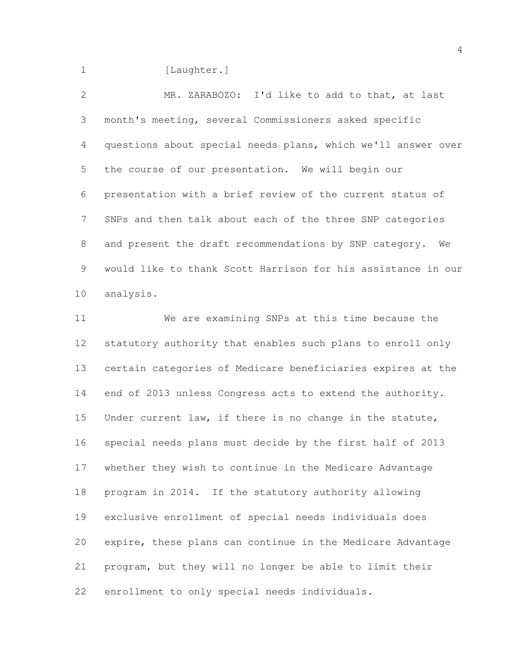1 [Laughter.]

 MR. ZARABOZO: I'd like to add to that, at last month's meeting, several Commissioners asked specific questions about special needs plans, which we'll answer over the course of our presentation. We will begin our presentation with a brief review of the current status of SNPs and then talk about each of the three SNP categories and present the draft recommendations by SNP category. We would like to thank Scott Harrison for his assistance in our analysis.

 We are examining SNPs at this time because the statutory authority that enables such plans to enroll only certain categories of Medicare beneficiaries expires at the end of 2013 unless Congress acts to extend the authority. Under current law, if there is no change in the statute, special needs plans must decide by the first half of 2013 whether they wish to continue in the Medicare Advantage program in 2014. If the statutory authority allowing exclusive enrollment of special needs individuals does expire, these plans can continue in the Medicare Advantage program, but they will no longer be able to limit their enrollment to only special needs individuals.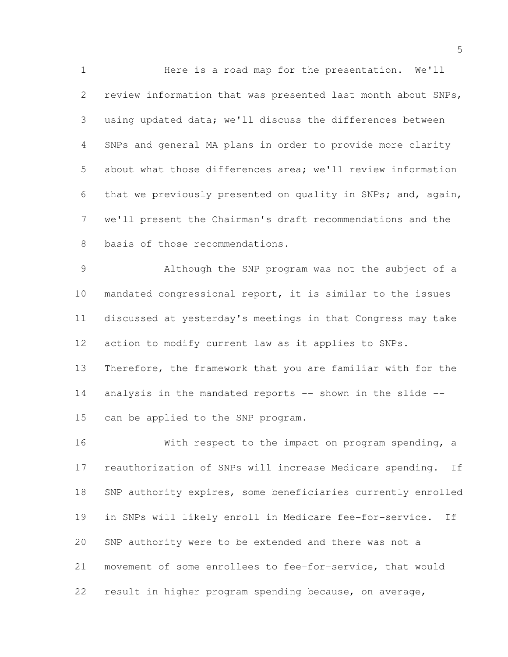Here is a road map for the presentation. We'll review information that was presented last month about SNPs, using updated data; we'll discuss the differences between SNPs and general MA plans in order to provide more clarity about what those differences area; we'll review information that we previously presented on quality in SNPs; and, again, we'll present the Chairman's draft recommendations and the basis of those recommendations.

 Although the SNP program was not the subject of a mandated congressional report, it is similar to the issues discussed at yesterday's meetings in that Congress may take action to modify current law as it applies to SNPs. Therefore, the framework that you are familiar with for the 14 analysis in the mandated reports -- shown in the slide --can be applied to the SNP program.

 With respect to the impact on program spending, a reauthorization of SNPs will increase Medicare spending. If SNP authority expires, some beneficiaries currently enrolled in SNPs will likely enroll in Medicare fee-for-service. If SNP authority were to be extended and there was not a movement of some enrollees to fee-for-service, that would result in higher program spending because, on average,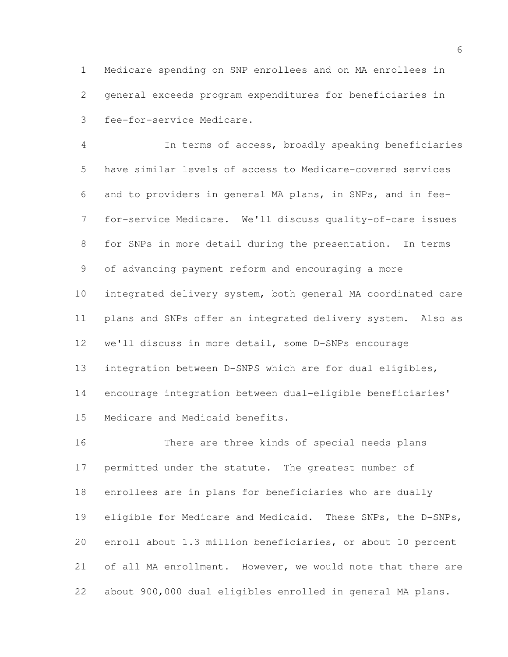Medicare spending on SNP enrollees and on MA enrollees in general exceeds program expenditures for beneficiaries in fee-for-service Medicare.

 In terms of access, broadly speaking beneficiaries have similar levels of access to Medicare-covered services and to providers in general MA plans, in SNPs, and in fee- for-service Medicare. We'll discuss quality-of-care issues for SNPs in more detail during the presentation. In terms of advancing payment reform and encouraging a more integrated delivery system, both general MA coordinated care plans and SNPs offer an integrated delivery system. Also as we'll discuss in more detail, some D-SNPs encourage integration between D-SNPS which are for dual eligibles, encourage integration between dual-eligible beneficiaries' Medicare and Medicaid benefits.

 There are three kinds of special needs plans permitted under the statute. The greatest number of enrollees are in plans for beneficiaries who are dually eligible for Medicare and Medicaid. These SNPs, the D-SNPs, enroll about 1.3 million beneficiaries, or about 10 percent of all MA enrollment. However, we would note that there are about 900,000 dual eligibles enrolled in general MA plans.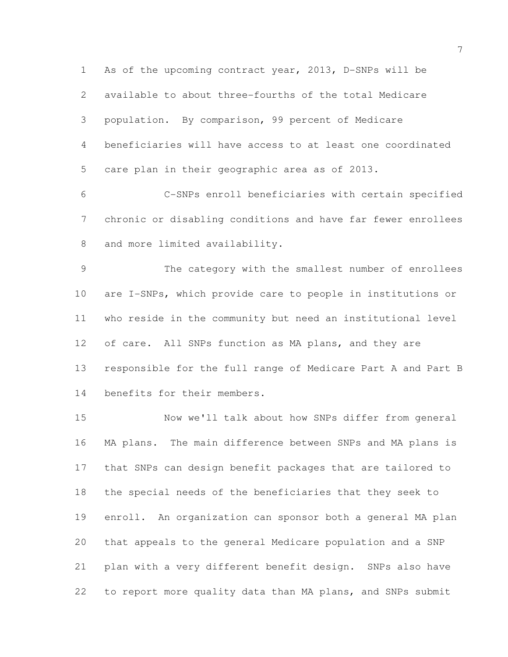As of the upcoming contract year, 2013, D-SNPs will be available to about three-fourths of the total Medicare population. By comparison, 99 percent of Medicare beneficiaries will have access to at least one coordinated care plan in their geographic area as of 2013.

 C-SNPs enroll beneficiaries with certain specified chronic or disabling conditions and have far fewer enrollees 8 and more limited availability.

 The category with the smallest number of enrollees are I-SNPs, which provide care to people in institutions or who reside in the community but need an institutional level 12 of care. All SNPs function as MA plans, and they are responsible for the full range of Medicare Part A and Part B benefits for their members.

 Now we'll talk about how SNPs differ from general MA plans. The main difference between SNPs and MA plans is that SNPs can design benefit packages that are tailored to the special needs of the beneficiaries that they seek to enroll. An organization can sponsor both a general MA plan that appeals to the general Medicare population and a SNP plan with a very different benefit design. SNPs also have to report more quality data than MA plans, and SNPs submit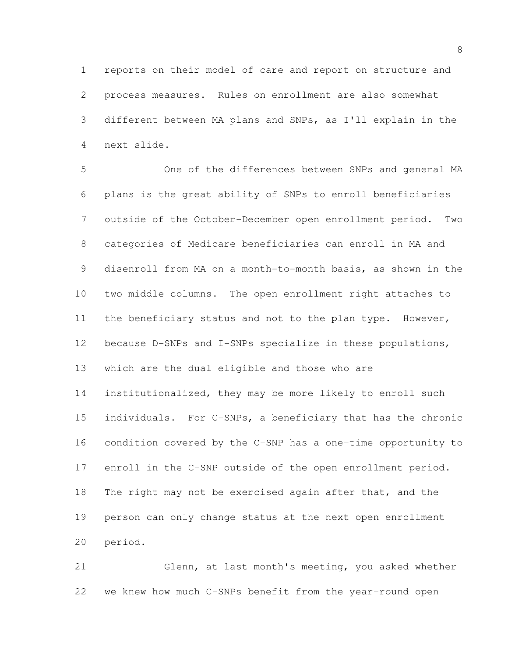reports on their model of care and report on structure and process measures. Rules on enrollment are also somewhat different between MA plans and SNPs, as I'll explain in the next slide.

 One of the differences between SNPs and general MA plans is the great ability of SNPs to enroll beneficiaries outside of the October-December open enrollment period. Two categories of Medicare beneficiaries can enroll in MA and disenroll from MA on a month-to-month basis, as shown in the two middle columns. The open enrollment right attaches to the beneficiary status and not to the plan type. However, 12 because D-SNPs and I-SNPs specialize in these populations, which are the dual eligible and those who are institutionalized, they may be more likely to enroll such individuals. For C-SNPs, a beneficiary that has the chronic condition covered by the C-SNP has a one-time opportunity to enroll in the C-SNP outside of the open enrollment period. The right may not be exercised again after that, and the person can only change status at the next open enrollment period.

 Glenn, at last month's meeting, you asked whether we knew how much C-SNPs benefit from the year-round open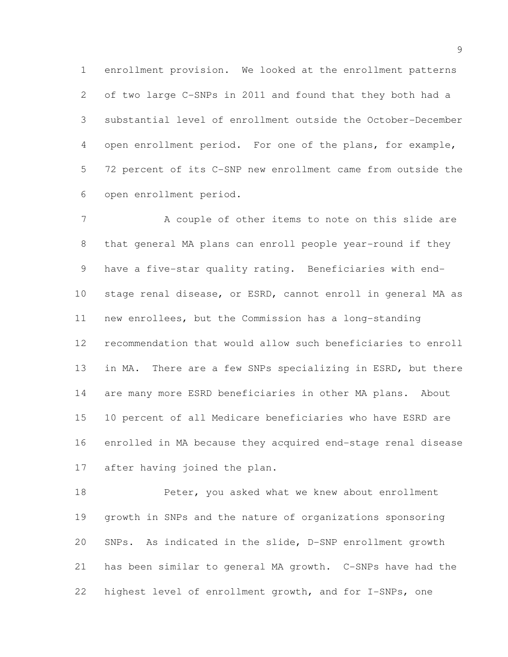enrollment provision. We looked at the enrollment patterns of two large C-SNPs in 2011 and found that they both had a substantial level of enrollment outside the October-December open enrollment period. For one of the plans, for example, 72 percent of its C-SNP new enrollment came from outside the open enrollment period.

7 A couple of other items to note on this slide are that general MA plans can enroll people year-round if they have a five-star quality rating. Beneficiaries with end- stage renal disease, or ESRD, cannot enroll in general MA as new enrollees, but the Commission has a long-standing recommendation that would allow such beneficiaries to enroll in MA. There are a few SNPs specializing in ESRD, but there are many more ESRD beneficiaries in other MA plans. About 10 percent of all Medicare beneficiaries who have ESRD are enrolled in MA because they acquired end-stage renal disease after having joined the plan.

18 Peter, you asked what we knew about enrollment growth in SNPs and the nature of organizations sponsoring SNPs. As indicated in the slide, D-SNP enrollment growth has been similar to general MA growth. C-SNPs have had the highest level of enrollment growth, and for I-SNPs, one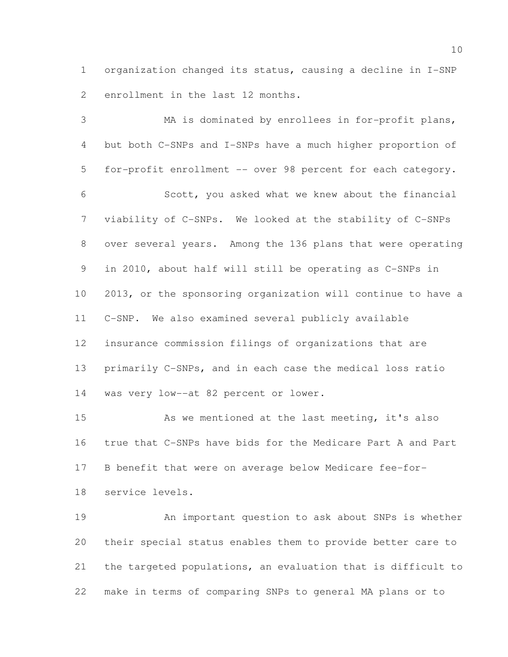organization changed its status, causing a decline in I-SNP enrollment in the last 12 months.

 MA is dominated by enrollees in for-profit plans, but both C-SNPs and I-SNPs have a much higher proportion of for-profit enrollment -- over 98 percent for each category. Scott, you asked what we knew about the financial viability of C-SNPs. We looked at the stability of C-SNPs over several years. Among the 136 plans that were operating in 2010, about half will still be operating as C-SNPs in 2013, or the sponsoring organization will continue to have a C-SNP. We also examined several publicly available insurance commission filings of organizations that are primarily C-SNPs, and in each case the medical loss ratio was very low--at 82 percent or lower.

 As we mentioned at the last meeting, it's also true that C-SNPs have bids for the Medicare Part A and Part B benefit that were on average below Medicare fee-for-service levels.

 An important question to ask about SNPs is whether their special status enables them to provide better care to the targeted populations, an evaluation that is difficult to make in terms of comparing SNPs to general MA plans or to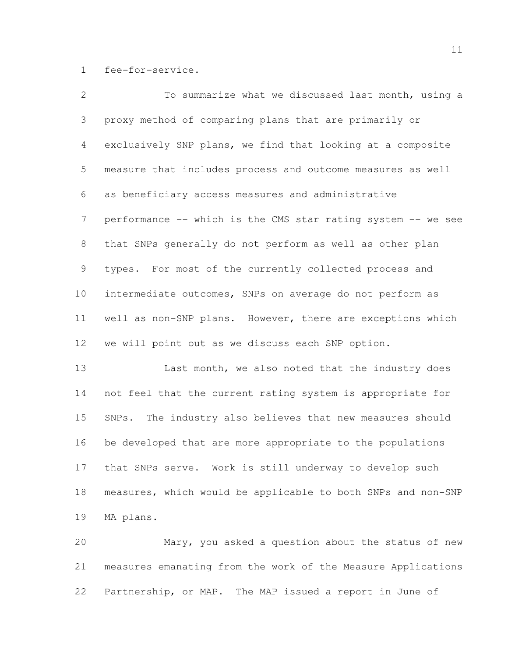fee-for-service.

| $\overline{2}$  | To summarize what we discussed last month, using a           |
|-----------------|--------------------------------------------------------------|
| 3               | proxy method of comparing plans that are primarily or        |
| $4\overline{ }$ | exclusively SNP plans, we find that looking at a composite   |
| 5               | measure that includes process and outcome measures as well   |
| 6               | as beneficiary access measures and administrative            |
| $7\overline{ }$ | performance -- which is the CMS star rating system -- we see |
| 8               | that SNPs generally do not perform as well as other plan     |
| 9               | types. For most of the currently collected process and       |
| 10              | intermediate outcomes, SNPs on average do not perform as     |
| 11              | well as non-SNP plans. However, there are exceptions which   |
| 12              | we will point out as we discuss each SNP option.             |
|                 |                                                              |

13 Last month, we also noted that the industry does not feel that the current rating system is appropriate for SNPs. The industry also believes that new measures should be developed that are more appropriate to the populations that SNPs serve. Work is still underway to develop such measures, which would be applicable to both SNPs and non-SNP MA plans.

 Mary, you asked a question about the status of new measures emanating from the work of the Measure Applications Partnership, or MAP. The MAP issued a report in June of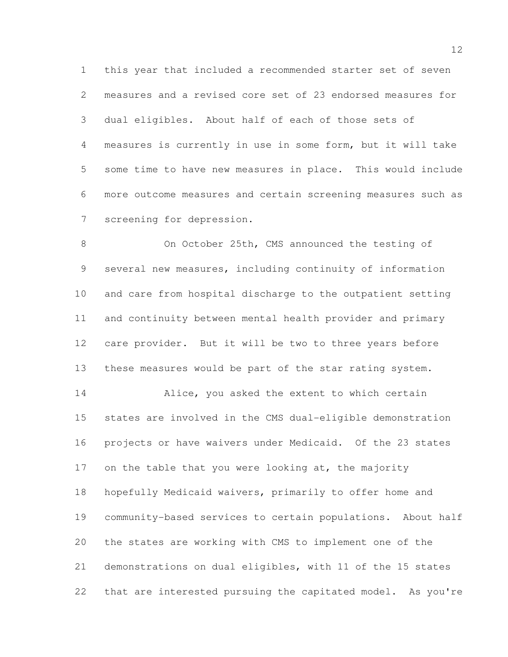this year that included a recommended starter set of seven measures and a revised core set of 23 endorsed measures for dual eligibles. About half of each of those sets of measures is currently in use in some form, but it will take some time to have new measures in place. This would include more outcome measures and certain screening measures such as screening for depression.

 On October 25th, CMS announced the testing of several new measures, including continuity of information and care from hospital discharge to the outpatient setting and continuity between mental health provider and primary care provider. But it will be two to three years before these measures would be part of the star rating system.

 Alice, you asked the extent to which certain states are involved in the CMS dual-eligible demonstration projects or have waivers under Medicaid. Of the 23 states 17 on the table that you were looking at, the majority hopefully Medicaid waivers, primarily to offer home and community-based services to certain populations. About half the states are working with CMS to implement one of the demonstrations on dual eligibles, with 11 of the 15 states that are interested pursuing the capitated model. As you're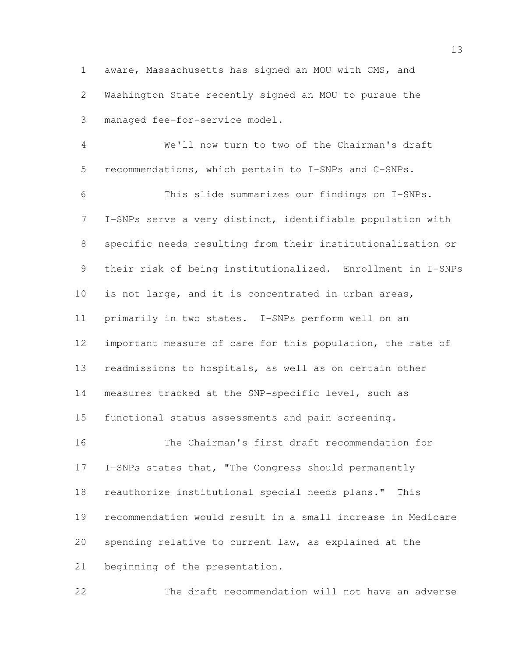aware, Massachusetts has signed an MOU with CMS, and Washington State recently signed an MOU to pursue the managed fee-for-service model.

 We'll now turn to two of the Chairman's draft recommendations, which pertain to I-SNPs and C-SNPs. This slide summarizes our findings on I-SNPs. I-SNPs serve a very distinct, identifiable population with specific needs resulting from their institutionalization or their risk of being institutionalized. Enrollment in I-SNPs is not large, and it is concentrated in urban areas, primarily in two states. I-SNPs perform well on an 12 important measure of care for this population, the rate of readmissions to hospitals, as well as on certain other measures tracked at the SNP-specific level, such as functional status assessments and pain screening. The Chairman's first draft recommendation for I-SNPs states that, "The Congress should permanently

 reauthorize institutional special needs plans." This recommendation would result in a small increase in Medicare spending relative to current law, as explained at the beginning of the presentation.

The draft recommendation will not have an adverse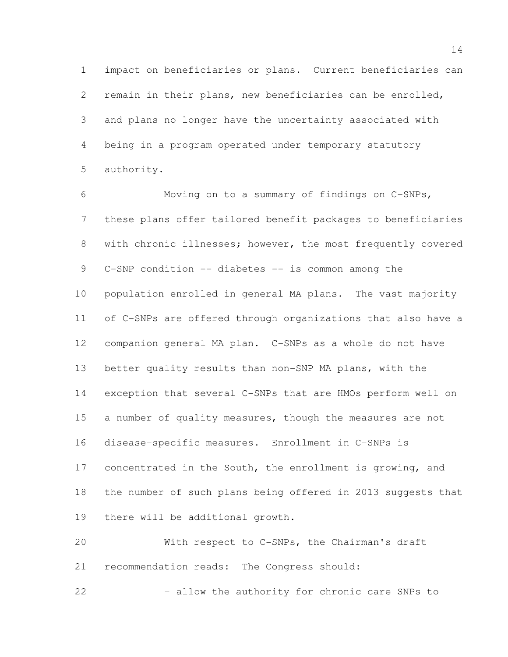impact on beneficiaries or plans. Current beneficiaries can remain in their plans, new beneficiaries can be enrolled, and plans no longer have the uncertainty associated with being in a program operated under temporary statutory authority.

 Moving on to a summary of findings on C-SNPs, these plans offer tailored benefit packages to beneficiaries 8 with chronic illnesses; however, the most frequently covered C-SNP condition -- diabetes -- is common among the population enrolled in general MA plans. The vast majority of C-SNPs are offered through organizations that also have a companion general MA plan. C-SNPs as a whole do not have better quality results than non-SNP MA plans, with the exception that several C-SNPs that are HMOs perform well on 15 a number of quality measures, though the measures are not disease-specific measures. Enrollment in C-SNPs is concentrated in the South, the enrollment is growing, and the number of such plans being offered in 2013 suggests that there will be additional growth.

 With respect to C-SNPs, the Chairman's draft recommendation reads: The Congress should:

22 - Allow the authority for chronic care SNPs to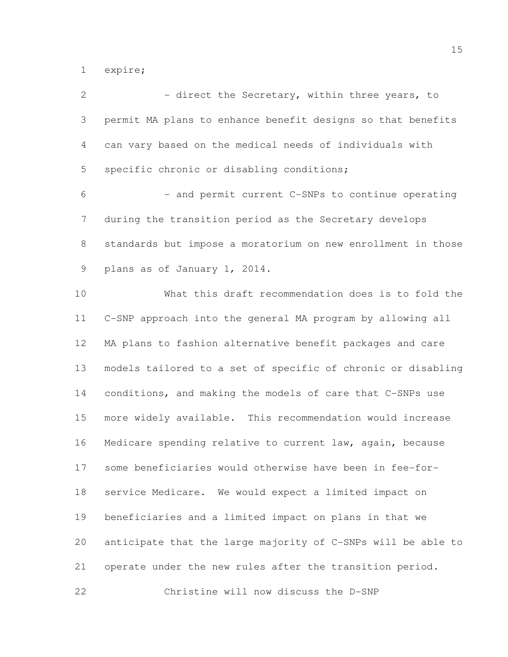expire;

| $\overline{2}$  | - direct the Secretary, within three years, to               |
|-----------------|--------------------------------------------------------------|
| 3               | permit MA plans to enhance benefit designs so that benefits  |
| 4               | can vary based on the medical needs of individuals with      |
| 5               | specific chronic or disabling conditions;                    |
| 6               | - and permit current C-SNPs to continue operating            |
| 7               | during the transition period as the Secretary develops       |
| 8               | standards but impose a moratorium on new enrollment in those |
| 9               | plans as of January 1, 2014.                                 |
| 10              | What this draft recommendation does is to fold the           |
| 11              | C-SNP approach into the general MA program by allowing all   |
| 12 <sup>°</sup> | MA plans to fashion alternative benefit packages and care    |
| 13              | models tailored to a set of specific of chronic or disabling |
| 14              | conditions, and making the models of care that C-SNPs use    |
| 15              | more widely available. This recommendation would increase    |
| 16              | Medicare spending relative to current law, again, because    |
| 17              | some beneficiaries would otherwise have been in fee-for-     |
| 18              | service Medicare. We would expect a limited impact on        |
| 19              | beneficiaries and a limited impact on plans in that we       |
| 20              | anticipate that the large majority of C-SNPs will be able to |
| 21              | operate under the new rules after the transition period.     |
| 22              | Christine will now discuss the D-SNP                         |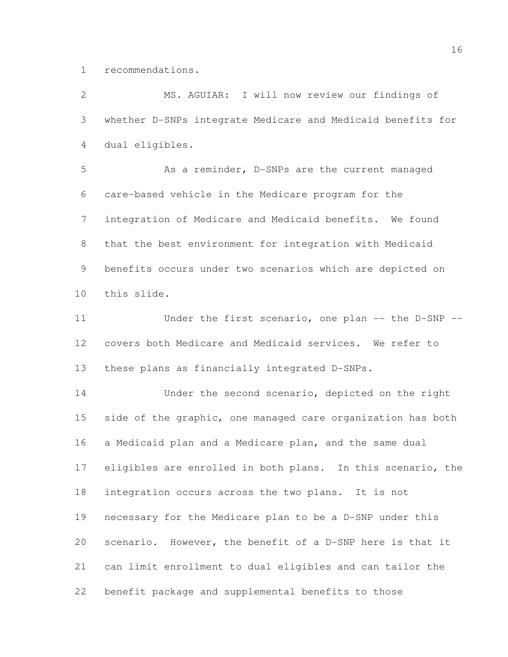recommendations.

| $\overline{2}$  | MS. AGUIAR: I will now review our findings of               |
|-----------------|-------------------------------------------------------------|
| 3               | whether D-SNPs integrate Medicare and Medicaid benefits for |
| 4               | dual eligibles.                                             |
| 5               | As a reminder, D-SNPs are the current managed               |
| 6               | care-based vehicle in the Medicare program for the          |
| $7\phantom{.0}$ | integration of Medicare and Medicaid benefits. We found     |
| $8\,$           | that the best environment for integration with Medicaid     |
| $\mathsf 9$     | benefits occurs under two scenarios which are depicted on   |
| 10              | this slide.                                                 |
| 11              | Under the first scenario, one plan -- the D-SNP --          |
| 12              | covers both Medicare and Medicaid services. We refer to     |
| 13              | these plans as financially integrated D-SNPs.               |
| 14              | Under the second scenario, depicted on the right            |
| 15              | side of the graphic, one managed care organization has both |
| 16              | a Medicaid plan and a Medicare plan, and the same dual      |
| 17              | eligibles are enrolled in both plans. In this scenario, the |
| 18              | integration occurs across the two plans. It is not          |
| 19              | necessary for the Medicare plan to be a D-SNP under this    |
| 20              | scenario. However, the benefit of a D-SNP here is that it   |
| 21              | can limit enrollment to dual eligibles and can tailor the   |
| 22              | benefit package and supplemental benefits to those          |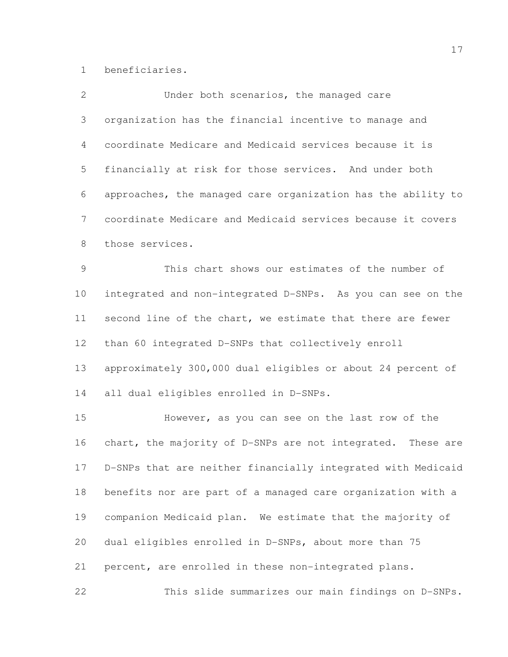beneficiaries.

| $\overline{2}$ | Under both scenarios, the managed care                       |
|----------------|--------------------------------------------------------------|
| 3              | organization has the financial incentive to manage and       |
| 4              | coordinate Medicare and Medicaid services because it is      |
| 5              | financially at risk for those services. And under both       |
| 6              | approaches, the managed care organization has the ability to |
| 7              | coordinate Medicare and Medicaid services because it covers  |
| 8              | those services.                                              |
| 9              | This chart shows our estimates of the number of              |
| 10             | integrated and non-integrated D-SNPs. As you can see on the  |
| 11             | second line of the chart, we estimate that there are fewer   |
| 12             | than 60 integrated D-SNPs that collectively enroll           |
| 13             | approximately 300,000 dual eligibles or about 24 percent of  |
| 14             | all dual eligibles enrolled in D-SNPs.                       |
| 15             | However, as you can see on the last row of the               |
| 16             | chart, the majority of D-SNPs are not integrated. These are  |
| 17             | D-SNPs that are neither financially integrated with Medicaid |
| 18             | benefits nor are part of a managed care organization with a  |
| 19             | companion Medicaid plan. We estimate that the majority of    |
| 20             | dual eligibles enrolled in D-SNPs, about more than 75        |
| 21             | percent, are enrolled in these non-integrated plans.         |
| 22             | This slide summarizes our main findings on D-SNPs.           |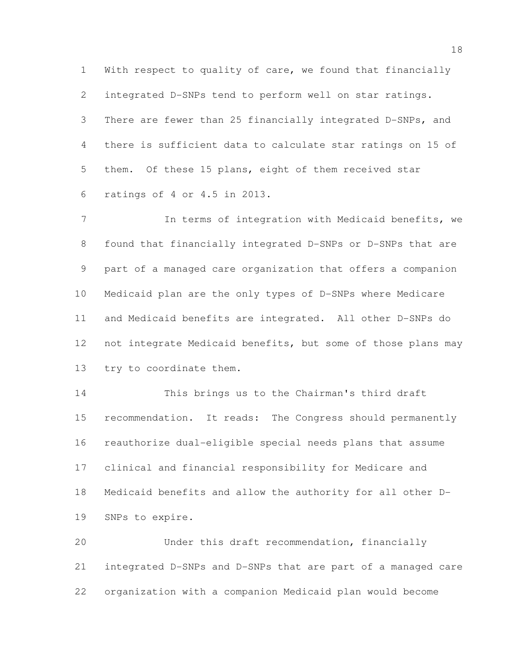With respect to quality of care, we found that financially integrated D-SNPs tend to perform well on star ratings. There are fewer than 25 financially integrated D-SNPs, and there is sufficient data to calculate star ratings on 15 of them. Of these 15 plans, eight of them received star ratings of 4 or 4.5 in 2013.

 In terms of integration with Medicaid benefits, we found that financially integrated D-SNPs or D-SNPs that are part of a managed care organization that offers a companion Medicaid plan are the only types of D-SNPs where Medicare and Medicaid benefits are integrated. All other D-SNPs do not integrate Medicaid benefits, but some of those plans may try to coordinate them.

 This brings us to the Chairman's third draft recommendation. It reads: The Congress should permanently reauthorize dual-eligible special needs plans that assume clinical and financial responsibility for Medicare and Medicaid benefits and allow the authority for all other D-SNPs to expire.

 Under this draft recommendation, financially integrated D-SNPs and D-SNPs that are part of a managed care organization with a companion Medicaid plan would become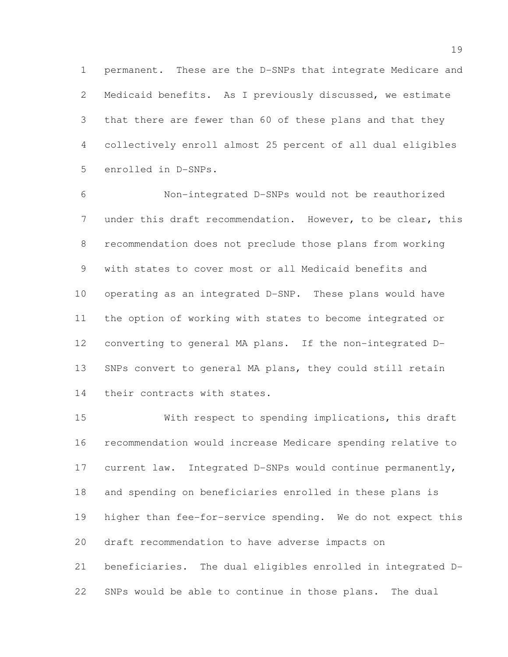permanent. These are the D-SNPs that integrate Medicare and Medicaid benefits. As I previously discussed, we estimate that there are fewer than 60 of these plans and that they collectively enroll almost 25 percent of all dual eligibles enrolled in D-SNPs.

 Non-integrated D-SNPs would not be reauthorized under this draft recommendation. However, to be clear, this recommendation does not preclude those plans from working with states to cover most or all Medicaid benefits and operating as an integrated D-SNP. These plans would have the option of working with states to become integrated or converting to general MA plans. If the non-integrated D- SNPs convert to general MA plans, they could still retain 14 their contracts with states.

 With respect to spending implications, this draft recommendation would increase Medicare spending relative to current law. Integrated D-SNPs would continue permanently, and spending on beneficiaries enrolled in these plans is higher than fee-for-service spending. We do not expect this draft recommendation to have adverse impacts on beneficiaries. The dual eligibles enrolled in integrated D-SNPs would be able to continue in those plans. The dual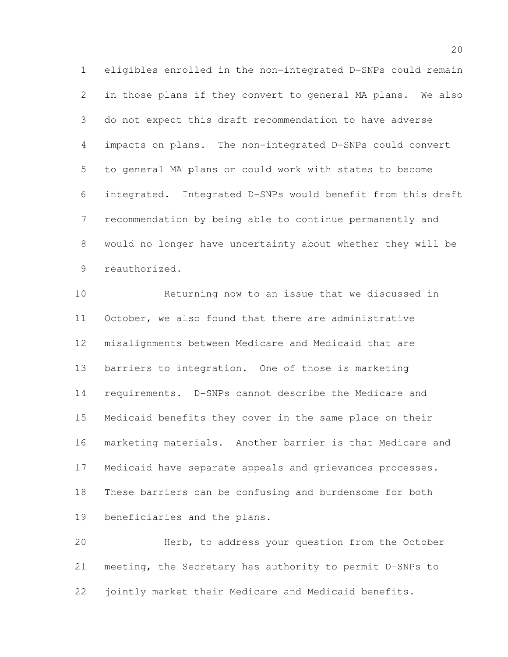eligibles enrolled in the non-integrated D-SNPs could remain in those plans if they convert to general MA plans. We also do not expect this draft recommendation to have adverse impacts on plans. The non-integrated D-SNPs could convert to general MA plans or could work with states to become integrated. Integrated D-SNPs would benefit from this draft recommendation by being able to continue permanently and would no longer have uncertainty about whether they will be reauthorized.

 Returning now to an issue that we discussed in October, we also found that there are administrative misalignments between Medicare and Medicaid that are barriers to integration. One of those is marketing requirements. D-SNPs cannot describe the Medicare and Medicaid benefits they cover in the same place on their marketing materials. Another barrier is that Medicare and Medicaid have separate appeals and grievances processes. These barriers can be confusing and burdensome for both beneficiaries and the plans.

 Herb, to address your question from the October meeting, the Secretary has authority to permit D-SNPs to jointly market their Medicare and Medicaid benefits.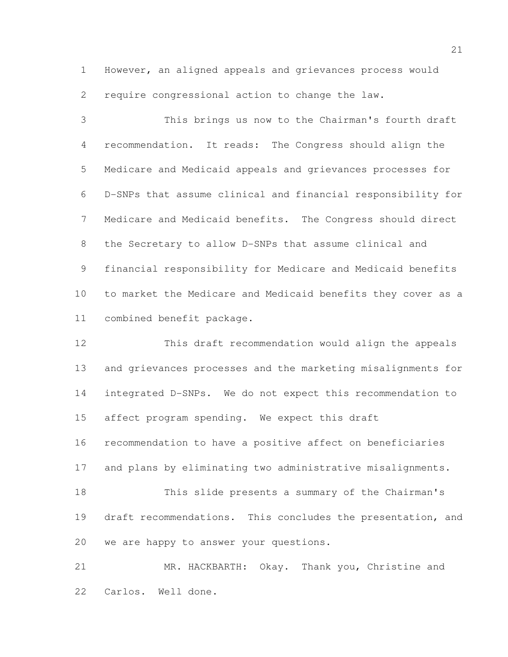However, an aligned appeals and grievances process would require congressional action to change the law.

 This brings us now to the Chairman's fourth draft recommendation. It reads: The Congress should align the Medicare and Medicaid appeals and grievances processes for D-SNPs that assume clinical and financial responsibility for Medicare and Medicaid benefits. The Congress should direct the Secretary to allow D-SNPs that assume clinical and financial responsibility for Medicare and Medicaid benefits to market the Medicare and Medicaid benefits they cover as a combined benefit package.

 This draft recommendation would align the appeals and grievances processes and the marketing misalignments for integrated D-SNPs. We do not expect this recommendation to affect program spending. We expect this draft recommendation to have a positive affect on beneficiaries and plans by eliminating two administrative misalignments. This slide presents a summary of the Chairman's draft recommendations. This concludes the presentation, and we are happy to answer your questions.

 MR. HACKBARTH: Okay. Thank you, Christine and Carlos. Well done.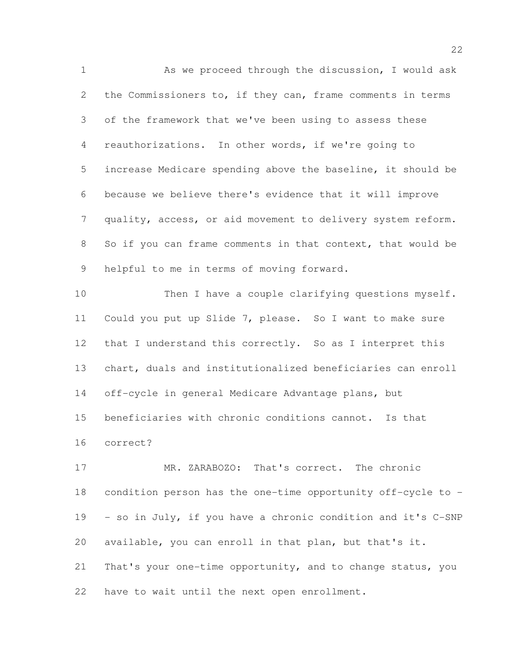As we proceed through the discussion, I would ask 2 the Commissioners to, if they can, frame comments in terms of the framework that we've been using to assess these reauthorizations. In other words, if we're going to increase Medicare spending above the baseline, it should be because we believe there's evidence that it will improve quality, access, or aid movement to delivery system reform. So if you can frame comments in that context, that would be helpful to me in terms of moving forward. 10 Then I have a couple clarifying questions myself.

 Could you put up Slide 7, please. So I want to make sure that I understand this correctly. So as I interpret this chart, duals and institutionalized beneficiaries can enroll off-cycle in general Medicare Advantage plans, but beneficiaries with chronic conditions cannot. Is that correct?

17 MR. ZARABOZO: That's correct. The chronic condition person has the one-time opportunity off-cycle to - - so in July, if you have a chronic condition and it's C-SNP available, you can enroll in that plan, but that's it. That's your one-time opportunity, and to change status, you have to wait until the next open enrollment.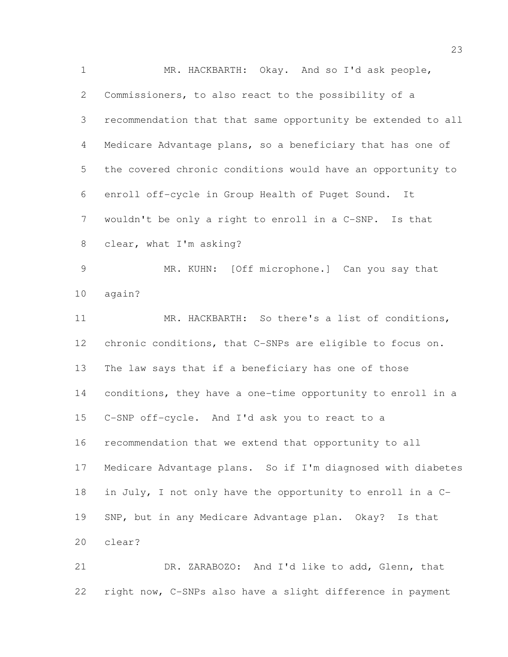MR. HACKBARTH: Okay. And so I'd ask people, Commissioners, to also react to the possibility of a recommendation that that same opportunity be extended to all Medicare Advantage plans, so a beneficiary that has one of the covered chronic conditions would have an opportunity to enroll off-cycle in Group Health of Puget Sound. It wouldn't be only a right to enroll in a C-SNP. Is that clear, what I'm asking? MR. KUHN: [Off microphone.] Can you say that again? MR. HACKBARTH: So there's a list of conditions, chronic conditions, that C-SNPs are eligible to focus on. The law says that if a beneficiary has one of those conditions, they have a one-time opportunity to enroll in a C-SNP off-cycle. And I'd ask you to react to a recommendation that we extend that opportunity to all Medicare Advantage plans. So if I'm diagnosed with diabetes in July, I not only have the opportunity to enroll in a C- SNP, but in any Medicare Advantage plan. Okay? Is that clear? DR. ZARABOZO: And I'd like to add, Glenn, that

right now, C-SNPs also have a slight difference in payment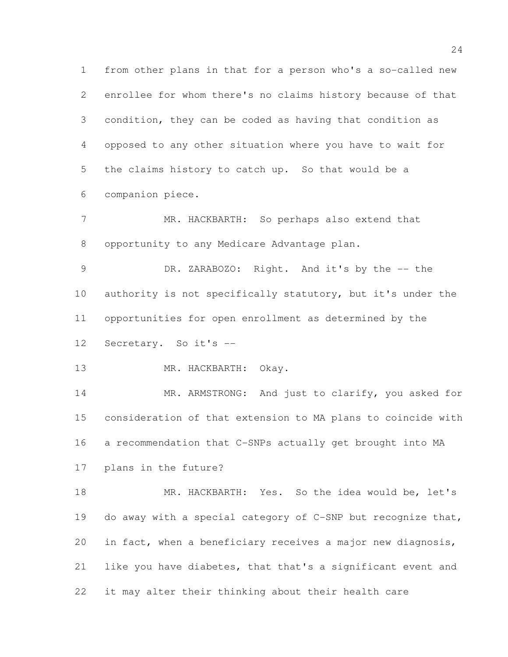from other plans in that for a person who's a so-called new enrollee for whom there's no claims history because of that condition, they can be coded as having that condition as opposed to any other situation where you have to wait for the claims history to catch up. So that would be a companion piece.

 MR. HACKBARTH: So perhaps also extend that opportunity to any Medicare Advantage plan.

 DR. ZARABOZO: Right. And it's by the -- the 10 authority is not specifically statutory, but it's under the opportunities for open enrollment as determined by the Secretary. So it's --

MR. HACKBARTH: Okay.

14 MR. ARMSTRONG: And just to clarify, you asked for consideration of that extension to MA plans to coincide with a recommendation that C-SNPs actually get brought into MA

plans in the future?

 MR. HACKBARTH: Yes. So the idea would be, let's do away with a special category of C-SNP but recognize that, in fact, when a beneficiary receives a major new diagnosis, like you have diabetes, that that's a significant event and it may alter their thinking about their health care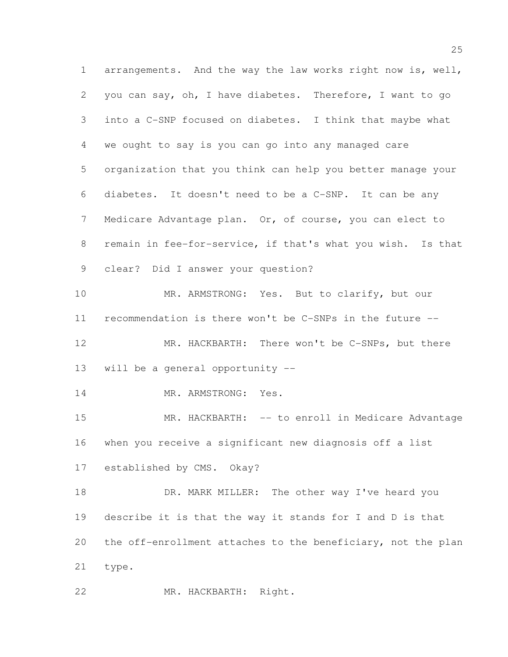arrangements. And the way the law works right now is, well, you can say, oh, I have diabetes. Therefore, I want to go into a C-SNP focused on diabetes. I think that maybe what we ought to say is you can go into any managed care organization that you think can help you better manage your diabetes. It doesn't need to be a C-SNP. It can be any Medicare Advantage plan. Or, of course, you can elect to remain in fee-for-service, if that's what you wish. Is that clear? Did I answer your question? MR. ARMSTRONG: Yes. But to clarify, but our recommendation is there won't be C-SNPs in the future -- 12 MR. HACKBARTH: There won't be C-SNPs, but there will be a general opportunity -- MR. ARMSTRONG: Yes. MR. HACKBARTH: -- to enroll in Medicare Advantage when you receive a significant new diagnosis off a list established by CMS. Okay? 18 DR. MARK MILLER: The other way I've heard you describe it is that the way it stands for I and D is that the off-enrollment attaches to the beneficiary, not the plan type. MR. HACKBARTH: Right.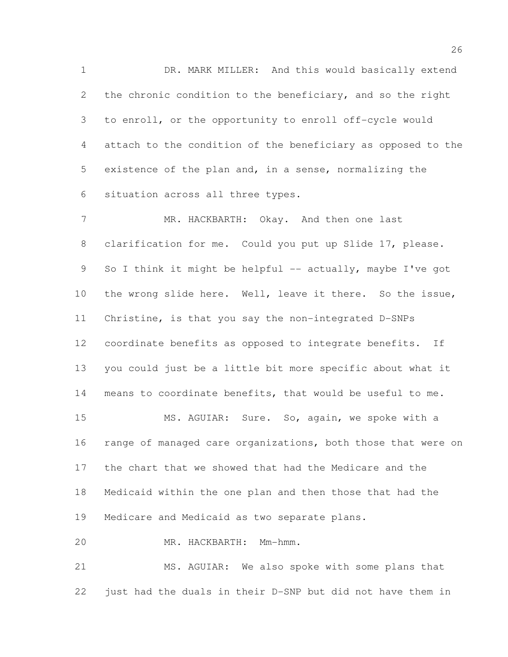DR. MARK MILLER: And this would basically extend the chronic condition to the beneficiary, and so the right to enroll, or the opportunity to enroll off-cycle would attach to the condition of the beneficiary as opposed to the existence of the plan and, in a sense, normalizing the situation across all three types.

 MR. HACKBARTH: Okay. And then one last clarification for me. Could you put up Slide 17, please. 9 So I think it might be helpful -- actually, maybe I've got the wrong slide here. Well, leave it there. So the issue, Christine, is that you say the non-integrated D-SNPs coordinate benefits as opposed to integrate benefits. If you could just be a little bit more specific about what it means to coordinate benefits, that would be useful to me.

 MS. AGUIAR: Sure. So, again, we spoke with a range of managed care organizations, both those that were on the chart that we showed that had the Medicare and the Medicaid within the one plan and then those that had the Medicare and Medicaid as two separate plans.

MR. HACKBARTH: Mm-hmm.

 MS. AGUIAR: We also spoke with some plans that just had the duals in their D-SNP but did not have them in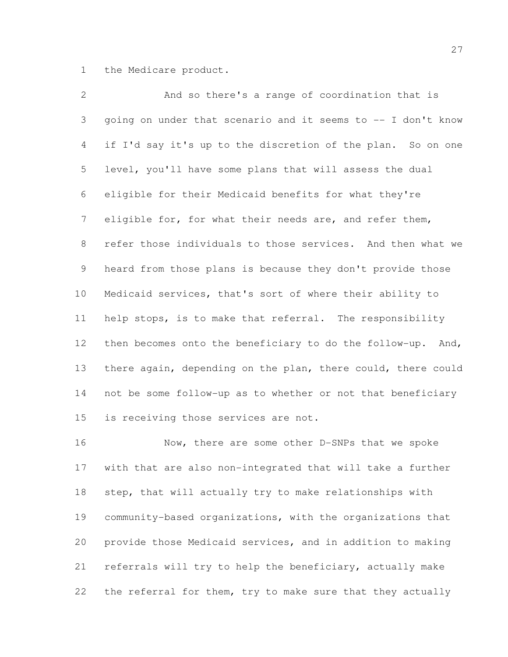the Medicare product.

| $\overline{2}$  | And so there's a range of coordination that is               |
|-----------------|--------------------------------------------------------------|
| 3               | going on under that scenario and it seems to -- I don't know |
| 4               | if I'd say it's up to the discretion of the plan. So on one  |
| 5               | level, you'll have some plans that will assess the dual      |
| 6               | eligible for their Medicaid benefits for what they're        |
| $7\phantom{.0}$ | eligible for, for what their needs are, and refer them,      |
| 8               | refer those individuals to those services. And then what we  |
| $\mathcal{G}$   | heard from those plans is because they don't provide those   |
| 10              | Medicaid services, that's sort of where their ability to     |
| 11              | help stops, is to make that referral. The responsibility     |
| 12              | then becomes onto the beneficiary to do the follow-up. And,  |
| 13              | there again, depending on the plan, there could, there could |
| 14              | not be some follow-up as to whether or not that beneficiary  |
| 15              | is receiving those services are not.                         |
|                 |                                                              |

 Now, there are some other D-SNPs that we spoke with that are also non-integrated that will take a further step, that will actually try to make relationships with community-based organizations, with the organizations that provide those Medicaid services, and in addition to making referrals will try to help the beneficiary, actually make the referral for them, try to make sure that they actually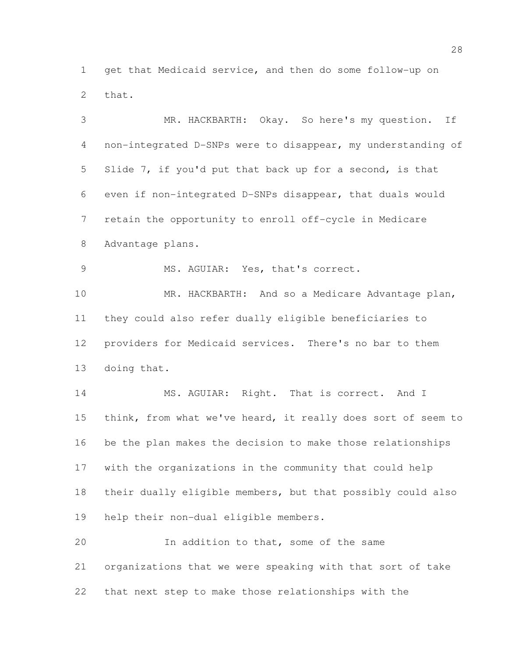get that Medicaid service, and then do some follow-up on that.

 MR. HACKBARTH: Okay. So here's my question. If non-integrated D-SNPs were to disappear, my understanding of Slide 7, if you'd put that back up for a second, is that even if non-integrated D-SNPs disappear, that duals would retain the opportunity to enroll off-cycle in Medicare Advantage plans. MS. AGUIAR: Yes, that's correct. MR. HACKBARTH: And so a Medicare Advantage plan, they could also refer dually eligible beneficiaries to providers for Medicaid services. There's no bar to them doing that. 14 MS. AGUIAR: Right. That is correct. And I think, from what we've heard, it really does sort of seem to be the plan makes the decision to make those relationships with the organizations in the community that could help their dually eligible members, but that possibly could also help their non-dual eligible members. In addition to that, some of the same organizations that we were speaking with that sort of take that next step to make those relationships with the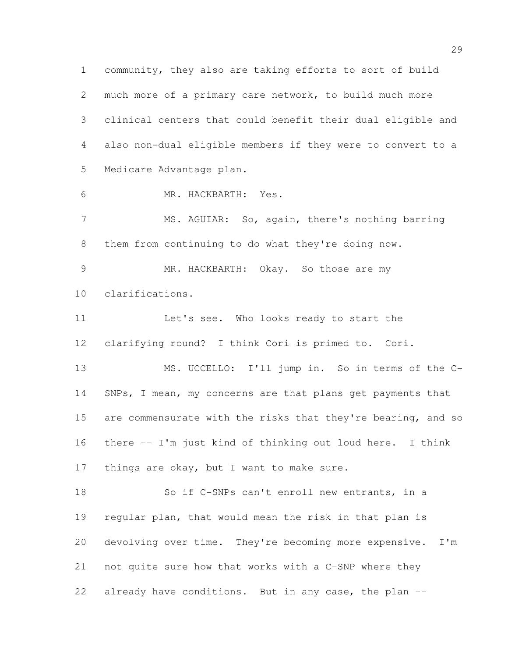community, they also are taking efforts to sort of build much more of a primary care network, to build much more clinical centers that could benefit their dual eligible and also non-dual eligible members if they were to convert to a Medicare Advantage plan. MR. HACKBARTH: Yes. MS. AGUIAR: So, again, there's nothing barring them from continuing to do what they're doing now. 9 MR. HACKBARTH: Okay. So those are my clarifications. 11 Let's see. Who looks ready to start the clarifying round? I think Cori is primed to. Cori. MS. UCCELLO: I'll jump in. So in terms of the C-14 SNPs, I mean, my concerns are that plans get payments that

15 are commensurate with the risks that they're bearing, and so there -- I'm just kind of thinking out loud here. I think 17 things are okay, but I want to make sure.

 So if C-SNPs can't enroll new entrants, in a regular plan, that would mean the risk in that plan is devolving over time. They're becoming more expensive. I'm not quite sure how that works with a C-SNP where they 22 already have conditions. But in any case, the plan --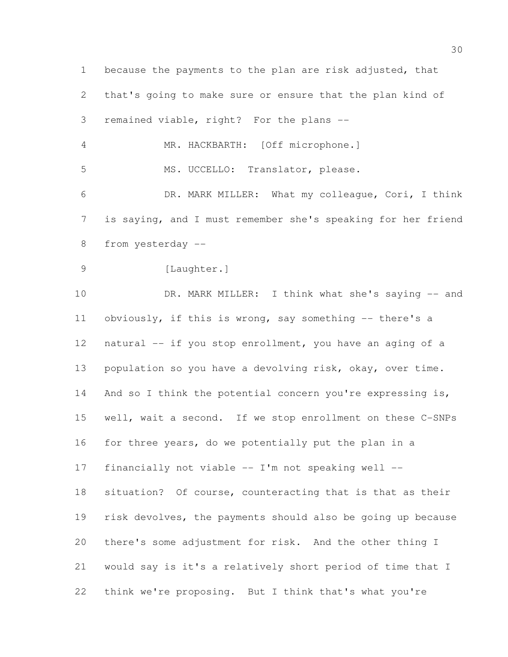because the payments to the plan are risk adjusted, that that's going to make sure or ensure that the plan kind of remained viable, right? For the plans -- MR. HACKBARTH: [Off microphone.] MS. UCCELLO: Translator, please. DR. MARK MILLER: What my colleague, Cori, I think is saying, and I must remember she's speaking for her friend from yesterday -- 9 [Laughter.] 10 DR. MARK MILLER: I think what she's saying -- and obviously, if this is wrong, say something -- there's a natural -- if you stop enrollment, you have an aging of a population so you have a devolving risk, okay, over time. 14 And so I think the potential concern you're expressing is, well, wait a second. If we stop enrollment on these C-SNPs for three years, do we potentially put the plan in a financially not viable -- I'm not speaking well -- situation? Of course, counteracting that is that as their risk devolves, the payments should also be going up because there's some adjustment for risk. And the other thing I would say is it's a relatively short period of time that I think we're proposing. But I think that's what you're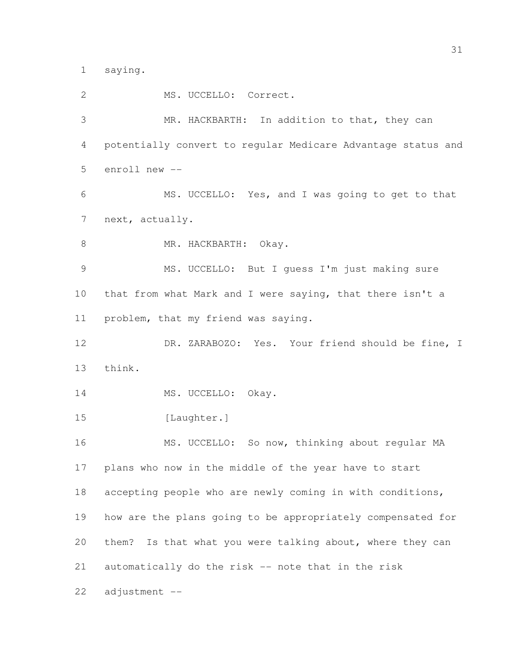saying.

 MS. UCCELLO: Correct. MR. HACKBARTH: In addition to that, they can potentially convert to regular Medicare Advantage status and enroll new -- MS. UCCELLO: Yes, and I was going to get to that next, actually. 8 MR. HACKBARTH: Okay. MS. UCCELLO: But I guess I'm just making sure that from what Mark and I were saying, that there isn't a problem, that my friend was saying. DR. ZARABOZO: Yes. Your friend should be fine, I think. 14 MS. UCCELLO: Okay. 15 [Laughter.] 16 MS. UCCELLO: So now, thinking about regular MA plans who now in the middle of the year have to start accepting people who are newly coming in with conditions, how are the plans going to be appropriately compensated for them? Is that what you were talking about, where they can automatically do the risk -- note that in the risk adjustment --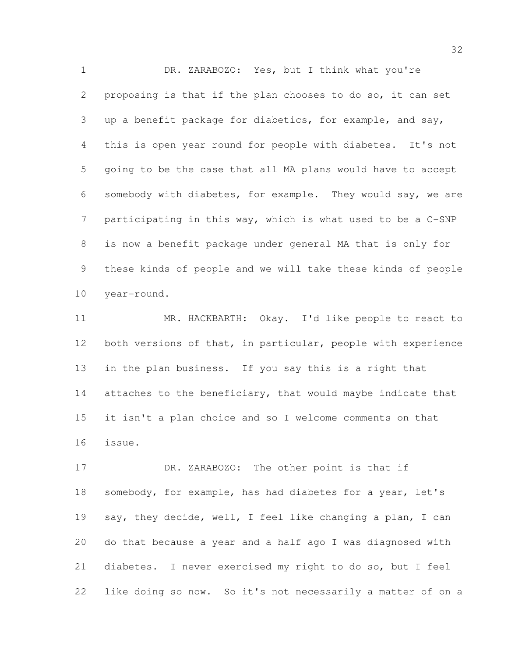DR. ZARABOZO: Yes, but I think what you're proposing is that if the plan chooses to do so, it can set up a benefit package for diabetics, for example, and say, this is open year round for people with diabetes. It's not going to be the case that all MA plans would have to accept somebody with diabetes, for example. They would say, we are participating in this way, which is what used to be a C-SNP is now a benefit package under general MA that is only for these kinds of people and we will take these kinds of people year-round.

 MR. HACKBARTH: Okay. I'd like people to react to both versions of that, in particular, people with experience in the plan business. If you say this is a right that 14 attaches to the beneficiary, that would maybe indicate that it isn't a plan choice and so I welcome comments on that issue.

17 DR. ZARABOZO: The other point is that if somebody, for example, has had diabetes for a year, let's 19 say, they decide, well, I feel like changing a plan, I can do that because a year and a half ago I was diagnosed with diabetes. I never exercised my right to do so, but I feel like doing so now. So it's not necessarily a matter of on a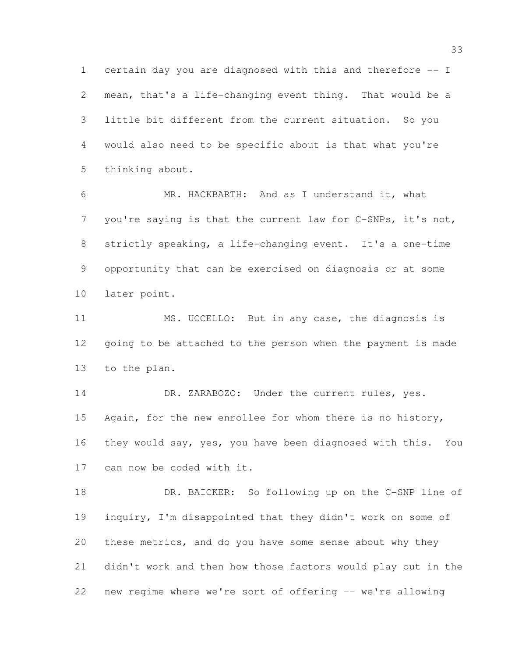certain day you are diagnosed with this and therefore -- I mean, that's a life-changing event thing. That would be a little bit different from the current situation. So you would also need to be specific about is that what you're thinking about.

 MR. HACKBARTH: And as I understand it, what you're saying is that the current law for C-SNPs, it's not, strictly speaking, a life-changing event. It's a one-time opportunity that can be exercised on diagnosis or at some later point.

 MS. UCCELLO: But in any case, the diagnosis is going to be attached to the person when the payment is made to the plan.

14 DR. ZARABOZO: Under the current rules, yes. Again, for the new enrollee for whom there is no history, they would say, yes, you have been diagnosed with this. You can now be coded with it.

 DR. BAICKER: So following up on the C-SNP line of inquiry, I'm disappointed that they didn't work on some of these metrics, and do you have some sense about why they didn't work and then how those factors would play out in the new regime where we're sort of offering -- we're allowing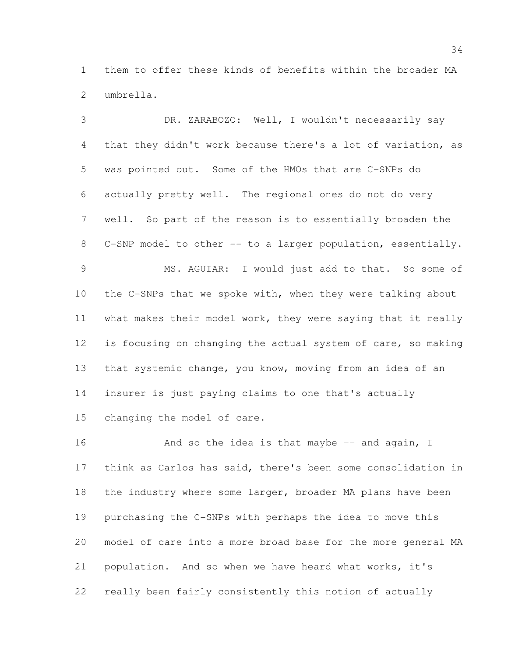them to offer these kinds of benefits within the broader MA umbrella.

 DR. ZARABOZO: Well, I wouldn't necessarily say that they didn't work because there's a lot of variation, as was pointed out. Some of the HMOs that are C-SNPs do actually pretty well. The regional ones do not do very well. So part of the reason is to essentially broaden the C-SNP model to other -- to a larger population, essentially. MS. AGUIAR: I would just add to that. So some of the C-SNPs that we spoke with, when they were talking about what makes their model work, they were saying that it really is focusing on changing the actual system of care, so making that systemic change, you know, moving from an idea of an insurer is just paying claims to one that's actually changing the model of care.

16 And so the idea is that maybe -- and again, I think as Carlos has said, there's been some consolidation in 18 the industry where some larger, broader MA plans have been purchasing the C-SNPs with perhaps the idea to move this model of care into a more broad base for the more general MA population. And so when we have heard what works, it's really been fairly consistently this notion of actually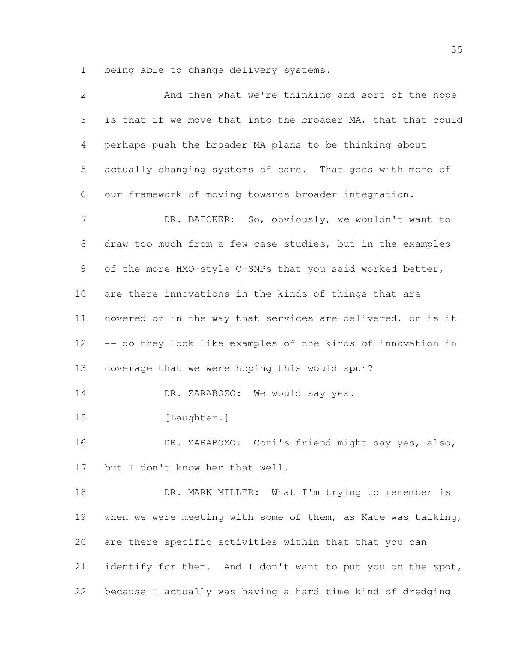being able to change delivery systems.

| $\mathbf{2}$    | And then what we're thinking and sort of the hope            |
|-----------------|--------------------------------------------------------------|
| 3               | is that if we move that into the broader MA, that that could |
| $\overline{4}$  | perhaps push the broader MA plans to be thinking about       |
| 5               | actually changing systems of care. That goes with more of    |
| 6               | our framework of moving towards broader integration.         |
| 7               | DR. BAICKER: So, obviously, we wouldn't want to              |
| $\,8\,$         | draw too much from a few case studies, but in the examples   |
| 9               | of the more HMO-style C-SNPs that you said worked better,    |
| 10              | are there innovations in the kinds of things that are        |
| 11              | covered or in the way that services are delivered, or is it  |
| 12 <sup>°</sup> | -- do they look like examples of the kinds of innovation in  |
| 13              | coverage that we were hoping this would spur?                |
| 14              | DR. ZARABOZO: We would say yes.                              |
| 15              | [Laughter.]                                                  |
| 16              | DR. ZARABOZO: Cori's friend might say yes, also,             |
| 17              | but I don't know her that well.                              |
| 18              | DR. MARK MILLER: What I'm trying to remember is              |
| 19              | when we were meeting with some of them, as Kate was talking, |
| 20              | are there specific activities within that that you can       |
| 21              | identify for them. And I don't want to put you on the spot,  |
| 22              | because I actually was having a hard time kind of dredging   |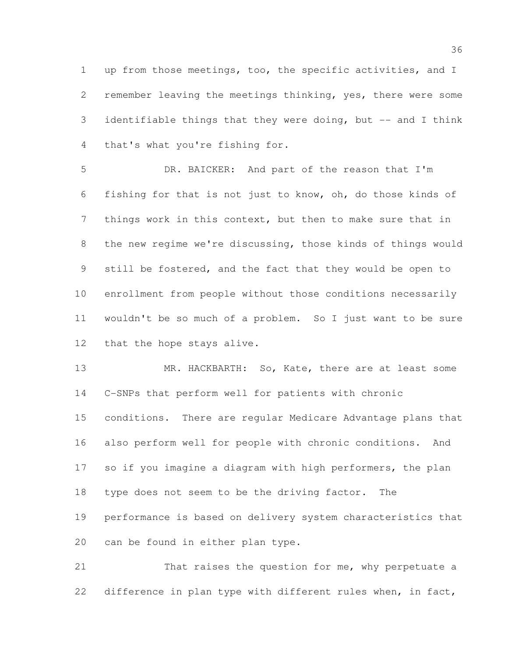up from those meetings, too, the specific activities, and I remember leaving the meetings thinking, yes, there were some identifiable things that they were doing, but -- and I think that's what you're fishing for.

 DR. BAICKER: And part of the reason that I'm fishing for that is not just to know, oh, do those kinds of things work in this context, but then to make sure that in the new regime we're discussing, those kinds of things would still be fostered, and the fact that they would be open to enrollment from people without those conditions necessarily wouldn't be so much of a problem. So I just want to be sure that the hope stays alive.

13 MR. HACKBARTH: So, Kate, there are at least some C-SNPs that perform well for patients with chronic conditions. There are regular Medicare Advantage plans that also perform well for people with chronic conditions. And 17 so if you imagine a diagram with high performers, the plan type does not seem to be the driving factor. The performance is based on delivery system characteristics that can be found in either plan type.

 That raises the question for me, why perpetuate a 22 difference in plan type with different rules when, in fact,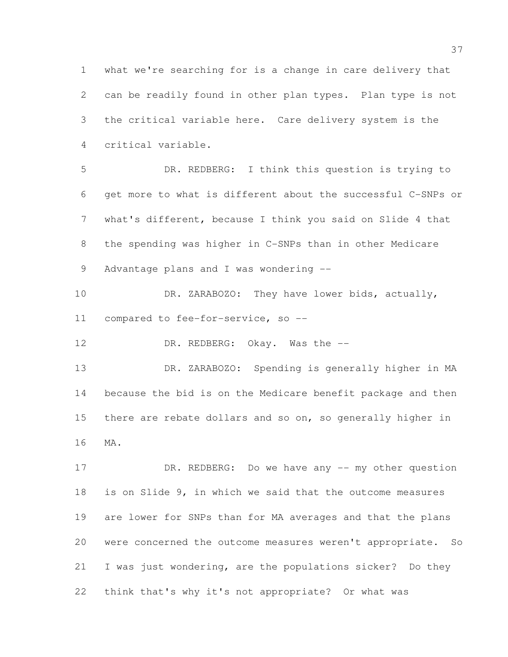what we're searching for is a change in care delivery that can be readily found in other plan types. Plan type is not the critical variable here. Care delivery system is the critical variable.

 DR. REDBERG: I think this question is trying to get more to what is different about the successful C-SNPs or what's different, because I think you said on Slide 4 that the spending was higher in C-SNPs than in other Medicare 9 Advantage plans and I was wondering --

 DR. ZARABOZO: They have lower bids, actually, compared to fee-for-service, so --

12 DR. REDBERG: Okay. Was the --

 DR. ZARABOZO: Spending is generally higher in MA because the bid is on the Medicare benefit package and then there are rebate dollars and so on, so generally higher in MA.

17 DR. REDBERG: Do we have any -- my other question is on Slide 9, in which we said that the outcome measures are lower for SNPs than for MA averages and that the plans were concerned the outcome measures weren't appropriate. So I was just wondering, are the populations sicker? Do they think that's why it's not appropriate? Or what was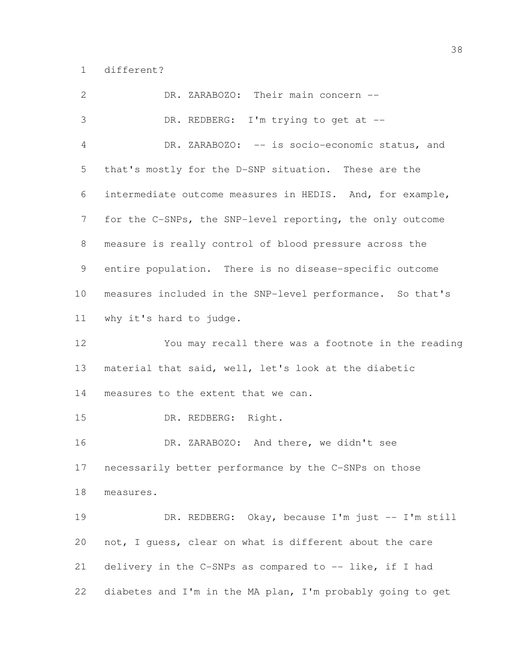different?

 DR. ZARABOZO: Their main concern -- DR. REDBERG: I'm trying to get at -- DR. ZARABOZO: -- is socio-economic status, and that's mostly for the D-SNP situation. These are the intermediate outcome measures in HEDIS. And, for example, for the C-SNPs, the SNP-level reporting, the only outcome measure is really control of blood pressure across the entire population. There is no disease-specific outcome measures included in the SNP-level performance. So that's why it's hard to judge. You may recall there was a footnote in the reading material that said, well, let's look at the diabetic measures to the extent that we can. DR. REDBERG: Right. DR. ZARABOZO: And there, we didn't see necessarily better performance by the C-SNPs on those measures. DR. REDBERG: Okay, because I'm just -- I'm still not, I guess, clear on what is different about the care 21 delivery in the C-SNPs as compared to -- like, if I had diabetes and I'm in the MA plan, I'm probably going to get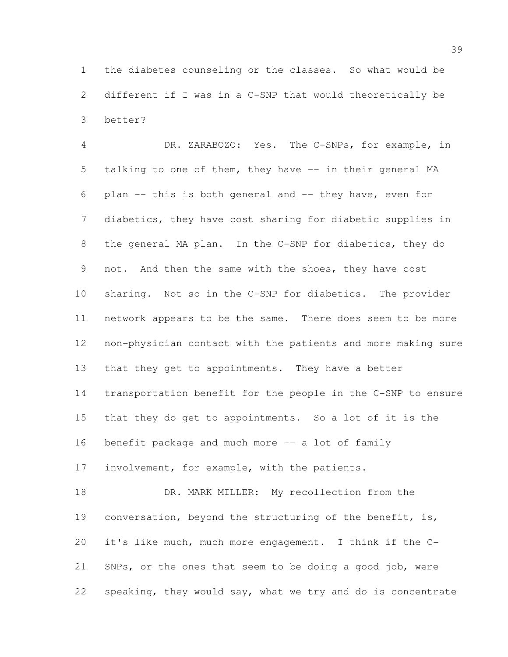the diabetes counseling or the classes. So what would be different if I was in a C-SNP that would theoretically be better?

 DR. ZARABOZO: Yes. The C-SNPs, for example, in talking to one of them, they have -- in their general MA plan -- this is both general and -- they have, even for diabetics, they have cost sharing for diabetic supplies in the general MA plan. In the C-SNP for diabetics, they do 9 not. And then the same with the shoes, they have cost sharing. Not so in the C-SNP for diabetics. The provider network appears to be the same. There does seem to be more non-physician contact with the patients and more making sure that they get to appointments. They have a better transportation benefit for the people in the C-SNP to ensure that they do get to appointments. So a lot of it is the benefit package and much more -- a lot of family involvement, for example, with the patients. 18 DR. MARK MILLER: My recollection from the conversation, beyond the structuring of the benefit, is,

 it's like much, much more engagement. I think if the C- SNPs, or the ones that seem to be doing a good job, were speaking, they would say, what we try and do is concentrate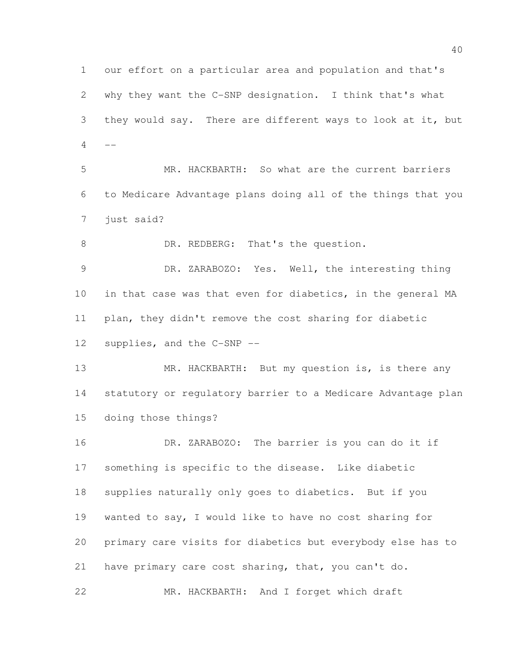our effort on a particular area and population and that's why they want the C-SNP designation. I think that's what they would say. There are different ways to look at it, but  $-$ 

 MR. HACKBARTH: So what are the current barriers to Medicare Advantage plans doing all of the things that you just said?

8 DR. REDBERG: That's the question.

 DR. ZARABOZO: Yes. Well, the interesting thing in that case was that even for diabetics, in the general MA plan, they didn't remove the cost sharing for diabetic supplies, and the C-SNP --

13 MR. HACKBARTH: But my question is, is there any statutory or regulatory barrier to a Medicare Advantage plan doing those things?

 DR. ZARABOZO: The barrier is you can do it if something is specific to the disease. Like diabetic supplies naturally only goes to diabetics. But if you wanted to say, I would like to have no cost sharing for primary care visits for diabetics but everybody else has to have primary care cost sharing, that, you can't do.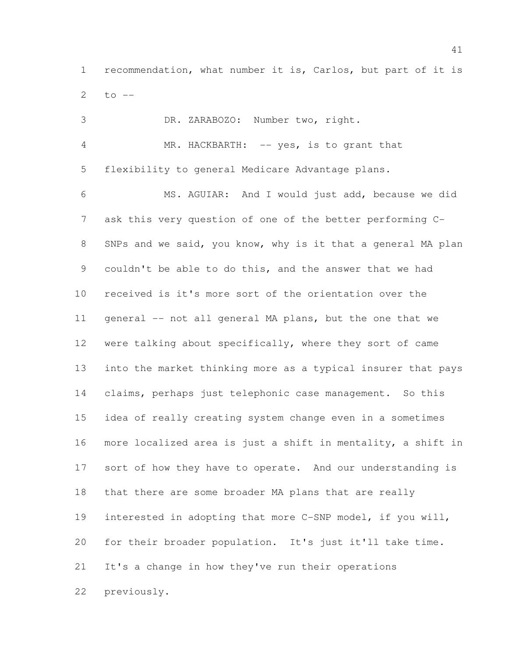recommendation, what number it is, Carlos, but part of it is 2 to  $-$ 

 DR. ZARABOZO: Number two, right. 4 MR. HACKBARTH: -- yes, is to grant that flexibility to general Medicare Advantage plans. MS. AGUIAR: And I would just add, because we did ask this very question of one of the better performing C- SNPs and we said, you know, why is it that a general MA plan couldn't be able to do this, and the answer that we had received is it's more sort of the orientation over the 11 general -- not all general MA plans, but the one that we were talking about specifically, where they sort of came into the market thinking more as a typical insurer that pays claims, perhaps just telephonic case management. So this idea of really creating system change even in a sometimes more localized area is just a shift in mentality, a shift in 17 sort of how they have to operate. And our understanding is that there are some broader MA plans that are really interested in adopting that more C-SNP model, if you will, for their broader population. It's just it'll take time. It's a change in how they've run their operations previously.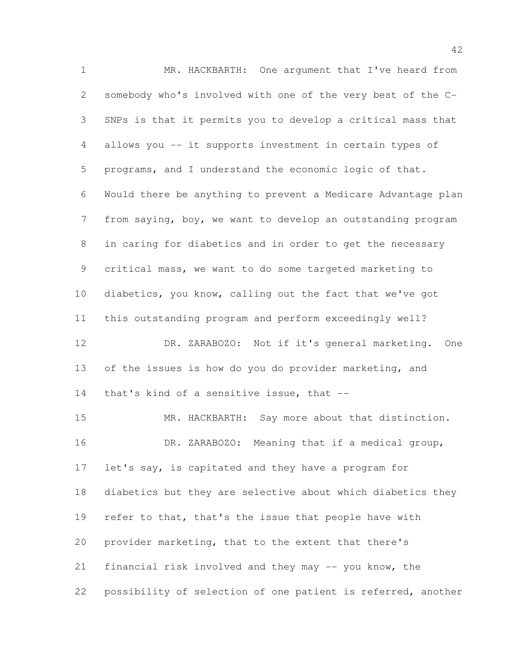MR. HACKBARTH: One argument that I've heard from somebody who's involved with one of the very best of the C- SNPs is that it permits you to develop a critical mass that allows you -- it supports investment in certain types of programs, and I understand the economic logic of that. Would there be anything to prevent a Medicare Advantage plan from saying, boy, we want to develop an outstanding program in caring for diabetics and in order to get the necessary critical mass, we want to do some targeted marketing to diabetics, you know, calling out the fact that we've got this outstanding program and perform exceedingly well? DR. ZARABOZO: Not if it's general marketing. One of the issues is how do you do provider marketing, and 14 that's kind of a sensitive issue, that -- MR. HACKBARTH: Say more about that distinction. DR. ZARABOZO: Meaning that if a medical group, 17 let's say, is capitated and they have a program for diabetics but they are selective about which diabetics they 19 refer to that, that's the issue that people have with provider marketing, that to the extent that there's financial risk involved and they may -- you know, the possibility of selection of one patient is referred, another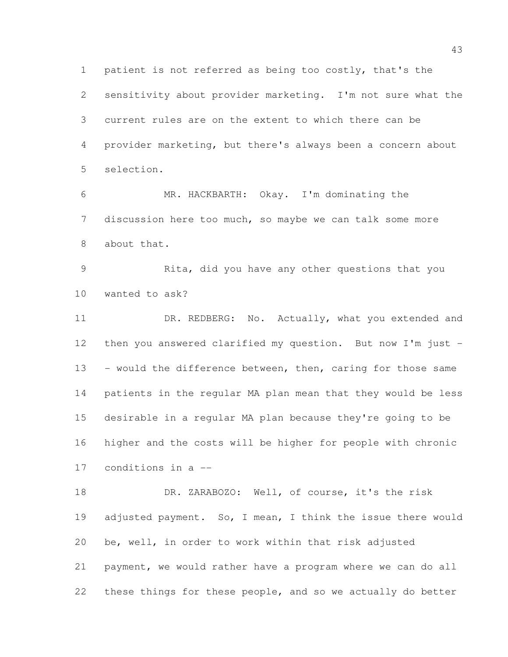patient is not referred as being too costly, that's the sensitivity about provider marketing. I'm not sure what the current rules are on the extent to which there can be provider marketing, but there's always been a concern about selection.

 MR. HACKBARTH: Okay. I'm dominating the discussion here too much, so maybe we can talk some more about that.

 Rita, did you have any other questions that you wanted to ask?

11 DR. REDBERG: No. Actually, what you extended and then you answered clarified my question. But now I'm just - 13 - would the difference between, then, caring for those same patients in the regular MA plan mean that they would be less desirable in a regular MA plan because they're going to be higher and the costs will be higher for people with chronic conditions in a --

 DR. ZARABOZO: Well, of course, it's the risk 19 adjusted payment. So, I mean, I think the issue there would be, well, in order to work within that risk adjusted payment, we would rather have a program where we can do all these things for these people, and so we actually do better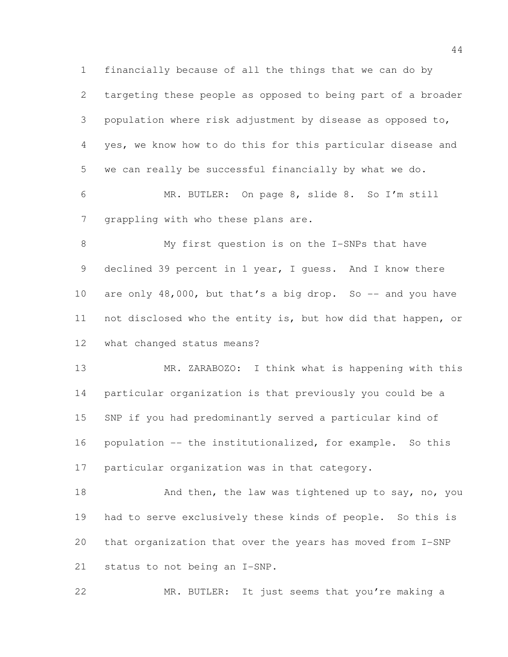financially because of all the things that we can do by targeting these people as opposed to being part of a broader population where risk adjustment by disease as opposed to, yes, we know how to do this for this particular disease and we can really be successful financially by what we do. MR. BUTLER: On page 8, slide 8. So I'm still grappling with who these plans are.

 My first question is on the I-SNPs that have declined 39 percent in 1 year, I guess. And I know there 10 are only 48,000, but that's a big drop. So -- and you have not disclosed who the entity is, but how did that happen, or what changed status means?

 MR. ZARABOZO: I think what is happening with this particular organization is that previously you could be a SNP if you had predominantly served a particular kind of population -- the institutionalized, for example. So this particular organization was in that category.

18 And then, the law was tightened up to say, no, you had to serve exclusively these kinds of people. So this is that organization that over the years has moved from I-SNP status to not being an I-SNP.

MR. BUTLER: It just seems that you're making a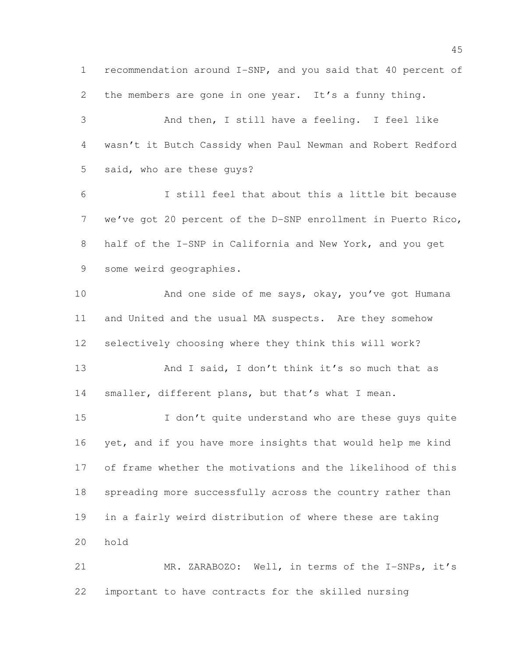recommendation around I-SNP, and you said that 40 percent of the members are gone in one year. It's a funny thing. And then, I still have a feeling. I feel like wasn't it Butch Cassidy when Paul Newman and Robert Redford said, who are these guys? I still feel that about this a little bit because we've got 20 percent of the D-SNP enrollment in Puerto Rico, half of the I-SNP in California and New York, and you get some weird geographies. 10 And one side of me says, okay, you've got Humana and United and the usual MA suspects. Are they somehow selectively choosing where they think this will work? 13 And I said, I don't think it's so much that as 14 smaller, different plans, but that's what I mean. 15 I don't quite understand who are these quys quite yet, and if you have more insights that would help me kind of frame whether the motivations and the likelihood of this spreading more successfully across the country rather than in a fairly weird distribution of where these are taking hold MR. ZARABOZO: Well, in terms of the I-SNPs, it's important to have contracts for the skilled nursing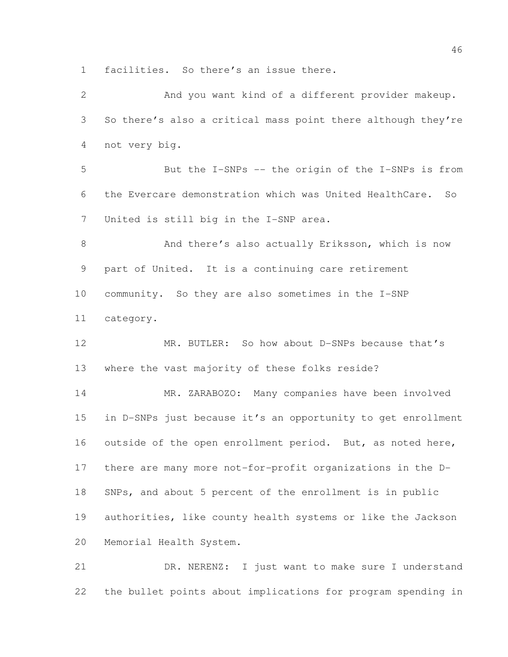facilities. So there's an issue there.

 And you want kind of a different provider makeup. So there's also a critical mass point there although they're not very big. But the I-SNPs -- the origin of the I-SNPs is from the Evercare demonstration which was United HealthCare. So United is still big in the I-SNP area. 8 And there's also actually Eriksson, which is now part of United. It is a continuing care retirement community. So they are also sometimes in the I-SNP category. MR. BUTLER: So how about D-SNPs because that's where the vast majority of these folks reside? MR. ZARABOZO: Many companies have been involved in D-SNPs just because it's an opportunity to get enrollment 16 outside of the open enrollment period. But, as noted here, there are many more not-for-profit organizations in the D- SNPs, and about 5 percent of the enrollment is in public authorities, like county health systems or like the Jackson Memorial Health System. DR. NERENZ: I just want to make sure I understand

the bullet points about implications for program spending in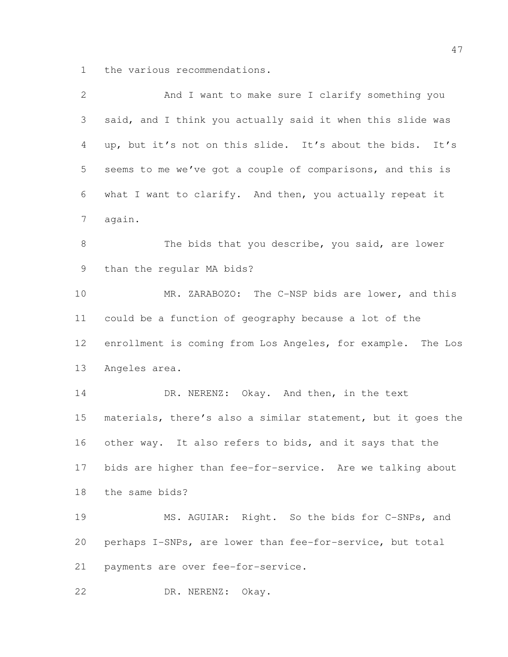the various recommendations.

| $\mathbf{2}$    | And I want to make sure I clarify something you              |
|-----------------|--------------------------------------------------------------|
| 3               | said, and I think you actually said it when this slide was   |
| 4               | up, but it's not on this slide. It's about the bids. It's    |
| 5               | seems to me we've got a couple of comparisons, and this is   |
| 6               | what I want to clarify. And then, you actually repeat it     |
| $\overline{7}$  | again.                                                       |
| $\,8\,$         | The bids that you describe, you said, are lower              |
| 9               | than the regular MA bids?                                    |
| 10              | MR. ZARABOZO: The C-NSP bids are lower, and this             |
| 11              | could be a function of geography because a lot of the        |
| 12 <sup>°</sup> | enrollment is coming from Los Angeles, for example. The Los  |
| 13              | Angeles area.                                                |
| 14              | DR. NERENZ: Okay. And then, in the text                      |
| 15              | materials, there's also a similar statement, but it goes the |
| 16              | other way. It also refers to bids, and it says that the      |
| 17              | bids are higher than fee-for-service. Are we talking about   |
| 18              | the same bids?                                               |
| 19              | MS. AGUIAR: Right. So the bids for C-SNPs, and               |
| 20              | perhaps I-SNPs, are lower than fee-for-service, but total    |
| 21              | payments are over fee-for-service.                           |
| 22              | DR. NERENZ: Okay.                                            |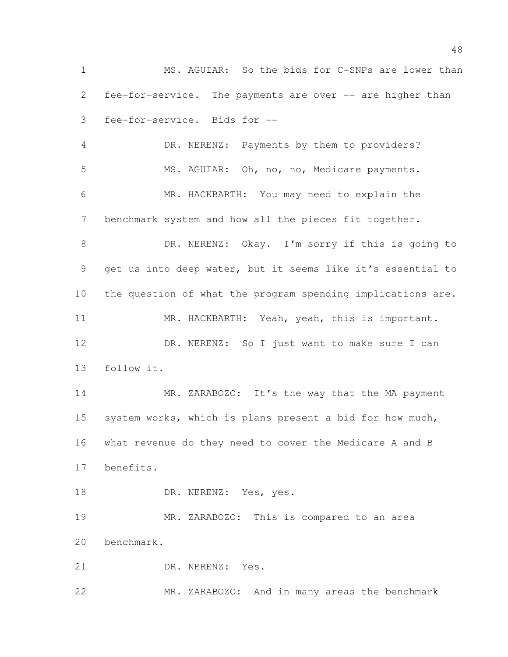MS. AGUIAR: So the bids for C-SNPs are lower than fee-for-service. The payments are over -- are higher than fee-for-service. Bids for --

 DR. NERENZ: Payments by them to providers? MS. AGUIAR: Oh, no, no, Medicare payments. MR. HACKBARTH: You may need to explain the benchmark system and how all the pieces fit together. DR. NERENZ: Okay. I'm sorry if this is going to get us into deep water, but it seems like it's essential to the question of what the program spending implications are. MR. HACKBARTH: Yeah, yeah, this is important. DR. NERENZ: So I just want to make sure I can follow it.

14 MR. ZARABOZO: It's the way that the MA payment system works, which is plans present a bid for how much, what revenue do they need to cover the Medicare A and B benefits.

18 DR. NERENZ: Yes, yes.

 MR. ZARABOZO: This is compared to an area benchmark.

DR. NERENZ: Yes.

MR. ZARABOZO: And in many areas the benchmark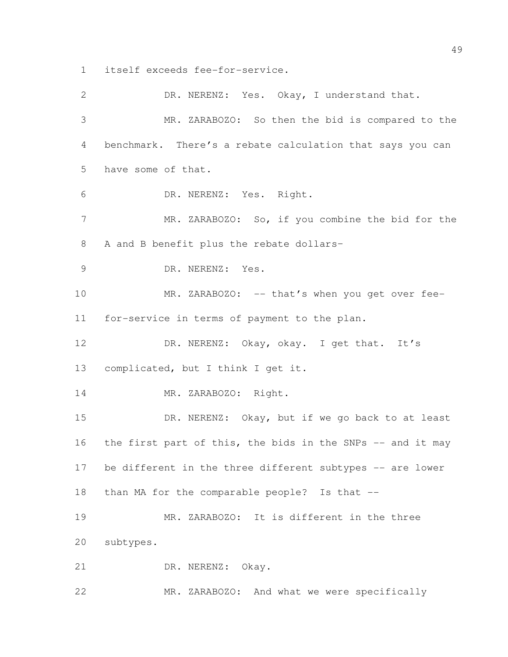itself exceeds fee-for-service.

| $\mathbf{2}$    | DR. NERENZ: Yes. Okay, I understand that.                  |
|-----------------|------------------------------------------------------------|
| 3               | MR. ZARABOZO: So then the bid is compared to the           |
| 4               | benchmark. There's a rebate calculation that says you can  |
| 5               | have some of that.                                         |
| 6               | DR. NERENZ: Yes. Right.                                    |
| $7\phantom{.0}$ | MR. ZARABOZO: So, if you combine the bid for the           |
| 8               | A and B benefit plus the rebate dollars-                   |
| 9               | DR. NERENZ: Yes.                                           |
| 10              | MR. ZARABOZO: -- that's when you get over fee-             |
| 11              | for-service in terms of payment to the plan.               |
| 12              | DR. NERENZ: Okay, okay. I get that. It's                   |
| 13              | complicated, but I think I get it.                         |
| 14              | MR. ZARABOZO: Right.                                       |
| 15              | DR. NERENZ: Okay, but if we go back to at least            |
| 16              | the first part of this, the bids in the SNPs -- and it may |
| 17              | be different in the three different subtypes -- are lower  |
| 18              | than MA for the comparable people? Is that --              |
| 19              | MR. ZARABOZO: It is different in the three                 |
| 20              | subtypes.                                                  |
| 21              | DR. NERENZ: Okay.                                          |
| 22              | And what we were specifically<br>ZARABOZO:<br>MR.          |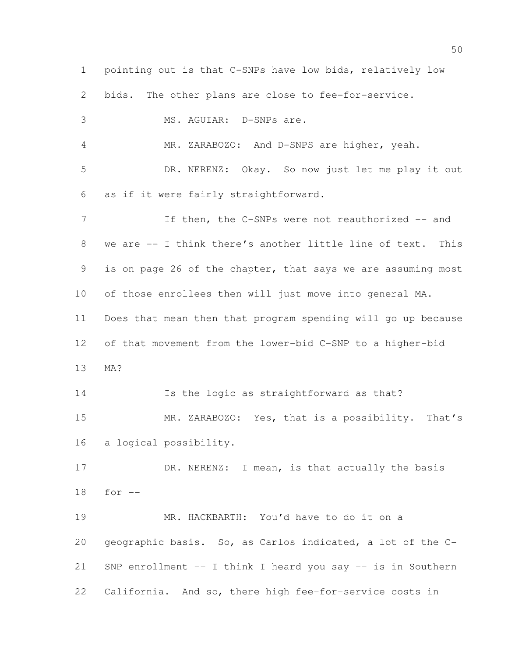pointing out is that C-SNPs have low bids, relatively low bids. The other plans are close to fee-for-service. MS. AGUIAR: D-SNPs are. MR. ZARABOZO: And D-SNPS are higher, yeah. DR. NERENZ: Okay. So now just let me play it out as if it were fairly straightforward. 7 If then, the C-SNPs were not reauthorized -- and we are -- I think there's another little line of text. This is on page 26 of the chapter, that says we are assuming most of those enrollees then will just move into general MA. Does that mean then that program spending will go up because of that movement from the lower-bid C-SNP to a higher-bid MA? Is the logic as straightforward as that? MR. ZARABOZO: Yes, that is a possibility. That's a logical possibility. 17 DR. NERENZ: I mean, is that actually the basis for -- MR. HACKBARTH: You'd have to do it on a geographic basis. So, as Carlos indicated, a lot of the C- SNP enrollment -- I think I heard you say -- is in Southern California. And so, there high fee-for-service costs in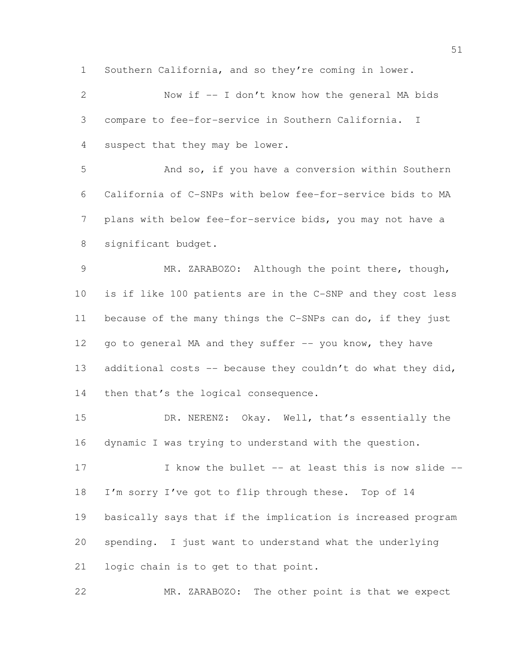Southern California, and so they're coming in lower.

 Now if -- I don't know how the general MA bids compare to fee-for-service in Southern California. I suspect that they may be lower. And so, if you have a conversion within Southern California of C-SNPs with below fee-for-service bids to MA plans with below fee-for-service bids, you may not have a significant budget. MR. ZARABOZO: Although the point there, though, is if like 100 patients are in the C-SNP and they cost less because of the many things the C-SNPs can do, if they just 12 go to general MA and they suffer -- you know, they have 13 additional costs -- because they couldn't do what they did, 14 then that's the logical consequence. DR. NERENZ: Okay. Well, that's essentially the dynamic I was trying to understand with the question. 17 I know the bullet -- at least this is now slide -- I'm sorry I've got to flip through these. Top of 14 basically says that if the implication is increased program spending. I just want to understand what the underlying logic chain is to get to that point. MR. ZARABOZO: The other point is that we expect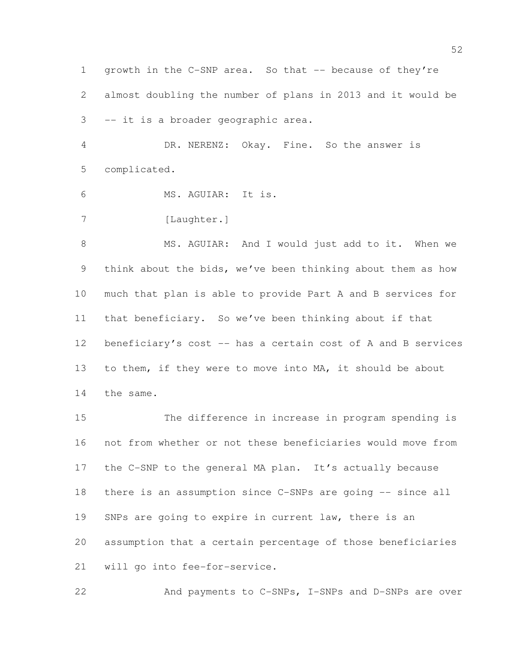1 growth in the C-SNP area. So that -- because of they're almost doubling the number of plans in 2013 and it would be -- it is a broader geographic area.

 DR. NERENZ: Okay. Fine. So the answer is complicated.

MS. AGUIAR: It is.

7 [Laughter.]

8 MS. AGUIAR: And I would just add to it. When we think about the bids, we've been thinking about them as how much that plan is able to provide Part A and B services for that beneficiary. So we've been thinking about if that 12 beneficiary's cost -- has a certain cost of A and B services to them, if they were to move into MA, it should be about the same.

 The difference in increase in program spending is not from whether or not these beneficiaries would move from the C-SNP to the general MA plan. It's actually because there is an assumption since C-SNPs are going -- since all 19 SNPs are going to expire in current law, there is an assumption that a certain percentage of those beneficiaries will go into fee-for-service.

22 And payments to C-SNPs, I-SNPs and D-SNPs are over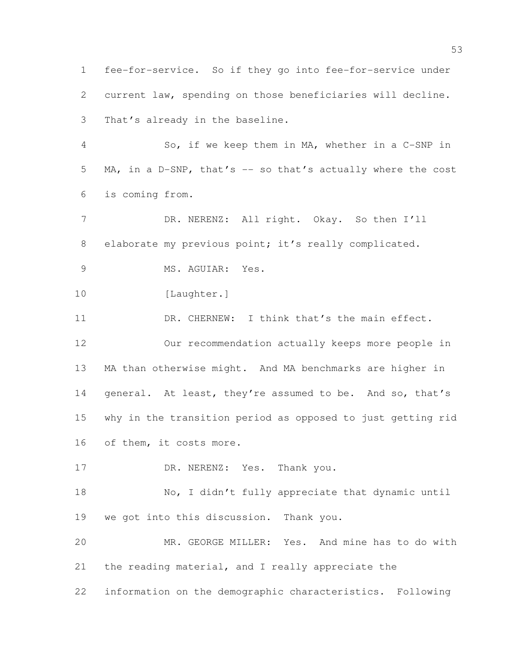fee-for-service. So if they go into fee-for-service under current law, spending on those beneficiaries will decline. That's already in the baseline. So, if we keep them in MA, whether in a C-SNP in MA, in a D-SNP, that's -- so that's actually where the cost is coming from. 7 DR. NERENZ: All right. Okay. So then I'll 8 elaborate my previous point; it's really complicated. 9 MS. AGUIAR: Yes. 10 [Laughter.] 11 DR. CHERNEW: I think that's the main effect. Our recommendation actually keeps more people in MA than otherwise might. And MA benchmarks are higher in 14 general. At least, they're assumed to be. And so, that's why in the transition period as opposed to just getting rid of them, it costs more. 17 DR. NERENZ: Yes. Thank you. No, I didn't fully appreciate that dynamic until we got into this discussion. Thank you. MR. GEORGE MILLER: Yes. And mine has to do with the reading material, and I really appreciate the information on the demographic characteristics. Following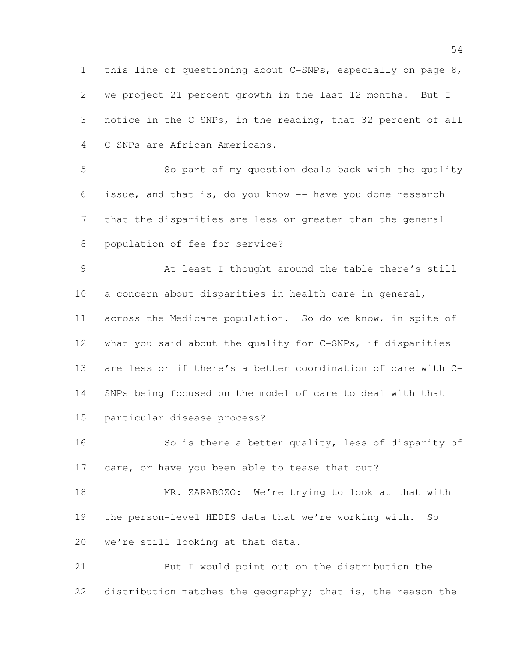this line of questioning about C-SNPs, especially on page 8, we project 21 percent growth in the last 12 months. But I notice in the C-SNPs, in the reading, that 32 percent of all C-SNPs are African Americans.

 So part of my question deals back with the quality issue, and that is, do you know -- have you done research that the disparities are less or greater than the general population of fee-for-service?

 At least I thought around the table there's still a concern about disparities in health care in general, across the Medicare population. So do we know, in spite of what you said about the quality for C-SNPs, if disparities are less or if there's a better coordination of care with C- SNPs being focused on the model of care to deal with that particular disease process?

 So is there a better quality, less of disparity of 17 care, or have you been able to tease that out?

18 MR. ZARABOZO: We're trying to look at that with the person-level HEDIS data that we're working with. So we're still looking at that data.

 But I would point out on the distribution the distribution matches the geography; that is, the reason the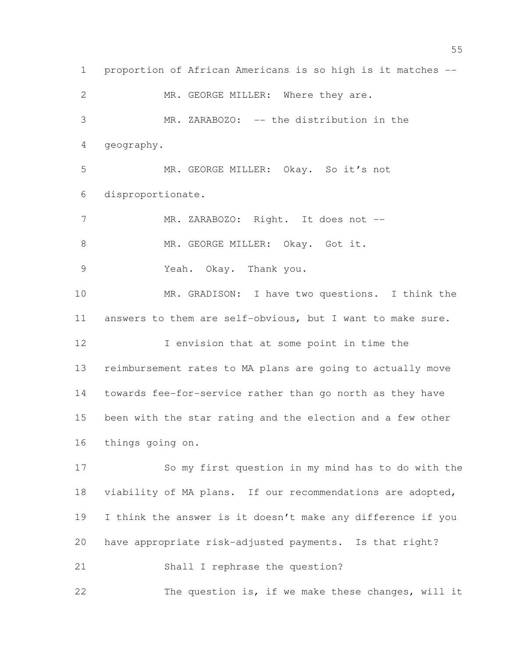proportion of African Americans is so high is it matches -- 2 MR. GEORGE MILLER: Where they are. MR. ZARABOZO: -- the distribution in the geography. MR. GEORGE MILLER: Okay. So it's not disproportionate. 7 MR. ZARABOZO: Right. It does not --8 MR. GEORGE MILLER: Okay. Got it. Yeah. Okay. Thank you. MR. GRADISON: I have two questions. I think the answers to them are self-obvious, but I want to make sure. 12 I envision that at some point in time the reimbursement rates to MA plans are going to actually move towards fee-for-service rather than go north as they have been with the star rating and the election and a few other things going on. So my first question in my mind has to do with the viability of MA plans. If our recommendations are adopted, I think the answer is it doesn't make any difference if you have appropriate risk-adjusted payments. Is that right? Shall I rephrase the question? The question is, if we make these changes, will it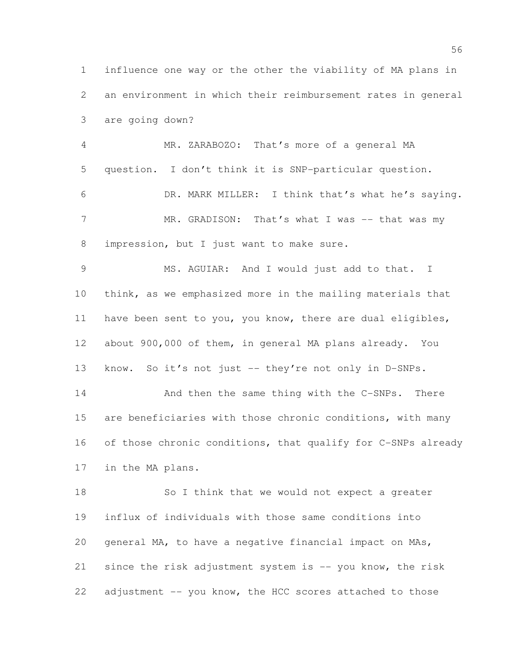influence one way or the other the viability of MA plans in an environment in which their reimbursement rates in general are going down?

 MR. ZARABOZO: That's more of a general MA question. I don't think it is SNP-particular question. DR. MARK MILLER: I think that's what he's saying. 7 MR. GRADISON: That's what I was -- that was my impression, but I just want to make sure.

 MS. AGUIAR: And I would just add to that. I think, as we emphasized more in the mailing materials that have been sent to you, you know, there are dual eligibles, about 900,000 of them, in general MA plans already. You 13 know. So it's not just -- they're not only in D-SNPs. 14 And then the same thing with the C-SNPs. There are beneficiaries with those chronic conditions, with many of those chronic conditions, that qualify for C-SNPs already

in the MA plans.

 So I think that we would not expect a greater influx of individuals with those same conditions into general MA, to have a negative financial impact on MAs, since the risk adjustment system is -- you know, the risk adjustment -- you know, the HCC scores attached to those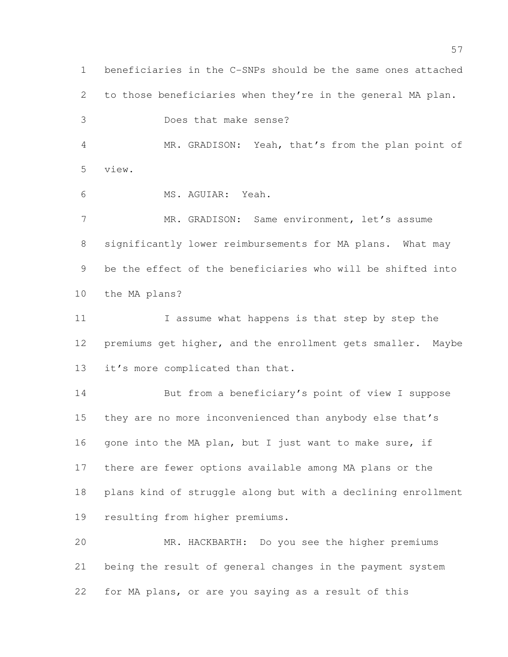beneficiaries in the C-SNPs should be the same ones attached to those beneficiaries when they're in the general MA plan. Does that make sense? MR. GRADISON: Yeah, that's from the plan point of view. MS. AGUIAR: Yeah. MR. GRADISON: Same environment, let's assume significantly lower reimbursements for MA plans. What may be the effect of the beneficiaries who will be shifted into the MA plans? I assume what happens is that step by step the premiums get higher, and the enrollment gets smaller. Maybe it's more complicated than that. But from a beneficiary's point of view I suppose they are no more inconvenienced than anybody else that's 16 gone into the MA plan, but I just want to make sure, if there are fewer options available among MA plans or the plans kind of struggle along but with a declining enrollment resulting from higher premiums. MR. HACKBARTH: Do you see the higher premiums being the result of general changes in the payment system for MA plans, or are you saying as a result of this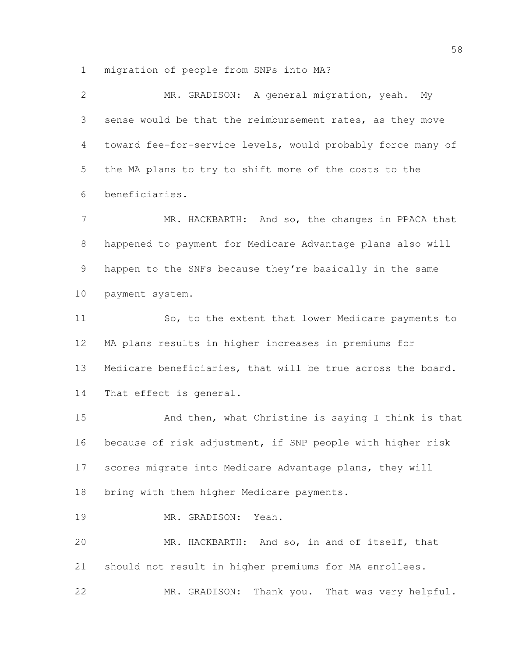migration of people from SNPs into MA?

 MR. GRADISON: A general migration, yeah. My sense would be that the reimbursement rates, as they move toward fee-for-service levels, would probably force many of the MA plans to try to shift more of the costs to the beneficiaries. 7 MR. HACKBARTH: And so, the changes in PPACA that happened to payment for Medicare Advantage plans also will happen to the SNFs because they're basically in the same payment system. 11 So, to the extent that lower Medicare payments to MA plans results in higher increases in premiums for Medicare beneficiaries, that will be true across the board. That effect is general. 15 And then, what Christine is saying I think is that because of risk adjustment, if SNP people with higher risk scores migrate into Medicare Advantage plans, they will bring with them higher Medicare payments. MR. GRADISON: Yeah. MR. HACKBARTH: And so, in and of itself, that should not result in higher premiums for MA enrollees. MR. GRADISON: Thank you. That was very helpful.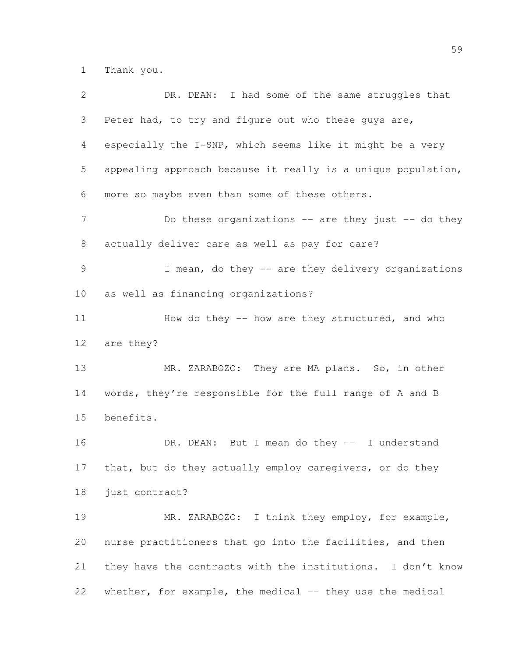Thank you.

| $\mathbf{2}$  | DR. DEAN: I had some of the same struggles that              |
|---------------|--------------------------------------------------------------|
| 3             | Peter had, to try and figure out who these guys are,         |
| 4             | especially the I-SNP, which seems like it might be a very    |
| 5             | appealing approach because it really is a unique population, |
| 6             | more so maybe even than some of these others.                |
| 7             | Do these organizations $--$ are they just $--$ do they       |
| 8             | actually deliver care as well as pay for care?               |
| $\mathcal{G}$ | I mean, do they -- are they delivery organizations           |
| 10            | as well as financing organizations?                          |
| 11            | How do they -- how are they structured, and who              |
| 12            | are they?                                                    |
| 13            | MR. ZARABOZO: They are MA plans. So, in other                |
| 14            | words, they're responsible for the full range of A and B     |
| 15            | benefits.                                                    |
| 16            | DR. DEAN: But I mean do they -- I understand                 |
| 17            | that, but do they actually employ caregivers, or do they     |
| 18            | just contract?                                               |
| 19            | MR. ZARABOZO: I think they employ, for example,              |
| 20            | nurse practitioners that go into the facilities, and then    |
| 21            | they have the contracts with the institutions. I don't know  |
| 22            | whether, for example, the medical -- they use the medical    |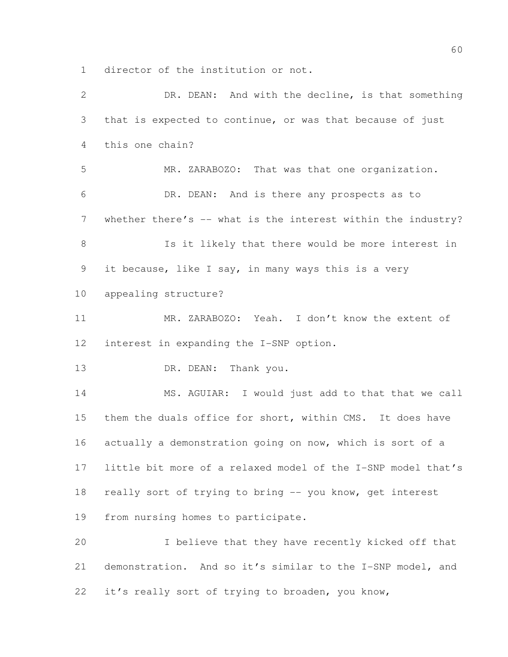director of the institution or not.

 DR. DEAN: And with the decline, is that something that is expected to continue, or was that because of just this one chain? MR. ZARABOZO: That was that one organization. DR. DEAN: And is there any prospects as to 7 whether there's -- what is the interest within the industry? Is it likely that there would be more interest in it because, like I say, in many ways this is a very appealing structure? MR. ZARABOZO: Yeah. I don't know the extent of interest in expanding the I-SNP option. 13 DR. DEAN: Thank you. 14 MS. AGUIAR: I would just add to that that we call them the duals office for short, within CMS. It does have actually a demonstration going on now, which is sort of a little bit more of a relaxed model of the I-SNP model that's really sort of trying to bring -- you know, get interest from nursing homes to participate. I believe that they have recently kicked off that demonstration. And so it's similar to the I-SNP model, and it's really sort of trying to broaden, you know,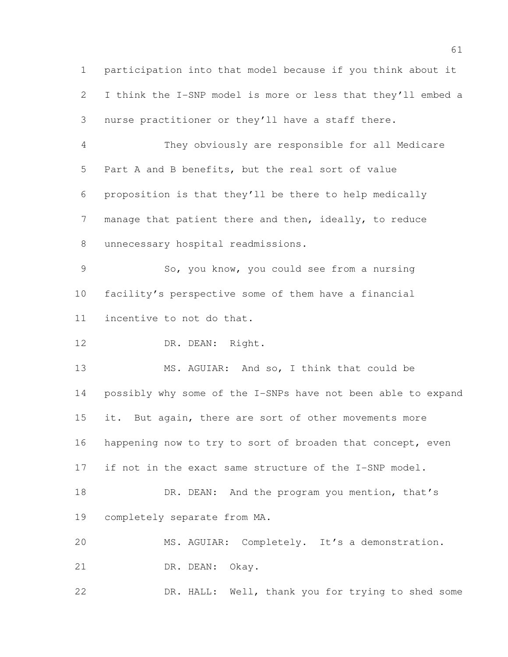participation into that model because if you think about it I think the I-SNP model is more or less that they'll embed a nurse practitioner or they'll have a staff there. They obviously are responsible for all Medicare Part A and B benefits, but the real sort of value proposition is that they'll be there to help medically manage that patient there and then, ideally, to reduce unnecessary hospital readmissions.

 So, you know, you could see from a nursing facility's perspective some of them have a financial incentive to not do that.

12 DR. DEAN: Right.

 MS. AGUIAR: And so, I think that could be possibly why some of the I-SNPs have not been able to expand 15 it. But again, there are sort of other movements more 16 happening now to try to sort of broaden that concept, even if not in the exact same structure of the I-SNP model. 18 DR. DEAN: And the program you mention, that's

completely separate from MA.

MS. AGUIAR: Completely. It's a demonstration.

21 DR. DEAN: Okay.

DR. HALL: Well, thank you for trying to shed some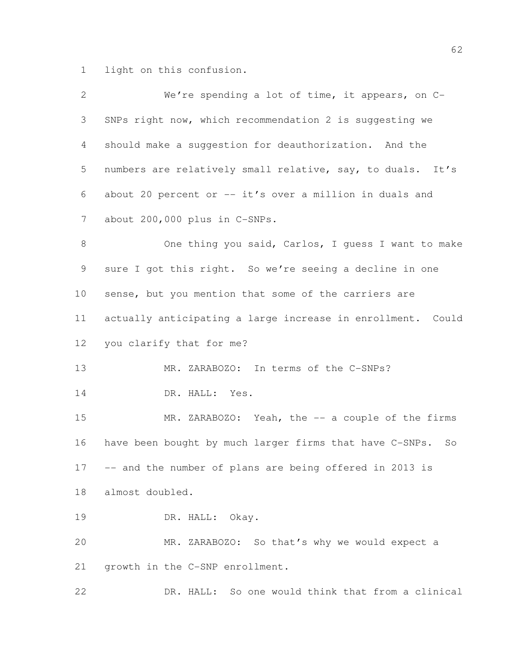light on this confusion.

| $\mathbf{2}$    | We're spending a lot of time, it appears, on C-             |
|-----------------|-------------------------------------------------------------|
| 3               | SNPs right now, which recommendation 2 is suggesting we     |
| $\overline{4}$  | should make a suggestion for deauthorization. And the       |
| 5               | numbers are relatively small relative, say, to duals. It's  |
| 6               | about 20 percent or -- it's over a million in duals and     |
| $7\phantom{.0}$ | about 200,000 plus in C-SNPs.                               |
| $\,8\,$         | One thing you said, Carlos, I guess I want to make          |
| 9               | sure I got this right. So we're seeing a decline in one     |
| 10              | sense, but you mention that some of the carriers are        |
| 11              | actually anticipating a large increase in enrollment. Could |
| 12              | you clarify that for me?                                    |
| 13              | MR. ZARABOZO: In terms of the C-SNPs?                       |
| 14              | DR. HALL: Yes.                                              |
| 15              | MR. ZARABOZO: Yeah, the -- a couple of the firms            |
| 16              | have been bought by much larger firms that have C-SNPs. So  |
| 17              | -- and the number of plans are being offered in 2013 is     |
| 18              | almost doubled.                                             |
| 19              | DR. HALL: Okay.                                             |
| 20              | MR. ZARABOZO: So that's why we would expect a               |
| 21              | growth in the C-SNP enrollment.                             |
| 22              | DR. HALL: So one would think that from a clinical           |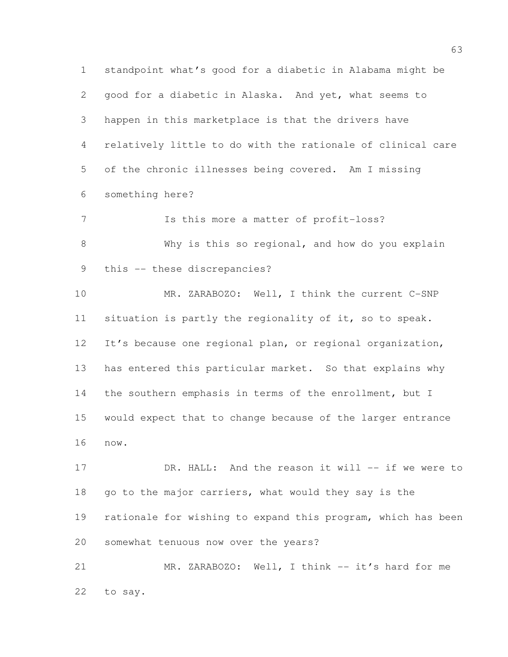standpoint what's good for a diabetic in Alabama might be good for a diabetic in Alaska. And yet, what seems to happen in this marketplace is that the drivers have relatively little to do with the rationale of clinical care of the chronic illnesses being covered. Am I missing something here? Is this more a matter of profit-loss? Why is this so regional, and how do you explain this -- these discrepancies? MR. ZARABOZO: Well, I think the current C-SNP situation is partly the regionality of it, so to speak. It's because one regional plan, or regional organization, has entered this particular market. So that explains why 14 the southern emphasis in terms of the enrollment, but I would expect that to change because of the larger entrance now. 17 DR. HALL: And the reason it will -- if we were to 18 go to the major carriers, what would they say is the rationale for wishing to expand this program, which has been somewhat tenuous now over the years? 21 MR. ZARABOZO: Well, I think -- it's hard for me

to say.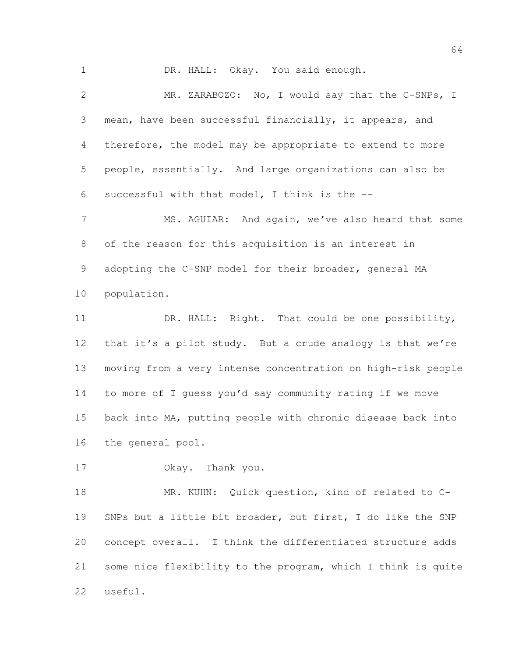1 DR. HALL: Okay. You said enough. MR. ZARABOZO: No, I would say that the C-SNPs, I mean, have been successful financially, it appears, and therefore, the model may be appropriate to extend to more people, essentially. And large organizations can also be successful with that model, I think is the -- 7 MS. AGUIAR: And again, we've also heard that some

 of the reason for this acquisition is an interest in adopting the C-SNP model for their broader, general MA population.

 DR. HALL: Right. That could be one possibility, 12 that it's a pilot study. But a crude analogy is that we're moving from a very intense concentration on high-risk people to more of I guess you'd say community rating if we move back into MA, putting people with chronic disease back into the general pool.

Okay. Thank you.

 MR. KUHN: Quick question, kind of related to C- SNPs but a little bit broader, but first, I do like the SNP concept overall. I think the differentiated structure adds some nice flexibility to the program, which I think is quite useful.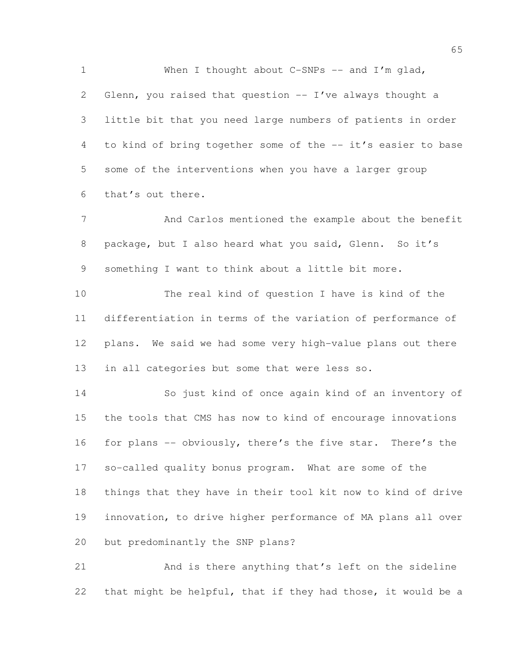1 When I thought about C-SNPs -- and I'm glad, 2 Glenn, you raised that question -- I've always thought a little bit that you need large numbers of patients in order to kind of bring together some of the -- it's easier to base some of the interventions when you have a larger group that's out there.

 And Carlos mentioned the example about the benefit 8 package, but I also heard what you said, Glenn. So it's something I want to think about a little bit more.

 The real kind of question I have is kind of the differentiation in terms of the variation of performance of plans. We said we had some very high-value plans out there in all categories but some that were less so.

 So just kind of once again kind of an inventory of the tools that CMS has now to kind of encourage innovations 16 for plans -- obviously, there's the five star. There's the so-called quality bonus program. What are some of the things that they have in their tool kit now to kind of drive innovation, to drive higher performance of MA plans all over but predominantly the SNP plans?

 And is there anything that's left on the sideline that might be helpful, that if they had those, it would be a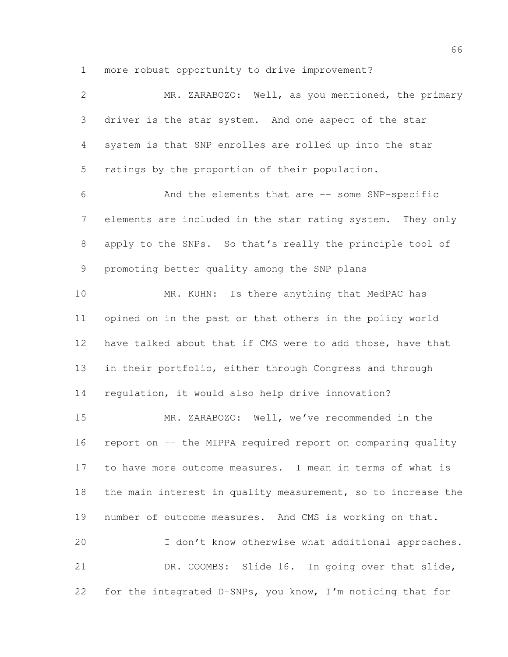more robust opportunity to drive improvement?

| $\mathbf{2}$   | MR. ZARABOZO: Well, as you mentioned, the primary            |
|----------------|--------------------------------------------------------------|
| 3              | driver is the star system. And one aspect of the star        |
| 4              | system is that SNP enrolles are rolled up into the star      |
| 5              | ratings by the proportion of their population.               |
| 6              | And the elements that are -- some SNP-specific               |
| $7\phantom{.}$ | elements are included in the star rating system. They only   |
| 8              | apply to the SNPs. So that's really the principle tool of    |
| 9              | promoting better quality among the SNP plans                 |
| 10             | MR. KUHN: Is there anything that MedPAC has                  |
| 11             | opined on in the past or that others in the policy world     |
| 12             | have talked about that if CMS were to add those, have that   |
| 13             | in their portfolio, either through Congress and through      |
| 14             | regulation, it would also help drive innovation?             |
| 15             | MR. ZARABOZO: Well, we've recommended in the                 |
| 16             | report on -- the MIPPA required report on comparing quality  |
| 17             | to have more outcome measures. I mean in terms of what is    |
| 18             | the main interest in quality measurement, so to increase the |
| 19             | number of outcome measures. And CMS is working on that.      |
| 20             | I don't know otherwise what additional approaches.           |
| 21             | DR. COOMBS: Slide 16. In going over that slide,              |
| 22             | for the integrated D-SNPs, you know, I'm noticing that for   |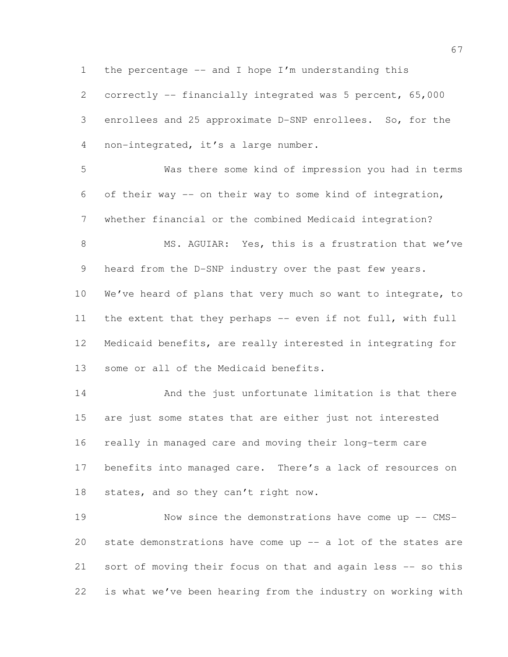the percentage -- and I hope I'm understanding this

 correctly -- financially integrated was 5 percent, 65,000 enrollees and 25 approximate D-SNP enrollees. So, for the non-integrated, it's a large number.

 Was there some kind of impression you had in terms of their way -- on their way to some kind of integration, whether financial or the combined Medicaid integration?

8 MS. AGUIAR: Yes, this is a frustration that we've 9 heard from the D-SNP industry over the past few years. We've heard of plans that very much so want to integrate, to 11 the extent that they perhaps -- even if not full, with full Medicaid benefits, are really interested in integrating for

some or all of the Medicaid benefits.

14 And the just unfortunate limitation is that there are just some states that are either just not interested really in managed care and moving their long-term care benefits into managed care. There's a lack of resources on states, and so they can't right now.

 Now since the demonstrations have come up -- CMS- state demonstrations have come up -- a lot of the states are sort of moving their focus on that and again less -- so this is what we've been hearing from the industry on working with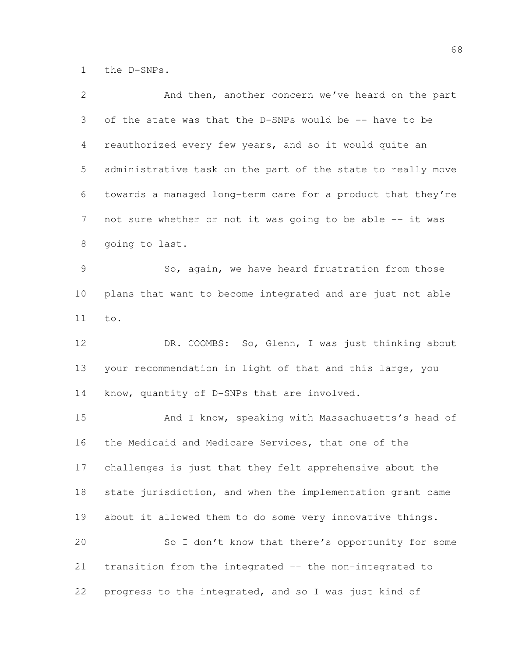the D-SNPs.

| $\overline{2}$ | And then, another concern we've heard on the part           |
|----------------|-------------------------------------------------------------|
| 3              | of the state was that the D-SNPs would be -- have to be     |
| 4              | reauthorized every few years, and so it would quite an      |
| 5              | administrative task on the part of the state to really move |
| 6              | towards a managed long-term care for a product that they're |
| $7\phantom{.}$ | not sure whether or not it was going to be able -- it was   |
| 8              | going to last.                                              |
| $\mathcal{G}$  | So, again, we have heard frustration from those             |
| 10             | plans that want to become integrated and are just not able  |
| 11             | to.                                                         |
| 12             | DR. COOMBS: So, Glenn, I was just thinking about            |
| 13             | your recommendation in light of that and this large, you    |
| 14             | know, quantity of D-SNPs that are involved.                 |
| 15             | And I know, speaking with Massachusetts's head of           |
| 16             | the Medicaid and Medicare Services, that one of the         |
| 17             | challenges is just that they felt apprehensive about the    |
| 18             | state jurisdiction, and when the implementation grant came  |
| 19             | about it allowed them to do some very innovative things.    |
| 20             | So I don't know that there's opportunity for some           |
| 21             | transition from the integrated -- the non-integrated to     |
| 22             | progress to the integrated, and so I was just kind of       |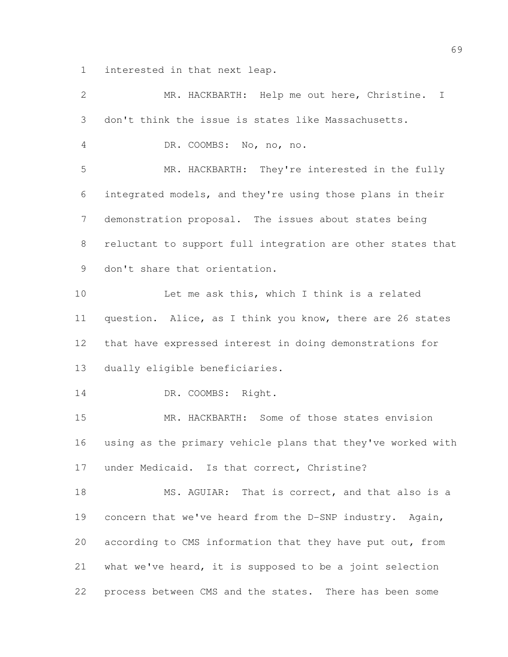interested in that next leap.

| $\overline{2}$ | MR. HACKBARTH: Help me out here, Christine.<br>I            |
|----------------|-------------------------------------------------------------|
| 3              | don't think the issue is states like Massachusetts.         |
| $\overline{4}$ | DR. COOMBS: No, no, no.                                     |
| 5              | MR. HACKBARTH: They're interested in the fully              |
| 6              | integrated models, and they're using those plans in their   |
| $\overline{7}$ | demonstration proposal. The issues about states being       |
| 8              | reluctant to support full integration are other states that |
| 9              | don't share that orientation.                               |
| 10             | Let me ask this, which I think is a related                 |
| 11             | question. Alice, as I think you know, there are 26 states   |
| 12             | that have expressed interest in doing demonstrations for    |
| 13             | dually eligible beneficiaries.                              |
| 14             | DR. COOMBS: Right.                                          |
| 15             | MR. HACKBARTH: Some of those states envision                |
| 16             | using as the primary vehicle plans that they've worked with |
| 17             | under Medicaid. Is that correct, Christine?                 |
| 18             | MS. AGUIAR: That is correct, and that also is a             |
| 19             | concern that we've heard from the D-SNP industry. Again,    |
| 20             | according to CMS information that they have put out, from   |
| 21             | what we've heard, it is supposed to be a joint selection    |
| 22             | process between CMS and the states. There has been some     |
|                |                                                             |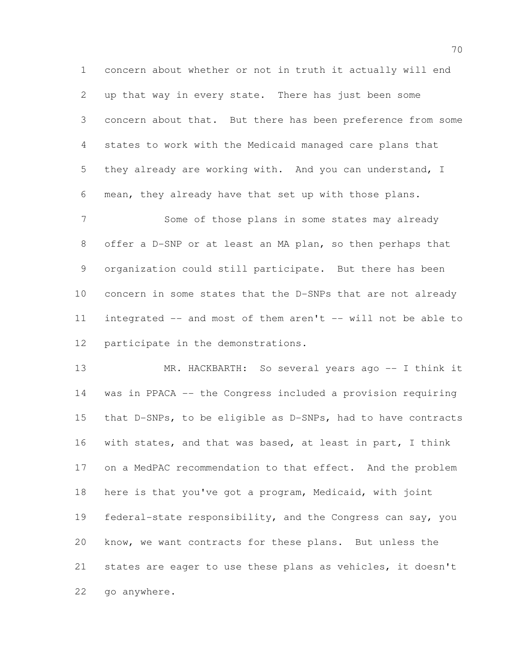concern about whether or not in truth it actually will end up that way in every state. There has just been some concern about that. But there has been preference from some states to work with the Medicaid managed care plans that they already are working with. And you can understand, I mean, they already have that set up with those plans.

 Some of those plans in some states may already offer a D-SNP or at least an MA plan, so then perhaps that organization could still participate. But there has been concern in some states that the D-SNPs that are not already integrated -- and most of them aren't -- will not be able to participate in the demonstrations.

13 MR. HACKBARTH: So several years ago -- I think it was in PPACA -- the Congress included a provision requiring that D-SNPs, to be eligible as D-SNPs, had to have contracts with states, and that was based, at least in part, I think on a MedPAC recommendation to that effect. And the problem here is that you've got a program, Medicaid, with joint federal-state responsibility, and the Congress can say, you know, we want contracts for these plans. But unless the states are eager to use these plans as vehicles, it doesn't go anywhere.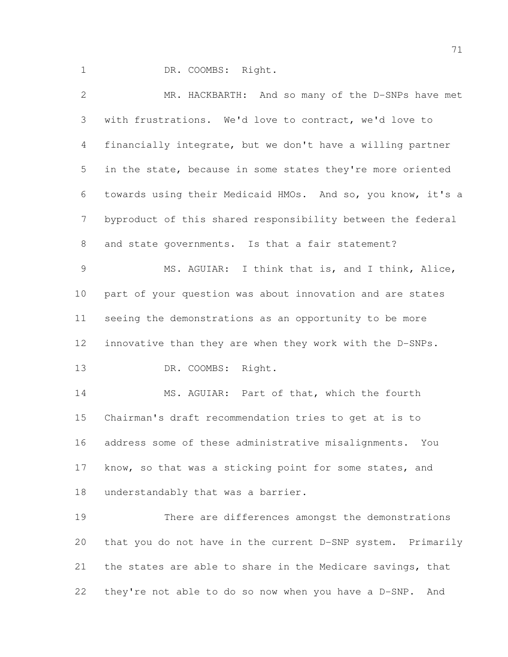1 DR. COOMBS: Right.

 MR. HACKBARTH: And so many of the D-SNPs have met with frustrations. We'd love to contract, we'd love to financially integrate, but we don't have a willing partner in the state, because in some states they're more oriented towards using their Medicaid HMOs. And so, you know, it's a byproduct of this shared responsibility between the federal and state governments. Is that a fair statement? MS. AGUIAR: I think that is, and I think, Alice, part of your question was about innovation and are states seeing the demonstrations as an opportunity to be more innovative than they are when they work with the D-SNPs. DR. COOMBS: Right. 14 MS. AGUIAR: Part of that, which the fourth Chairman's draft recommendation tries to get at is to address some of these administrative misalignments. You 17 know, so that was a sticking point for some states, and understandably that was a barrier. There are differences amongst the demonstrations that you do not have in the current D-SNP system. Primarily 21 the states are able to share in the Medicare savings, that they're not able to do so now when you have a D-SNP. And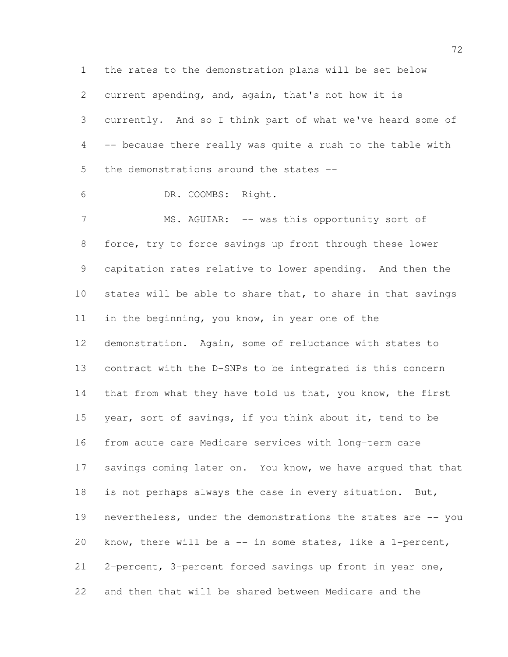the rates to the demonstration plans will be set below current spending, and, again, that's not how it is currently. And so I think part of what we've heard some of -- because there really was quite a rush to the table with the demonstrations around the states -- DR. COOMBS: Right. 7 MS. AGUIAR: -- was this opportunity sort of force, try to force savings up front through these lower capitation rates relative to lower spending. And then the states will be able to share that, to share in that savings 11 in the beginning, you know, in year one of the demonstration. Again, some of reluctance with states to contract with the D-SNPs to be integrated is this concern 14 that from what they have told us that, you know, the first year, sort of savings, if you think about it, tend to be from acute care Medicare services with long-term care 17 savings coming later on. You know, we have argued that that is not perhaps always the case in every situation. But, nevertheless, under the demonstrations the states are -- you know, there will be a -- in some states, like a 1-percent, 2-percent, 3-percent forced savings up front in year one, and then that will be shared between Medicare and the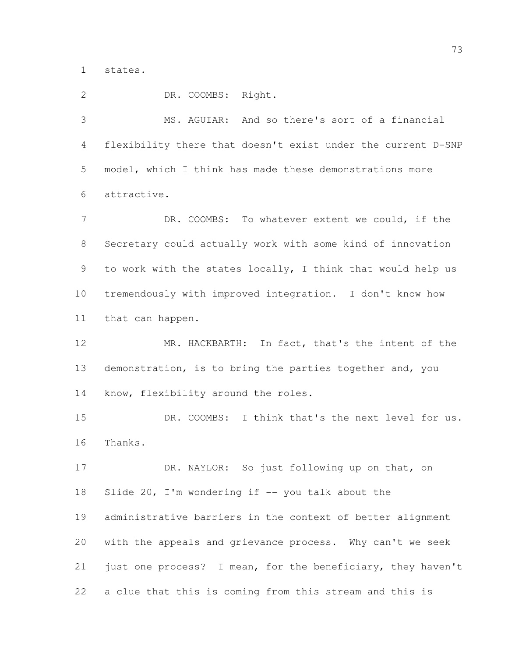states.

DR. COOMBS: Right.

 MS. AGUIAR: And so there's sort of a financial flexibility there that doesn't exist under the current D-SNP model, which I think has made these demonstrations more attractive.

7 DR. COOMBS: To whatever extent we could, if the Secretary could actually work with some kind of innovation to work with the states locally, I think that would help us tremendously with improved integration. I don't know how that can happen.

 MR. HACKBARTH: In fact, that's the intent of the demonstration, is to bring the parties together and, you know, flexibility around the roles.

 DR. COOMBS: I think that's the next level for us. Thanks.

 DR. NAYLOR: So just following up on that, on Slide 20, I'm wondering if -- you talk about the administrative barriers in the context of better alignment with the appeals and grievance process. Why can't we seek just one process? I mean, for the beneficiary, they haven't a clue that this is coming from this stream and this is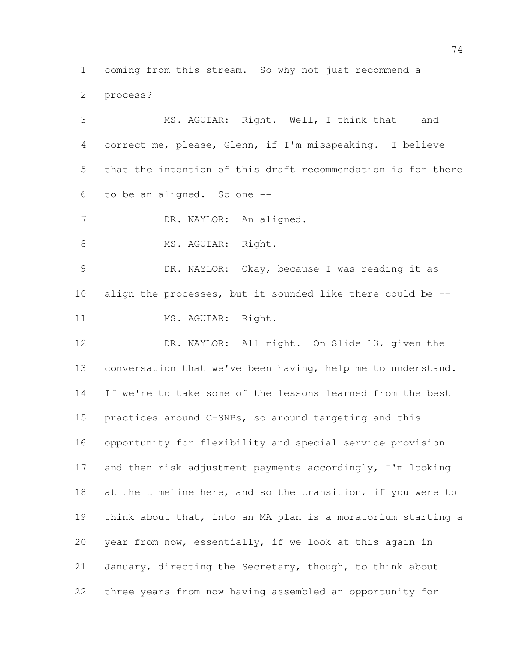coming from this stream. So why not just recommend a process?

 MS. AGUIAR: Right. Well, I think that -- and correct me, please, Glenn, if I'm misspeaking. I believe that the intention of this draft recommendation is for there to be an aligned. So one -- 7 DR. NAYLOR: An aligned. 8 MS. AGUIAR: Right. DR. NAYLOR: Okay, because I was reading it as align the processes, but it sounded like there could be -- 11 MS. AGUIAR: Right. DR. NAYLOR: All right. On Slide 13, given the 13 conversation that we've been having, help me to understand. If we're to take some of the lessons learned from the best practices around C-SNPs, so around targeting and this opportunity for flexibility and special service provision and then risk adjustment payments accordingly, I'm looking at the timeline here, and so the transition, if you were to think about that, into an MA plan is a moratorium starting a year from now, essentially, if we look at this again in January, directing the Secretary, though, to think about three years from now having assembled an opportunity for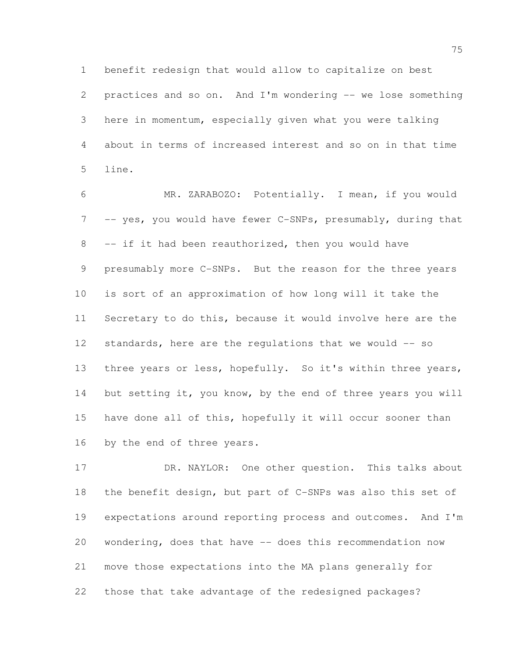benefit redesign that would allow to capitalize on best practices and so on. And I'm wondering -- we lose something here in momentum, especially given what you were talking about in terms of increased interest and so on in that time line.

 MR. ZARABOZO: Potentially. I mean, if you would 7 -- yes, you would have fewer C-SNPs, presumably, during that -- if it had been reauthorized, then you would have presumably more C-SNPs. But the reason for the three years is sort of an approximation of how long will it take the Secretary to do this, because it would involve here are the standards, here are the regulations that we would -- so 13 three years or less, hopefully. So it's within three years, 14 but setting it, you know, by the end of three years you will have done all of this, hopefully it will occur sooner than by the end of three years.

 DR. NAYLOR: One other question. This talks about the benefit design, but part of C-SNPs was also this set of expectations around reporting process and outcomes. And I'm wondering, does that have -- does this recommendation now move those expectations into the MA plans generally for those that take advantage of the redesigned packages?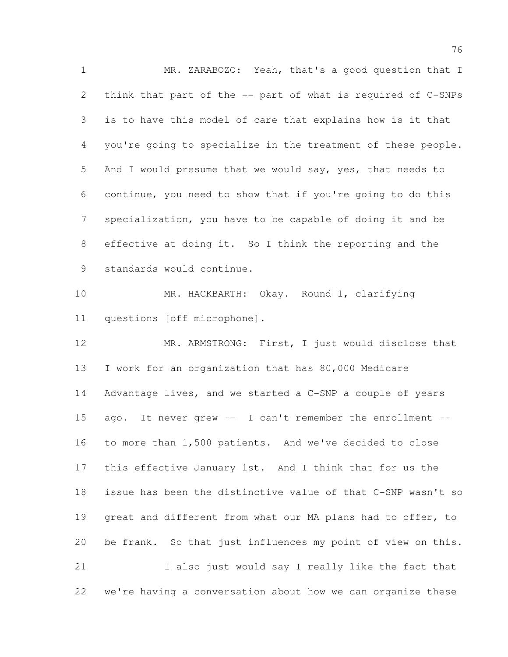MR. ZARABOZO: Yeah, that's a good question that I think that part of the -- part of what is required of C-SNPs is to have this model of care that explains how is it that you're going to specialize in the treatment of these people. And I would presume that we would say, yes, that needs to continue, you need to show that if you're going to do this specialization, you have to be capable of doing it and be effective at doing it. So I think the reporting and the standards would continue. MR. HACKBARTH: Okay. Round 1, clarifying questions [off microphone]. MR. ARMSTRONG: First, I just would disclose that I work for an organization that has 80,000 Medicare Advantage lives, and we started a C-SNP a couple of years ago. It never grew -- I can't remember the enrollment -- to more than 1,500 patients. And we've decided to close this effective January 1st. And I think that for us the issue has been the distinctive value of that C-SNP wasn't so great and different from what our MA plans had to offer, to be frank. So that just influences my point of view on this.

 I also just would say I really like the fact that we're having a conversation about how we can organize these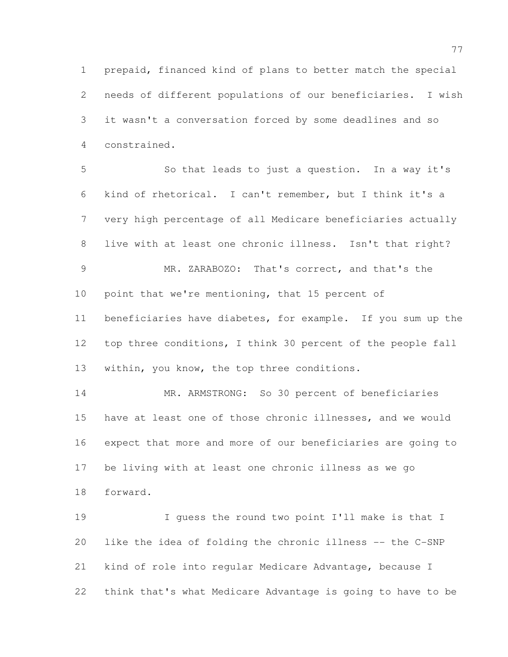prepaid, financed kind of plans to better match the special needs of different populations of our beneficiaries. I wish it wasn't a conversation forced by some deadlines and so constrained.

 So that leads to just a question. In a way it's kind of rhetorical. I can't remember, but I think it's a very high percentage of all Medicare beneficiaries actually live with at least one chronic illness. Isn't that right? MR. ZARABOZO: That's correct, and that's the 10 point that we're mentioning, that 15 percent of beneficiaries have diabetes, for example. If you sum up the top three conditions, I think 30 percent of the people fall within, you know, the top three conditions. MR. ARMSTRONG: So 30 percent of beneficiaries have at least one of those chronic illnesses, and we would expect that more and more of our beneficiaries are going to

 be living with at least one chronic illness as we go forward.

 I guess the round two point I'll make is that I like the idea of folding the chronic illness -- the C-SNP kind of role into regular Medicare Advantage, because I think that's what Medicare Advantage is going to have to be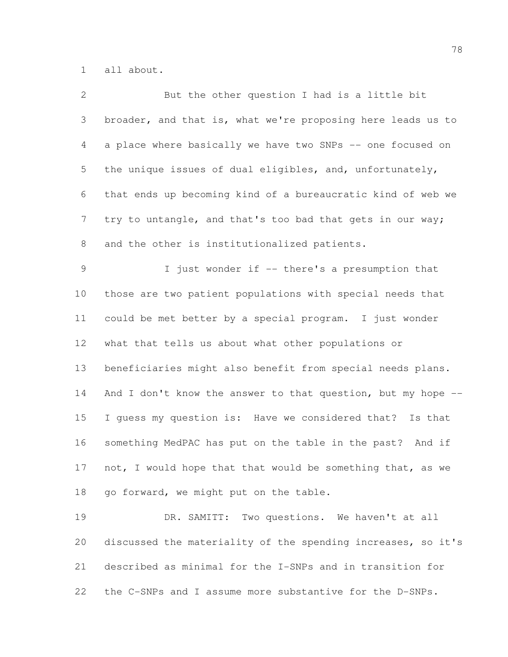all about.

| $\mathbf{2}$    | But the other question I had is a little bit                 |
|-----------------|--------------------------------------------------------------|
| 3               | broader, and that is, what we're proposing here leads us to  |
| $\overline{4}$  | a place where basically we have two SNPs -- one focused on   |
| 5               | the unique issues of dual eligibles, and, unfortunately,     |
| 6               | that ends up becoming kind of a bureaucratic kind of web we  |
| $7\phantom{.0}$ | try to untangle, and that's too bad that gets in our way;    |
| 8               | and the other is institutionalized patients.                 |
| 9               | I just wonder if -- there's a presumption that               |
| 10              | those are two patient populations with special needs that    |
| 11              | could be met better by a special program. I just wonder      |
| 12 <sup>°</sup> | what that tells us about what other populations or           |
| 13              | beneficiaries might also benefit from special needs plans.   |
| 14              | And I don't know the answer to that question, but my hope -- |
| 15              | I quess my question is: Have we considered that? Is that     |
| 16              | something MedPAC has put on the table in the past? And if    |
| 17              | not, I would hope that that would be something that, as we   |
| 18              | go forward, we might put on the table.                       |
| 19              | DR. SAMITT: Two questions. We haven't at all                 |
| 20              | discussed the materiality of the spending increases, so it's |
| 21              | described as minimal for the I-SNPs and in transition for    |
| 22              | the C-SNPs and I assume more substantive for the D-SNPs.     |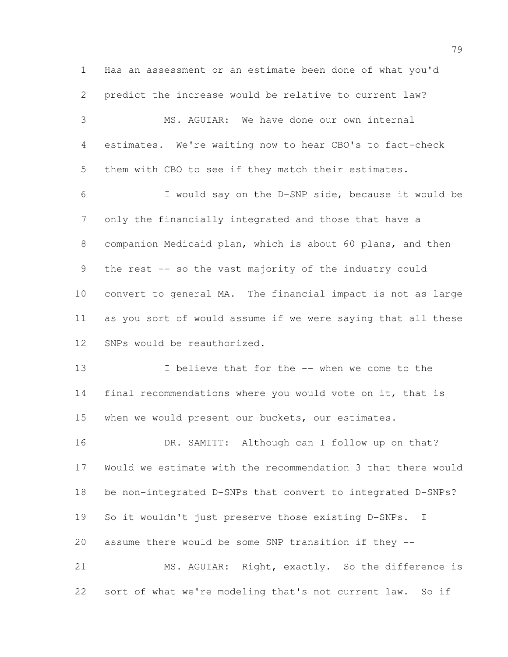Has an assessment or an estimate been done of what you'd predict the increase would be relative to current law? MS. AGUIAR: We have done our own internal estimates. We're waiting now to hear CBO's to fact-check them with CBO to see if they match their estimates. I would say on the D-SNP side, because it would be only the financially integrated and those that have a companion Medicaid plan, which is about 60 plans, and then the rest -- so the vast majority of the industry could convert to general MA. The financial impact is not as large as you sort of would assume if we were saying that all these SNPs would be reauthorized. 13 I believe that for the -- when we come to the final recommendations where you would vote on it, that is when we would present our buckets, our estimates. 16 DR. SAMITT: Although can I follow up on that? Would we estimate with the recommendation 3 that there would be non-integrated D-SNPs that convert to integrated D-SNPs? So it wouldn't just preserve those existing D-SNPs. I assume there would be some SNP transition if they -- MS. AGUIAR: Right, exactly. So the difference is

sort of what we're modeling that's not current law. So if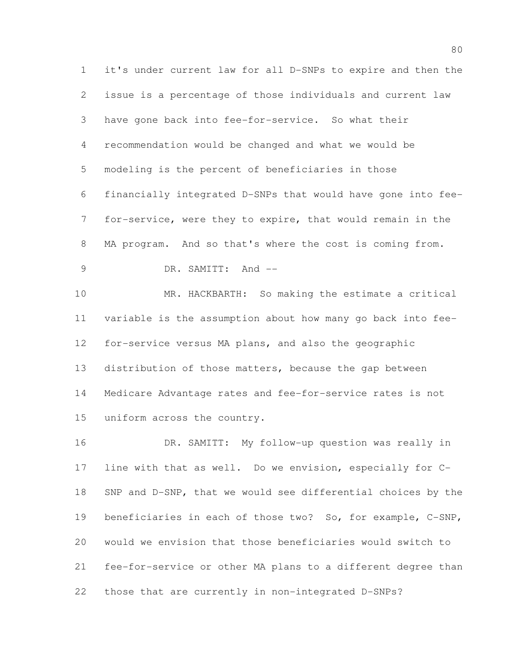it's under current law for all D-SNPs to expire and then the issue is a percentage of those individuals and current law have gone back into fee-for-service. So what their recommendation would be changed and what we would be modeling is the percent of beneficiaries in those financially integrated D-SNPs that would have gone into fee- for-service, were they to expire, that would remain in the MA program. And so that's where the cost is coming from. 9 DR. SAMITT: And --

 MR. HACKBARTH: So making the estimate a critical variable is the assumption about how many go back into fee- for-service versus MA plans, and also the geographic distribution of those matters, because the gap between Medicare Advantage rates and fee-for-service rates is not uniform across the country.

 DR. SAMITT: My follow-up question was really in line with that as well. Do we envision, especially for C- SNP and D-SNP, that we would see differential choices by the beneficiaries in each of those two? So, for example, C-SNP, would we envision that those beneficiaries would switch to fee-for-service or other MA plans to a different degree than those that are currently in non-integrated D-SNPs?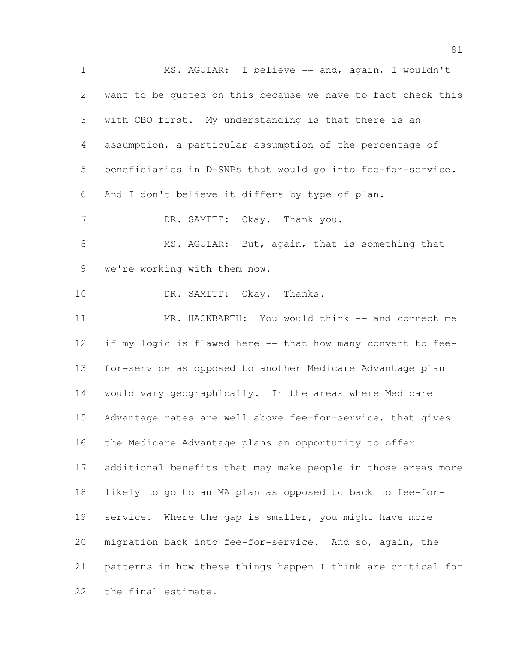MS. AGUIAR: I believe -- and, again, I wouldn't want to be quoted on this because we have to fact-check this with CBO first. My understanding is that there is an assumption, a particular assumption of the percentage of beneficiaries in D-SNPs that would go into fee-for-service. And I don't believe it differs by type of plan. 7 DR. SAMITT: Okay. Thank you. 8 MS. AGUIAR: But, again, that is something that we're working with them now. 10 DR. SAMITT: Okay. Thanks. MR. HACKBARTH: You would think -- and correct me if my logic is flawed here -- that how many convert to fee- for-service as opposed to another Medicare Advantage plan would vary geographically. In the areas where Medicare Advantage rates are well above fee-for-service, that gives the Medicare Advantage plans an opportunity to offer additional benefits that may make people in those areas more likely to go to an MA plan as opposed to back to fee-for- service. Where the gap is smaller, you might have more migration back into fee-for-service. And so, again, the patterns in how these things happen I think are critical for the final estimate.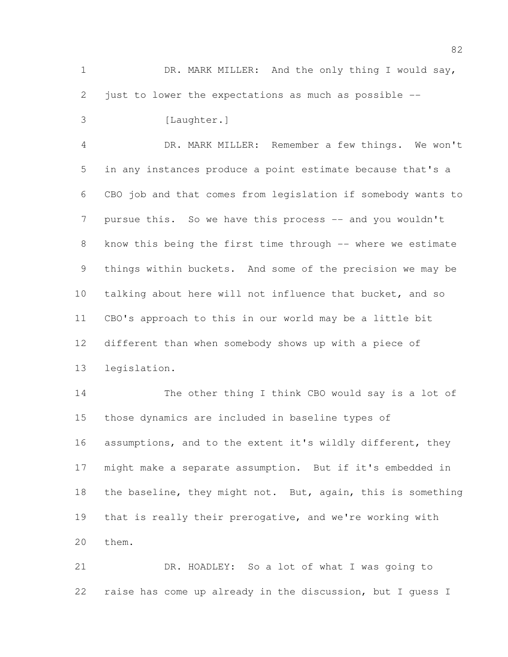1 DR. MARK MILLER: And the only thing I would say, just to lower the expectations as much as possible --

3 [Laughter.]

 DR. MARK MILLER: Remember a few things. We won't in any instances produce a point estimate because that's a CBO job and that comes from legislation if somebody wants to 7 pursue this. So we have this process -- and you wouldn't 8 know this being the first time through -- where we estimate things within buckets. And some of the precision we may be talking about here will not influence that bucket, and so CBO's approach to this in our world may be a little bit different than when somebody shows up with a piece of legislation.

 The other thing I think CBO would say is a lot of those dynamics are included in baseline types of 16 assumptions, and to the extent it's wildly different, they might make a separate assumption. But if it's embedded in the baseline, they might not. But, again, this is something that is really their prerogative, and we're working with them.

 DR. HOADLEY: So a lot of what I was going to raise has come up already in the discussion, but I guess I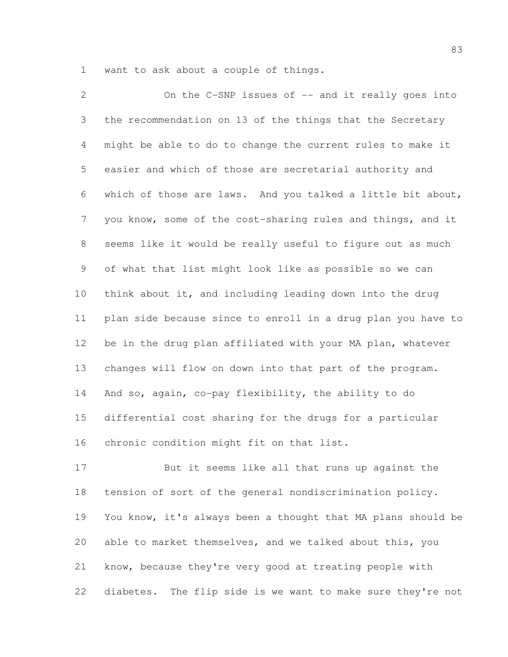want to ask about a couple of things.

2 On the C-SNP issues of -- and it really goes into the recommendation on 13 of the things that the Secretary might be able to do to change the current rules to make it easier and which of those are secretarial authority and which of those are laws. And you talked a little bit about, you know, some of the cost-sharing rules and things, and it seems like it would be really useful to figure out as much of what that list might look like as possible so we can think about it, and including leading down into the drug plan side because since to enroll in a drug plan you have to 12 be in the drug plan affiliated with your MA plan, whatever changes will flow on down into that part of the program. And so, again, co-pay flexibility, the ability to do differential cost sharing for the drugs for a particular chronic condition might fit on that list.

 But it seems like all that runs up against the tension of sort of the general nondiscrimination policy. You know, it's always been a thought that MA plans should be able to market themselves, and we talked about this, you know, because they're very good at treating people with diabetes. The flip side is we want to make sure they're not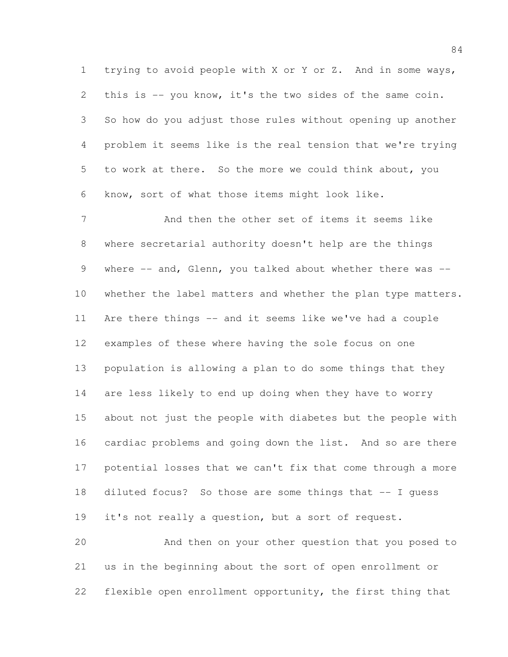trying to avoid people with X or Y or Z. And in some ways, this is -- you know, it's the two sides of the same coin. So how do you adjust those rules without opening up another problem it seems like is the real tension that we're trying to work at there. So the more we could think about, you know, sort of what those items might look like.

 And then the other set of items it seems like where secretarial authority doesn't help are the things 9 where -- and, Glenn, you talked about whether there was --10 whether the label matters and whether the plan type matters. Are there things -- and it seems like we've had a couple examples of these where having the sole focus on one population is allowing a plan to do some things that they are less likely to end up doing when they have to worry about not just the people with diabetes but the people with cardiac problems and going down the list. And so are there potential losses that we can't fix that come through a more diluted focus? So those are some things that -- I guess it's not really a question, but a sort of request.

 And then on your other question that you posed to us in the beginning about the sort of open enrollment or flexible open enrollment opportunity, the first thing that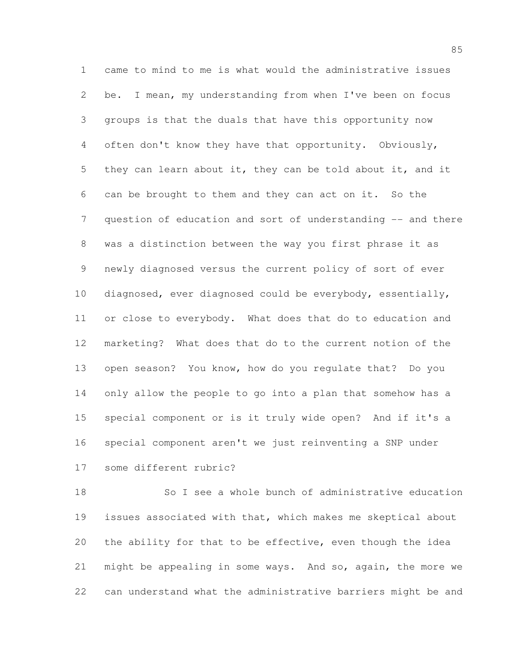came to mind to me is what would the administrative issues be. I mean, my understanding from when I've been on focus groups is that the duals that have this opportunity now often don't know they have that opportunity. Obviously, they can learn about it, they can be told about it, and it can be brought to them and they can act on it. So the 7 question of education and sort of understanding -- and there was a distinction between the way you first phrase it as newly diagnosed versus the current policy of sort of ever diagnosed, ever diagnosed could be everybody, essentially, or close to everybody. What does that do to education and marketing? What does that do to the current notion of the open season? You know, how do you regulate that? Do you only allow the people to go into a plan that somehow has a special component or is it truly wide open? And if it's a special component aren't we just reinventing a SNP under some different rubric?

 So I see a whole bunch of administrative education issues associated with that, which makes me skeptical about the ability for that to be effective, even though the idea might be appealing in some ways. And so, again, the more we can understand what the administrative barriers might be and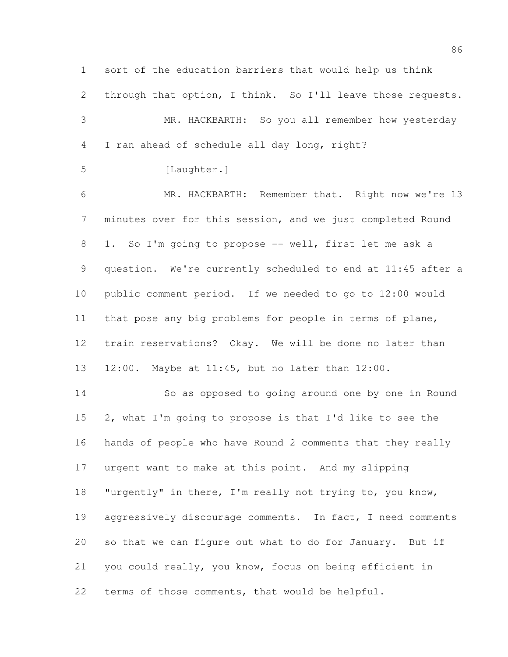sort of the education barriers that would help us think 2 through that option, I think. So I'll leave those requests. MR. HACKBARTH: So you all remember how yesterday I ran ahead of schedule all day long, right? 5 [Laughter.] MR. HACKBARTH: Remember that. Right now we're 13 minutes over for this session, and we just completed Round 1. So I'm going to propose -- well, first let me ask a question. We're currently scheduled to end at 11:45 after a public comment period. If we needed to go to 12:00 would that pose any big problems for people in terms of plane, train reservations? Okay. We will be done no later than 12:00. Maybe at 11:45, but no later than 12:00. So as opposed to going around one by one in Round 2, what I'm going to propose is that I'd like to see the hands of people who have Round 2 comments that they really urgent want to make at this point. And my slipping "urgently" in there, I'm really not trying to, you know, 19 aggressively discourage comments. In fact, I need comments so that we can figure out what to do for January. But if you could really, you know, focus on being efficient in terms of those comments, that would be helpful.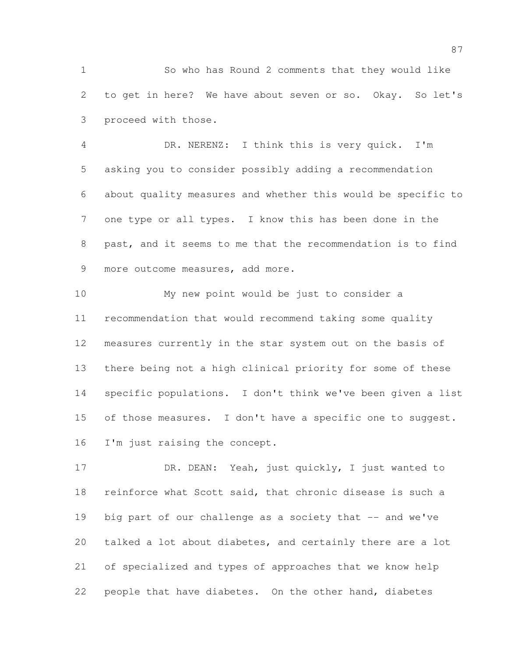So who has Round 2 comments that they would like to get in here? We have about seven or so. Okay. So let's proceed with those.

 DR. NERENZ: I think this is very quick. I'm asking you to consider possibly adding a recommendation about quality measures and whether this would be specific to one type or all types. I know this has been done in the past, and it seems to me that the recommendation is to find more outcome measures, add more.

 My new point would be just to consider a recommendation that would recommend taking some quality measures currently in the star system out on the basis of there being not a high clinical priority for some of these specific populations. I don't think we've been given a list 15 of those measures. I don't have a specific one to suggest. 16 I'm just raising the concept.

 DR. DEAN: Yeah, just quickly, I just wanted to reinforce what Scott said, that chronic disease is such a 19 big part of our challenge as a society that -- and we've talked a lot about diabetes, and certainly there are a lot of specialized and types of approaches that we know help people that have diabetes. On the other hand, diabetes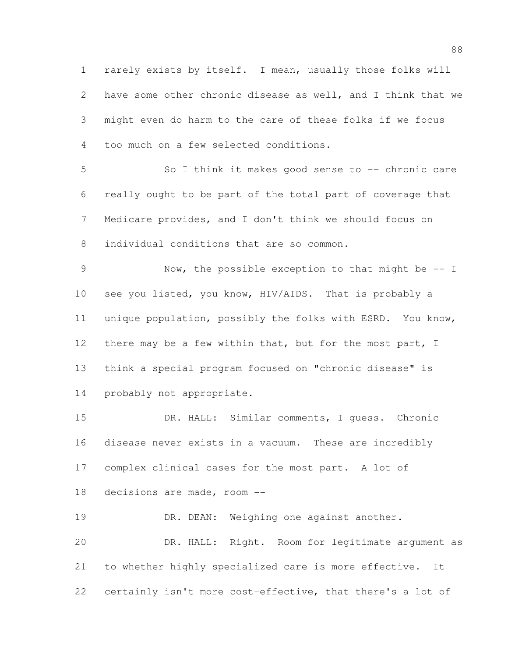rarely exists by itself. I mean, usually those folks will have some other chronic disease as well, and I think that we might even do harm to the care of these folks if we focus too much on a few selected conditions.

 So I think it makes good sense to -- chronic care really ought to be part of the total part of coverage that Medicare provides, and I don't think we should focus on individual conditions that are so common.

 Now, the possible exception to that might be -- I see you listed, you know, HIV/AIDS. That is probably a unique population, possibly the folks with ESRD. You know, 12 there may be a few within that, but for the most part, I think a special program focused on "chronic disease" is probably not appropriate.

 DR. HALL: Similar comments, I guess. Chronic disease never exists in a vacuum. These are incredibly complex clinical cases for the most part. A lot of decisions are made, room --

19 DR. DEAN: Weighing one against another. DR. HALL: Right. Room for legitimate argument as to whether highly specialized care is more effective. It certainly isn't more cost-effective, that there's a lot of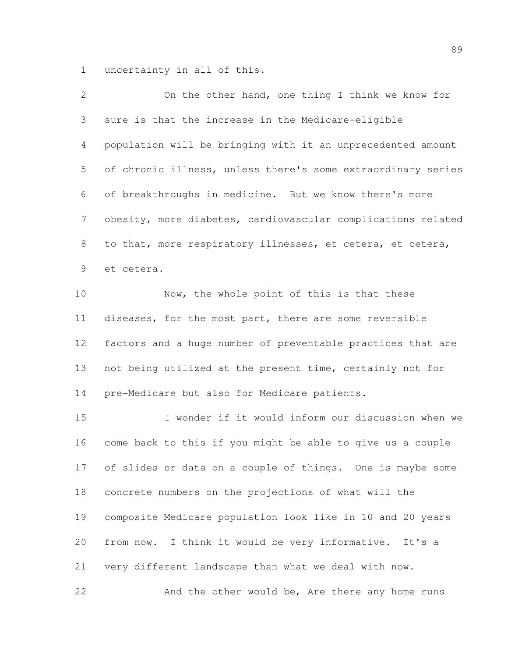uncertainty in all of this.

| 2  | On the other hand, one thing I think we know for             |
|----|--------------------------------------------------------------|
| 3  | sure is that the increase in the Medicare-eligible           |
| 4  | population will be bringing with it an unprecedented amount  |
| 5  | of chronic illness, unless there's some extraordinary series |
| 6  | of breakthroughs in medicine. But we know there's more       |
| 7  | obesity, more diabetes, cardiovascular complications related |
| 8  | to that, more respiratory illnesses, et cetera, et cetera,   |
| 9  | et cetera.                                                   |
| 10 | Now, the whole point of this is that these                   |
| 11 | diseases, for the most part, there are some reversible       |
| 12 | factors and a huge number of preventable practices that are  |
| 13 | not being utilized at the present time, certainly not for    |
| 14 | pre-Medicare but also for Medicare patients.                 |
| 15 | I wonder if it would inform our discussion when we           |
| 16 | come back to this if you might be able to give us a couple   |
| 17 | of slides or data on a couple of things. One is maybe some   |
| 18 | concrete numbers on the projections of what will the         |
| 19 | composite Medicare population look like in 10 and 20 years   |
| 20 | from now. I think it would be very informative. It's a       |
| 21 | very different landscape than what we deal with now.         |

And the other would be, Are there any home runs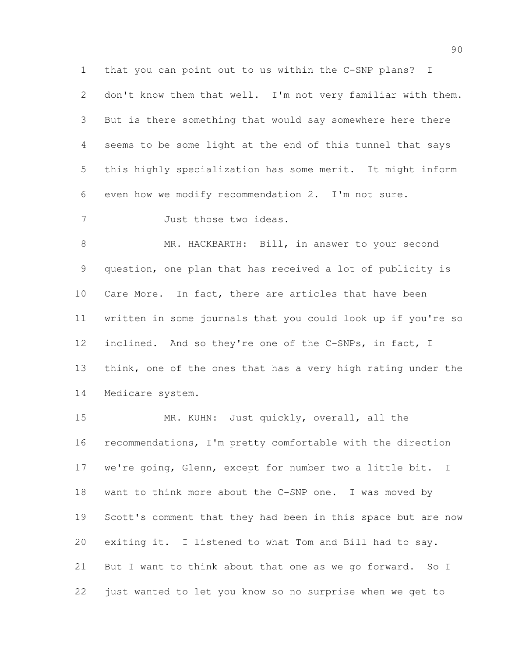that you can point out to us within the C-SNP plans? I 2 don't know them that well. I'm not very familiar with them. But is there something that would say somewhere here there seems to be some light at the end of this tunnel that says this highly specialization has some merit. It might inform even how we modify recommendation 2. I'm not sure.

Just those two ideas.

 MR. HACKBARTH: Bill, in answer to your second question, one plan that has received a lot of publicity is 10 Care More. In fact, there are articles that have been written in some journals that you could look up if you're so inclined. And so they're one of the C-SNPs, in fact, I think, one of the ones that has a very high rating under the Medicare system.

15 MR. KUHN: Just quickly, overall, all the recommendations, I'm pretty comfortable with the direction we're going, Glenn, except for number two a little bit. I want to think more about the C-SNP one. I was moved by Scott's comment that they had been in this space but are now exiting it. I listened to what Tom and Bill had to say. But I want to think about that one as we go forward. So I just wanted to let you know so no surprise when we get to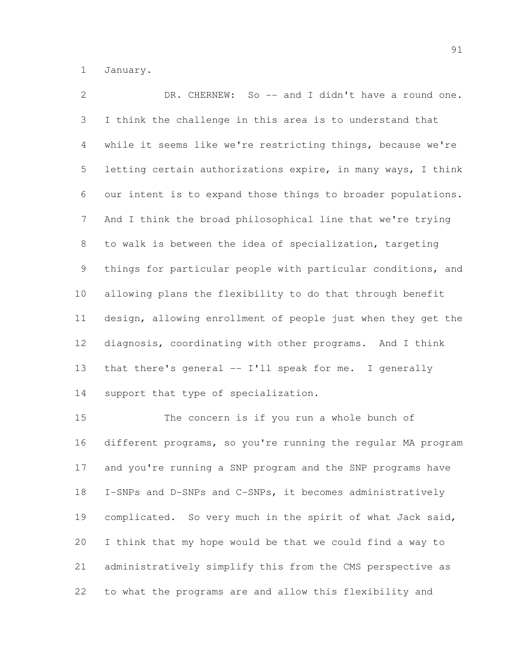January.

 DR. CHERNEW: So -- and I didn't have a round one. I think the challenge in this area is to understand that while it seems like we're restricting things, because we're letting certain authorizations expire, in many ways, I think our intent is to expand those things to broader populations. And I think the broad philosophical line that we're trying to walk is between the idea of specialization, targeting things for particular people with particular conditions, and allowing plans the flexibility to do that through benefit design, allowing enrollment of people just when they get the diagnosis, coordinating with other programs. And I think that there's general -- I'll speak for me. I generally support that type of specialization.

 The concern is if you run a whole bunch of different programs, so you're running the regular MA program and you're running a SNP program and the SNP programs have I-SNPs and D-SNPs and C-SNPs, it becomes administratively 19 complicated. So very much in the spirit of what Jack said, I think that my hope would be that we could find a way to administratively simplify this from the CMS perspective as to what the programs are and allow this flexibility and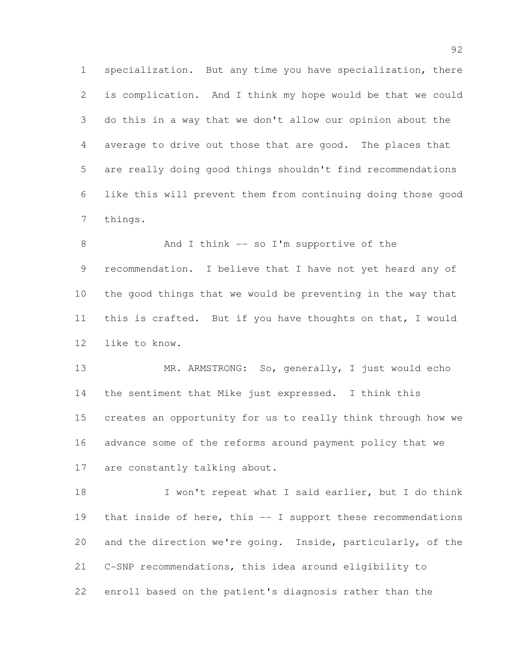specialization. But any time you have specialization, there is complication. And I think my hope would be that we could do this in a way that we don't allow our opinion about the average to drive out those that are good. The places that are really doing good things shouldn't find recommendations like this will prevent them from continuing doing those good things.

8 And I think -- so I'm supportive of the recommendation. I believe that I have not yet heard any of the good things that we would be preventing in the way that this is crafted. But if you have thoughts on that, I would like to know.

 MR. ARMSTRONG: So, generally, I just would echo the sentiment that Mike just expressed. I think this creates an opportunity for us to really think through how we advance some of the reforms around payment policy that we 17 are constantly talking about.

18 I won't repeat what I said earlier, but I do think that inside of here, this -- I support these recommendations and the direction we're going. Inside, particularly, of the C-SNP recommendations, this idea around eligibility to enroll based on the patient's diagnosis rather than the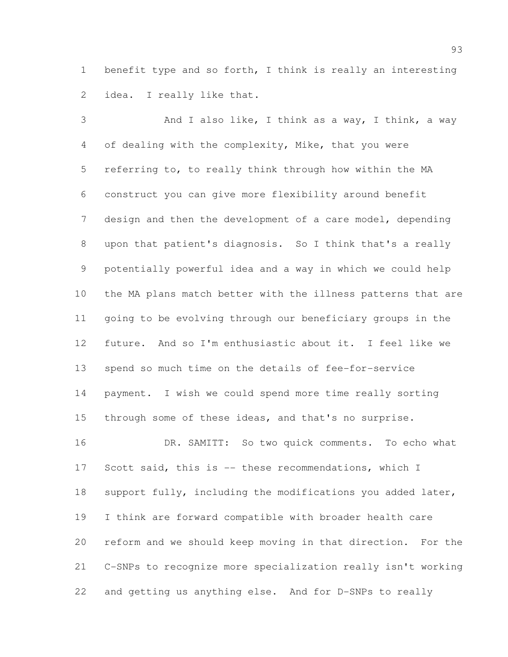benefit type and so forth, I think is really an interesting idea. I really like that.

 And I also like, I think as a way, I think, a way of dealing with the complexity, Mike, that you were referring to, to really think through how within the MA construct you can give more flexibility around benefit design and then the development of a care model, depending upon that patient's diagnosis. So I think that's a really potentially powerful idea and a way in which we could help the MA plans match better with the illness patterns that are going to be evolving through our beneficiary groups in the future. And so I'm enthusiastic about it. I feel like we spend so much time on the details of fee-for-service payment. I wish we could spend more time really sorting through some of these ideas, and that's no surprise. 16 DR. SAMITT: So two quick comments. To echo what Scott said, this is -- these recommendations, which I support fully, including the modifications you added later, I think are forward compatible with broader health care reform and we should keep moving in that direction. For the

 C-SNPs to recognize more specialization really isn't working and getting us anything else. And for D-SNPs to really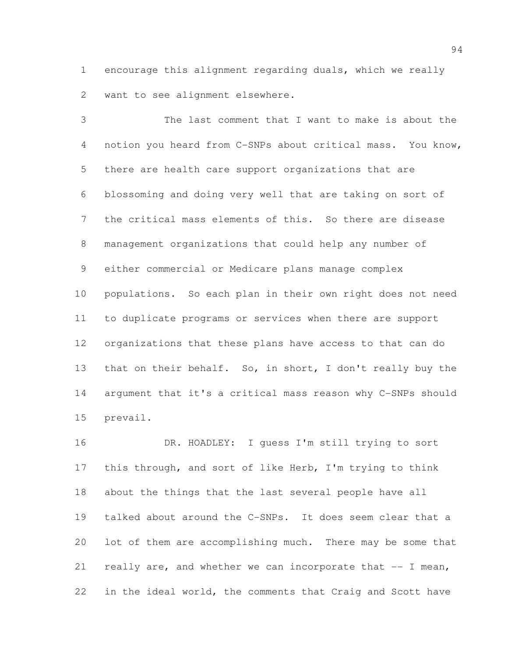encourage this alignment regarding duals, which we really want to see alignment elsewhere.

 The last comment that I want to make is about the notion you heard from C-SNPs about critical mass. You know, there are health care support organizations that are blossoming and doing very well that are taking on sort of the critical mass elements of this. So there are disease management organizations that could help any number of either commercial or Medicare plans manage complex populations. So each plan in their own right does not need to duplicate programs or services when there are support organizations that these plans have access to that can do 13 that on their behalf. So, in short, I don't really buy the argument that it's a critical mass reason why C-SNPs should prevail.

 DR. HOADLEY: I guess I'm still trying to sort this through, and sort of like Herb, I'm trying to think about the things that the last several people have all talked about around the C-SNPs. It does seem clear that a lot of them are accomplishing much. There may be some that really are, and whether we can incorporate that -- I mean, in the ideal world, the comments that Craig and Scott have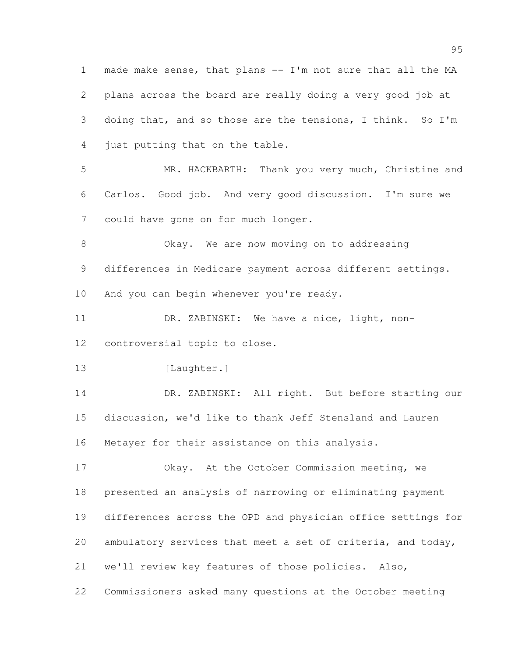made make sense, that plans -- I'm not sure that all the MA plans across the board are really doing a very good job at doing that, and so those are the tensions, I think. So I'm just putting that on the table. MR. HACKBARTH: Thank you very much, Christine and Carlos. Good job. And very good discussion. I'm sure we could have gone on for much longer. Okay. We are now moving on to addressing differences in Medicare payment across different settings. 10 And you can begin whenever you're ready. DR. ZABINSKI: We have a nice, light, non- controversial topic to close. 13 [Laughter.] 14 DR. ZABINSKI: All right. But before starting our discussion, we'd like to thank Jeff Stensland and Lauren Metayer for their assistance on this analysis. Okay. At the October Commission meeting, we presented an analysis of narrowing or eliminating payment differences across the OPD and physician office settings for ambulatory services that meet a set of criteria, and today, we'll review key features of those policies. Also, Commissioners asked many questions at the October meeting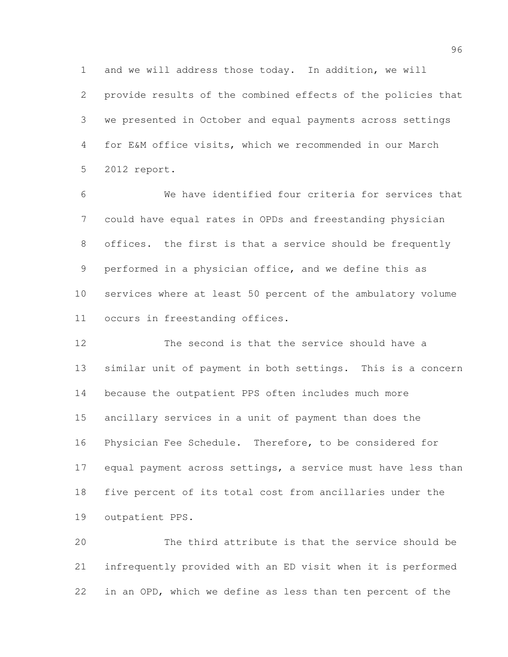and we will address those today. In addition, we will provide results of the combined effects of the policies that we presented in October and equal payments across settings for E&M office visits, which we recommended in our March 2012 report.

 We have identified four criteria for services that could have equal rates in OPDs and freestanding physician offices. the first is that a service should be frequently performed in a physician office, and we define this as services where at least 50 percent of the ambulatory volume occurs in freestanding offices.

 The second is that the service should have a similar unit of payment in both settings. This is a concern because the outpatient PPS often includes much more ancillary services in a unit of payment than does the Physician Fee Schedule. Therefore, to be considered for 17 equal payment across settings, a service must have less than five percent of its total cost from ancillaries under the outpatient PPS.

 The third attribute is that the service should be infrequently provided with an ED visit when it is performed in an OPD, which we define as less than ten percent of the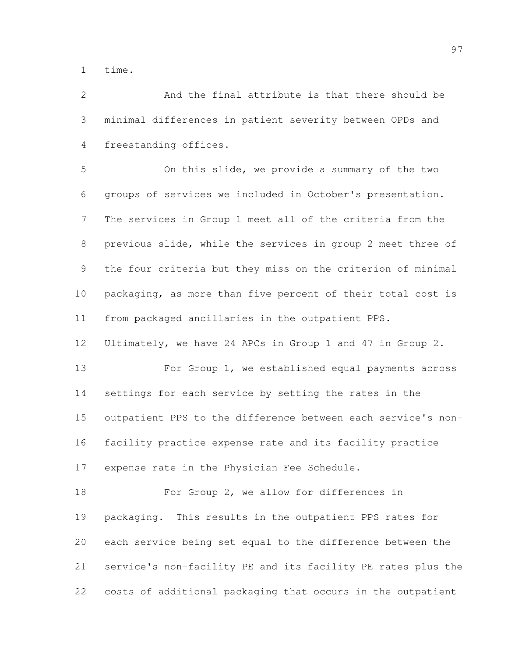time.

 And the final attribute is that there should be minimal differences in patient severity between OPDs and freestanding offices.

 On this slide, we provide a summary of the two groups of services we included in October's presentation. The services in Group 1 meet all of the criteria from the previous slide, while the services in group 2 meet three of the four criteria but they miss on the criterion of minimal packaging, as more than five percent of their total cost is from packaged ancillaries in the outpatient PPS.

Ultimately, we have 24 APCs in Group 1 and 47 in Group 2.

 For Group 1, we established equal payments across settings for each service by setting the rates in the outpatient PPS to the difference between each service's non- facility practice expense rate and its facility practice expense rate in the Physician Fee Schedule.

18 For Group 2, we allow for differences in packaging. This results in the outpatient PPS rates for each service being set equal to the difference between the service's non-facility PE and its facility PE rates plus the costs of additional packaging that occurs in the outpatient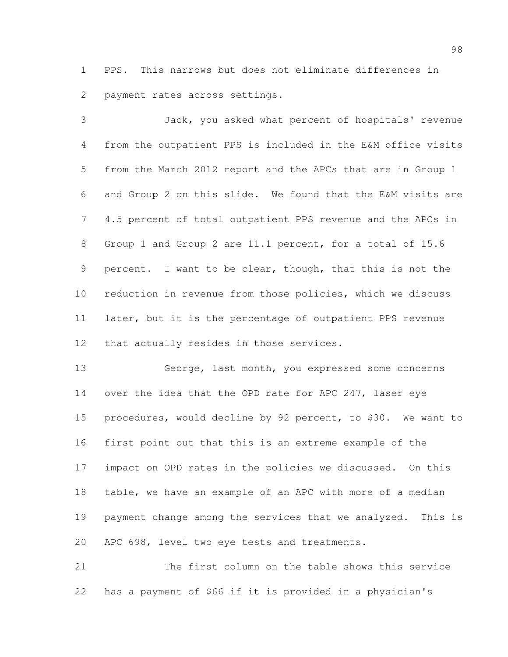PPS. This narrows but does not eliminate differences in payment rates across settings.

 Jack, you asked what percent of hospitals' revenue from the outpatient PPS is included in the E&M office visits from the March 2012 report and the APCs that are in Group 1 and Group 2 on this slide. We found that the E&M visits are 4.5 percent of total outpatient PPS revenue and the APCs in Group 1 and Group 2 are 11.1 percent, for a total of 15.6 percent. I want to be clear, though, that this is not the reduction in revenue from those policies, which we discuss later, but it is the percentage of outpatient PPS revenue that actually resides in those services.

 George, last month, you expressed some concerns over the idea that the OPD rate for APC 247, laser eye procedures, would decline by 92 percent, to \$30. We want to first point out that this is an extreme example of the impact on OPD rates in the policies we discussed. On this table, we have an example of an APC with more of a median payment change among the services that we analyzed. This is APC 698, level two eye tests and treatments.

 The first column on the table shows this service has a payment of \$66 if it is provided in a physician's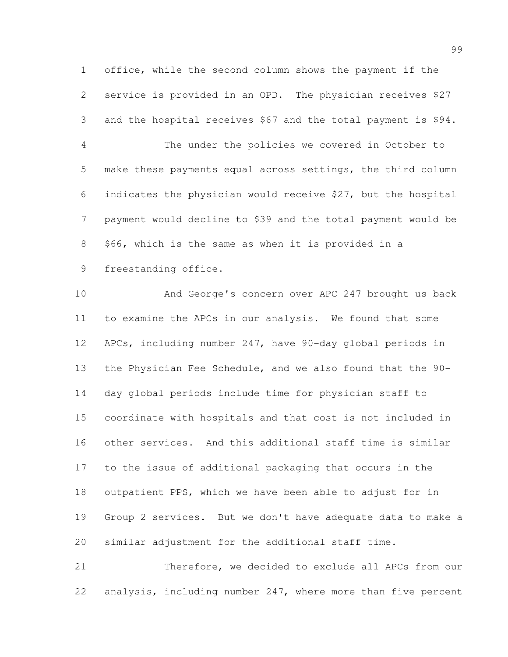office, while the second column shows the payment if the service is provided in an OPD. The physician receives \$27 and the hospital receives \$67 and the total payment is \$94.

 The under the policies we covered in October to make these payments equal across settings, the third column indicates the physician would receive \$27, but the hospital payment would decline to \$39 and the total payment would be \$66, which is the same as when it is provided in a

freestanding office.

 And George's concern over APC 247 brought us back to examine the APCs in our analysis. We found that some APCs, including number 247, have 90-day global periods in the Physician Fee Schedule, and we also found that the 90- day global periods include time for physician staff to coordinate with hospitals and that cost is not included in other services. And this additional staff time is similar to the issue of additional packaging that occurs in the outpatient PPS, which we have been able to adjust for in Group 2 services. But we don't have adequate data to make a similar adjustment for the additional staff time.

 Therefore, we decided to exclude all APCs from our analysis, including number 247, where more than five percent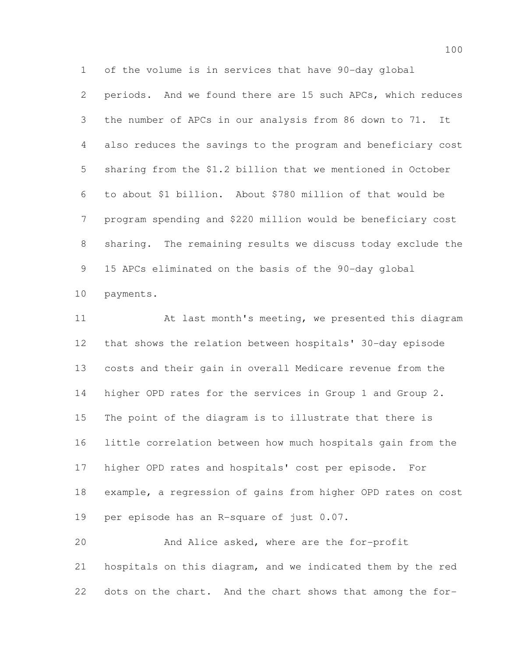of the volume is in services that have 90-day global

 periods. And we found there are 15 such APCs, which reduces the number of APCs in our analysis from 86 down to 71. It also reduces the savings to the program and beneficiary cost sharing from the \$1.2 billion that we mentioned in October to about \$1 billion. About \$780 million of that would be program spending and \$220 million would be beneficiary cost sharing. The remaining results we discuss today exclude the 15 APCs eliminated on the basis of the 90-day global

payments.

 At last month's meeting, we presented this diagram that shows the relation between hospitals' 30-day episode costs and their gain in overall Medicare revenue from the higher OPD rates for the services in Group 1 and Group 2. The point of the diagram is to illustrate that there is little correlation between how much hospitals gain from the higher OPD rates and hospitals' cost per episode. For example, a regression of gains from higher OPD rates on cost per episode has an R-square of just 0.07.

 And Alice asked, where are the for-profit hospitals on this diagram, and we indicated them by the red dots on the chart. And the chart shows that among the for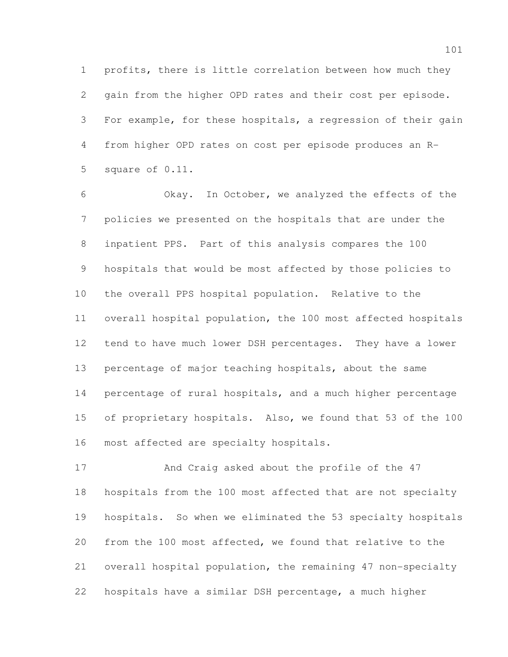profits, there is little correlation between how much they gain from the higher OPD rates and their cost per episode. For example, for these hospitals, a regression of their gain from higher OPD rates on cost per episode produces an R-square of 0.11.

 Okay. In October, we analyzed the effects of the policies we presented on the hospitals that are under the inpatient PPS. Part of this analysis compares the 100 hospitals that would be most affected by those policies to the overall PPS hospital population. Relative to the overall hospital population, the 100 most affected hospitals tend to have much lower DSH percentages. They have a lower percentage of major teaching hospitals, about the same percentage of rural hospitals, and a much higher percentage of proprietary hospitals. Also, we found that 53 of the 100 most affected are specialty hospitals.

 And Craig asked about the profile of the 47 hospitals from the 100 most affected that are not specialty hospitals. So when we eliminated the 53 specialty hospitals from the 100 most affected, we found that relative to the overall hospital population, the remaining 47 non-specialty hospitals have a similar DSH percentage, a much higher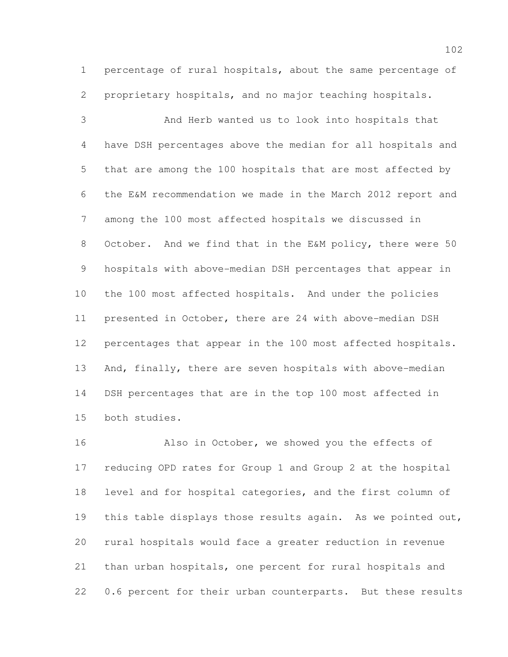percentage of rural hospitals, about the same percentage of proprietary hospitals, and no major teaching hospitals.

 And Herb wanted us to look into hospitals that have DSH percentages above the median for all hospitals and that are among the 100 hospitals that are most affected by the E&M recommendation we made in the March 2012 report and among the 100 most affected hospitals we discussed in October. And we find that in the E&M policy, there were 50 hospitals with above-median DSH percentages that appear in the 100 most affected hospitals. And under the policies presented in October, there are 24 with above-median DSH percentages that appear in the 100 most affected hospitals. And, finally, there are seven hospitals with above-median DSH percentages that are in the top 100 most affected in both studies.

 Also in October, we showed you the effects of reducing OPD rates for Group 1 and Group 2 at the hospital level and for hospital categories, and the first column of this table displays those results again. As we pointed out, rural hospitals would face a greater reduction in revenue than urban hospitals, one percent for rural hospitals and 0.6 percent for their urban counterparts. But these results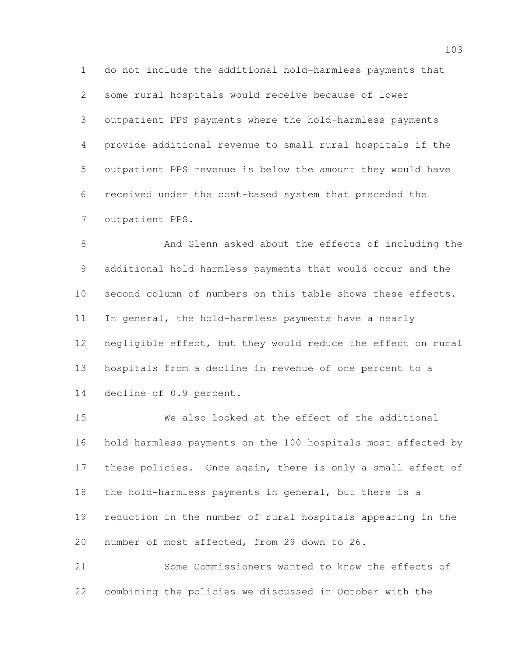do not include the additional hold-harmless payments that some rural hospitals would receive because of lower outpatient PPS payments where the hold-harmless payments provide additional revenue to small rural hospitals if the outpatient PPS revenue is below the amount they would have received under the cost-based system that preceded the outpatient PPS.

 And Glenn asked about the effects of including the additional hold-harmless payments that would occur and the second column of numbers on this table shows these effects. In general, the hold-harmless payments have a nearly negligible effect, but they would reduce the effect on rural hospitals from a decline in revenue of one percent to a decline of 0.9 percent.

 We also looked at the effect of the additional hold-harmless payments on the 100 hospitals most affected by these policies. Once again, there is only a small effect of the hold-harmless payments in general, but there is a reduction in the number of rural hospitals appearing in the number of most affected, from 29 down to 26.

 Some Commissioners wanted to know the effects of combining the policies we discussed in October with the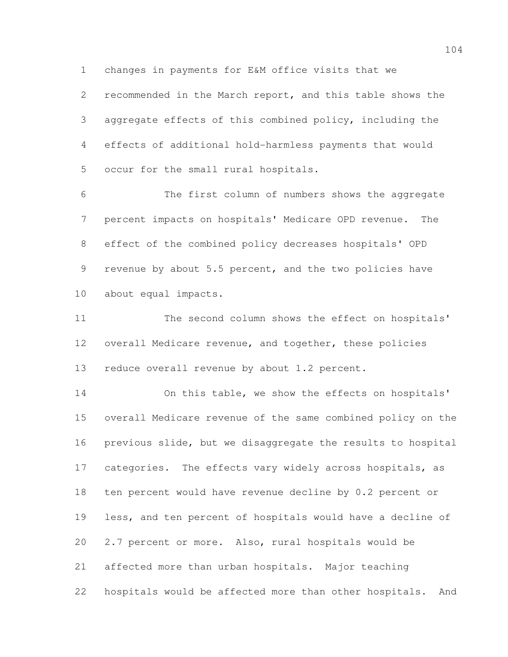changes in payments for E&M office visits that we

 recommended in the March report, and this table shows the aggregate effects of this combined policy, including the effects of additional hold-harmless payments that would occur for the small rural hospitals.

 The first column of numbers shows the aggregate percent impacts on hospitals' Medicare OPD revenue. The effect of the combined policy decreases hospitals' OPD revenue by about 5.5 percent, and the two policies have about equal impacts.

11 The second column shows the effect on hospitals' overall Medicare revenue, and together, these policies 13 reduce overall revenue by about 1.2 percent.

 On this table, we show the effects on hospitals' overall Medicare revenue of the same combined policy on the previous slide, but we disaggregate the results to hospital 17 categories. The effects vary widely across hospitals, as ten percent would have revenue decline by 0.2 percent or less, and ten percent of hospitals would have a decline of 2.7 percent or more. Also, rural hospitals would be affected more than urban hospitals. Major teaching hospitals would be affected more than other hospitals. And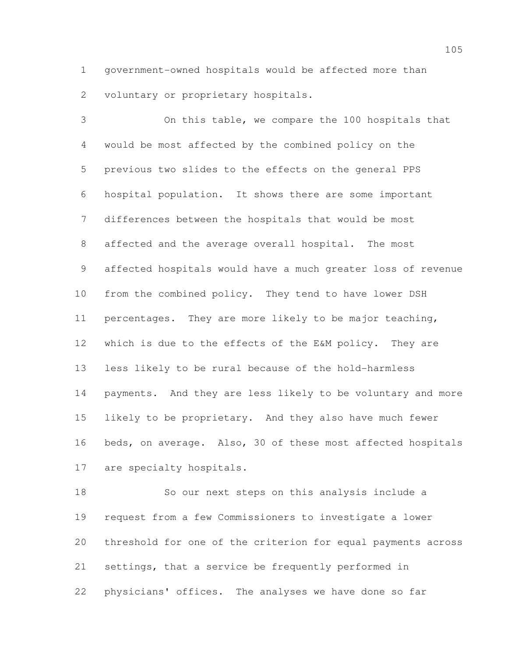government-owned hospitals would be affected more than voluntary or proprietary hospitals.

 On this table, we compare the 100 hospitals that would be most affected by the combined policy on the previous two slides to the effects on the general PPS hospital population. It shows there are some important differences between the hospitals that would be most affected and the average overall hospital. The most affected hospitals would have a much greater loss of revenue from the combined policy. They tend to have lower DSH percentages. They are more likely to be major teaching, which is due to the effects of the E&M policy. They are less likely to be rural because of the hold-harmless payments. And they are less likely to be voluntary and more likely to be proprietary. And they also have much fewer beds, on average. Also, 30 of these most affected hospitals are specialty hospitals.

 So our next steps on this analysis include a request from a few Commissioners to investigate a lower threshold for one of the criterion for equal payments across settings, that a service be frequently performed in physicians' offices. The analyses we have done so far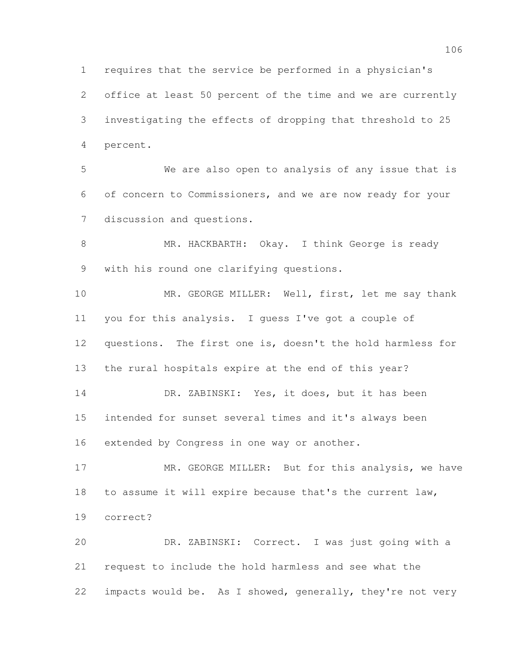requires that the service be performed in a physician's office at least 50 percent of the time and we are currently investigating the effects of dropping that threshold to 25 percent. We are also open to analysis of any issue that is of concern to Commissioners, and we are now ready for your discussion and questions. 8 MR. HACKBARTH: Okay. I think George is ready with his round one clarifying questions. MR. GEORGE MILLER: Well, first, let me say thank you for this analysis. I guess I've got a couple of questions. The first one is, doesn't the hold harmless for the rural hospitals expire at the end of this year? 14 DR. ZABINSKI: Yes, it does, but it has been intended for sunset several times and it's always been extended by Congress in one way or another. 17 MR. GEORGE MILLER: But for this analysis, we have to assume it will expire because that's the current law, correct? DR. ZABINSKI: Correct. I was just going with a request to include the hold harmless and see what the

impacts would be. As I showed, generally, they're not very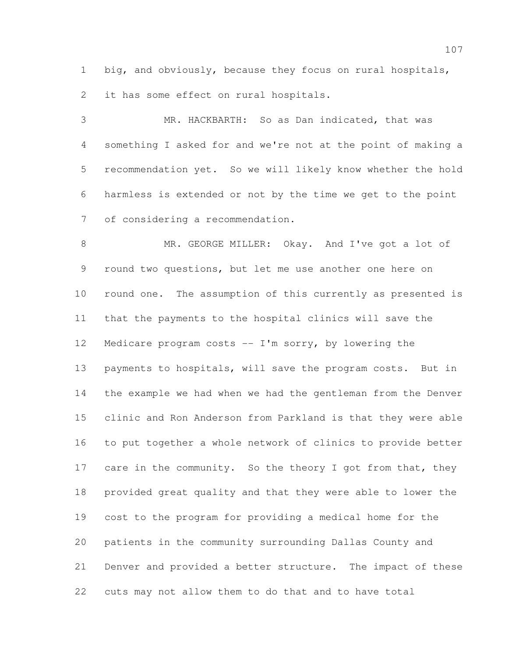big, and obviously, because they focus on rural hospitals,

it has some effect on rural hospitals.

 MR. HACKBARTH: So as Dan indicated, that was something I asked for and we're not at the point of making a recommendation yet. So we will likely know whether the hold harmless is extended or not by the time we get to the point of considering a recommendation.

 MR. GEORGE MILLER: Okay. And I've got a lot of round two questions, but let me use another one here on round one. The assumption of this currently as presented is that the payments to the hospital clinics will save the Medicare program costs -- I'm sorry, by lowering the payments to hospitals, will save the program costs. But in the example we had when we had the gentleman from the Denver clinic and Ron Anderson from Parkland is that they were able to put together a whole network of clinics to provide better 17 care in the community. So the theory I got from that, they provided great quality and that they were able to lower the cost to the program for providing a medical home for the patients in the community surrounding Dallas County and Denver and provided a better structure. The impact of these cuts may not allow them to do that and to have total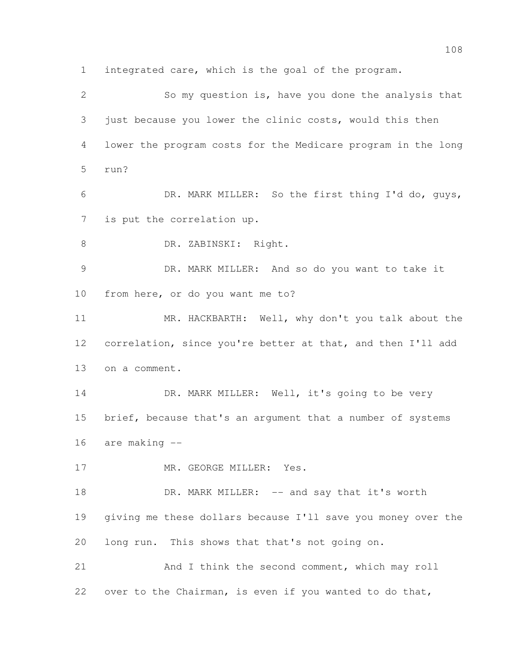integrated care, which is the goal of the program. So my question is, have you done the analysis that 3 just because you lower the clinic costs, would this then lower the program costs for the Medicare program in the long run? DR. MARK MILLER: So the first thing I'd do, guys, is put the correlation up. 8 DR. ZABINSKI: Right. DR. MARK MILLER: And so do you want to take it from here, or do you want me to? 11 MR. HACKBARTH: Well, why don't you talk about the correlation, since you're better at that, and then I'll add on a comment. 14 DR. MARK MILLER: Well, it's going to be very 15 brief, because that's an argument that a number of systems are making -- 17 MR. GEORGE MILLER: Yes. 18 DR. MARK MILLER: -- and say that it's worth giving me these dollars because I'll save you money over the long run. This shows that that's not going on. And I think the second comment, which may roll over to the Chairman, is even if you wanted to do that,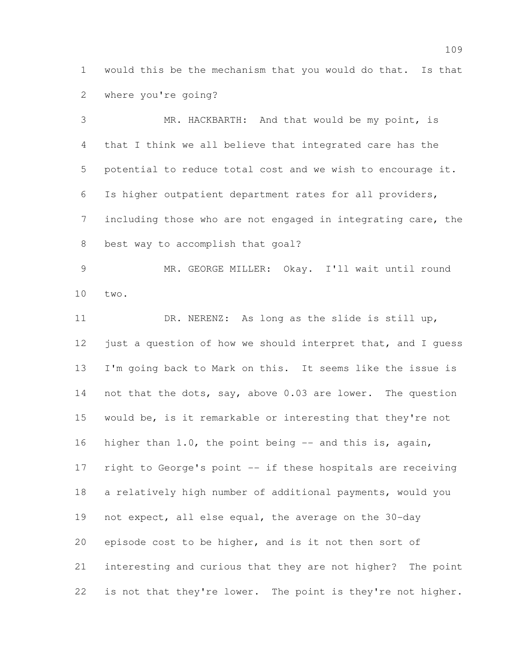would this be the mechanism that you would do that. Is that where you're going?

 MR. HACKBARTH: And that would be my point, is that I think we all believe that integrated care has the potential to reduce total cost and we wish to encourage it. Is higher outpatient department rates for all providers, including those who are not engaged in integrating care, the best way to accomplish that goal?

 MR. GEORGE MILLER: Okay. I'll wait until round two.

 DR. NERENZ: As long as the slide is still up, 12 just a question of how we should interpret that, and I quess I'm going back to Mark on this. It seems like the issue is 14 not that the dots, say, above 0.03 are lower. The question would be, is it remarkable or interesting that they're not higher than 1.0, the point being -- and this is, again, right to George's point -- if these hospitals are receiving a relatively high number of additional payments, would you not expect, all else equal, the average on the 30-day episode cost to be higher, and is it not then sort of interesting and curious that they are not higher? The point 22 is not that they're lower. The point is they're not higher.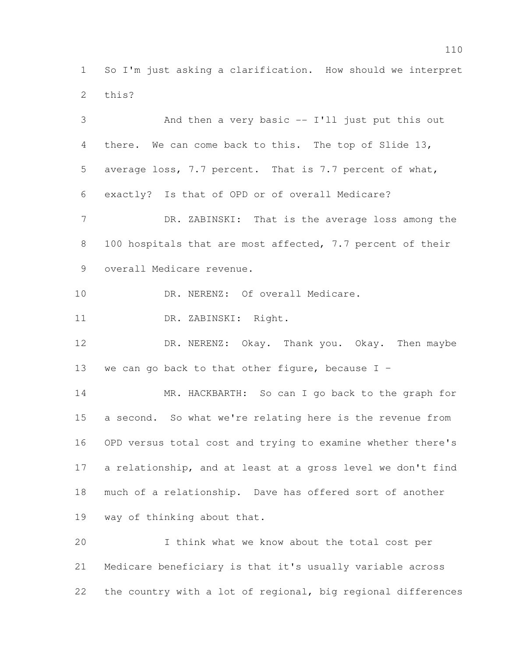So I'm just asking a clarification. How should we interpret this?

 And then a very basic -- I'll just put this out there. We can come back to this. The top of Slide 13, average loss, 7.7 percent. That is 7.7 percent of what, exactly? Is that of OPD or of overall Medicare? 7 DR. ZABINSKI: That is the average loss among the 8 100 hospitals that are most affected, 7.7 percent of their overall Medicare revenue. 10 DR. NERENZ: Of overall Medicare. DR. ZABINSKI: Right. DR. NERENZ: Okay. Thank you. Okay. Then maybe 13 we can go back to that other figure, because  $I -$  MR. HACKBARTH: So can I go back to the graph for a second. So what we're relating here is the revenue from OPD versus total cost and trying to examine whether there's a relationship, and at least at a gross level we don't find much of a relationship. Dave has offered sort of another way of thinking about that. I think what we know about the total cost per Medicare beneficiary is that it's usually variable across

the country with a lot of regional, big regional differences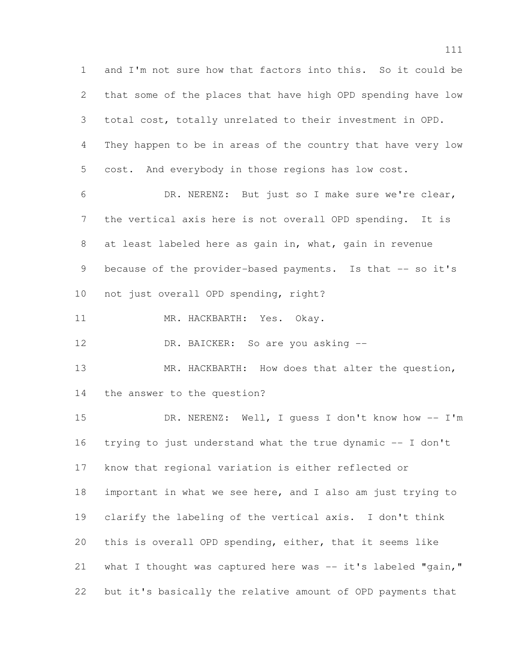and I'm not sure how that factors into this. So it could be that some of the places that have high OPD spending have low total cost, totally unrelated to their investment in OPD. They happen to be in areas of the country that have very low cost. And everybody in those regions has low cost. DR. NERENZ: But just so I make sure we're clear, the vertical axis here is not overall OPD spending. It is at least labeled here as gain in, what, gain in revenue 9 because of the provider-based payments. Is that -- so it's not just overall OPD spending, right? 11 MR. HACKBARTH: Yes. Okay. 12 DR. BAICKER: So are you asking -- MR. HACKBARTH: How does that alter the question, the answer to the question? DR. NERENZ: Well, I guess I don't know how -- I'm trying to just understand what the true dynamic -- I don't know that regional variation is either reflected or important in what we see here, and I also am just trying to clarify the labeling of the vertical axis. I don't think this is overall OPD spending, either, that it seems like 21 what I thought was captured here was -- it's labeled "gain," but it's basically the relative amount of OPD payments that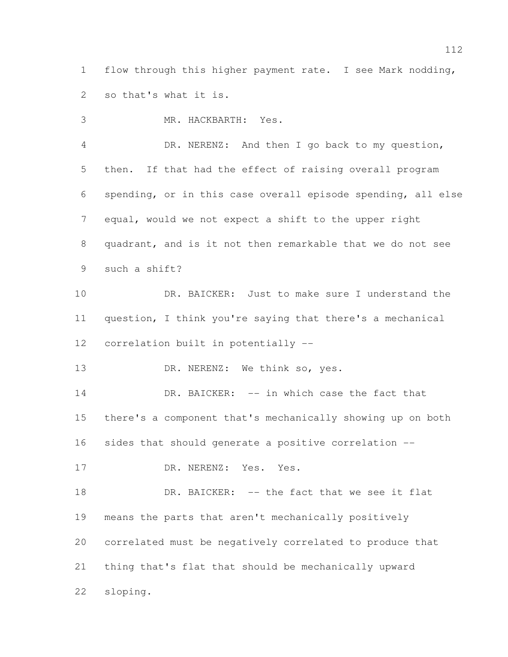flow through this higher payment rate. I see Mark nodding, so that's what it is.

 MR. HACKBARTH: Yes. DR. NERENZ: And then I go back to my question, then. If that had the effect of raising overall program spending, or in this case overall episode spending, all else equal, would we not expect a shift to the upper right quadrant, and is it not then remarkable that we do not see such a shift? DR. BAICKER: Just to make sure I understand the question, I think you're saying that there's a mechanical correlation built in potentially -- 13 DR. NERENZ: We think so, yes. 14 DR. BAICKER: -- in which case the fact that there's a component that's mechanically showing up on both sides that should generate a positive correlation -- 17 DR. NERENZ: Yes. Yes. 18 DR. BAICKER: -- the fact that we see it flat means the parts that aren't mechanically positively correlated must be negatively correlated to produce that thing that's flat that should be mechanically upward

sloping.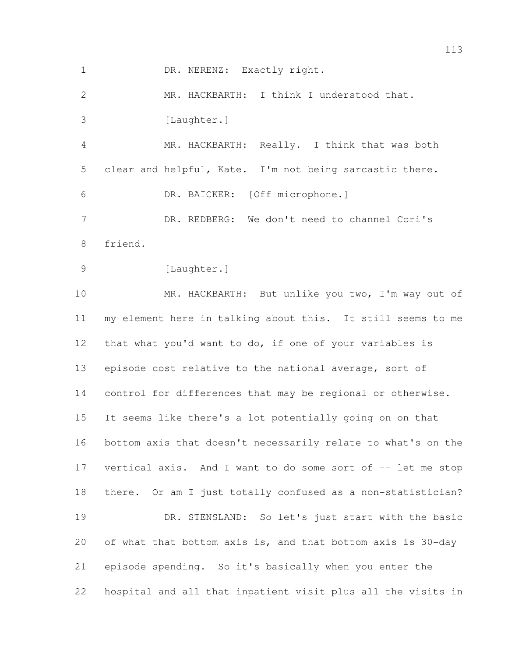1 DR. NERENZ: Exactly right.

 MR. HACKBARTH: I think I understood that. 3 [Laughter.] MR. HACKBARTH: Really. I think that was both clear and helpful, Kate. I'm not being sarcastic there. DR. BAICKER: [Off microphone.] DR. REDBERG: We don't need to channel Cori's friend. 9 [Laughter.] MR. HACKBARTH: But unlike you two, I'm way out of my element here in talking about this. It still seems to me that what you'd want to do, if one of your variables is episode cost relative to the national average, sort of control for differences that may be regional or otherwise. It seems like there's a lot potentially going on on that bottom axis that doesn't necessarily relate to what's on the vertical axis. And I want to do some sort of -- let me stop there. Or am I just totally confused as a non-statistician? DR. STENSLAND: So let's just start with the basic of what that bottom axis is, and that bottom axis is 30-day episode spending. So it's basically when you enter the hospital and all that inpatient visit plus all the visits in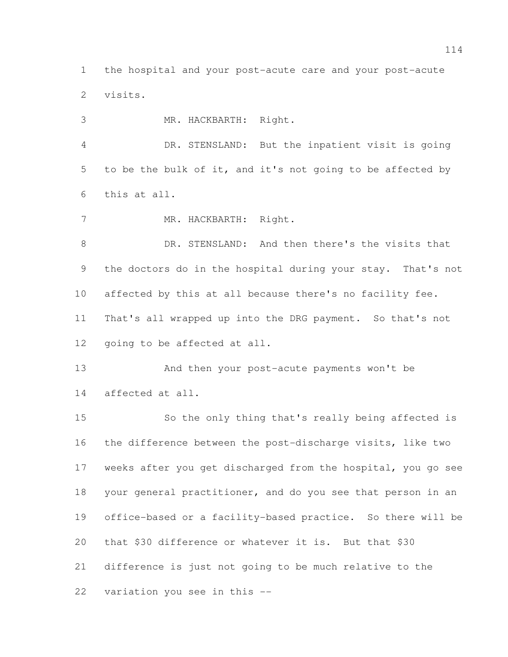the hospital and your post-acute care and your post-acute visits.

MR. HACKBARTH: Right.

 DR. STENSLAND: But the inpatient visit is going to be the bulk of it, and it's not going to be affected by this at all.

7 MR. HACKBARTH: Right.

 DR. STENSLAND: And then there's the visits that the doctors do in the hospital during your stay. That's not affected by this at all because there's no facility fee. That's all wrapped up into the DRG payment. So that's not going to be affected at all.

 And then your post-acute payments won't be affected at all.

 So the only thing that's really being affected is the difference between the post-discharge visits, like two weeks after you get discharged from the hospital, you go see your general practitioner, and do you see that person in an office-based or a facility-based practice. So there will be that \$30 difference or whatever it is. But that \$30 difference is just not going to be much relative to the variation you see in this --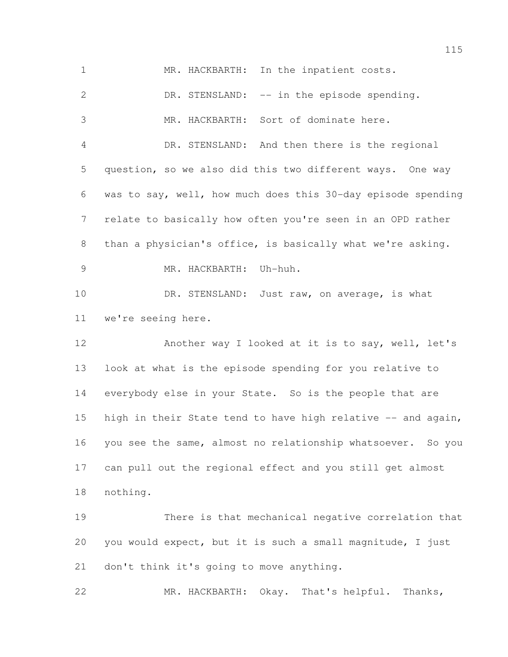| $\mathbf 1$    | MR. HACKBARTH: In the inpatient costs.                       |
|----------------|--------------------------------------------------------------|
| $\mathbf{2}$   | DR. STENSLAND: -- in the episode spending.                   |
| 3              | MR. HACKBARTH: Sort of dominate here.                        |
| 4              | DR. STENSLAND: And then there is the regional                |
| 5              | question, so we also did this two different ways. One way    |
| 6              | was to say, well, how much does this 30-day episode spending |
| $7\phantom{.}$ | relate to basically how often you're seen in an OPD rather   |
| 8              | than a physician's office, is basically what we're asking.   |
| 9              | MR. HACKBARTH: Uh-huh.                                       |
| 10             | DR. STENSLAND: Just raw, on average, is what                 |
| 11             | we're seeing here.                                           |
| 12             | Another way I looked at it is to say, well, let's            |
| 13             | look at what is the episode spending for you relative to     |
| 14             | everybody else in your State. So is the people that are      |
| 15             | high in their State tend to have high relative -- and again, |
| 16             | you see the same, almost no relationship whatsoever. So you  |
| 17             | can pull out the regional effect and you still get almost    |
| 18             | nothing.                                                     |
| 19             | There is that mechanical negative correlation that           |
| 20             | you would expect, but it is such a small magnitude, I just   |
| 21             | don't think it's going to move anything.                     |
| 22             | MR. HACKBARTH: Okay. That's helpful. Thanks,                 |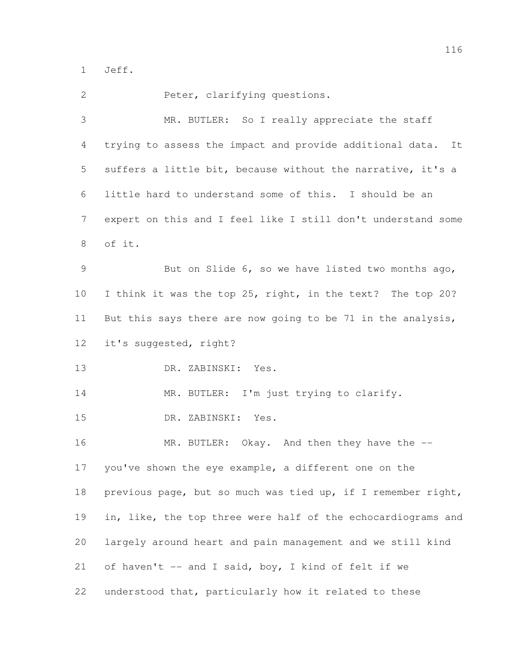Jeff.

| $\mathbf{2}$    | Peter, clarifying questions.                                   |
|-----------------|----------------------------------------------------------------|
| 3               | MR. BUTLER: So I really appreciate the staff                   |
| 4               | trying to assess the impact and provide additional data.<br>It |
| 5               | suffers a little bit, because without the narrative, it's a    |
| 6               | little hard to understand some of this. I should be an         |
| 7               | expert on this and I feel like I still don't understand some   |
| 8               | of it.                                                         |
| 9               | But on Slide 6, so we have listed two months ago,              |
| 10              | I think it was the top 25, right, in the text? The top 20?     |
| 11              | But this says there are now going to be 71 in the analysis,    |
| 12 <sup>°</sup> | it's suggested, right?                                         |
| 13              | DR. ZABINSKI: Yes.                                             |
| 14              | MR. BUTLER: I'm just trying to clarify.                        |
| 15              | DR. ZABINSKI: Yes.                                             |
| 16              | MR. BUTLER: Okay. And then they have the --                    |
| 17              | you've shown the eye example, a different one on the           |
| 18              | previous page, but so much was tied up, if I remember right,   |
| 19              | in, like, the top three were half of the echocardiograms and   |
| 20              | largely around heart and pain management and we still kind     |
| 21              | of haven't -- and I said, boy, I kind of felt if we            |
| 22              | understood that, particularly how it related to these          |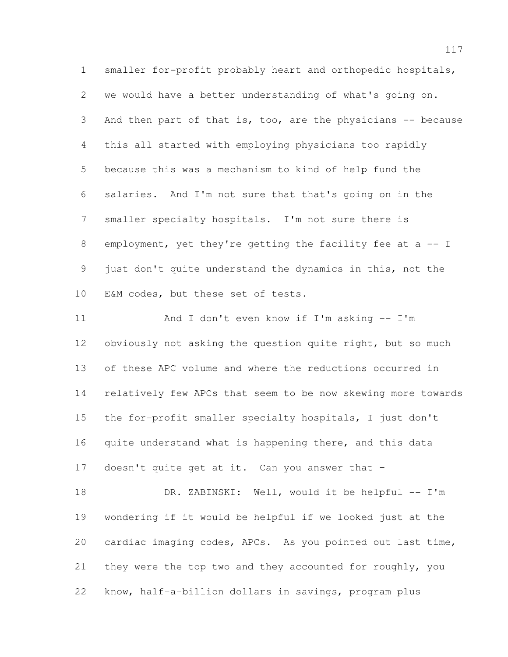smaller for-profit probably heart and orthopedic hospitals, we would have a better understanding of what's going on. 3 And then part of that is, too, are the physicians -- because this all started with employing physicians too rapidly because this was a mechanism to kind of help fund the salaries. And I'm not sure that that's going on in the smaller specialty hospitals. I'm not sure there is 8 employment, yet they're getting the facility fee at a -- I just don't quite understand the dynamics in this, not the E&M codes, but these set of tests.

 And I don't even know if I'm asking -- I'm 12 obviously not asking the question quite right, but so much of these APC volume and where the reductions occurred in relatively few APCs that seem to be now skewing more towards the for-profit smaller specialty hospitals, I just don't quite understand what is happening there, and this data doesn't quite get at it. Can you answer that –

 DR. ZABINSKI: Well, would it be helpful -- I'm wondering if it would be helpful if we looked just at the cardiac imaging codes, APCs. As you pointed out last time, they were the top two and they accounted for roughly, you know, half-a-billion dollars in savings, program plus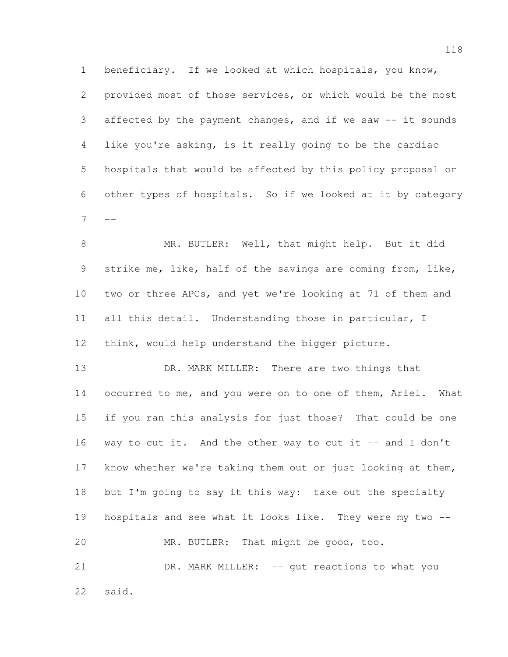beneficiary. If we looked at which hospitals, you know, provided most of those services, or which would be the most affected by the payment changes, and if we saw -- it sounds like you're asking, is it really going to be the cardiac hospitals that would be affected by this policy proposal or other types of hospitals. So if we looked at it by category 

 MR. BUTLER: Well, that might help. But it did strike me, like, half of the savings are coming from, like, two or three APCs, and yet we're looking at 71 of them and all this detail. Understanding those in particular, I think, would help understand the bigger picture.

13 DR. MARK MILLER: There are two things that 14 occurred to me, and you were on to one of them, Ariel. What if you ran this analysis for just those? That could be one way to cut it. And the other way to cut it -- and I don't know whether we're taking them out or just looking at them, but I'm going to say it this way: take out the specialty hospitals and see what it looks like. They were my two -- MR. BUTLER: That might be good, too. DR. MARK MILLER: -- gut reactions to what you

said.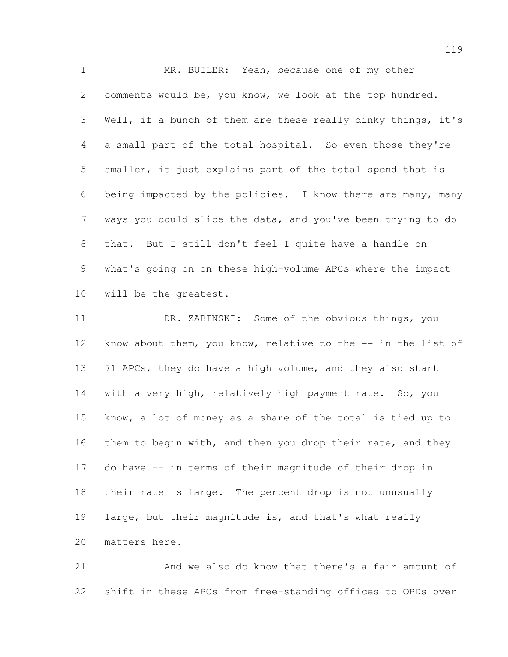MR. BUTLER: Yeah, because one of my other comments would be, you know, we look at the top hundred. Well, if a bunch of them are these really dinky things, it's a small part of the total hospital. So even those they're smaller, it just explains part of the total spend that is being impacted by the policies. I know there are many, many ways you could slice the data, and you've been trying to do that. But I still don't feel I quite have a handle on what's going on on these high-volume APCs where the impact will be the greatest.

11 DR. ZABINSKI: Some of the obvious things, you know about them, you know, relative to the -- in the list of 71 APCs, they do have a high volume, and they also start with a very high, relatively high payment rate. So, you know, a lot of money as a share of the total is tied up to 16 them to begin with, and then you drop their rate, and they do have -- in terms of their magnitude of their drop in their rate is large. The percent drop is not unusually large, but their magnitude is, and that's what really matters here.

 And we also do know that there's a fair amount of shift in these APCs from free-standing offices to OPDs over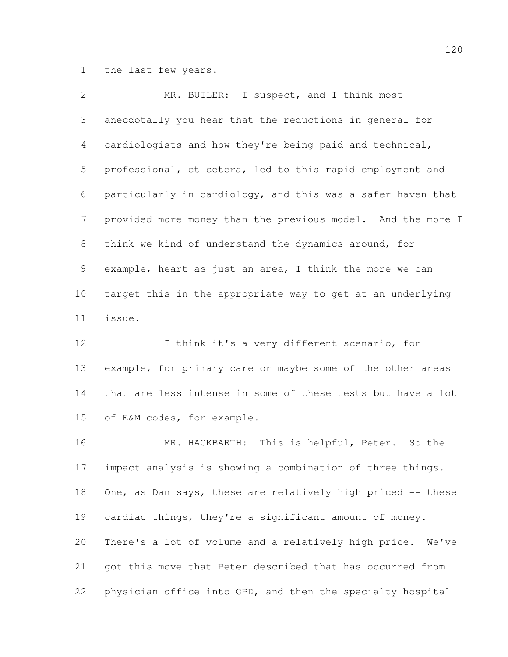the last few years.

| $\overline{2}$  | MR. BUTLER: I suspect, and I think most --                  |
|-----------------|-------------------------------------------------------------|
| 3               | anecdotally you hear that the reductions in general for     |
| $\overline{4}$  | cardiologists and how they're being paid and technical,     |
| 5               | professional, et cetera, led to this rapid employment and   |
| 6               | particularly in cardiology, and this was a safer haven that |
| $7\overline{ }$ | provided more money than the previous model. And the more I |
| 8               | think we kind of understand the dynamics around, for        |
| 9               | example, heart as just an area, I think the more we can     |
| 10              | target this in the appropriate way to get at an underlying  |
| 11              | issue.                                                      |
| 12              | I think it's a very different scenario, for                 |

 example, for primary care or maybe some of the other areas that are less intense in some of these tests but have a lot of E&M codes, for example.

 MR. HACKBARTH: This is helpful, Peter. So the impact analysis is showing a combination of three things. 18 One, as Dan says, these are relatively high priced -- these cardiac things, they're a significant amount of money. There's a lot of volume and a relatively high price. We've got this move that Peter described that has occurred from physician office into OPD, and then the specialty hospital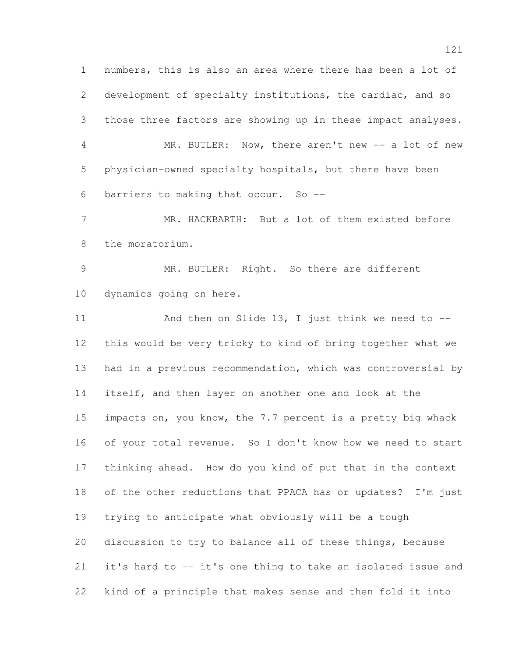numbers, this is also an area where there has been a lot of development of specialty institutions, the cardiac, and so those three factors are showing up in these impact analyses. 4 MR. BUTLER: Now, there aren't new -- a lot of new physician-owned specialty hospitals, but there have been barriers to making that occur. So -- MR. HACKBARTH: But a lot of them existed before the moratorium. 9 MR. BUTLER: Right. So there are different dynamics going on here. 11 And then on Slide 13, I just think we need to -- this would be very tricky to kind of bring together what we had in a previous recommendation, which was controversial by itself, and then layer on another one and look at the 15 impacts on, you know, the 7.7 percent is a pretty big whack of your total revenue. So I don't know how we need to start thinking ahead. How do you kind of put that in the context of the other reductions that PPACA has or updates? I'm just trying to anticipate what obviously will be a tough discussion to try to balance all of these things, because it's hard to -- it's one thing to take an isolated issue and kind of a principle that makes sense and then fold it into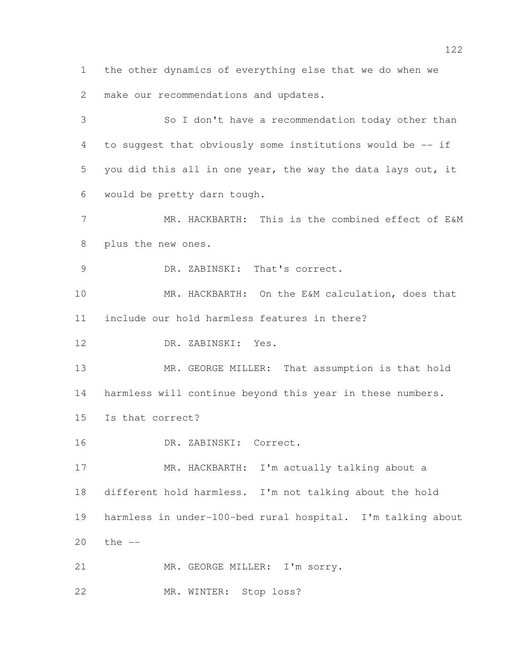the other dynamics of everything else that we do when we make our recommendations and updates.

 So I don't have a recommendation today other than to suggest that obviously some institutions would be -- if you did this all in one year, the way the data lays out, it would be pretty darn tough.

 MR. HACKBARTH: This is the combined effect of E&M plus the new ones.

DR. ZABINSKI: That's correct.

 MR. HACKBARTH: On the E&M calculation, does that include our hold harmless features in there?

DR. ZABINSKI: Yes.

13 MR. GEORGE MILLER: That assumption is that hold harmless will continue beyond this year in these numbers.

Is that correct?

DR. ZABINSKI: Correct.

 MR. HACKBARTH: I'm actually talking about a different hold harmless. I'm not talking about the hold harmless in under-100-bed rural hospital. I'm talking about the --

21 MR. GEORGE MILLER: I'm sorry.

MR. WINTER: Stop loss?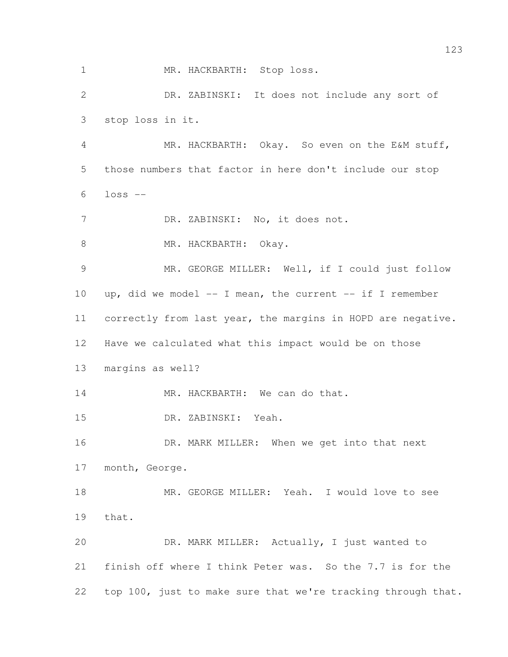1 MR. HACKBARTH: Stop loss. DR. ZABINSKI: It does not include any sort of stop loss in it. MR. HACKBARTH: Okay. So even on the E&M stuff, those numbers that factor in here don't include our stop loss -- DR. ZABINSKI: No, it does not. 8 MR. HACKBARTH: Okay. MR. GEORGE MILLER: Well, if I could just follow 10 up, did we model  $--$  I mean, the current  $--$  if I remember correctly from last year, the margins in HOPD are negative. Have we calculated what this impact would be on those margins as well? 14 MR. HACKBARTH: We can do that. DR. ZABINSKI: Yeah. 16 DR. MARK MILLER: When we get into that next month, George. MR. GEORGE MILLER: Yeah. I would love to see that. DR. MARK MILLER: Actually, I just wanted to finish off where I think Peter was. So the 7.7 is for the top 100, just to make sure that we're tracking through that.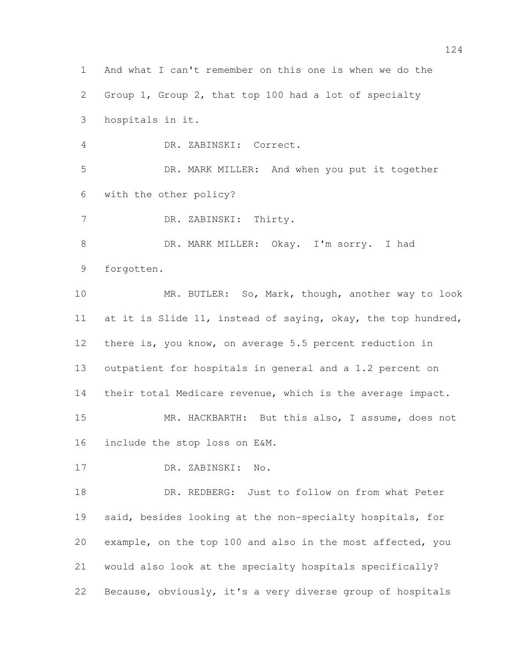And what I can't remember on this one is when we do the Group 1, Group 2, that top 100 had a lot of specialty hospitals in it. DR. ZABINSKI: Correct. DR. MARK MILLER: And when you put it together with the other policy? DR. ZABINSKI: Thirty. DR. MARK MILLER: Okay. I'm sorry. I had forgotten. MR. BUTLER: So, Mark, though, another way to look at it is Slide 11, instead of saying, okay, the top hundred, there is, you know, on average 5.5 percent reduction in outpatient for hospitals in general and a 1.2 percent on their total Medicare revenue, which is the average impact. MR. HACKBARTH: But this also, I assume, does not include the stop loss on E&M. DR. ZABINSKI: No. DR. REDBERG: Just to follow on from what Peter said, besides looking at the non-specialty hospitals, for example, on the top 100 and also in the most affected, you would also look at the specialty hospitals specifically? Because, obviously, it's a very diverse group of hospitals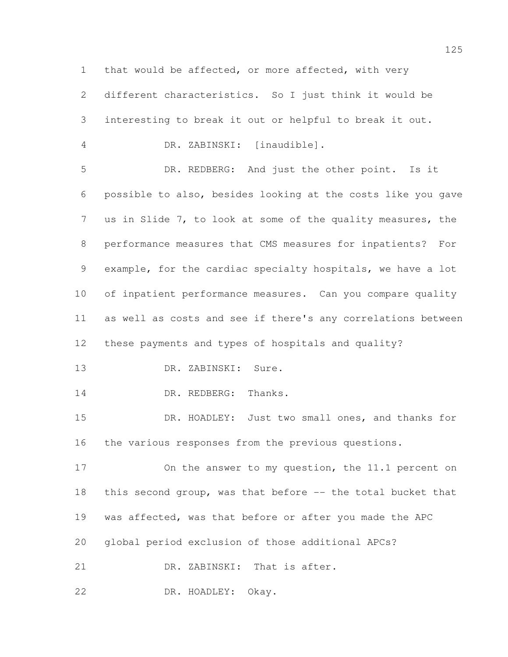that would be affected, or more affected, with very different characteristics. So I just think it would be interesting to break it out or helpful to break it out. DR. ZABINSKI: [inaudible]. DR. REDBERG: And just the other point. Is it possible to also, besides looking at the costs like you gave us in Slide 7, to look at some of the quality measures, the performance measures that CMS measures for inpatients? For example, for the cardiac specialty hospitals, we have a lot of inpatient performance measures. Can you compare quality as well as costs and see if there's any correlations between these payments and types of hospitals and quality? DR. ZABINSKI: Sure. 14 DR. REDBERG: Thanks. DR. HOADLEY: Just two small ones, and thanks for the various responses from the previous questions. On the answer to my question, the 11.1 percent on this second group, was that before -- the total bucket that was affected, was that before or after you made the APC global period exclusion of those additional APCs? 21 DR. ZABINSKI: That is after.

DR. HOADLEY: Okay.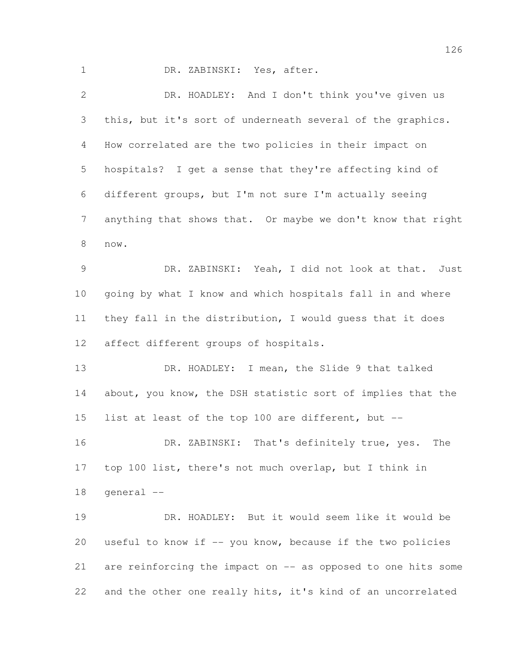DR. ZABINSKI: Yes, after.

 DR. HOADLEY: And I don't think you've given us this, but it's sort of underneath several of the graphics. How correlated are the two policies in their impact on hospitals? I get a sense that they're affecting kind of different groups, but I'm not sure I'm actually seeing anything that shows that. Or maybe we don't know that right now. DR. ZABINSKI: Yeah, I did not look at that. Just going by what I know and which hospitals fall in and where they fall in the distribution, I would guess that it does affect different groups of hospitals. DR. HOADLEY: I mean, the Slide 9 that talked about, you know, the DSH statistic sort of implies that the list at least of the top 100 are different, but -- DR. ZABINSKI: That's definitely true, yes. The top 100 list, there's not much overlap, but I think in general -- DR. HOADLEY: But it would seem like it would be useful to know if -- you know, because if the two policies are reinforcing the impact on -- as opposed to one hits some

and the other one really hits, it's kind of an uncorrelated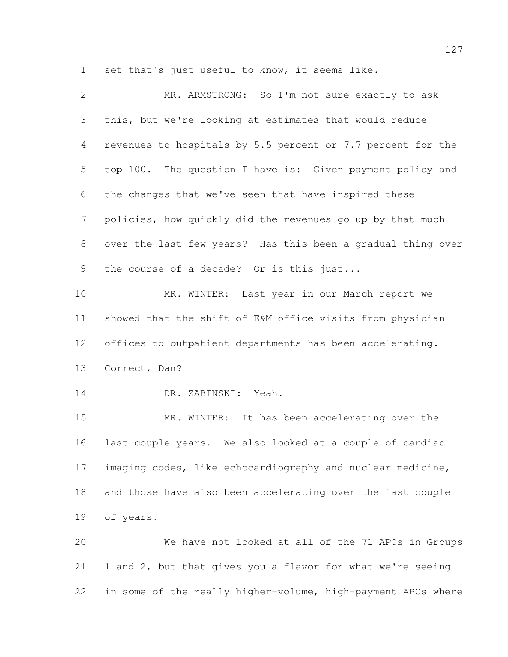set that's just useful to know, it seems like.

| $\mathbf{2}$    | MR. ARMSTRONG: So I'm not sure exactly to ask                |
|-----------------|--------------------------------------------------------------|
| 3               | this, but we're looking at estimates that would reduce       |
| $\overline{4}$  | revenues to hospitals by 5.5 percent or 7.7 percent for the  |
| 5               | top 100. The question I have is: Given payment policy and    |
| 6               | the changes that we've seen that have inspired these         |
| $7\phantom{.0}$ | policies, how quickly did the revenues go up by that much    |
| 8               | over the last few years? Has this been a gradual thing over  |
| 9               | the course of a decade? Or is this just                      |
| 10              | MR. WINTER: Last year in our March report we                 |
| 11              | showed that the shift of E&M office visits from physician    |
| 12 <sup>°</sup> | offices to outpatient departments has been accelerating.     |
| 13              | Correct, Dan?                                                |
| 14              | DR. ZABINSKI: Yeah.                                          |
| 15              | MR. WINTER: It has been accelerating over the                |
| 16              | last couple years. We also looked at a couple of cardiac     |
| 17              | imaging codes, like echocardiography and nuclear medicine,   |
| 18              | and those have also been accelerating over the last couple   |
| 19              | of years.                                                    |
| 20              | We have not looked at all of the 71 APCs in Groups           |
| 21              | 1 and 2, but that gives you a flavor for what we're seeing   |
| 22              | in some of the really higher-volume, high-payment APCs where |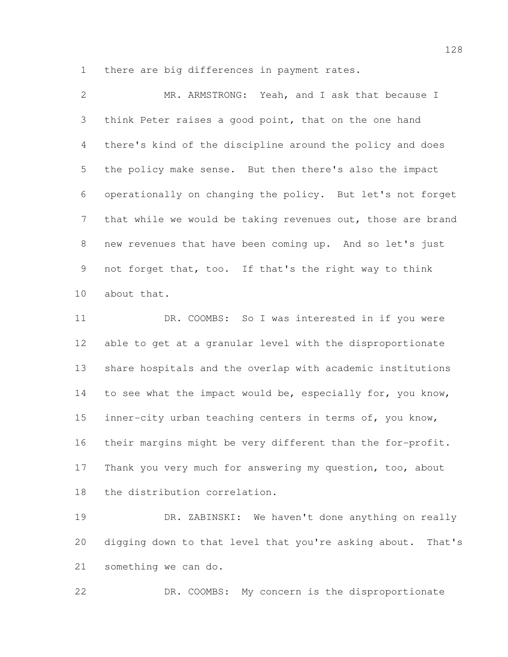there are big differences in payment rates.

| $\overline{2}$ | MR. ARMSTRONG: Yeah, and I ask that because I               |
|----------------|-------------------------------------------------------------|
| 3              | think Peter raises a good point, that on the one hand       |
| 4              | there's kind of the discipline around the policy and does   |
| 5              | the policy make sense. But then there's also the impact     |
| 6              | operationally on changing the policy. But let's not forget  |
| 7 <sup>7</sup> | that while we would be taking revenues out, those are brand |
| 8              | new revenues that have been coming up. And so let's just    |
| 9              | not forget that, too. If that's the right way to think      |
| 10             | about that.                                                 |
| 11             | DR. COOMBS: So I was interested in if you were              |

 able to get at a granular level with the disproportionate share hospitals and the overlap with academic institutions 14 to see what the impact would be, especially for, you know, inner-city urban teaching centers in terms of, you know, their margins might be very different than the for-profit. Thank you very much for answering my question, too, about the distribution correlation.

 DR. ZABINSKI: We haven't done anything on really digging down to that level that you're asking about. That's something we can do.

DR. COOMBS: My concern is the disproportionate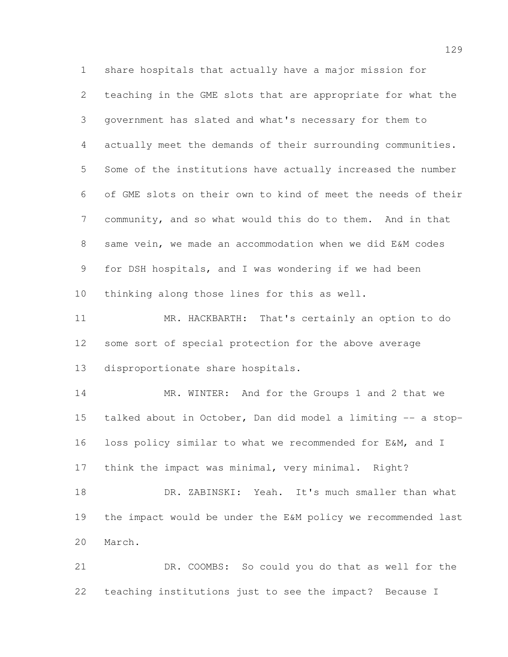share hospitals that actually have a major mission for teaching in the GME slots that are appropriate for what the government has slated and what's necessary for them to actually meet the demands of their surrounding communities. Some of the institutions have actually increased the number of GME slots on their own to kind of meet the needs of their community, and so what would this do to them. And in that same vein, we made an accommodation when we did E&M codes for DSH hospitals, and I was wondering if we had been thinking along those lines for this as well. MR. HACKBARTH: That's certainly an option to do

 some sort of special protection for the above average disproportionate share hospitals.

14 MR. WINTER: And for the Groups 1 and 2 that we talked about in October, Dan did model a limiting -- a stop- loss policy similar to what we recommended for E&M, and I think the impact was minimal, very minimal. Right?

 DR. ZABINSKI: Yeah. It's much smaller than what the impact would be under the E&M policy we recommended last March.

 DR. COOMBS: So could you do that as well for the teaching institutions just to see the impact? Because I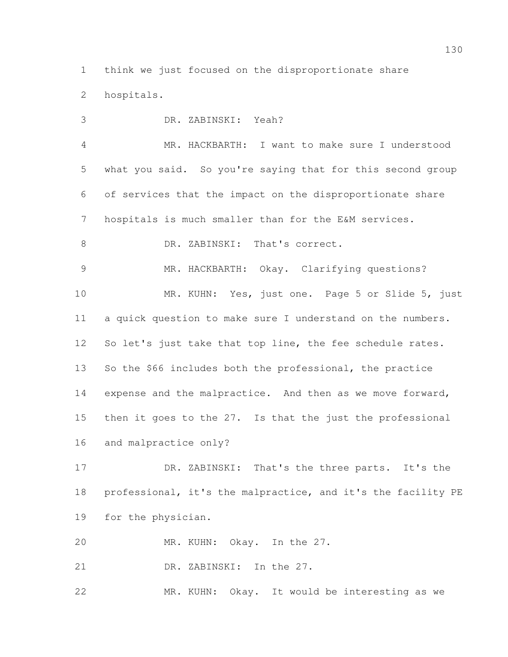think we just focused on the disproportionate share hospitals.

 DR. ZABINSKI: Yeah? MR. HACKBARTH: I want to make sure I understood what you said. So you're saying that for this second group of services that the impact on the disproportionate share hospitals is much smaller than for the E&M services. 8 DR. ZABINSKI: That's correct. MR. HACKBARTH: Okay. Clarifying questions? MR. KUHN: Yes, just one. Page 5 or Slide 5, just a quick question to make sure I understand on the numbers. 12 So let's just take that top line, the fee schedule rates. So the \$66 includes both the professional, the practice 14 expense and the malpractice. And then as we move forward, then it goes to the 27. Is that the just the professional and malpractice only?

 DR. ZABINSKI: That's the three parts. It's the professional, it's the malpractice, and it's the facility PE for the physician.

MR. KUHN: Okay. In the 27.

DR. ZABINSKI: In the 27.

MR. KUHN: Okay. It would be interesting as we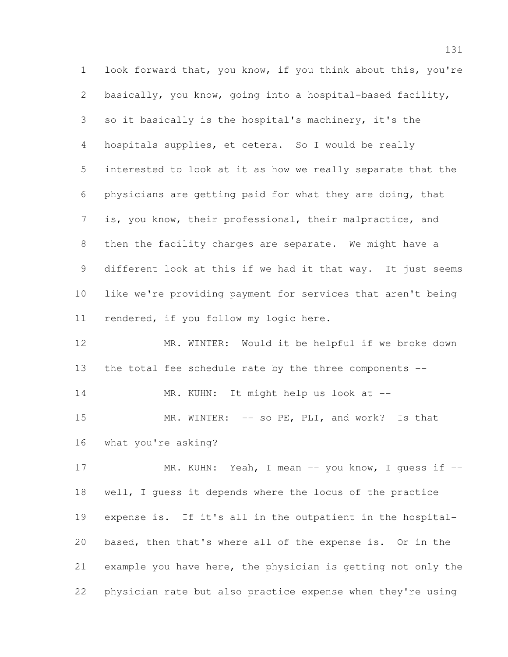look forward that, you know, if you think about this, you're basically, you know, going into a hospital-based facility, so it basically is the hospital's machinery, it's the hospitals supplies, et cetera. So I would be really interested to look at it as how we really separate that the physicians are getting paid for what they are doing, that is, you know, their professional, their malpractice, and then the facility charges are separate. We might have a different look at this if we had it that way. It just seems like we're providing payment for services that aren't being rendered, if you follow my logic here.

 MR. WINTER: Would it be helpful if we broke down the total fee schedule rate by the three components --

14 MR. KUHN: It might help us look at --

15 MR. WINTER: -- so PE, PLI, and work? Is that what you're asking?

17 MR. KUHN: Yeah, I mean -- you know, I quess if -- well, I guess it depends where the locus of the practice expense is. If it's all in the outpatient in the hospital- based, then that's where all of the expense is. Or in the example you have here, the physician is getting not only the physician rate but also practice expense when they're using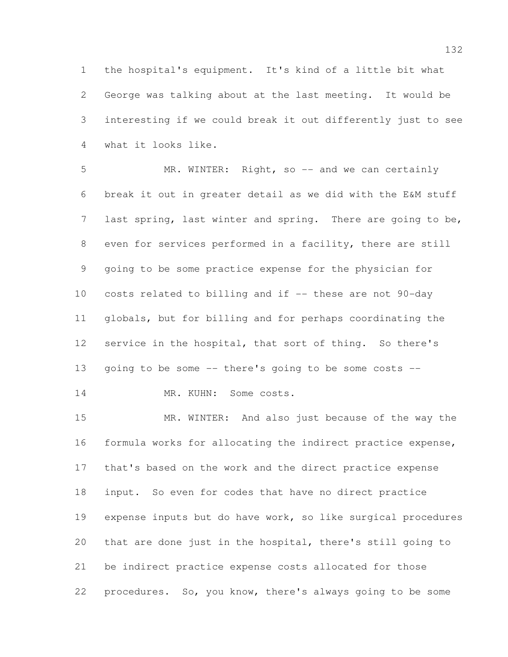the hospital's equipment. It's kind of a little bit what George was talking about at the last meeting. It would be interesting if we could break it out differently just to see what it looks like.

5 MR. WINTER: Right, so -- and we can certainly break it out in greater detail as we did with the E&M stuff 7 last spring, last winter and spring. There are going to be, even for services performed in a facility, there are still going to be some practice expense for the physician for costs related to billing and if -- these are not 90-day globals, but for billing and for perhaps coordinating the service in the hospital, that sort of thing. So there's going to be some -- there's going to be some costs --

14 MR. KUHN: Some costs.

 MR. WINTER: And also just because of the way the formula works for allocating the indirect practice expense, that's based on the work and the direct practice expense input. So even for codes that have no direct practice expense inputs but do have work, so like surgical procedures that are done just in the hospital, there's still going to be indirect practice expense costs allocated for those procedures. So, you know, there's always going to be some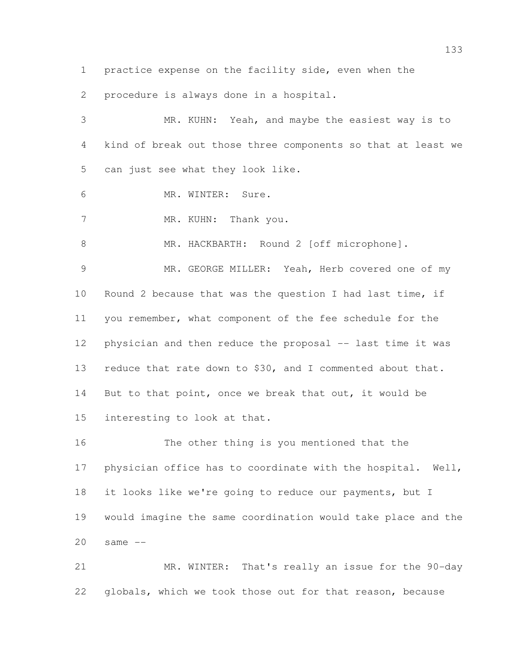practice expense on the facility side, even when the

procedure is always done in a hospital.

 MR. KUHN: Yeah, and maybe the easiest way is to kind of break out those three components so that at least we can just see what they look like. MR. WINTER: Sure. 7 MR. KUHN: Thank you. 8 MR. HACKBARTH: Round 2 [off microphone]. MR. GEORGE MILLER: Yeah, Herb covered one of my Round 2 because that was the question I had last time, if you remember, what component of the fee schedule for the 12 physician and then reduce the proposal -- last time it was 13 reduce that rate down to \$30, and I commented about that. But to that point, once we break that out, it would be interesting to look at that. The other thing is you mentioned that the physician office has to coordinate with the hospital. Well, it looks like we're going to reduce our payments, but I would imagine the same coordination would take place and the

same  $-$ 

 MR. WINTER: That's really an issue for the 90-day globals, which we took those out for that reason, because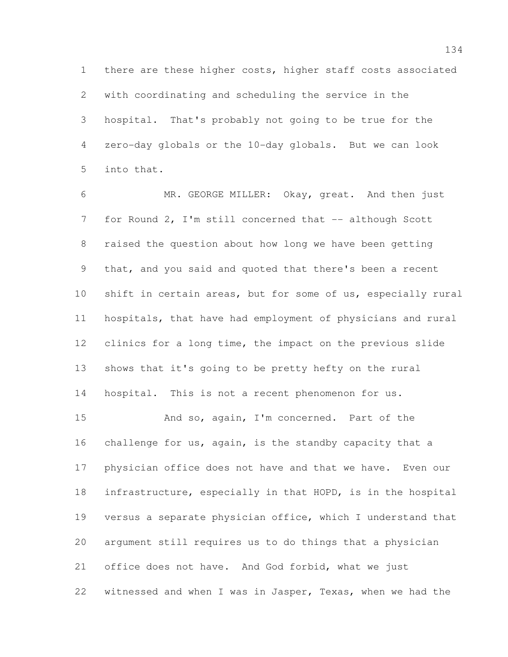there are these higher costs, higher staff costs associated with coordinating and scheduling the service in the hospital. That's probably not going to be true for the zero-day globals or the 10-day globals. But we can look into that.

 MR. GEORGE MILLER: Okay, great. And then just 7 for Round 2, I'm still concerned that -- although Scott raised the question about how long we have been getting that, and you said and quoted that there's been a recent shift in certain areas, but for some of us, especially rural hospitals, that have had employment of physicians and rural clinics for a long time, the impact on the previous slide shows that it's going to be pretty hefty on the rural hospital. This is not a recent phenomenon for us.

 And so, again, I'm concerned. Part of the challenge for us, again, is the standby capacity that a physician office does not have and that we have. Even our infrastructure, especially in that HOPD, is in the hospital versus a separate physician office, which I understand that argument still requires us to do things that a physician office does not have. And God forbid, what we just witnessed and when I was in Jasper, Texas, when we had the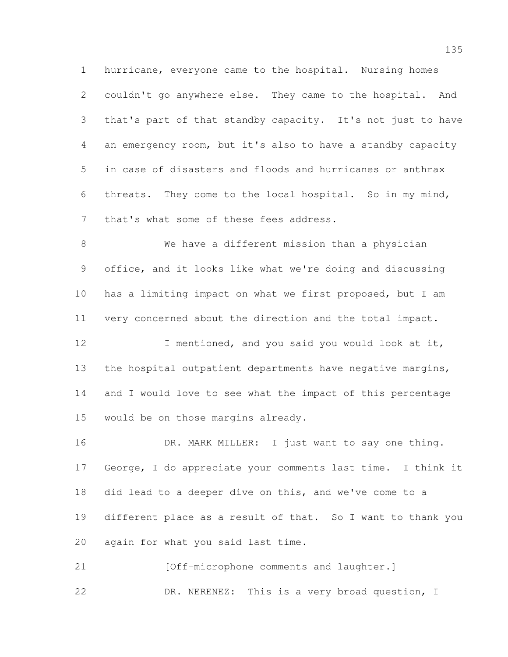hurricane, everyone came to the hospital. Nursing homes couldn't go anywhere else. They came to the hospital. And that's part of that standby capacity. It's not just to have an emergency room, but it's also to have a standby capacity in case of disasters and floods and hurricanes or anthrax threats. They come to the local hospital. So in my mind, that's what some of these fees address.

 We have a different mission than a physician office, and it looks like what we're doing and discussing has a limiting impact on what we first proposed, but I am very concerned about the direction and the total impact.

12 I mentioned, and you said you would look at it, 13 the hospital outpatient departments have negative margins, and I would love to see what the impact of this percentage would be on those margins already.

16 DR. MARK MILLER: I just want to say one thing. George, I do appreciate your comments last time. I think it did lead to a deeper dive on this, and we've come to a different place as a result of that. So I want to thank you again for what you said last time.

21 [Off-microphone comments and laughter.] DR. NERENEZ: This is a very broad question, I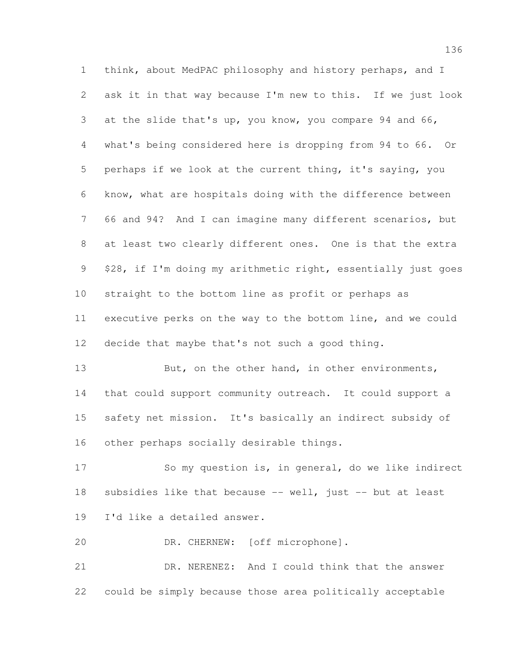think, about MedPAC philosophy and history perhaps, and I ask it in that way because I'm new to this. If we just look at the slide that's up, you know, you compare 94 and 66, what's being considered here is dropping from 94 to 66. Or perhaps if we look at the current thing, it's saying, you know, what are hospitals doing with the difference between 66 and 94? And I can imagine many different scenarios, but at least two clearly different ones. One is that the extra \$28, if I'm doing my arithmetic right, essentially just goes straight to the bottom line as profit or perhaps as executive perks on the way to the bottom line, and we could decide that maybe that's not such a good thing.

13 But, on the other hand, in other environments, that could support community outreach. It could support a safety net mission. It's basically an indirect subsidy of other perhaps socially desirable things.

 So my question is, in general, do we like indirect subsidies like that because -- well, just -- but at least I'd like a detailed answer.

DR. CHERNEW: [off microphone].

 DR. NERENEZ: And I could think that the answer could be simply because those area politically acceptable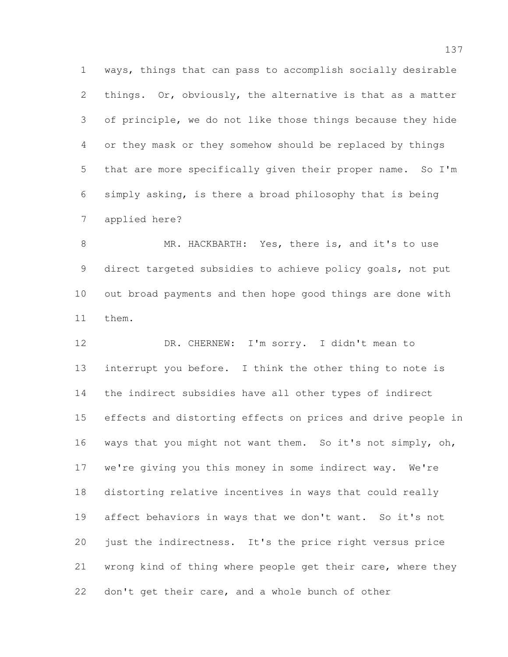ways, things that can pass to accomplish socially desirable things. Or, obviously, the alternative is that as a matter of principle, we do not like those things because they hide or they mask or they somehow should be replaced by things that are more specifically given their proper name. So I'm simply asking, is there a broad philosophy that is being applied here?

8 MR. HACKBARTH: Yes, there is, and it's to use direct targeted subsidies to achieve policy goals, not put out broad payments and then hope good things are done with them.

12 DR. CHERNEW: I'm sorry. I didn't mean to interrupt you before. I think the other thing to note is the indirect subsidies have all other types of indirect effects and distorting effects on prices and drive people in ways that you might not want them. So it's not simply, oh, we're giving you this money in some indirect way. We're distorting relative incentives in ways that could really affect behaviors in ways that we don't want. So it's not just the indirectness. It's the price right versus price wrong kind of thing where people get their care, where they don't get their care, and a whole bunch of other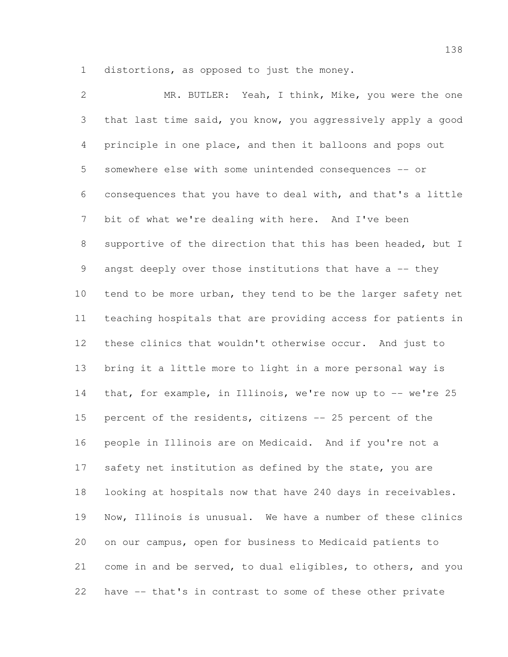distortions, as opposed to just the money.

 MR. BUTLER: Yeah, I think, Mike, you were the one that last time said, you know, you aggressively apply a good principle in one place, and then it balloons and pops out somewhere else with some unintended consequences -- or consequences that you have to deal with, and that's a little bit of what we're dealing with here. And I've been supportive of the direction that this has been headed, but I 9 angst deeply over those institutions that have a -- they 10 tend to be more urban, they tend to be the larger safety net teaching hospitals that are providing access for patients in these clinics that wouldn't otherwise occur. And just to bring it a little more to light in a more personal way is 14 that, for example, in Illinois, we're now up to -- we're 25 percent of the residents, citizens -- 25 percent of the people in Illinois are on Medicaid. And if you're not a 17 safety net institution as defined by the state, you are looking at hospitals now that have 240 days in receivables. Now, Illinois is unusual. We have a number of these clinics on our campus, open for business to Medicaid patients to come in and be served, to dual eligibles, to others, and you have -- that's in contrast to some of these other private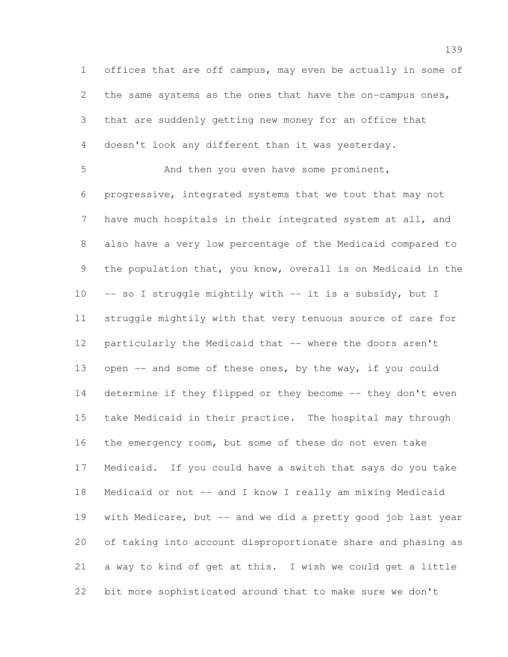offices that are off campus, may even be actually in some of the same systems as the ones that have the on-campus ones, that are suddenly getting new money for an office that doesn't look any different than it was yesterday.

 And then you even have some prominent, progressive, integrated systems that we tout that may not have much hospitals in their integrated system at all, and also have a very low percentage of the Medicaid compared to the population that, you know, overall is on Medicaid in the 10 -- so I struggle mightily with -- it is a subsidy, but I struggle mightily with that very tenuous source of care for particularly the Medicaid that -- where the doors aren't open -- and some of these ones, by the way, if you could 14 determine if they flipped or they become -- they don't even take Medicaid in their practice. The hospital may through the emergency room, but some of these do not even take Medicaid. If you could have a switch that says do you take Medicaid or not -- and I know I really am mixing Medicaid with Medicare, but -- and we did a pretty good job last year of taking into account disproportionate share and phasing as a way to kind of get at this. I wish we could get a little bit more sophisticated around that to make sure we don't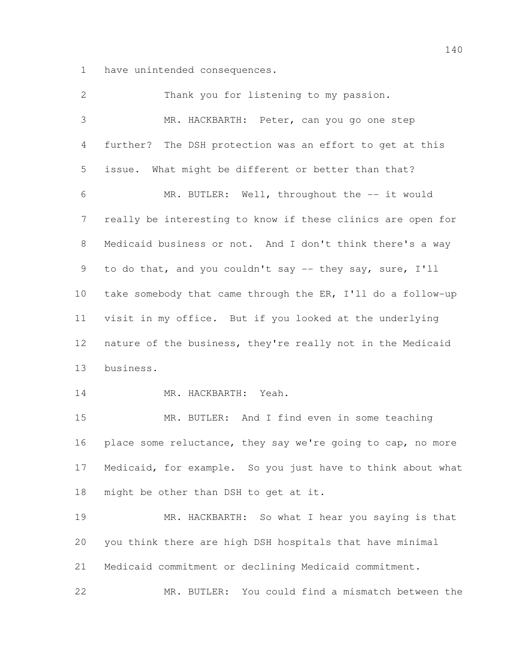have unintended consequences.

 Thank you for listening to my passion. MR. HACKBARTH: Peter, can you go one step further? The DSH protection was an effort to get at this issue. What might be different or better than that? MR. BUTLER: Well, throughout the -- it would really be interesting to know if these clinics are open for Medicaid business or not. And I don't think there's a way to do that, and you couldn't say -- they say, sure, I'll take somebody that came through the ER, I'll do a follow-up visit in my office. But if you looked at the underlying nature of the business, they're really not in the Medicaid business. MR. HACKBARTH: Yeah. MR. BUTLER: And I find even in some teaching 16 place some reluctance, they say we're going to cap, no more Medicaid, for example. So you just have to think about what might be other than DSH to get at it. MR. HACKBARTH: So what I hear you saying is that you think there are high DSH hospitals that have minimal Medicaid commitment or declining Medicaid commitment. MR. BUTLER: You could find a mismatch between the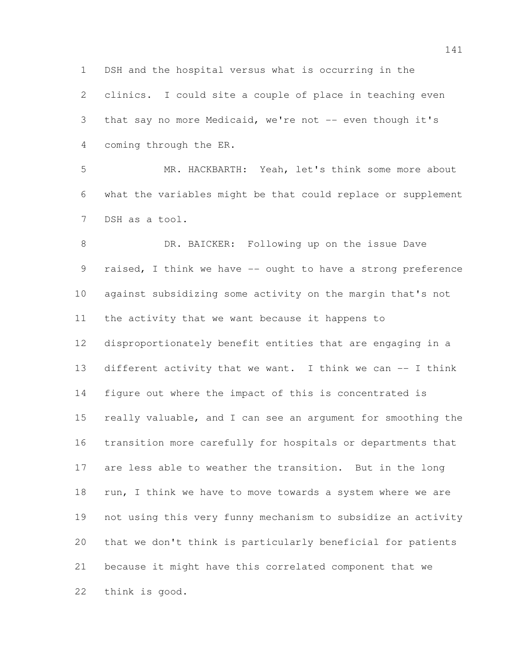DSH and the hospital versus what is occurring in the

 clinics. I could site a couple of place in teaching even 3 that say no more Medicaid, we're not -- even though it's coming through the ER.

 MR. HACKBARTH: Yeah, let's think some more about what the variables might be that could replace or supplement DSH as a tool.

8 DR. BAICKER: Following up on the issue Dave 9 raised, I think we have -- ought to have a strong preference against subsidizing some activity on the margin that's not the activity that we want because it happens to disproportionately benefit entities that are engaging in a 13 different activity that we want. I think we can -- I think figure out where the impact of this is concentrated is really valuable, and I can see an argument for smoothing the transition more carefully for hospitals or departments that are less able to weather the transition. But in the long 18 run, I think we have to move towards a system where we are not using this very funny mechanism to subsidize an activity that we don't think is particularly beneficial for patients because it might have this correlated component that we think is good.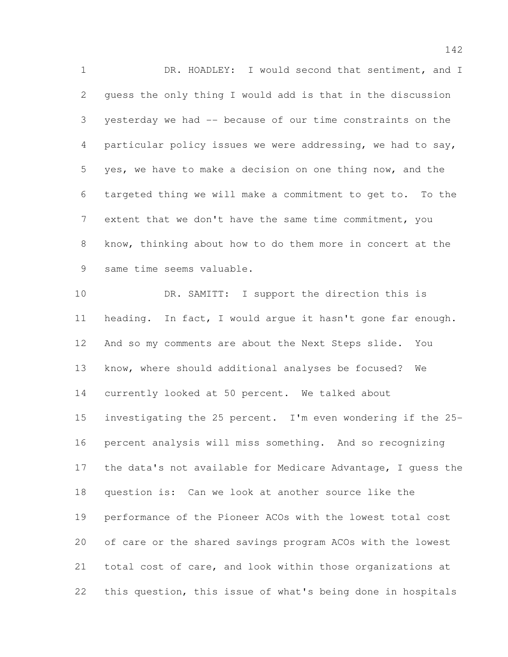DR. HOADLEY: I would second that sentiment, and I guess the only thing I would add is that in the discussion yesterday we had -- because of our time constraints on the particular policy issues we were addressing, we had to say, yes, we have to make a decision on one thing now, and the targeted thing we will make a commitment to get to. To the extent that we don't have the same time commitment, you know, thinking about how to do them more in concert at the same time seems valuable.

 DR. SAMITT: I support the direction this is heading. In fact, I would argue it hasn't gone far enough. And so my comments are about the Next Steps slide. You know, where should additional analyses be focused? We currently looked at 50 percent. We talked about investigating the 25 percent. I'm even wondering if the 25- percent analysis will miss something. And so recognizing the data's not available for Medicare Advantage, I guess the question is: Can we look at another source like the performance of the Pioneer ACOs with the lowest total cost of care or the shared savings program ACOs with the lowest total cost of care, and look within those organizations at this question, this issue of what's being done in hospitals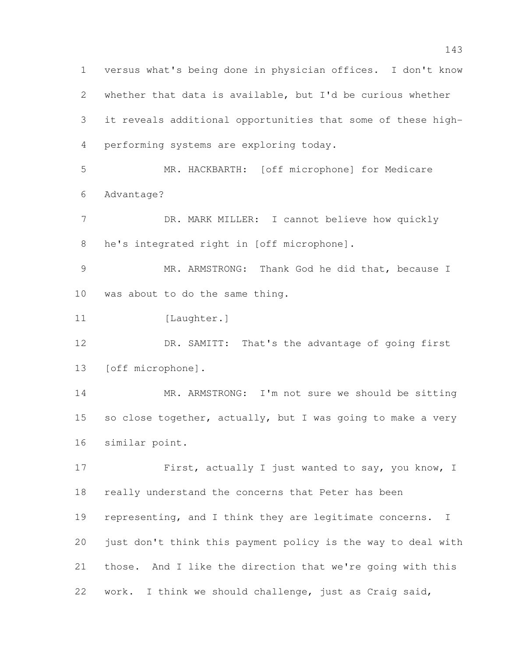versus what's being done in physician offices. I don't know whether that data is available, but I'd be curious whether it reveals additional opportunities that some of these high- performing systems are exploring today. MR. HACKBARTH: [off microphone] for Medicare Advantage? 7 DR. MARK MILLER: I cannot believe how quickly he's integrated right in [off microphone]. MR. ARMSTRONG: Thank God he did that, because I was about to do the same thing. 11 [Laughter.] 12 DR. SAMITT: That's the advantage of going first [off microphone]. 14 MR. ARMSTRONG: I'm not sure we should be sitting 15 so close together, actually, but I was going to make a very similar point. 17 First, actually I just wanted to say, you know, I really understand the concerns that Peter has been 19 representing, and I think they are legitimate concerns. I just don't think this payment policy is the way to deal with those. And I like the direction that we're going with this work. I think we should challenge, just as Craig said,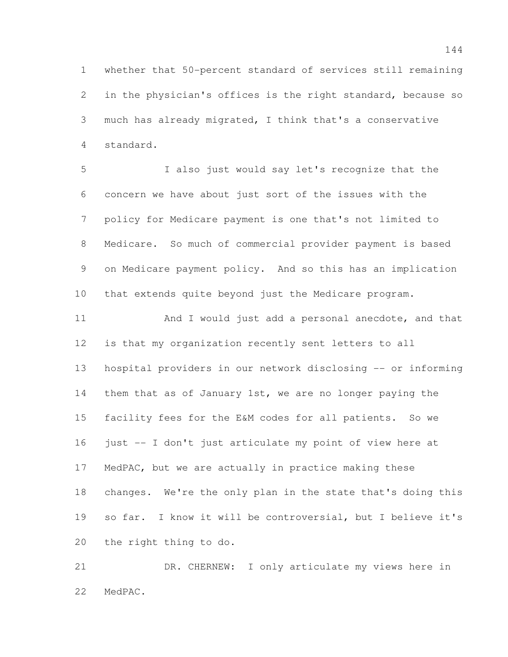whether that 50-percent standard of services still remaining in the physician's offices is the right standard, because so much has already migrated, I think that's a conservative standard.

 I also just would say let's recognize that the concern we have about just sort of the issues with the policy for Medicare payment is one that's not limited to Medicare. So much of commercial provider payment is based on Medicare payment policy. And so this has an implication that extends quite beyond just the Medicare program.

11 And I would just add a personal anecdote, and that is that my organization recently sent letters to all hospital providers in our network disclosing -- or informing them that as of January 1st, we are no longer paying the facility fees for the E&M codes for all patients. So we just -- I don't just articulate my point of view here at MedPAC, but we are actually in practice making these changes. We're the only plan in the state that's doing this so far. I know it will be controversial, but I believe it's the right thing to do.

 DR. CHERNEW: I only articulate my views here in MedPAC.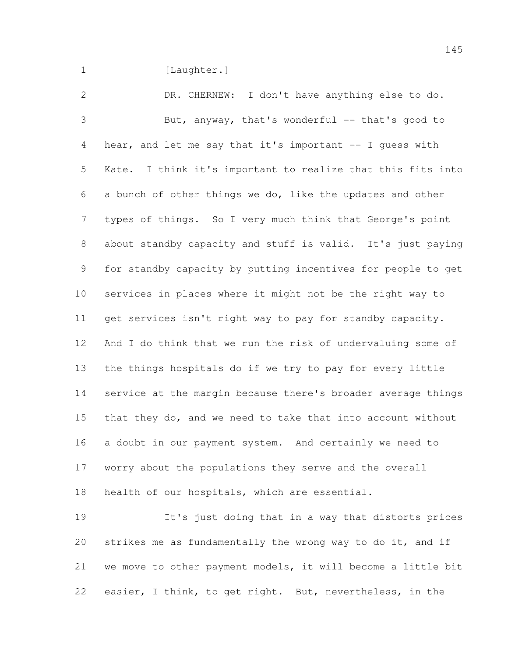1 [Laughter.]

 DR. CHERNEW: I don't have anything else to do. But, anyway, that's wonderful -- that's good to hear, and let me say that it's important -- I guess with Kate. I think it's important to realize that this fits into a bunch of other things we do, like the updates and other types of things. So I very much think that George's point about standby capacity and stuff is valid. It's just paying for standby capacity by putting incentives for people to get services in places where it might not be the right way to get services isn't right way to pay for standby capacity. And I do think that we run the risk of undervaluing some of the things hospitals do if we try to pay for every little service at the margin because there's broader average things that they do, and we need to take that into account without a doubt in our payment system. And certainly we need to worry about the populations they serve and the overall health of our hospitals, which are essential.

 It's just doing that in a way that distorts prices strikes me as fundamentally the wrong way to do it, and if we move to other payment models, it will become a little bit easier, I think, to get right. But, nevertheless, in the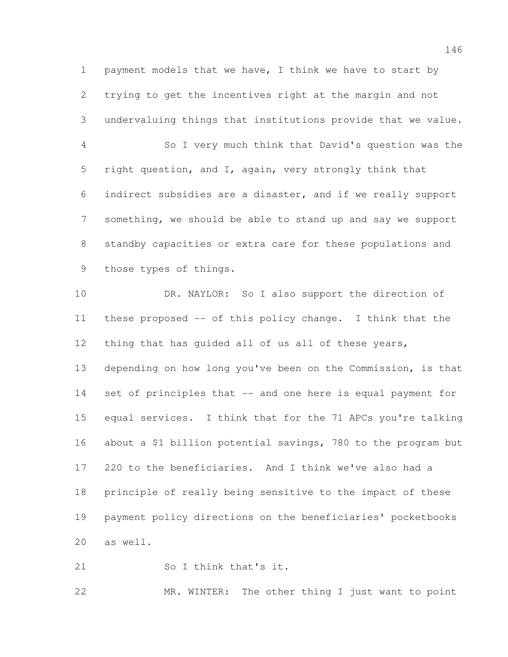payment models that we have, I think we have to start by trying to get the incentives right at the margin and not undervaluing things that institutions provide that we value.

 So I very much think that David's question was the right question, and I, again, very strongly think that indirect subsidies are a disaster, and if we really support something, we should be able to stand up and say we support standby capacities or extra care for these populations and those types of things.

 DR. NAYLOR: So I also support the direction of these proposed -- of this policy change. I think that the thing that has guided all of us all of these years, depending on how long you've been on the Commission, is that set of principles that -- and one here is equal payment for equal services. I think that for the 71 APCs you're talking about a \$1 billion potential savings, 780 to the program but 220 to the beneficiaries. And I think we've also had a principle of really being sensitive to the impact of these payment policy directions on the beneficiaries' pocketbooks as well.

21 So I think that's it.

MR. WINTER: The other thing I just want to point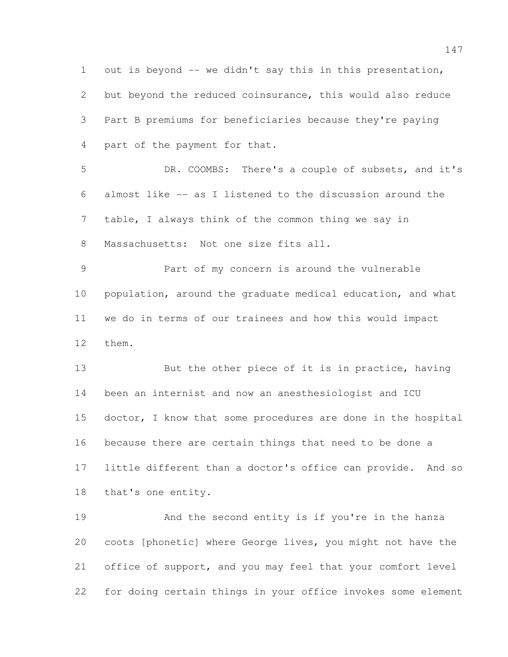1 out is beyond -- we didn't say this in this presentation, but beyond the reduced coinsurance, this would also reduce Part B premiums for beneficiaries because they're paying part of the payment for that. DR. COOMBS: There's a couple of subsets, and it's almost like -- as I listened to the discussion around the table, I always think of the common thing we say in Massachusetts: Not one size fits all. Part of my concern is around the vulnerable 10 population, around the graduate medical education, and what we do in terms of our trainees and how this would impact them. But the other piece of it is in practice, having been an internist and now an anesthesiologist and ICU doctor, I know that some procedures are done in the hospital because there are certain things that need to be done a little different than a doctor's office can provide. And so that's one entity. And the second entity is if you're in the hanza coots [phonetic] where George lives, you might not have the

for doing certain things in your office invokes some element

office of support, and you may feel that your comfort level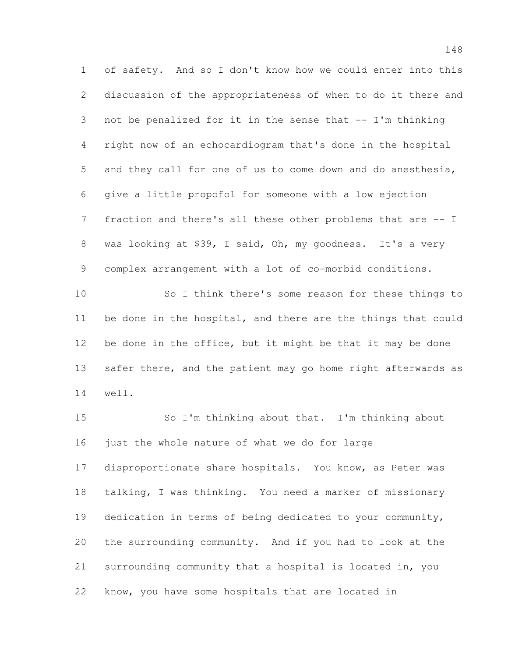of safety. And so I don't know how we could enter into this discussion of the appropriateness of when to do it there and not be penalized for it in the sense that -- I'm thinking right now of an echocardiogram that's done in the hospital and they call for one of us to come down and do anesthesia, give a little propofol for someone with a low ejection fraction and there's all these other problems that are -- I was looking at \$39, I said, Oh, my goodness. It's a very complex arrangement with a lot of co-morbid conditions.

 So I think there's some reason for these things to be done in the hospital, and there are the things that could be done in the office, but it might be that it may be done 13 safer there, and the patient may go home right afterwards as well.

 So I'm thinking about that. I'm thinking about just the whole nature of what we do for large disproportionate share hospitals. You know, as Peter was talking, I was thinking. You need a marker of missionary dedication in terms of being dedicated to your community, the surrounding community. And if you had to look at the surrounding community that a hospital is located in, you know, you have some hospitals that are located in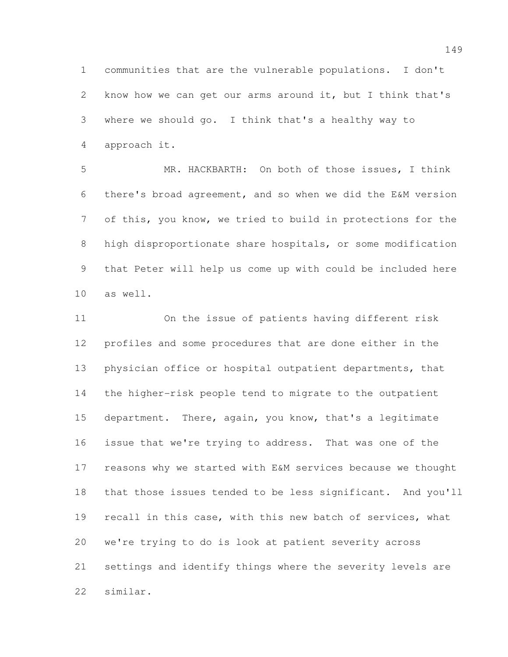communities that are the vulnerable populations. I don't know how we can get our arms around it, but I think that's where we should go. I think that's a healthy way to approach it.

 MR. HACKBARTH: On both of those issues, I think there's broad agreement, and so when we did the E&M version of this, you know, we tried to build in protections for the high disproportionate share hospitals, or some modification that Peter will help us come up with could be included here as well.

 On the issue of patients having different risk profiles and some procedures that are done either in the physician office or hospital outpatient departments, that the higher-risk people tend to migrate to the outpatient department. There, again, you know, that's a legitimate issue that we're trying to address. That was one of the reasons why we started with E&M services because we thought that those issues tended to be less significant. And you'll recall in this case, with this new batch of services, what we're trying to do is look at patient severity across settings and identify things where the severity levels are similar.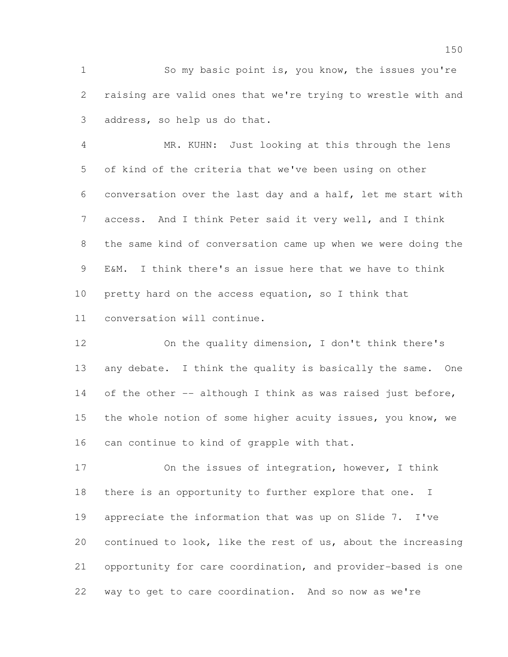So my basic point is, you know, the issues you're raising are valid ones that we're trying to wrestle with and address, so help us do that.

 MR. KUHN: Just looking at this through the lens of kind of the criteria that we've been using on other conversation over the last day and a half, let me start with access. And I think Peter said it very well, and I think the same kind of conversation came up when we were doing the E&M. I think there's an issue here that we have to think pretty hard on the access equation, so I think that conversation will continue.

 On the quality dimension, I don't think there's 13 any debate. I think the quality is basically the same. One 14 of the other -- although I think as was raised just before, the whole notion of some higher acuity issues, you know, we can continue to kind of grapple with that.

 On the issues of integration, however, I think 18 there is an opportunity to further explore that one. I appreciate the information that was up on Slide 7. I've continued to look, like the rest of us, about the increasing opportunity for care coordination, and provider-based is one way to get to care coordination. And so now as we're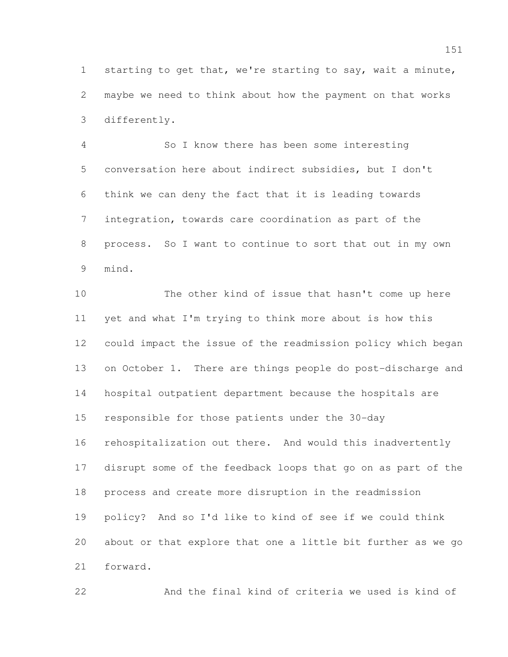starting to get that, we're starting to say, wait a minute, maybe we need to think about how the payment on that works differently.

 So I know there has been some interesting conversation here about indirect subsidies, but I don't think we can deny the fact that it is leading towards integration, towards care coordination as part of the process. So I want to continue to sort that out in my own mind.

 The other kind of issue that hasn't come up here yet and what I'm trying to think more about is how this could impact the issue of the readmission policy which began 13 on October 1. There are things people do post-discharge and hospital outpatient department because the hospitals are responsible for those patients under the 30-day rehospitalization out there. And would this inadvertently disrupt some of the feedback loops that go on as part of the process and create more disruption in the readmission policy? And so I'd like to kind of see if we could think about or that explore that one a little bit further as we go forward.

And the final kind of criteria we used is kind of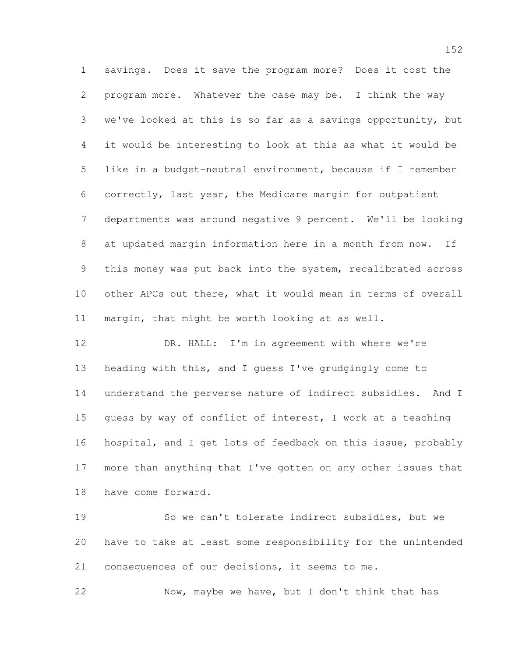savings. Does it save the program more? Does it cost the program more. Whatever the case may be. I think the way we've looked at this is so far as a savings opportunity, but it would be interesting to look at this as what it would be like in a budget-neutral environment, because if I remember correctly, last year, the Medicare margin for outpatient departments was around negative 9 percent. We'll be looking at updated margin information here in a month from now. If this money was put back into the system, recalibrated across other APCs out there, what it would mean in terms of overall margin, that might be worth looking at as well.

 DR. HALL: I'm in agreement with where we're heading with this, and I guess I've grudgingly come to understand the perverse nature of indirect subsidies. And I guess by way of conflict of interest, I work at a teaching hospital, and I get lots of feedback on this issue, probably more than anything that I've gotten on any other issues that have come forward.

 So we can't tolerate indirect subsidies, but we have to take at least some responsibility for the unintended consequences of our decisions, it seems to me.

Now, maybe we have, but I don't think that has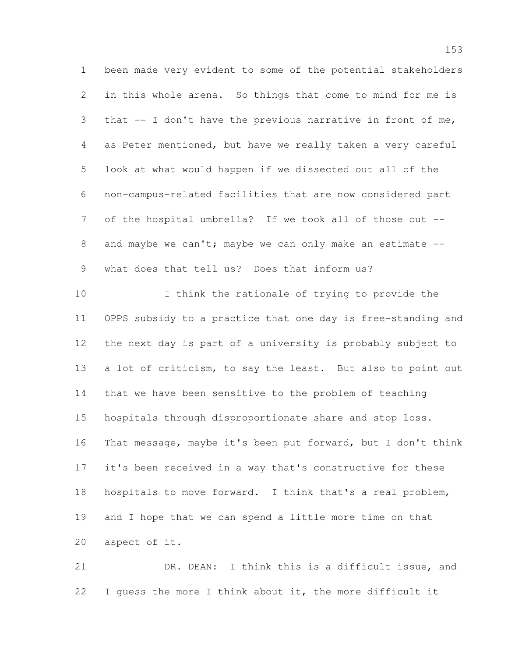been made very evident to some of the potential stakeholders in this whole arena. So things that come to mind for me is that -- I don't have the previous narrative in front of me, as Peter mentioned, but have we really taken a very careful look at what would happen if we dissected out all of the non-campus-related facilities that are now considered part of the hospital umbrella? If we took all of those out -- 8 and maybe we can't; maybe we can only make an estimate --what does that tell us? Does that inform us?

 I think the rationale of trying to provide the OPPS subsidy to a practice that one day is free-standing and the next day is part of a university is probably subject to 13 a lot of criticism, to say the least. But also to point out that we have been sensitive to the problem of teaching hospitals through disproportionate share and stop loss. That message, maybe it's been put forward, but I don't think it's been received in a way that's constructive for these hospitals to move forward. I think that's a real problem, and I hope that we can spend a little more time on that aspect of it.

 DR. DEAN: I think this is a difficult issue, and I guess the more I think about it, the more difficult it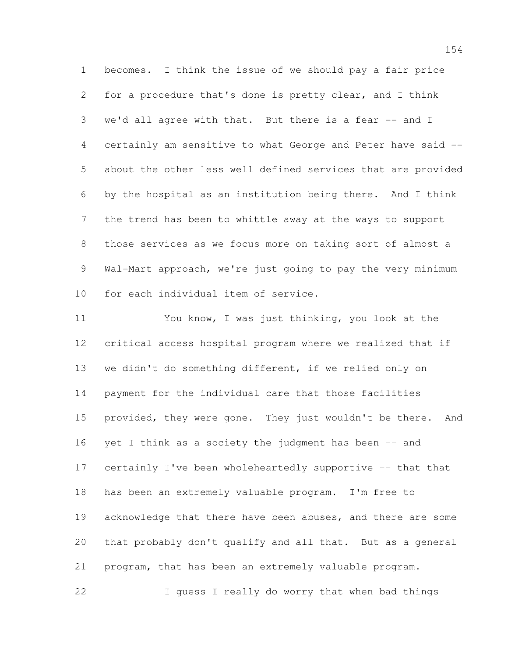becomes. I think the issue of we should pay a fair price for a procedure that's done is pretty clear, and I think we'd all agree with that. But there is a fear -- and I certainly am sensitive to what George and Peter have said -- about the other less well defined services that are provided by the hospital as an institution being there. And I think the trend has been to whittle away at the ways to support those services as we focus more on taking sort of almost a 9 Wal-Mart approach, we're just going to pay the very minimum for each individual item of service.

 You know, I was just thinking, you look at the critical access hospital program where we realized that if we didn't do something different, if we relied only on payment for the individual care that those facilities 15 provided, they were gone. They just wouldn't be there. And 16 yet I think as a society the judgment has been -- and certainly I've been wholeheartedly supportive -- that that has been an extremely valuable program. I'm free to 19 acknowledge that there have been abuses, and there are some that probably don't qualify and all that. But as a general program, that has been an extremely valuable program. I guess I really do worry that when bad things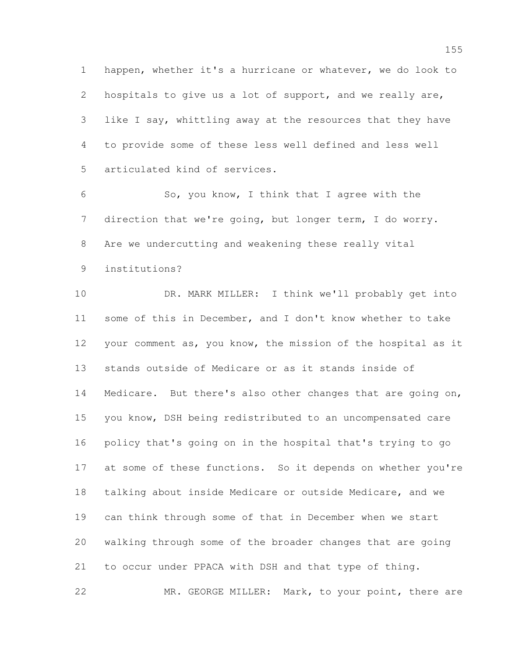happen, whether it's a hurricane or whatever, we do look to hospitals to give us a lot of support, and we really are, like I say, whittling away at the resources that they have to provide some of these less well defined and less well articulated kind of services.

 So, you know, I think that I agree with the direction that we're going, but longer term, I do worry. Are we undercutting and weakening these really vital institutions?

 DR. MARK MILLER: I think we'll probably get into some of this in December, and I don't know whether to take your comment as, you know, the mission of the hospital as it stands outside of Medicare or as it stands inside of Medicare. But there's also other changes that are going on, you know, DSH being redistributed to an uncompensated care policy that's going on in the hospital that's trying to go 17 at some of these functions. So it depends on whether you're talking about inside Medicare or outside Medicare, and we can think through some of that in December when we start walking through some of the broader changes that are going to occur under PPACA with DSH and that type of thing. MR. GEORGE MILLER: Mark, to your point, there are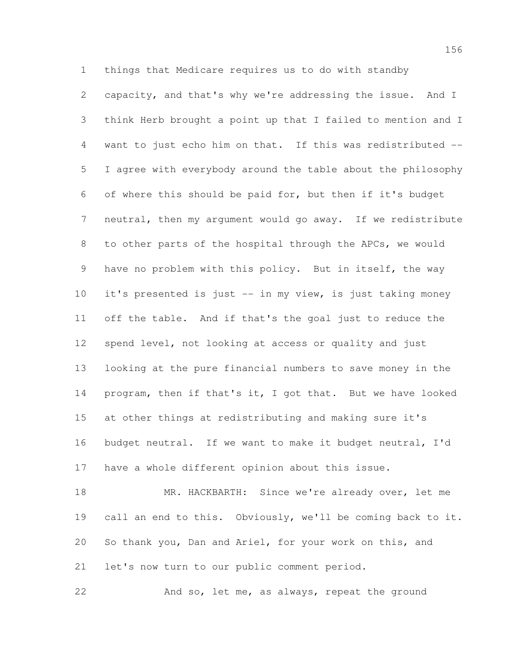things that Medicare requires us to do with standby capacity, and that's why we're addressing the issue. And I think Herb brought a point up that I failed to mention and I want to just echo him on that. If this was redistributed -- I agree with everybody around the table about the philosophy of where this should be paid for, but then if it's budget neutral, then my argument would go away. If we redistribute to other parts of the hospital through the APCs, we would have no problem with this policy. But in itself, the way it's presented is just -- in my view, is just taking money off the table. And if that's the goal just to reduce the spend level, not looking at access or quality and just looking at the pure financial numbers to save money in the 14 program, then if that's it, I got that. But we have looked at other things at redistributing and making sure it's budget neutral. If we want to make it budget neutral, I'd have a whole different opinion about this issue.

18 MR. HACKBARTH: Since we're already over, let me call an end to this. Obviously, we'll be coming back to it. So thank you, Dan and Ariel, for your work on this, and let's now turn to our public comment period.

And so, let me, as always, repeat the ground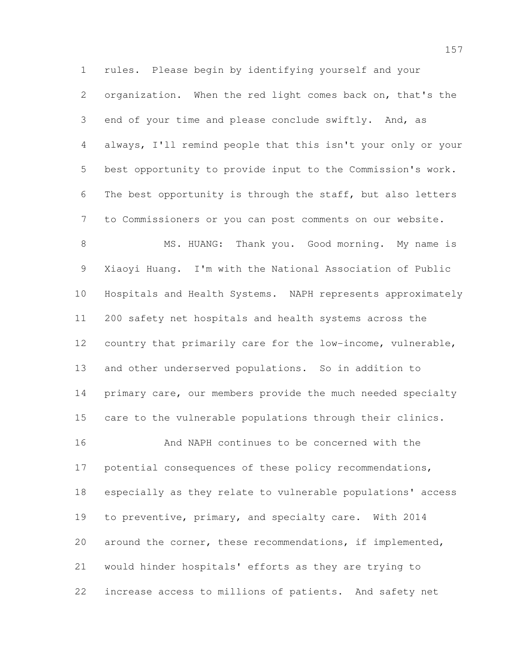rules. Please begin by identifying yourself and your organization. When the red light comes back on, that's the end of your time and please conclude swiftly. And, as always, I'll remind people that this isn't your only or your best opportunity to provide input to the Commission's work. The best opportunity is through the staff, but also letters to Commissioners or you can post comments on our website.

8 MS. HUANG: Thank you. Good morning. My name is Xiaoyi Huang. I'm with the National Association of Public Hospitals and Health Systems. NAPH represents approximately 200 safety net hospitals and health systems across the country that primarily care for the low-income, vulnerable, and other underserved populations. So in addition to 14 primary care, our members provide the much needed specialty care to the vulnerable populations through their clinics. And NAPH continues to be concerned with the

 potential consequences of these policy recommendations, especially as they relate to vulnerable populations' access to preventive, primary, and specialty care. With 2014 around the corner, these recommendations, if implemented, would hinder hospitals' efforts as they are trying to increase access to millions of patients. And safety net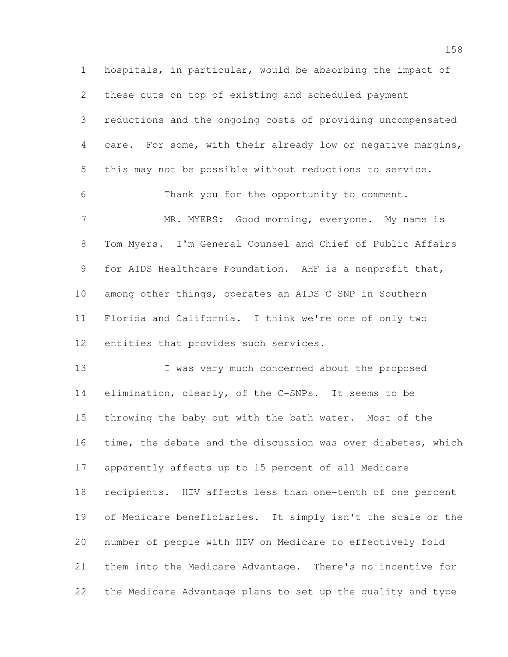hospitals, in particular, would be absorbing the impact of these cuts on top of existing and scheduled payment reductions and the ongoing costs of providing uncompensated care. For some, with their already low or negative margins, this may not be possible without reductions to service. Thank you for the opportunity to comment. 7 MR. MYERS: Good morning, everyone. My name is Tom Myers. I'm General Counsel and Chief of Public Affairs for AIDS Healthcare Foundation. AHF is a nonprofit that, among other things, operates an AIDS C-SNP in Southern Florida and California. I think we're one of only two entities that provides such services. 13 I was very much concerned about the proposed

 elimination, clearly, of the C-SNPs. It seems to be throwing the baby out with the bath water. Most of the time, the debate and the discussion was over diabetes, which apparently affects up to 15 percent of all Medicare recipients. HIV affects less than one-tenth of one percent of Medicare beneficiaries. It simply isn't the scale or the number of people with HIV on Medicare to effectively fold them into the Medicare Advantage. There's no incentive for the Medicare Advantage plans to set up the quality and type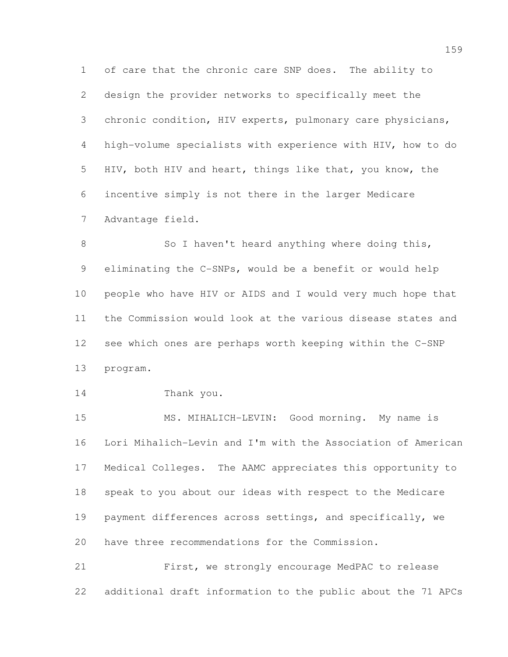of care that the chronic care SNP does. The ability to design the provider networks to specifically meet the chronic condition, HIV experts, pulmonary care physicians, high-volume specialists with experience with HIV, how to do HIV, both HIV and heart, things like that, you know, the incentive simply is not there in the larger Medicare Advantage field.

8 So I haven't heard anything where doing this, eliminating the C-SNPs, would be a benefit or would help people who have HIV or AIDS and I would very much hope that the Commission would look at the various disease states and see which ones are perhaps worth keeping within the C-SNP program.

Thank you.

15 MS. MIHALICH-LEVIN: Good morning. My name is Lori Mihalich-Levin and I'm with the Association of American Medical Colleges. The AAMC appreciates this opportunity to speak to you about our ideas with respect to the Medicare payment differences across settings, and specifically, we have three recommendations for the Commission.

 First, we strongly encourage MedPAC to release additional draft information to the public about the 71 APCs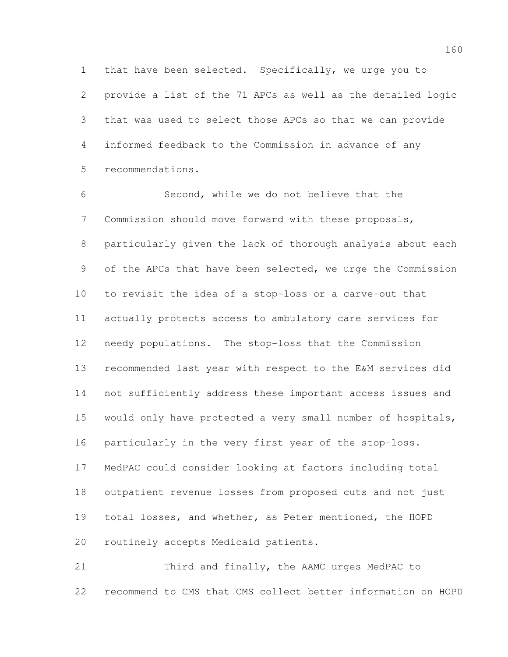that have been selected. Specifically, we urge you to provide a list of the 71 APCs as well as the detailed logic that was used to select those APCs so that we can provide informed feedback to the Commission in advance of any recommendations.

 Second, while we do not believe that the Commission should move forward with these proposals, particularly given the lack of thorough analysis about each 9 of the APCs that have been selected, we urge the Commission to revisit the idea of a stop-loss or a carve-out that actually protects access to ambulatory care services for needy populations. The stop-loss that the Commission recommended last year with respect to the E&M services did not sufficiently address these important access issues and would only have protected a very small number of hospitals, particularly in the very first year of the stop-loss. MedPAC could consider looking at factors including total outpatient revenue losses from proposed cuts and not just total losses, and whether, as Peter mentioned, the HOPD routinely accepts Medicaid patients.

 Third and finally, the AAMC urges MedPAC to recommend to CMS that CMS collect better information on HOPD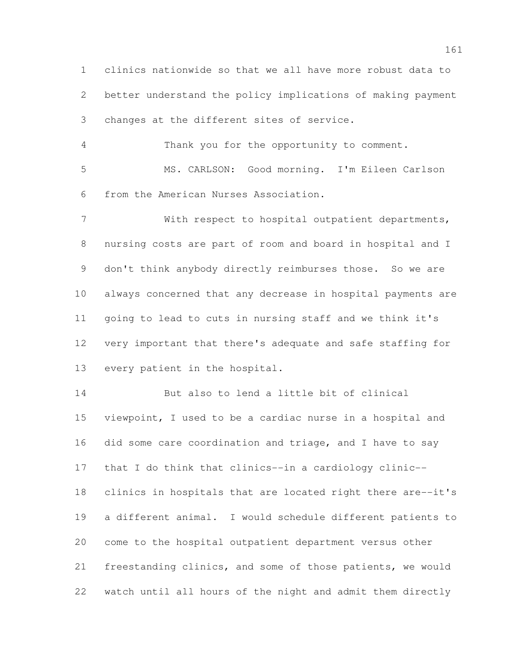clinics nationwide so that we all have more robust data to better understand the policy implications of making payment changes at the different sites of service.

 Thank you for the opportunity to comment. MS. CARLSON: Good morning. I'm Eileen Carlson from the American Nurses Association.

 With respect to hospital outpatient departments, nursing costs are part of room and board in hospital and I don't think anybody directly reimburses those. So we are always concerned that any decrease in hospital payments are going to lead to cuts in nursing staff and we think it's very important that there's adequate and safe staffing for every patient in the hospital.

 But also to lend a little bit of clinical viewpoint, I used to be a cardiac nurse in a hospital and did some care coordination and triage, and I have to say that I do think that clinics--in a cardiology clinic-- clinics in hospitals that are located right there are--it's a different animal. I would schedule different patients to come to the hospital outpatient department versus other freestanding clinics, and some of those patients, we would watch until all hours of the night and admit them directly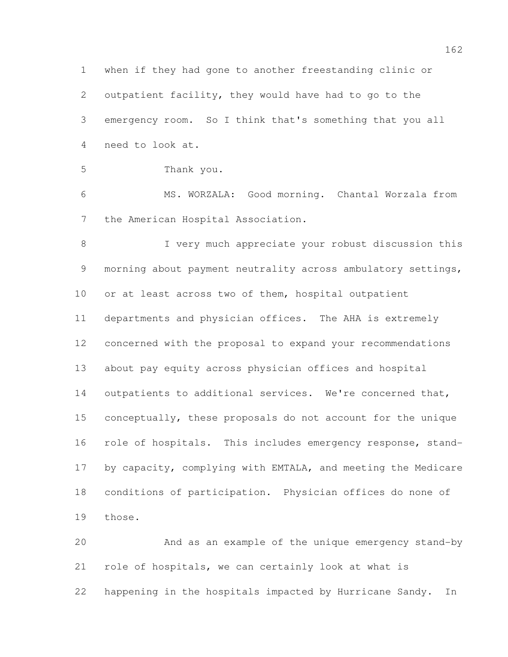when if they had gone to another freestanding clinic or outpatient facility, they would have had to go to the emergency room. So I think that's something that you all need to look at. Thank you. MS. WORZALA: Good morning. Chantal Worzala from the American Hospital Association. I very much appreciate your robust discussion this 9 morning about payment neutrality across ambulatory settings, or at least across two of them, hospital outpatient departments and physician offices. The AHA is extremely concerned with the proposal to expand your recommendations about pay equity across physician offices and hospital 14 outpatients to additional services. We're concerned that, conceptually, these proposals do not account for the unique 16 role of hospitals. This includes emergency response, stand- by capacity, complying with EMTALA, and meeting the Medicare conditions of participation. Physician offices do none of those. And as an example of the unique emergency stand-by

 role of hospitals, we can certainly look at what is happening in the hospitals impacted by Hurricane Sandy. In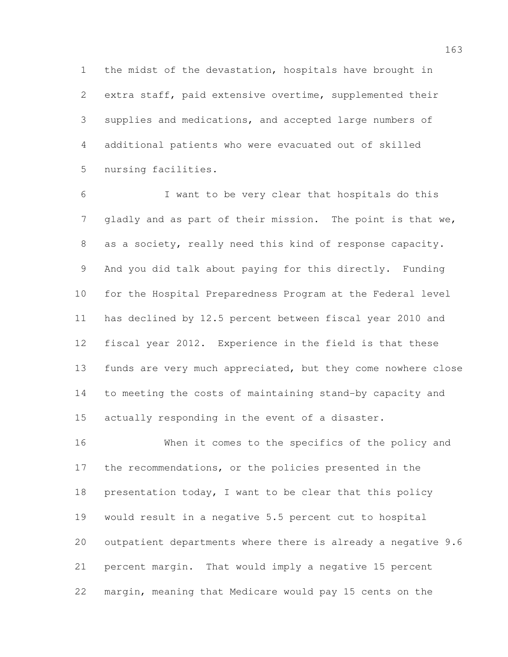the midst of the devastation, hospitals have brought in extra staff, paid extensive overtime, supplemented their supplies and medications, and accepted large numbers of additional patients who were evacuated out of skilled nursing facilities.

 I want to be very clear that hospitals do this gladly and as part of their mission. The point is that we, as a society, really need this kind of response capacity. And you did talk about paying for this directly. Funding for the Hospital Preparedness Program at the Federal level has declined by 12.5 percent between fiscal year 2010 and fiscal year 2012. Experience in the field is that these funds are very much appreciated, but they come nowhere close to meeting the costs of maintaining stand-by capacity and actually responding in the event of a disaster.

 When it comes to the specifics of the policy and the recommendations, or the policies presented in the presentation today, I want to be clear that this policy would result in a negative 5.5 percent cut to hospital outpatient departments where there is already a negative 9.6 percent margin. That would imply a negative 15 percent margin, meaning that Medicare would pay 15 cents on the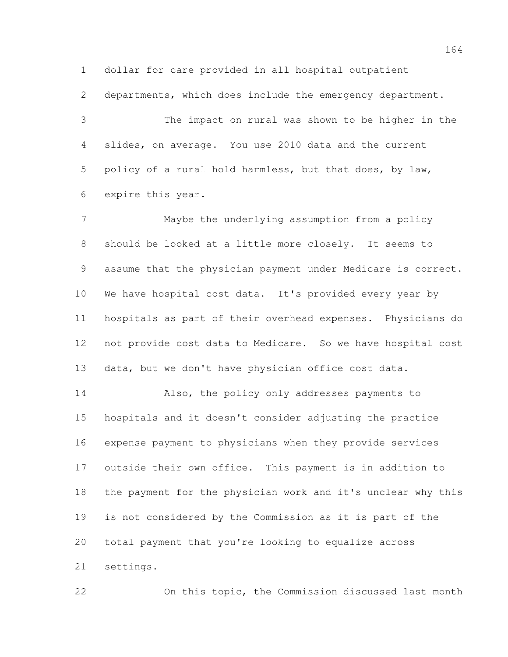dollar for care provided in all hospital outpatient

departments, which does include the emergency department.

 The impact on rural was shown to be higher in the slides, on average. You use 2010 data and the current policy of a rural hold harmless, but that does, by law, expire this year.

 Maybe the underlying assumption from a policy should be looked at a little more closely. It seems to assume that the physician payment under Medicare is correct. We have hospital cost data. It's provided every year by hospitals as part of their overhead expenses. Physicians do not provide cost data to Medicare. So we have hospital cost data, but we don't have physician office cost data.

 Also, the policy only addresses payments to hospitals and it doesn't consider adjusting the practice expense payment to physicians when they provide services outside their own office. This payment is in addition to the payment for the physician work and it's unclear why this is not considered by the Commission as it is part of the total payment that you're looking to equalize across settings.

On this topic, the Commission discussed last month